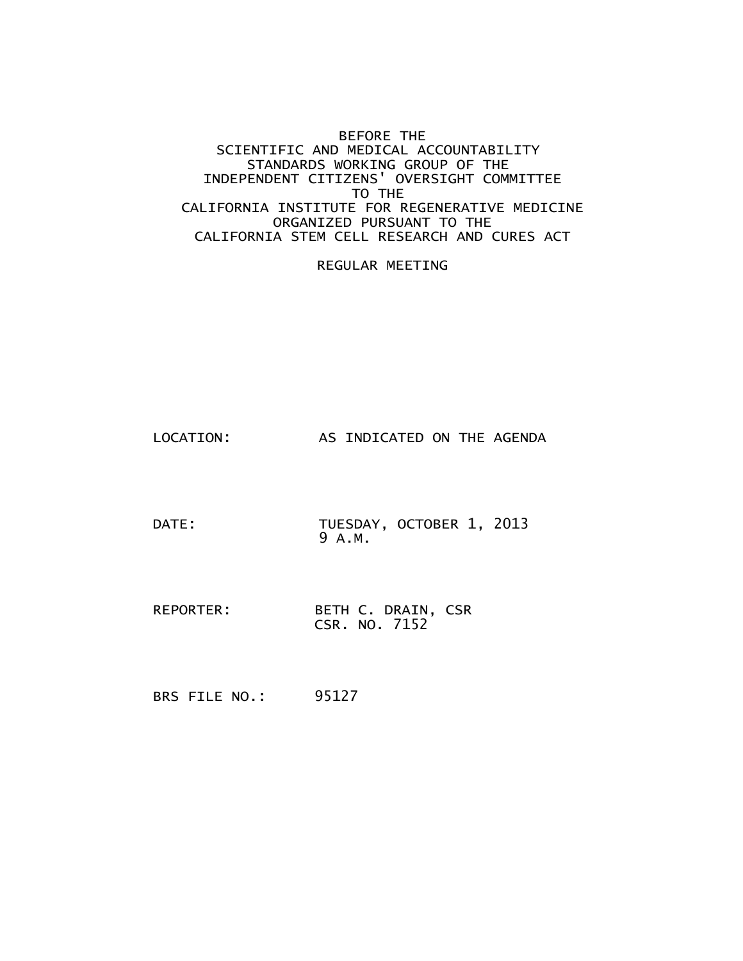#### BEFORE THE SCIENTIFIC AND MEDICAL ACCOUNTABILITY STANDARDS WORKING GROUP OF THE INDEPENDENT CITIZENS' OVERSIGHT COMMITTEE TO THE CALIFORNIA INSTITUTE FOR REGENERATIVE MEDICINE ORGANIZED PURSUANT TO THE CALIFORNIA STEM CELL RESEARCH AND CURES ACT

REGULAR MEETING

LOCATION: AS INDICATED ON THE AGENDA

DATE: TUESDAY, OCTOBER 1, 2013 9 A.M.

REPORTER: BETH C. DRAIN, CSR CSR. NO. 7152

BRS FILE NO.: 95127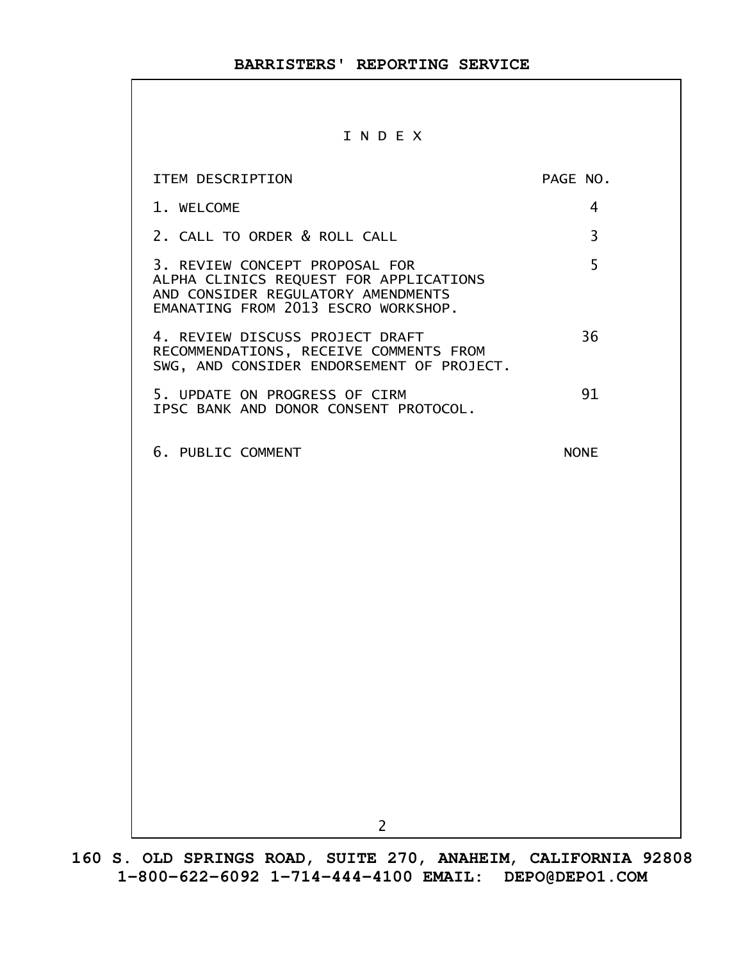#### I N D E X

| ITEM DESCRIPTION                                                                                                                                      | PAGE NO.    |
|-------------------------------------------------------------------------------------------------------------------------------------------------------|-------------|
| 1. WELCOME                                                                                                                                            | 4           |
| 2. CALL TO ORDER & ROLL CALL                                                                                                                          | 3           |
| 3. REVIEW CONCEPT PROPOSAL FOR<br>ALPHA CLINICS REQUEST FOR APPLICATIONS<br>AND CONSIDER REGULATORY AMENDMENTS<br>EMANATING FROM 2013 ESCRO WORKSHOP. | 5           |
| 4. REVIEW DISCUSS PROJECT DRAFT<br>RECOMMENDATIONS, RECEIVE COMMENTS FROM<br>SWG, AND CONSIDER ENDORSEMENT OF PROJECT.                                | 36          |
| 5. UPDATE ON PROGRESS OF CIRM<br>IPSC BANK AND DONOR CONSENT PROTOCOL.                                                                                | 91          |
| 6. PUBLIC COMMENT                                                                                                                                     | <b>NONE</b> |
|                                                                                                                                                       |             |
|                                                                                                                                                       |             |
|                                                                                                                                                       |             |
|                                                                                                                                                       |             |
|                                                                                                                                                       |             |
|                                                                                                                                                       |             |
|                                                                                                                                                       |             |
| $\overline{2}$                                                                                                                                        |             |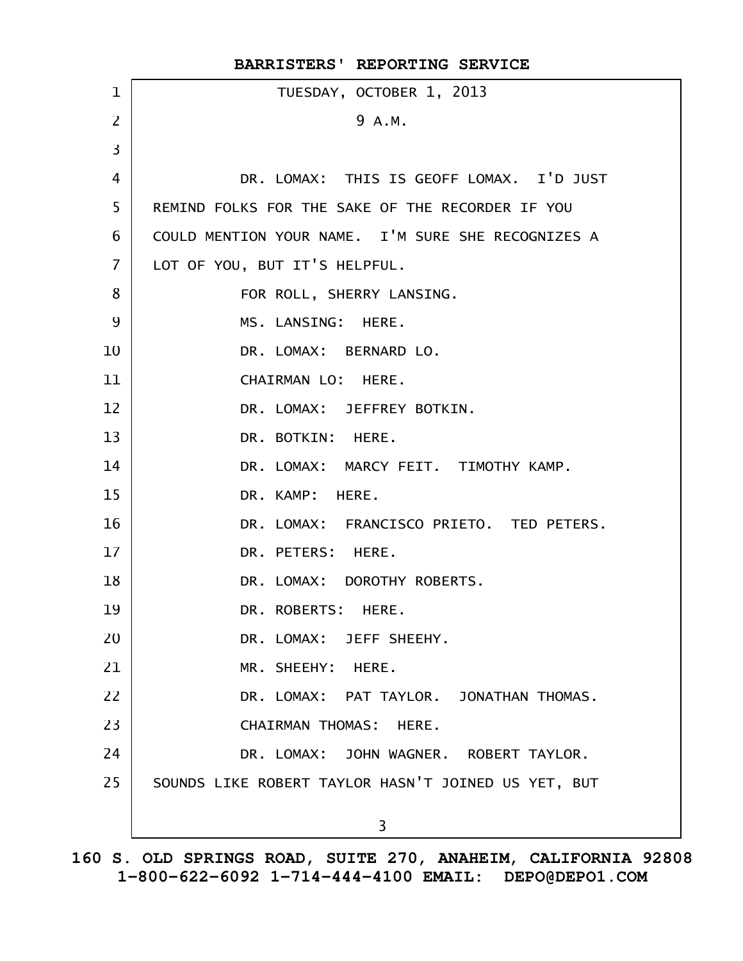|                | BARRISTERS' REPORTING SERVICE                       |
|----------------|-----------------------------------------------------|
| $\mathbf 1$    | TUESDAY, OCTOBER 1, 2013                            |
| $\overline{2}$ | 9 A.M.                                              |
| 3              |                                                     |
| 4              | DR. LOMAX: THIS IS GEOFF LOMAX. I'D JUST            |
| 5              | REMIND FOLKS FOR THE SAKE OF THE RECORDER IF YOU    |
| 6              | COULD MENTION YOUR NAME. I'M SURE SHE RECOGNIZES A  |
| $\overline{7}$ | LOT OF YOU, BUT IT'S HELPFUL.                       |
| 8              | FOR ROLL, SHERRY LANSING.                           |
| 9              | MS. LANSING: HERE.                                  |
| 10             | DR. LOMAX: BERNARD LO.                              |
| 11             | CHAIRMAN LO: HERE.                                  |
| 12             | DR. LOMAX: JEFFREY BOTKIN.                          |
| 13             | DR. BOTKIN: HERE.                                   |
| 14             | DR. LOMAX: MARCY FEIT. TIMOTHY KAMP.                |
| 15             | DR. KAMP: HERE.                                     |
| 16             | DR. LOMAX: FRANCISCO PRIETO. TED PETERS.            |
| 17             | DR. PETERS: HERE.                                   |
| 18             | DR. LOMAX: DOROTHY ROBERTS.                         |
| 19             | DR. ROBERTS: HERE.                                  |
| 20             | DR. LOMAX: JEFF SHEEHY.                             |
| 21             | MR. SHEEHY: HERE.                                   |
| 22             | DR. LOMAX: PAT TAYLOR. JONATHAN THOMAS.             |
| 23             | CHAIRMAN THOMAS: HERE.                              |
| 24             | DR. LOMAX: JOHN WAGNER, ROBERT TAYLOR,              |
| 25             | SOUNDS LIKE ROBERT TAYLOR HASN'T JOINED US YET, BUT |
|                | 3                                                   |
|                |                                                     |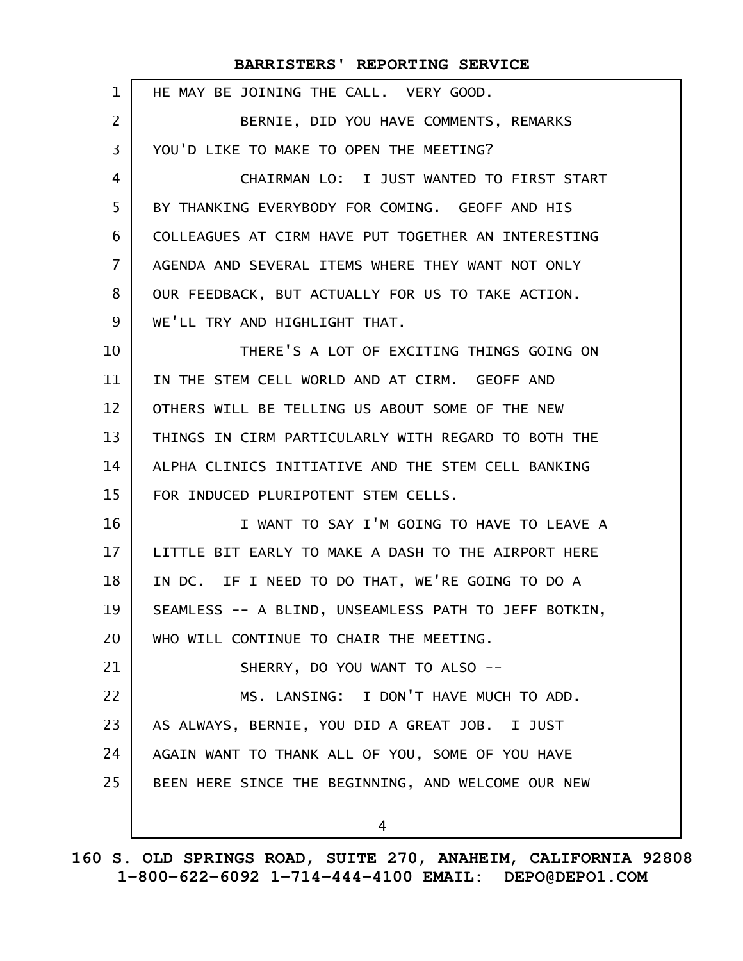| $\mathbf{1}$   | HE MAY BE JOINING THE CALL. VERY GOOD.               |
|----------------|------------------------------------------------------|
| $\overline{2}$ | BERNIE, DID YOU HAVE COMMENTS, REMARKS               |
| 3              | YOU'D LIKE TO MAKE TO OPEN THE MEETING?              |
| 4              | CHAIRMAN LO: I JUST WANTED TO FIRST START            |
| 5              | BY THANKING EVERYBODY FOR COMING. GEOFF AND HIS      |
| 6              | COLLEAGUES AT CIRM HAVE PUT TOGETHER AN INTERESTING  |
| $\overline{7}$ | AGENDA AND SEVERAL ITEMS WHERE THEY WANT NOT ONLY    |
| 8              | OUR FEEDBACK, BUT ACTUALLY FOR US TO TAKE ACTION.    |
| 9              | WE'LL TRY AND HIGHLIGHT THAT.                        |
| 10             | THERE'S A LOT OF EXCITING THINGS GOING ON            |
| 11             | IN THE STEM CELL WORLD AND AT CIRM. GEOFF AND        |
| 12             | OTHERS WILL BE TELLING US ABOUT SOME OF THE NEW      |
| 13             | THINGS IN CIRM PARTICULARLY WITH REGARD TO BOTH THE  |
| 14             | ALPHA CLINICS INITIATIVE AND THE STEM CELL BANKING   |
| 15             | FOR INDUCED PLURIPOTENT STEM CELLS.                  |
| 16             | I WANT TO SAY I'M GOING TO HAVE TO LEAVE A           |
| 17             | LITTLE BIT EARLY TO MAKE A DASH TO THE AIRPORT HERE  |
| 18             | IN DC. IF I NEED TO DO THAT, WE'RE GOING TO DO A     |
| 19             | SEAMLESS -- A BLIND, UNSEAMLESS PATH TO JEFF BOTKIN, |
| 20             | WHO WILL CONTINUE TO CHAIR THE MEETING.              |
| 21             | SHERRY, DO YOU WANT TO ALSO --                       |
| 22             | MS. LANSING: I DON'T HAVE MUCH TO ADD.               |
| 23             | AS ALWAYS, BERNIE, YOU DID A GREAT JOB. I JUST       |
| 24             | AGAIN WANT TO THANK ALL OF YOU, SOME OF YOU HAVE     |
| 25             | BEEN HERE SINCE THE BEGINNING, AND WELCOME OUR NEW   |
|                | 4                                                    |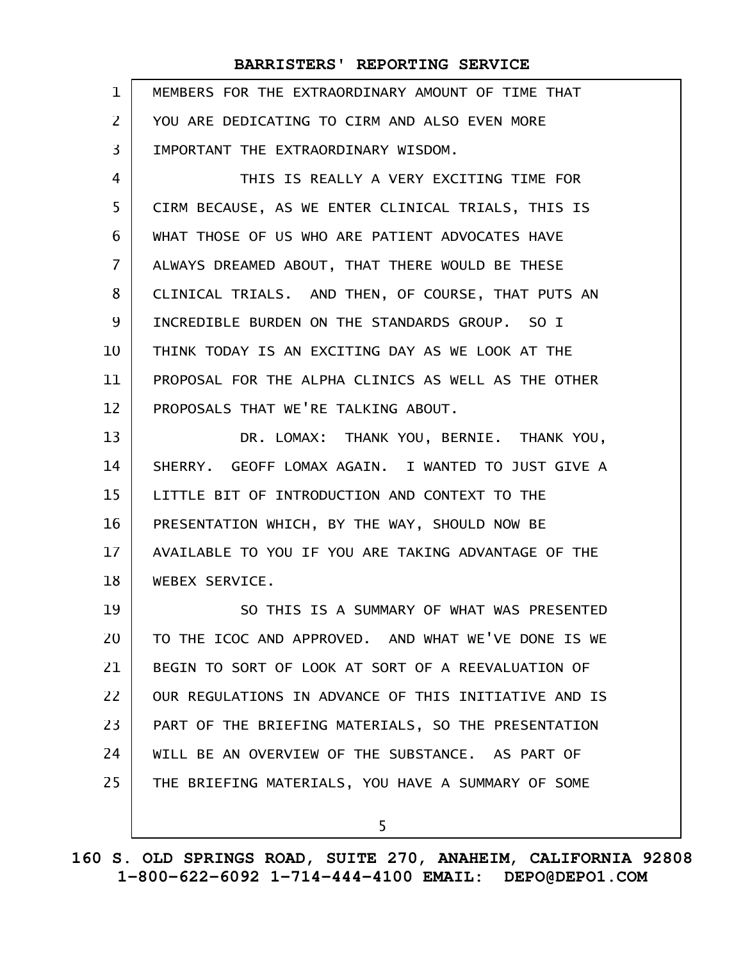| $\mathbf{1}$   | MEMBERS FOR THE EXTRAORDINARY AMOUNT OF TIME THAT    |
|----------------|------------------------------------------------------|
| $\mathbf{Z}$   | YOU ARE DEDICATING TO CIRM AND ALSO EVEN MORE        |
| 3              | IMPORTANT THE EXTRAORDINARY WISDOM.                  |
| 4              | THIS IS REALLY A VERY EXCITING TIME FOR              |
| 5              | CIRM BECAUSE, AS WE ENTER CLINICAL TRIALS, THIS IS   |
| 6              | WHAT THOSE OF US WHO ARE PATIENT ADVOCATES HAVE      |
| $\overline{7}$ | ALWAYS DREAMED ABOUT, THAT THERE WOULD BE THESE      |
| 8              | CLINICAL TRIALS. AND THEN, OF COURSE, THAT PUTS AN   |
| 9              | INCREDIBLE BURDEN ON THE STANDARDS GROUP. SO I       |
| 10             | THINK TODAY IS AN EXCITING DAY AS WE LOOK AT THE     |
| 11             | PROPOSAL FOR THE ALPHA CLINICS AS WELL AS THE OTHER  |
| 12             | PROPOSALS THAT WE'RE TALKING ABOUT.                  |
| 13             | DR. LOMAX: THANK YOU, BERNIE. THANK YOU,             |
| 14             | SHERRY. GEOFF LOMAX AGAIN. I WANTED TO JUST GIVE A   |
| 15             | LITTLE BIT OF INTRODUCTION AND CONTEXT TO THE        |
| 16             | PRESENTATION WHICH, BY THE WAY, SHOULD NOW BE        |
| 17             | AVAILABLE TO YOU IF YOU ARE TAKING ADVANTAGE OF THE  |
| 18             | WEBEX SERVICE.                                       |
| 19             | SO THIS IS A SUMMARY OF WHAT WAS PRESENTED           |
| 20             | TO THE ICOC AND APPROVED. AND WHAT WE'VE DONE IS WE  |
| 21             | BEGIN TO SORT OF LOOK AT SORT OF A REEVALUATION OF   |
| 22             | OUR REGULATIONS IN ADVANCE OF THIS INITIATIVE AND IS |
| 23             | PART OF THE BRIEFING MATERIALS, SO THE PRESENTATION  |
| 24             | WILL BE AN OVERVIEW OF THE SUBSTANCE. AS PART OF     |
| 25             | THE BRIEFING MATERIALS, YOU HAVE A SUMMARY OF SOME   |
|                | 5                                                    |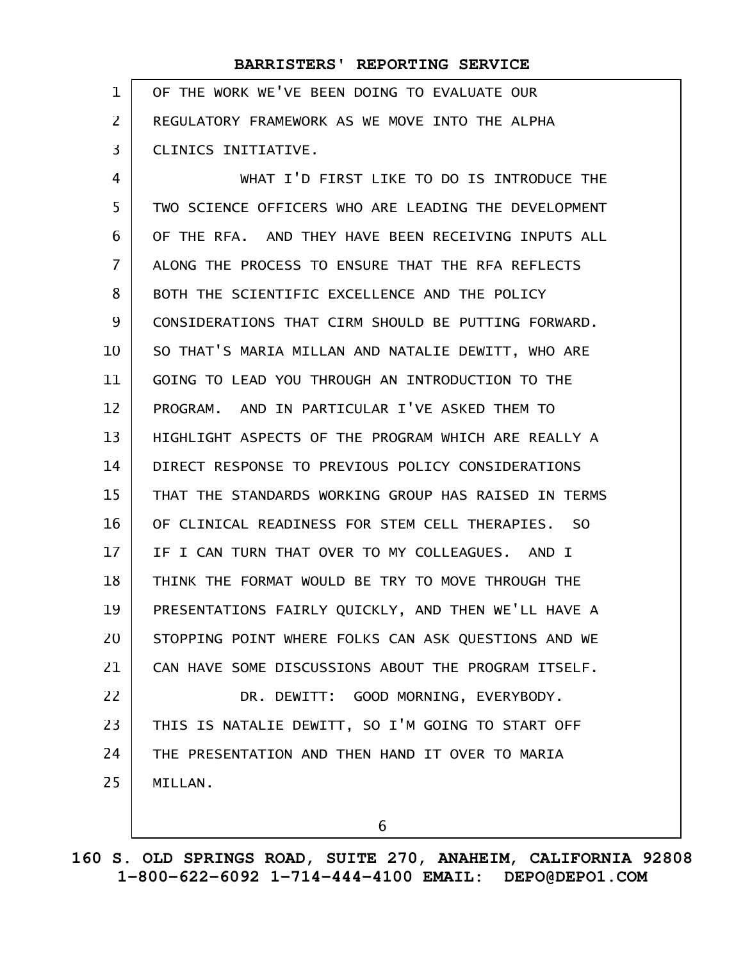| 1              | OF THE WORK WE'VE BEEN DOING TO EVALUATE OUR         |
|----------------|------------------------------------------------------|
| $\overline{2}$ | REGULATORY FRAMEWORK AS WE MOVE INTO THE ALPHA       |
| 3              | CLINICS INITIATIVE.                                  |
| 4              | WHAT I'D FIRST LIKE TO DO IS INTRODUCE THE           |
| 5              | TWO SCIENCE OFFICERS WHO ARE LEADING THE DEVELOPMENT |
| 6              | OF THE RFA. AND THEY HAVE BEEN RECEIVING INPUTS ALL  |
| $\overline{7}$ | ALONG THE PROCESS TO ENSURE THAT THE RFA REFLECTS    |
| 8              | BOTH THE SCIENTIFIC EXCELLENCE AND THE POLICY        |
| 9              | CONSIDERATIONS THAT CIRM SHOULD BE PUTTING FORWARD.  |
| 10             | SO THAT'S MARIA MILLAN AND NATALIE DEWITT, WHO ARE   |
| 11             | GOING TO LEAD YOU THROUGH AN INTRODUCTION TO THE     |
| 12             | PROGRAM. AND IN PARTICULAR I'VE ASKED THEM TO        |
| 13             | HIGHLIGHT ASPECTS OF THE PROGRAM WHICH ARE REALLY A  |
| 14             | DIRECT RESPONSE TO PREVIOUS POLICY CONSIDERATIONS    |
| 15             | THAT THE STANDARDS WORKING GROUP HAS RAISED IN TERMS |
| 16             | OF CLINICAL READINESS FOR STEM CELL THERAPIES. SO    |
| 17             | IF I CAN TURN THAT OVER TO MY COLLEAGUES. AND I      |
| 18             | THINK THE FORMAT WOULD BE TRY TO MOVE THROUGH THE    |
| 19             | PRESENTATIONS FAIRLY QUICKLY, AND THEN WE'LL HAVE A  |
| 20             | STOPPING POINT WHERE FOLKS CAN ASK QUESTIONS AND WE  |
| 21             | CAN HAVE SOME DISCUSSIONS ABOUT THE PROGRAM ITSELF.  |
| 22             | DR. DEWITT: GOOD MORNING, EVERYBODY.                 |
| 23             | THIS IS NATALIE DEWITT, SO I'M GOING TO START OFF    |
| 24             | THE PRESENTATION AND THEN HAND IT OVER TO MARIA      |
| 25             | MILLAN.                                              |
|                | 6                                                    |
|                |                                                      |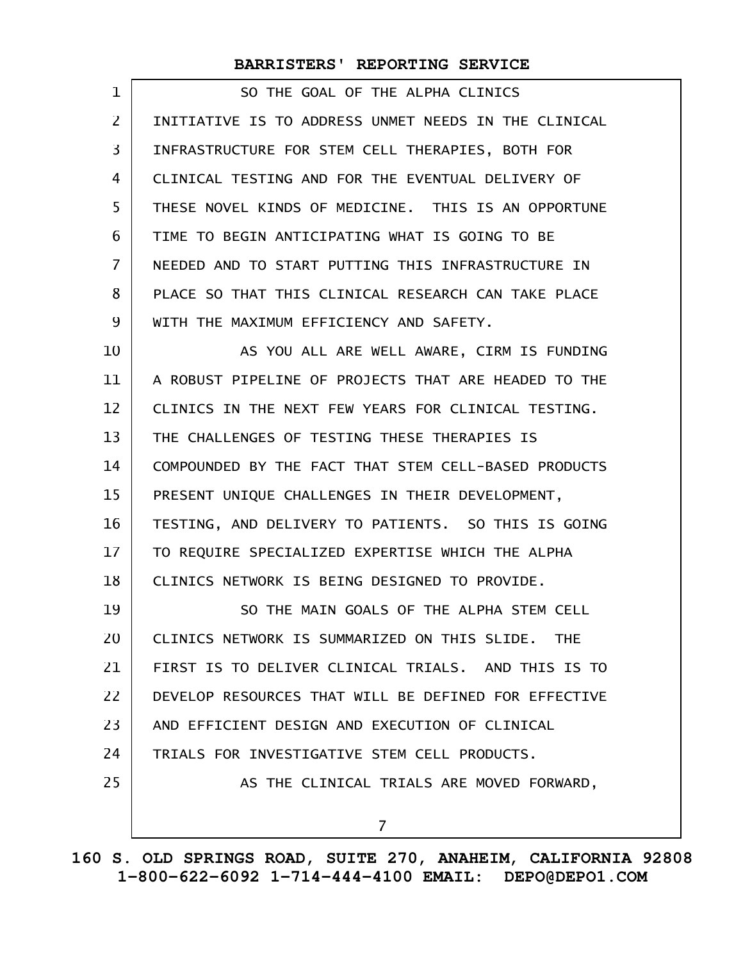| 1              | SO THE GOAL OF THE ALPHA CLINICS                     |
|----------------|------------------------------------------------------|
| $\overline{2}$ | INITIATIVE IS TO ADDRESS UNMET NEEDS IN THE CLINICAL |
| 3              | INFRASTRUCTURE FOR STEM CELL THERAPIES, BOTH FOR     |
| 4              | CLINICAL TESTING AND FOR THE EVENTUAL DELIVERY OF    |
| 5              | THESE NOVEL KINDS OF MEDICINE. THIS IS AN OPPORTUNE  |
| 6              | TIME TO BEGIN ANTICIPATING WHAT IS GOING TO BE       |
| 7              | NEEDED AND TO START PUTTING THIS INFRASTRUCTURE IN   |
| 8              | PLACE SO THAT THIS CLINICAL RESEARCH CAN TAKE PLACE  |
| 9              | WITH THE MAXIMUM EFFICIENCY AND SAFETY.              |
| 10             | AS YOU ALL ARE WELL AWARE, CIRM IS FUNDING           |
| 11             | A ROBUST PIPELINE OF PROJECTS THAT ARE HEADED TO THE |
| 12             | CLINICS IN THE NEXT FEW YEARS FOR CLINICAL TESTING.  |
| 13             | THE CHALLENGES OF TESTING THESE THERAPIES IS         |
| 14             | COMPOUNDED BY THE FACT THAT STEM CELL-BASED PRODUCTS |
| 15             | PRESENT UNIQUE CHALLENGES IN THEIR DEVELOPMENT,      |
| 16             | TESTING, AND DELIVERY TO PATIENTS. SO THIS IS GOING  |
| 17             | TO REQUIRE SPECIALIZED EXPERTISE WHICH THE ALPHA     |
| 18             | CLINICS NETWORK IS BEING DESIGNED TO PROVIDE.        |
| 19             | SO THE MAIN GOALS OF THE ALPHA STEM CELL             |
| 20             | CLINICS NETWORK IS SUMMARIZED ON THIS SLIDE. THE     |
| 21             | FIRST IS TO DELIVER CLINICAL TRIALS. AND THIS IS TO  |
| 22             | DEVELOP RESOURCES THAT WILL BE DEFINED FOR EFFECTIVE |
| 23             | AND EFFICIENT DESIGN AND EXECUTION OF CLINICAL       |
| 24             | TRIALS FOR INVESTIGATIVE STEM CELL PRODUCTS.         |
| 25             | AS THE CLINICAL TRIALS ARE MOVED FORWARD,            |
|                | $\overline{7}$                                       |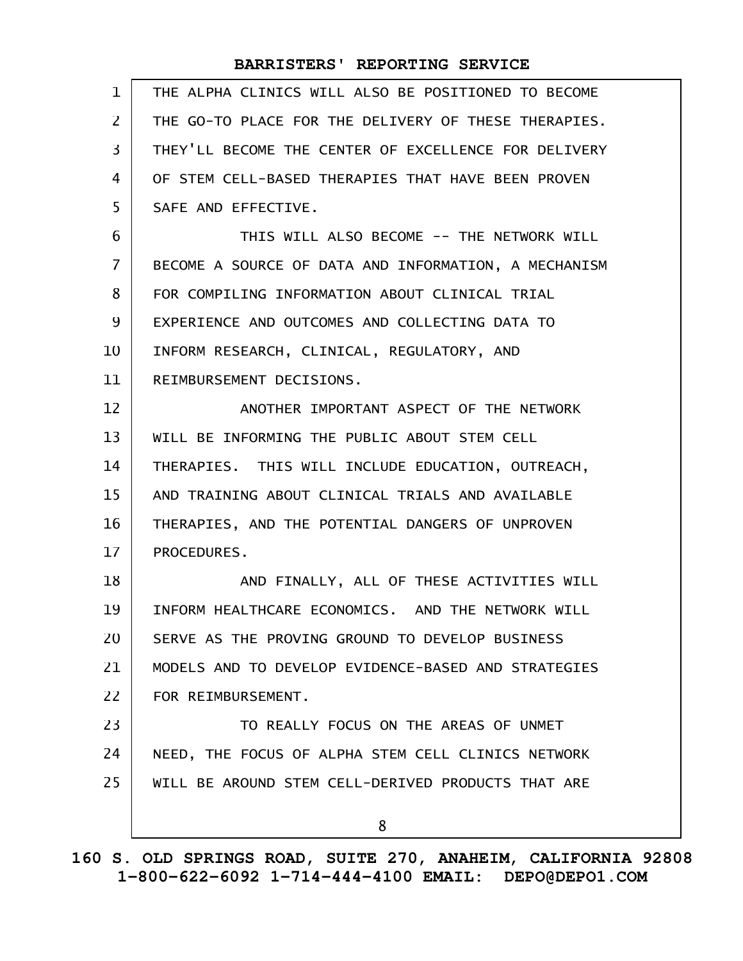| $\mathbf{1}$   | THE ALPHA CLINICS WILL ALSO BE POSITIONED TO BECOME  |
|----------------|------------------------------------------------------|
| $\overline{2}$ | THE GO-TO PLACE FOR THE DELIVERY OF THESE THERAPIES. |
| 3              | THEY'LL BECOME THE CENTER OF EXCELLENCE FOR DELIVERY |
| 4              | OF STEM CELL-BASED THERAPIES THAT HAVE BEEN PROVEN   |
| 5              | SAFE AND EFFECTIVE.                                  |
| 6              | THIS WILL ALSO BECOME -- THE NETWORK WILL            |
| $\overline{7}$ | BECOME A SOURCE OF DATA AND INFORMATION, A MECHANISM |
| 8              | FOR COMPILING INFORMATION ABOUT CLINICAL TRIAL       |
| 9              | EXPERIENCE AND OUTCOMES AND COLLECTING DATA TO       |
| 10             | INFORM RESEARCH, CLINICAL, REGULATORY, AND           |
| 11             | REIMBURSEMENT DECISIONS.                             |
| 12             | ANOTHER IMPORTANT ASPECT OF THE NETWORK              |
| 13             | WILL BE INFORMING THE PUBLIC ABOUT STEM CELL         |
| 14             | THERAPIES. THIS WILL INCLUDE EDUCATION, OUTREACH,    |
| 15             | AND TRAINING ABOUT CLINICAL TRIALS AND AVAILABLE     |
| 16             | THERAPIES, AND THE POTENTIAL DANGERS OF UNPROVEN     |
| 17             | PROCEDURES.                                          |
| 18             | AND FINALLY, ALL OF THESE ACTIVITIES WILL            |
| 19             | INFORM HEALTHCARE ECONOMICS. AND THE NETWORK WILL    |
| 20             | SERVE AS THE PROVING GROUND TO DEVELOP BUSINESS      |
| 21             | MODELS AND TO DEVELOP EVIDENCE-BASED AND STRATEGIES  |
| 22             | FOR REIMBURSEMENT.                                   |
| 23             | TO REALLY FOCUS ON THE AREAS OF UNMET                |
| 24             | NEED, THE FOCUS OF ALPHA STEM CELL CLINICS NETWORK   |
| 25             | WILL BE AROUND STEM CELL-DERIVED PRODUCTS THAT ARE   |
|                | 8                                                    |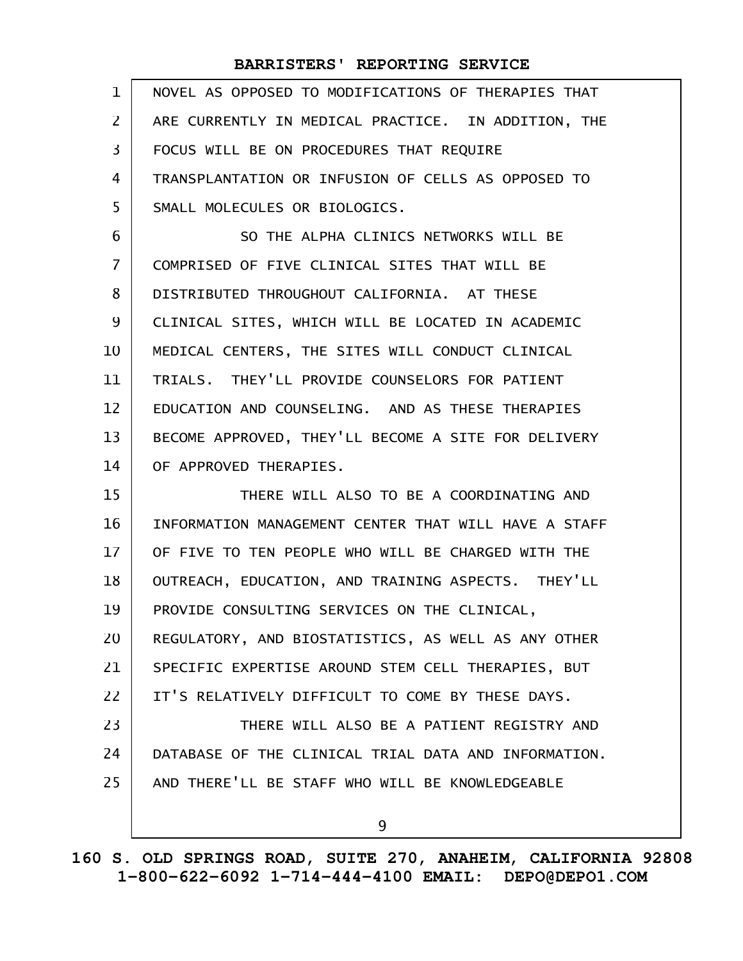| $\mathbf{1}$   | NOVEL AS OPPOSED TO MODIFICATIONS OF THERAPIES THAT  |
|----------------|------------------------------------------------------|
| $\overline{2}$ | ARE CURRENTLY IN MEDICAL PRACTICE. IN ADDITION, THE  |
| 3              | FOCUS WILL BE ON PROCEDURES THAT REQUIRE             |
| 4              | TRANSPLANTATION OR INFUSION OF CELLS AS OPPOSED TO   |
| 5              | SMALL MOLECULES OR BIOLOGICS.                        |
| 6              | SO THE ALPHA CLINICS NETWORKS WILL BE                |
| $\overline{7}$ | COMPRISED OF FIVE CLINICAL SITES THAT WILL BE        |
| 8              | DISTRIBUTED THROUGHOUT CALIFORNIA. AT THESE          |
| 9              | CLINICAL SITES, WHICH WILL BE LOCATED IN ACADEMIC    |
| 10             | MEDICAL CENTERS, THE SITES WILL CONDUCT CLINICAL     |
| 11             | TRIALS. THEY'LL PROVIDE COUNSELORS FOR PATIENT       |
| 12             | EDUCATION AND COUNSELING. AND AS THESE THERAPIES     |
| 13             | BECOME APPROVED, THEY'LL BECOME A SITE FOR DELIVERY  |
| 14             | OF APPROVED THERAPIES.                               |
| 15             | THERE WILL ALSO TO BE A COORDINATING AND             |
| 16             | INFORMATION MANAGEMENT CENTER THAT WILL HAVE A STAFF |
| 17             | OF FIVE TO TEN PEOPLE WHO WILL BE CHARGED WITH THE   |
| 18             | OUTREACH, EDUCATION, AND TRAINING ASPECTS. THEY'LL   |
| 19             | PROVIDE CONSULTING SERVICES ON THE CLINICAL,         |
| 20             | REGULATORY, AND BIOSTATISTICS, AS WELL AS ANY OTHER  |
| 21             | SPECIFIC EXPERTISE AROUND STEM CELL THERAPIES, BUT   |
| 22             | IT'S RELATIVELY DIFFICULT TO COME BY THESE DAYS.     |
| 23             | THERE WILL ALSO BE A PATIENT REGISTRY AND            |
| 24             | DATABASE OF THE CLINICAL TRIAL DATA AND INFORMATION. |
| 25             | AND THERE'LL BE STAFF WHO WILL BE KNOWLEDGEABLE      |
|                | 9                                                    |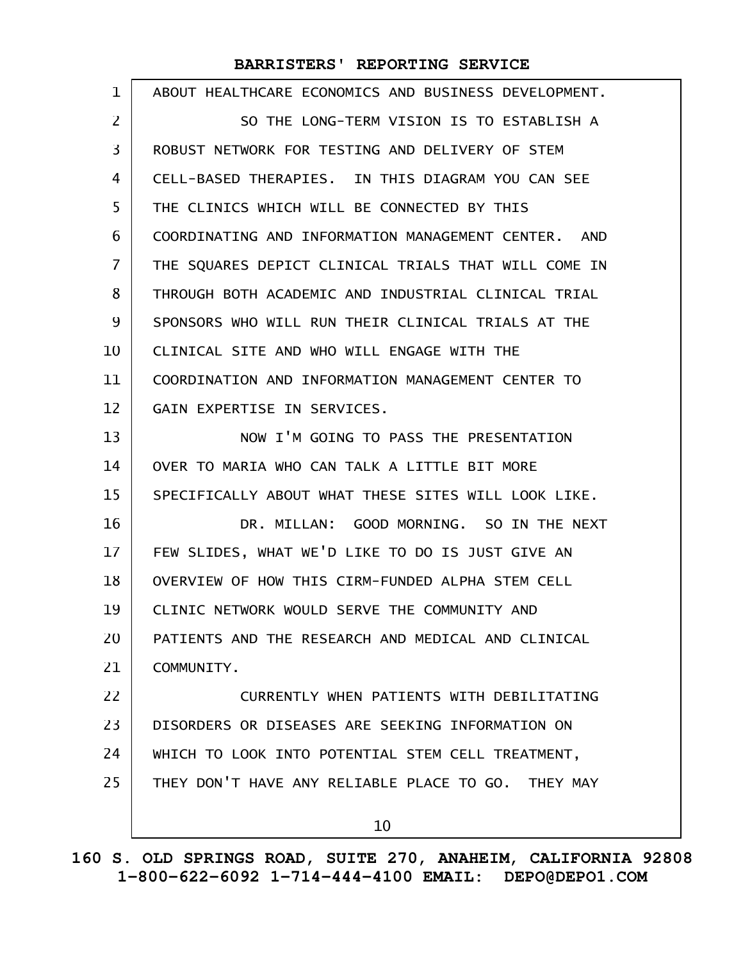| $\mathbf 1$    | ABOUT HEALTHCARE ECONOMICS AND BUSINESS DEVELOPMENT. |
|----------------|------------------------------------------------------|
| 2              | SO THE LONG-TERM VISION IS TO ESTABLISH A            |
| 3              | ROBUST NETWORK FOR TESTING AND DELIVERY OF STEM      |
| 4              | CELL-BASED THERAPIES. IN THIS DIAGRAM YOU CAN SEE    |
| 5              | THE CLINICS WHICH WILL BE CONNECTED BY THIS          |
| 6              | COORDINATING AND INFORMATION MANAGEMENT CENTER. AND  |
| $\overline{7}$ | THE SQUARES DEPICT CLINICAL TRIALS THAT WILL COME IN |
| 8              | THROUGH BOTH ACADEMIC AND INDUSTRIAL CLINICAL TRIAL  |
| 9              | SPONSORS WHO WILL RUN THEIR CLINICAL TRIALS AT THE   |
| 10             | CLINICAL SITE AND WHO WILL ENGAGE WITH THE           |
| 11             | COORDINATION AND INFORMATION MANAGEMENT CENTER TO    |
| 12             | GAIN EXPERTISE IN SERVICES.                          |
| 13             | NOW I'M GOING TO PASS THE PRESENTATION               |
| 14             | OVER TO MARIA WHO CAN TALK A LITTLE BIT MORE         |
| 15             | SPECIFICALLY ABOUT WHAT THESE SITES WILL LOOK LIKE.  |
| 16             | DR. MILLAN: GOOD MORNING. SO IN THE NEXT             |
| 17             | FEW SLIDES, WHAT WE'D LIKE TO DO IS JUST GIVE AN     |
| 18             | OVERVIEW OF HOW THIS CIRM-FUNDED ALPHA STEM CELL     |
| 19             | CLINIC NETWORK WOULD SERVE THE COMMUNITY AND         |
| 20             | PATIENTS AND THE RESEARCH AND MEDICAL AND CLINICAL   |
| 21             | COMMUNITY.                                           |
| 22             | CURRENTLY WHEN PATIENTS WITH DEBILITATING            |
| 23             | DISORDERS OR DISEASES ARE SEEKING INFORMATION ON     |
| 24             | WHICH TO LOOK INTO POTENTIAL STEM CELL TREATMENT,    |
| 25             | THEY DON'T HAVE ANY RELIABLE PLACE TO GO. THEY MAY   |
|                | 10                                                   |

**160 S. OLD SPRINGS ROAD, SUITE 270, ANAHEIM, CALIFORNIA 92808 1-800-622-6092 1-714-444-4100 EMAIL: DEPO@DEPO1.COM**

 $\mathsf{l}$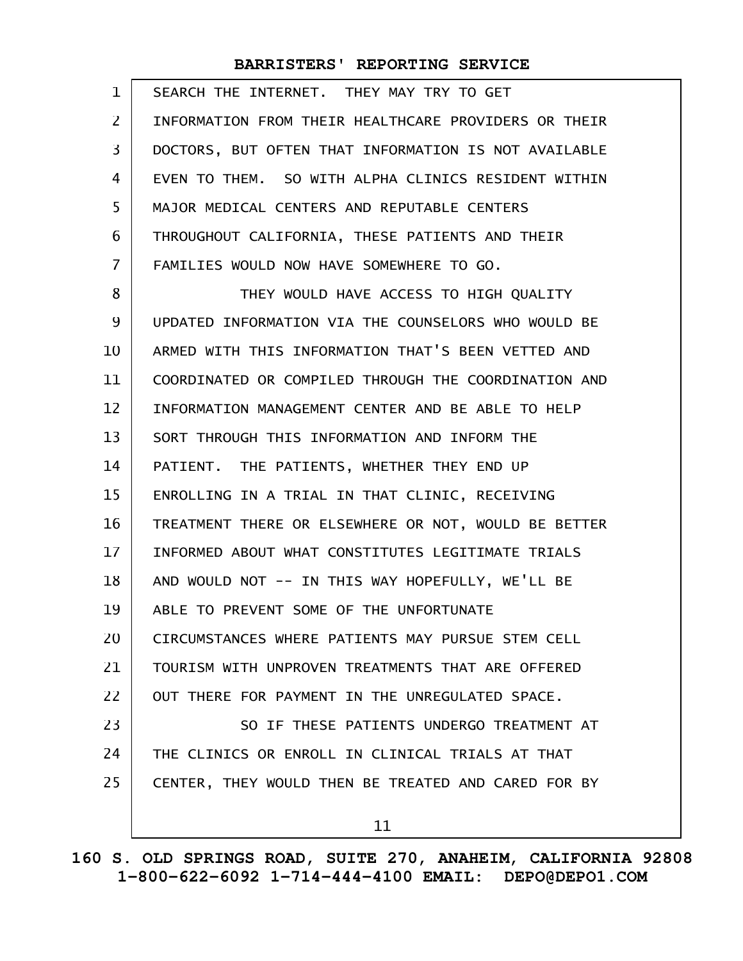| $\mathbf{1}$   | SEARCH THE INTERNET. THEY MAY TRY TO GET             |
|----------------|------------------------------------------------------|
| $\overline{2}$ | INFORMATION FROM THEIR HEALTHCARE PROVIDERS OR THEIR |
| 3              | DOCTORS, BUT OFTEN THAT INFORMATION IS NOT AVAILABLE |
| 4              | EVEN TO THEM. SO WITH ALPHA CLINICS RESIDENT WITHIN  |
| 5              | MAJOR MEDICAL CENTERS AND REPUTABLE CENTERS          |
| 6              | THROUGHOUT CALIFORNIA, THESE PATIENTS AND THEIR      |
| $\overline{7}$ | FAMILIES WOULD NOW HAVE SOMEWHERE TO GO.             |
| 8              | THEY WOULD HAVE ACCESS TO HIGH QUALITY               |
| 9              | UPDATED INFORMATION VIA THE COUNSELORS WHO WOULD BE  |
| 10             | ARMED WITH THIS INFORMATION THAT'S BEEN VETTED AND   |
| 11             | COORDINATED OR COMPILED THROUGH THE COORDINATION AND |
| 12             | INFORMATION MANAGEMENT CENTER AND BE ABLE TO HELP    |
| 13             | SORT THROUGH THIS INFORMATION AND INFORM THE         |
| 14             | PATIENT. THE PATIENTS, WHETHER THEY END UP           |
| 15             | ENROLLING IN A TRIAL IN THAT CLINIC, RECEIVING       |
| 16             | TREATMENT THERE OR ELSEWHERE OR NOT, WOULD BE BETTER |
| 17             | INFORMED ABOUT WHAT CONSTITUTES LEGITIMATE TRIALS    |
| 18             | AND WOULD NOT -- IN THIS WAY HOPEFULLY, WE'LL BE     |
| 19             | ABLE TO PREVENT SOME OF THE UNFORTUNATE              |
| 20             | CIRCUMSTANCES WHERE PATIENTS MAY PURSUE STEM CELL    |
| 21             | TOURISM WITH UNPROVEN TREATMENTS THAT ARE OFFERED    |
| 22             | OUT THERE FOR PAYMENT IN THE UNREGULATED SPACE.      |
| 23             | SO IF THESE PATIENTS UNDERGO TREATMENT AT            |
| 24             | THE CLINICS OR ENROLL IN CLINICAL TRIALS AT THAT     |
| 25             | CENTER, THEY WOULD THEN BE TREATED AND CARED FOR BY  |
|                | 11                                                   |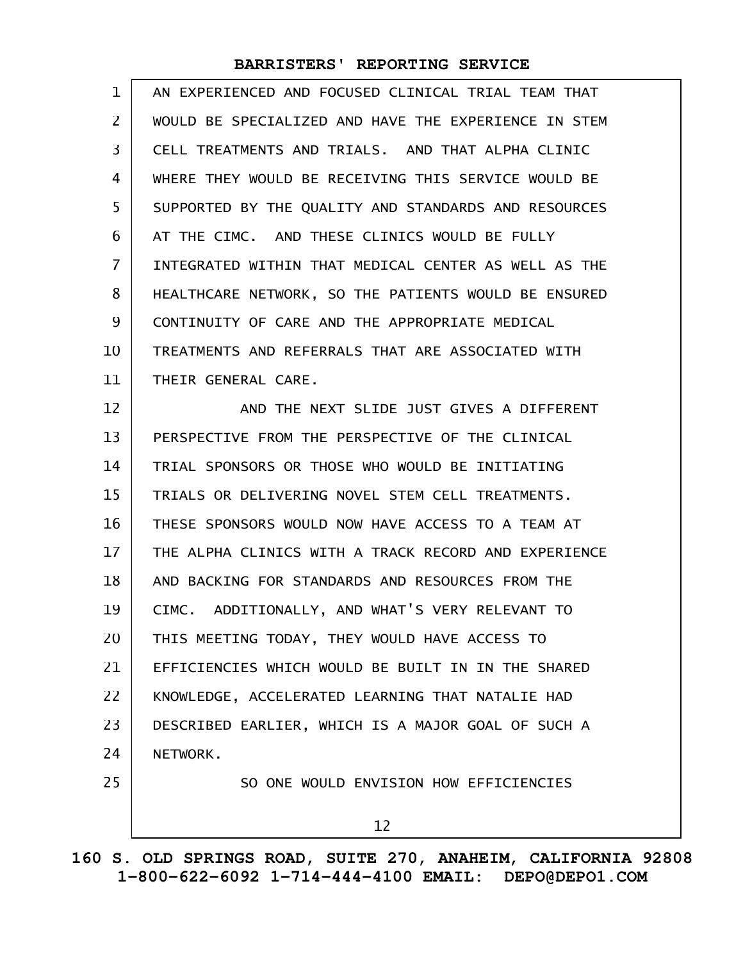| $\mathbf{1}$   | AN EXPERIENCED AND FOCUSED CLINICAL TRIAL TEAM THAT  |
|----------------|------------------------------------------------------|
| $\overline{2}$ | WOULD BE SPECIALIZED AND HAVE THE EXPERIENCE IN STEM |
| 3              | CELL TREATMENTS AND TRIALS. AND THAT ALPHA CLINIC    |
| 4              | WHERE THEY WOULD BE RECEIVING THIS SERVICE WOULD BE  |
| 5              | SUPPORTED BY THE QUALITY AND STANDARDS AND RESOURCES |
| 6              | AT THE CIMC. AND THESE CLINICS WOULD BE FULLY        |
| $\overline{7}$ | INTEGRATED WITHIN THAT MEDICAL CENTER AS WELL AS THE |
| 8              | HEALTHCARE NETWORK, SO THE PATIENTS WOULD BE ENSURED |
| 9              | CONTINUITY OF CARE AND THE APPROPRIATE MEDICAL       |
| 10             | TREATMENTS AND REFERRALS THAT ARE ASSOCIATED WITH    |
| 11             | THEIR GENERAL CARE.                                  |
| 12             | AND THE NEXT SLIDE JUST GIVES A DIFFERENT            |
| 13             | PERSPECTIVE FROM THE PERSPECTIVE OF THE CLINICAL     |
| 14             | TRIAL SPONSORS OR THOSE WHO WOULD BE INITIATING      |
| 15             | TRIALS OR DELIVERING NOVEL STEM CELL TREATMENTS.     |
| 16             | THESE SPONSORS WOULD NOW HAVE ACCESS TO A TEAM AT    |
| 17             | THE ALPHA CLINICS WITH A TRACK RECORD AND EXPERIENCE |
| 18             | AND BACKING FOR STANDARDS AND RESOURCES FROM THE     |
| 19             | CIMC. ADDITIONALLY, AND WHAT'S VERY RELEVANT TO      |
| 20             | THIS MEETING TODAY, THEY WOULD HAVE ACCESS TO        |
| 21             | EFFICIENCIES WHICH WOULD BE BUILT IN IN THE SHARED   |
| 22             | KNOWLEDGE, ACCELERATED LEARNING THAT NATALIE HAD     |
| 23             | DESCRIBED EARLIER, WHICH IS A MAJOR GOAL OF SUCH A   |
| 24             | NETWORK.                                             |
| 25             | SO ONE WOULD ENVISION HOW EFFICIENCIES               |
|                | 12                                                   |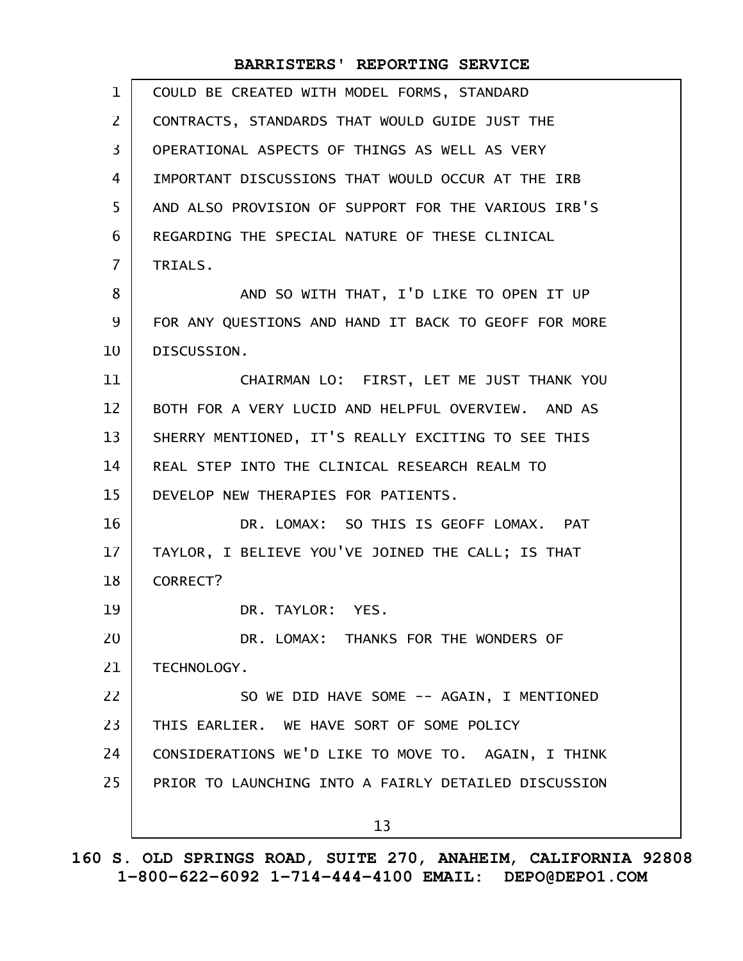| $\mathbf{1}$   | COULD BE CREATED WITH MODEL FORMS, STANDARD          |
|----------------|------------------------------------------------------|
| $\overline{2}$ | CONTRACTS, STANDARDS THAT WOULD GUIDE JUST THE       |
| 3              | OPERATIONAL ASPECTS OF THINGS AS WELL AS VERY        |
| 4              | IMPORTANT DISCUSSIONS THAT WOULD OCCUR AT THE IRB    |
| 5              | AND ALSO PROVISION OF SUPPORT FOR THE VARIOUS IRB'S  |
| 6              | REGARDING THE SPECIAL NATURE OF THESE CLINICAL       |
| $\overline{7}$ | TRIALS.                                              |
| 8              | AND SO WITH THAT, I'D LIKE TO OPEN IT UP             |
| 9              | FOR ANY QUESTIONS AND HAND IT BACK TO GEOFF FOR MORE |
| 10             | DISCUSSION.                                          |
| 11             | CHAIRMAN LO: FIRST, LET ME JUST THANK YOU            |
| 12             | BOTH FOR A VERY LUCID AND HELPFUL OVERVIEW. AND AS   |
| 13             | SHERRY MENTIONED, IT'S REALLY EXCITING TO SEE THIS   |
| 14             | REAL STEP INTO THE CLINICAL RESEARCH REALM TO        |
| 15             | DEVELOP NEW THERAPIES FOR PATIENTS.                  |
| 16             | DR. LOMAX: SO THIS IS GEOFF LOMAX. PAT               |
| 17             | TAYLOR, I BELIEVE YOU'VE JOINED THE CALL; IS THAT    |
| 18             | CORRECT?                                             |
| 19             | DR. TAYLOR: YES.                                     |
| 20             | DR. LOMAX: THANKS FOR THE WONDERS OF                 |
| 21             | TECHNOLOGY.                                          |
| 22             | SO WE DID HAVE SOME -- AGAIN, I MENTIONED            |
| 23             | THIS EARLIER. WE HAVE SORT OF SOME POLICY            |
| 24             | CONSIDERATIONS WE'D LIKE TO MOVE TO. AGAIN, I THINK  |
| 25             | PRIOR TO LAUNCHING INTO A FAIRLY DETAILED DISCUSSION |
|                | 13                                                   |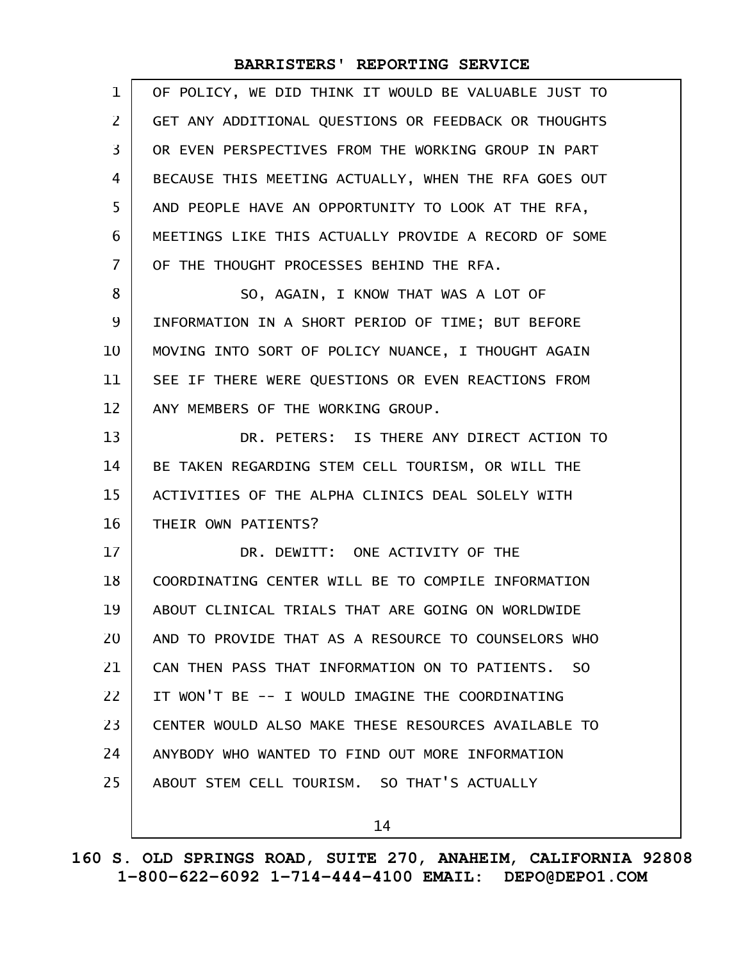| $\mathbf 1$    | OF POLICY, WE DID THINK IT WOULD BE VALUABLE JUST TO |
|----------------|------------------------------------------------------|
| $\mathbf{Z}$   | GET ANY ADDITIONAL QUESTIONS OR FEEDBACK OR THOUGHTS |
| 3              | OR EVEN PERSPECTIVES FROM THE WORKING GROUP IN PART  |
| 4              | BECAUSE THIS MEETING ACTUALLY, WHEN THE RFA GOES OUT |
| 5              | AND PEOPLE HAVE AN OPPORTUNITY TO LOOK AT THE RFA,   |
| 6              | MEETINGS LIKE THIS ACTUALLY PROVIDE A RECORD OF SOME |
| $\overline{7}$ | OF THE THOUGHT PROCESSES BEHIND THE RFA.             |
| 8              | SO, AGAIN, I KNOW THAT WAS A LOT OF                  |
| 9              | INFORMATION IN A SHORT PERIOD OF TIME; BUT BEFORE    |
| 10             | MOVING INTO SORT OF POLICY NUANCE, I THOUGHT AGAIN   |
| 11             | SEE IF THERE WERE QUESTIONS OR EVEN REACTIONS FROM   |
| 12             | ANY MEMBERS OF THE WORKING GROUP.                    |
| 13             | DR. PETERS: IS THERE ANY DIRECT ACTION TO            |
| 14             | BE TAKEN REGARDING STEM CELL TOURISM, OR WILL THE    |
| 15             | ACTIVITIES OF THE ALPHA CLINICS DEAL SOLELY WITH     |
| 16             | THEIR OWN PATIENTS?                                  |
| 17             | DR. DEWITT: ONE ACTIVITY OF THE                      |
| 18             | COORDINATING CENTER WILL BE TO COMPILE INFORMATION   |
| 19             | ABOUT CLINICAL TRIALS THAT ARE GOING ON WORLDWIDE    |
| 20             | AND TO PROVIDE THAT AS A RESOURCE TO COUNSELORS WHO  |
| 21             | CAN THEN PASS THAT INFORMATION ON TO PATIENTS. SO    |
| 22             | IT WON'T BE -- I WOULD IMAGINE THE COORDINATING      |
| 23             | CENTER WOULD ALSO MAKE THESE RESOURCES AVAILABLE TO  |
| 24             | ANYBODY WHO WANTED TO FIND OUT MORE INFORMATION      |
| 25             | ABOUT STEM CELL TOURISM. SO THAT'S ACTUALLY          |
|                | 14                                                   |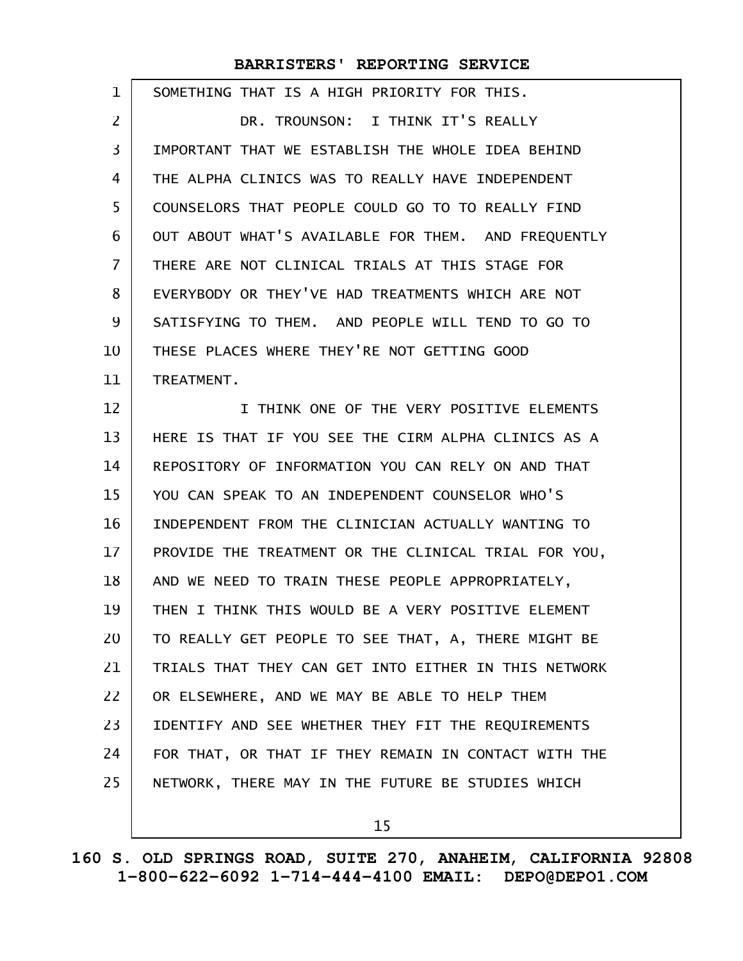| 1              | SOMETHING THAT IS A HIGH PRIORITY FOR THIS.          |
|----------------|------------------------------------------------------|
| $\overline{2}$ | DR. TROUNSON: I THINK IT'S REALLY                    |
| 3              | IMPORTANT THAT WE ESTABLISH THE WHOLE IDEA BEHIND    |
| 4              | THE ALPHA CLINICS WAS TO REALLY HAVE INDEPENDENT     |
| 5              | COUNSELORS THAT PEOPLE COULD GO TO TO REALLY FIND    |
| 6              | OUT ABOUT WHAT'S AVAILABLE FOR THEM. AND FREQUENTLY  |
| $\overline{7}$ | THERE ARE NOT CLINICAL TRIALS AT THIS STAGE FOR      |
| 8              | EVERYBODY OR THEY'VE HAD TREATMENTS WHICH ARE NOT    |
| 9              | SATISFYING TO THEM. AND PEOPLE WILL TEND TO GO TO    |
| 10             | THESE PLACES WHERE THEY'RE NOT GETTING GOOD          |
| 11             | TREATMENT.                                           |
| 12             | I THINK ONE OF THE VERY POSITIVE ELEMENTS            |
| 13             | HERE IS THAT IF YOU SEE THE CIRM ALPHA CLINICS AS A  |
| 14             | REPOSITORY OF INFORMATION YOU CAN RELY ON AND THAT   |
| 15             | YOU CAN SPEAK TO AN INDEPENDENT COUNSELOR WHO'S      |
| 16             | INDEPENDENT FROM THE CLINICIAN ACTUALLY WANTING TO   |
| 17             | PROVIDE THE TREATMENT OR THE CLINICAL TRIAL FOR YOU, |
| 18             | AND WE NEED TO TRAIN THESE PEOPLE APPROPRIATELY,     |
| 19             | THEN I THINK THIS WOULD BE A VERY POSITIVE ELEMENT   |
| 20             | TO REALLY GET PEOPLE TO SEE THAT, A, THERE MIGHT BE  |
| 21             | TRIALS THAT THEY CAN GET INTO EITHER IN THIS NETWORK |
| 22             | OR ELSEWHERE, AND WE MAY BE ABLE TO HELP THEM        |
| 23             | IDENTIFY AND SEE WHETHER THEY FIT THE REQUIREMENTS   |
| 24             | FOR THAT, OR THAT IF THEY REMAIN IN CONTACT WITH THE |
| 25             | NETWORK, THERE MAY IN THE FUTURE BE STUDIES WHICH    |
|                |                                                      |

15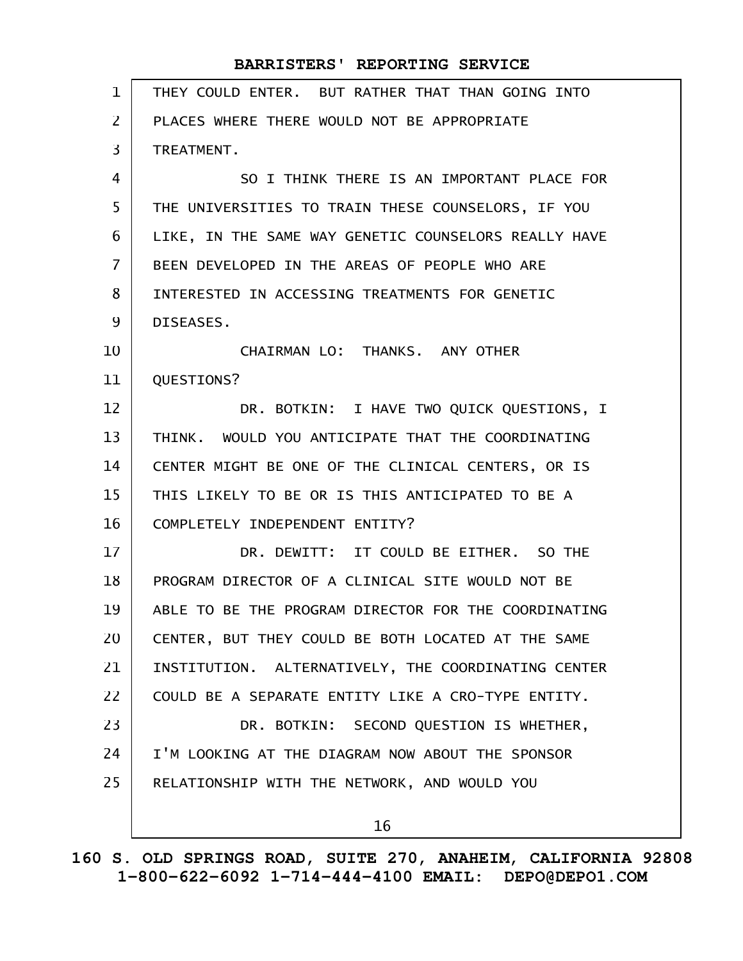| $\mathbf 1$    | THEY COULD ENTER. BUT RATHER THAT THAN GOING INTO    |
|----------------|------------------------------------------------------|
| $\overline{2}$ | PLACES WHERE THERE WOULD NOT BE APPROPRIATE          |
| 3              | TREATMENT.                                           |
| 4              | SO I THINK THERE IS AN IMPORTANT PLACE FOR           |
| 5              | THE UNIVERSITIES TO TRAIN THESE COUNSELORS, IF YOU   |
| 6              | LIKE, IN THE SAME WAY GENETIC COUNSELORS REALLY HAVE |
| $\overline{7}$ | BEEN DEVELOPED IN THE AREAS OF PEOPLE WHO ARE        |
| 8              | INTERESTED IN ACCESSING TREATMENTS FOR GENETIC       |
| 9              | DISEASES.                                            |
| 10             | CHAIRMAN LO: THANKS. ANY OTHER                       |
| 11             | QUESTIONS?                                           |
| 12             | DR. BOTKIN: I HAVE TWO QUICK QUESTIONS, I            |
| 13             | THINK. WOULD YOU ANTICIPATE THAT THE COORDINATING    |
| 14             | CENTER MIGHT BE ONE OF THE CLINICAL CENTERS, OR IS   |
| 15             | THIS LIKELY TO BE OR IS THIS ANTICIPATED TO BE A     |
| 16             | COMPLETELY INDEPENDENT ENTITY?                       |
| 17             | DR. DEWITT: IT COULD BE EITHER. SO THE               |
| 18             | PROGRAM DIRECTOR OF A CLINICAL SITE WOULD NOT BE     |
| 19             | ABLE TO BE THE PROGRAM DIRECTOR FOR THE COORDINATING |
| 20             | CENTER, BUT THEY COULD BE BOTH LOCATED AT THE SAME   |
| 21             | INSTITUTION. ALTERNATIVELY, THE COORDINATING CENTER  |
| 22             | COULD BE A SEPARATE ENTITY LIKE A CRO-TYPE ENTITY.   |
| 23             | DR. BOTKIN: SECOND QUESTION IS WHETHER,              |
| 24             | I'M LOOKING AT THE DIAGRAM NOW ABOUT THE SPONSOR     |
| 25             | RELATIONSHIP WITH THE NETWORK, AND WOULD YOU         |
|                | 16                                                   |

**160 S. OLD SPRINGS ROAD, SUITE 270, ANAHEIM, CALIFORNIA 92808 1-800-622-6092 1-714-444-4100 EMAIL: DEPO@DEPO1.COM**

 $\mathsf{l}$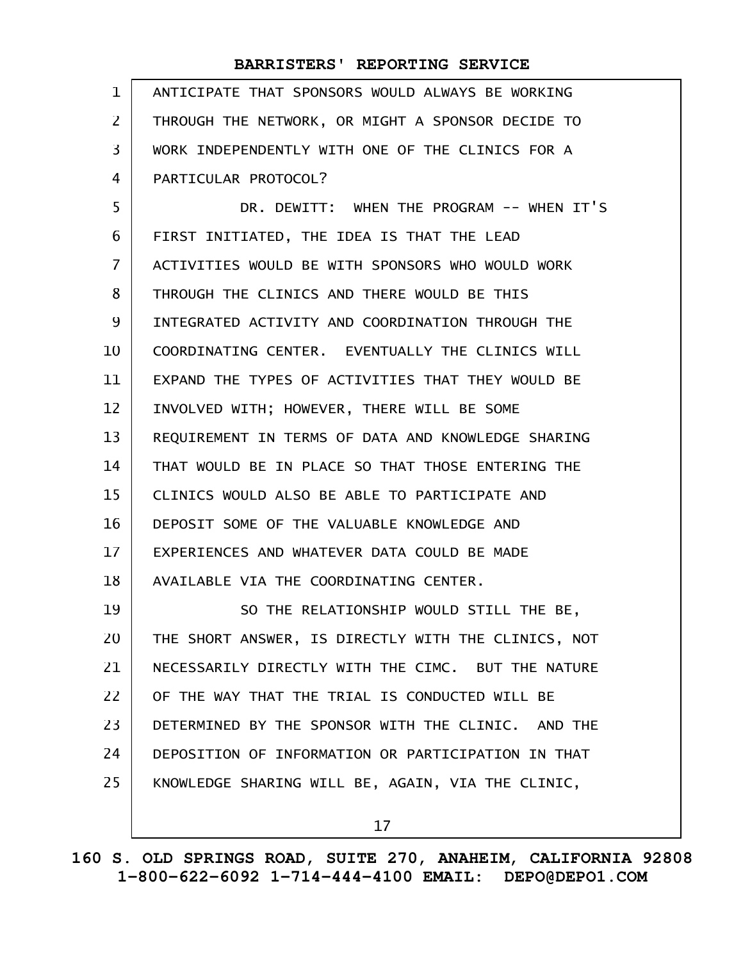| $\mathbf{1}$   | ANTICIPATE THAT SPONSORS WOULD ALWAYS BE WORKING    |
|----------------|-----------------------------------------------------|
| 2              | THROUGH THE NETWORK, OR MIGHT A SPONSOR DECIDE TO   |
| 3              | WORK INDEPENDENTLY WITH ONE OF THE CLINICS FOR A    |
| 4              | PARTICULAR PROTOCOL?                                |
| 5              | DR. DEWITT: WHEN THE PROGRAM -- WHEN IT'S           |
| 6              | FIRST INITIATED, THE IDEA IS THAT THE LEAD          |
| $\overline{7}$ | ACTIVITIES WOULD BE WITH SPONSORS WHO WOULD WORK    |
| 8              | THROUGH THE CLINICS AND THERE WOULD BE THIS         |
| 9              | INTEGRATED ACTIVITY AND COORDINATION THROUGH THE    |
| 10             | COORDINATING CENTER. EVENTUALLY THE CLINICS WILL    |
| 11             | EXPAND THE TYPES OF ACTIVITIES THAT THEY WOULD BE   |
| 12             | INVOLVED WITH; HOWEVER, THERE WILL BE SOME          |
| 13             | REQUIREMENT IN TERMS OF DATA AND KNOWLEDGE SHARING  |
| 14             | THAT WOULD BE IN PLACE SO THAT THOSE ENTERING THE   |
| 15             | CLINICS WOULD ALSO BE ABLE TO PARTICIPATE AND       |
| 16             | DEPOSIT SOME OF THE VALUABLE KNOWLEDGE AND          |
| 17             | EXPERIENCES AND WHATEVER DATA COULD BE MADE         |
| 18             | AVAILABLE VIA THE COORDINATING CENTER.              |
| 19             | SO THE RELATIONSHIP WOULD STILL THE BE,             |
| 20             | THE SHORT ANSWER, IS DIRECTLY WITH THE CLINICS, NOT |
| 21             | NECESSARILY DIRECTLY WITH THE CIMC. BUT THE NATURE  |
| 22             | OF THE WAY THAT THE TRIAL IS CONDUCTED WILL BE      |
| 23             | DETERMINED BY THE SPONSOR WITH THE CLINIC. AND THE  |
| 24             | DEPOSITION OF INFORMATION OR PARTICIPATION IN THAT  |
| 25             | KNOWLEDGE SHARING WILL BE, AGAIN, VIA THE CLINIC,   |
|                | 17                                                  |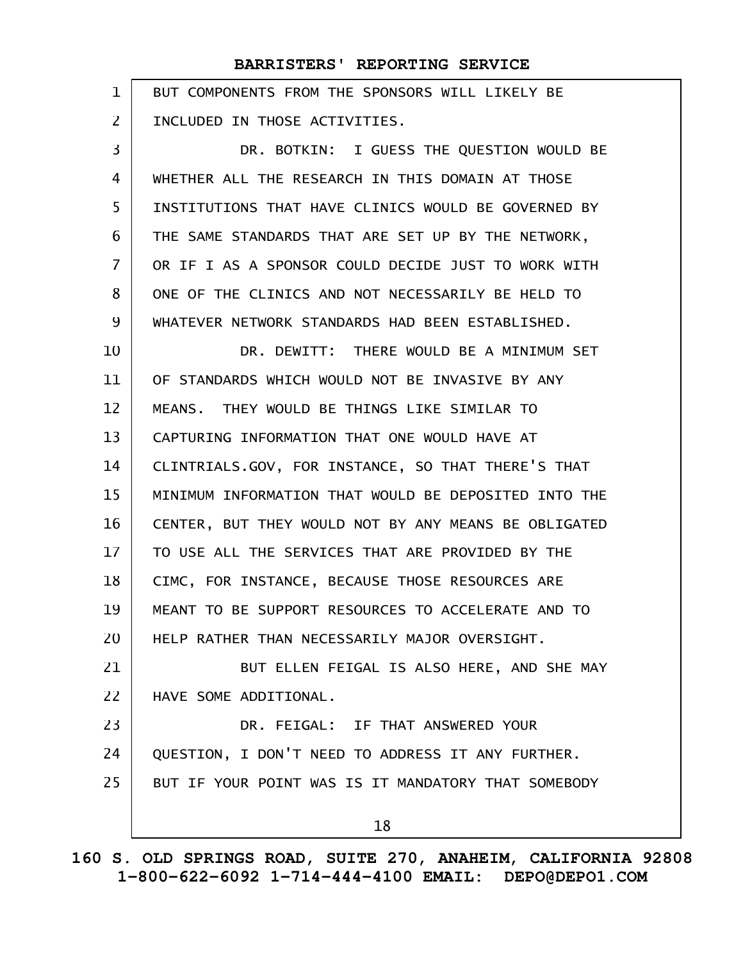| $\mathbf{1}$ | BUT COMPONENTS FROM THE SPONSORS WILL LIKELY BE      |
|--------------|------------------------------------------------------|
| 2            | INCLUDED IN THOSE ACTIVITIES.                        |
| 3            | DR. BOTKIN: I GUESS THE QUESTION WOULD BE            |
| 4            | WHETHER ALL THE RESEARCH IN THIS DOMAIN AT THOSE     |
| 5            | INSTITUTIONS THAT HAVE CLINICS WOULD BE GOVERNED BY  |
| 6            | THE SAME STANDARDS THAT ARE SET UP BY THE NETWORK,   |
| $\mathbf{7}$ | OR IF I AS A SPONSOR COULD DECIDE JUST TO WORK WITH  |
| 8            | ONE OF THE CLINICS AND NOT NECESSARILY BE HELD TO    |
| 9            | WHATEVER NETWORK STANDARDS HAD BEEN ESTABLISHED.     |
| 10           | DR. DEWITT: THERE WOULD BE A MINIMUM SET             |
| 11           | OF STANDARDS WHICH WOULD NOT BE INVASIVE BY ANY      |
| 12           | MEANS. THEY WOULD BE THINGS LIKE SIMILAR TO          |
| 13           | CAPTURING INFORMATION THAT ONE WOULD HAVE AT         |
| 14           | CLINTRIALS.GOV, FOR INSTANCE, SO THAT THERE'S THAT   |
| 15           | MINIMUM INFORMATION THAT WOULD BE DEPOSITED INTO THE |
| 16           | CENTER, BUT THEY WOULD NOT BY ANY MEANS BE OBLIGATED |
| 17           | TO USE ALL THE SERVICES THAT ARE PROVIDED BY THE     |
| 18           | CIMC, FOR INSTANCE, BECAUSE THOSE RESOURCES ARE      |
| 19           | MEANT TO BE SUPPORT RESOURCES TO ACCELERATE AND TO   |
| 20           | HELP RATHER THAN NECESSARILY MAJOR OVERSIGHT.        |
| 21           | BUT ELLEN FEIGAL IS ALSO HERE, AND SHE MAY           |
| 22           | HAVE SOME ADDITIONAL.                                |
| 23           | DR. FEIGAL: IF THAT ANSWERED YOUR                    |
| 24           | QUESTION, I DON'T NEED TO ADDRESS IT ANY FURTHER.    |
| 25           | BUT IF YOUR POINT WAS IS IT MANDATORY THAT SOMEBODY  |
|              | 18                                                   |
|              |                                                      |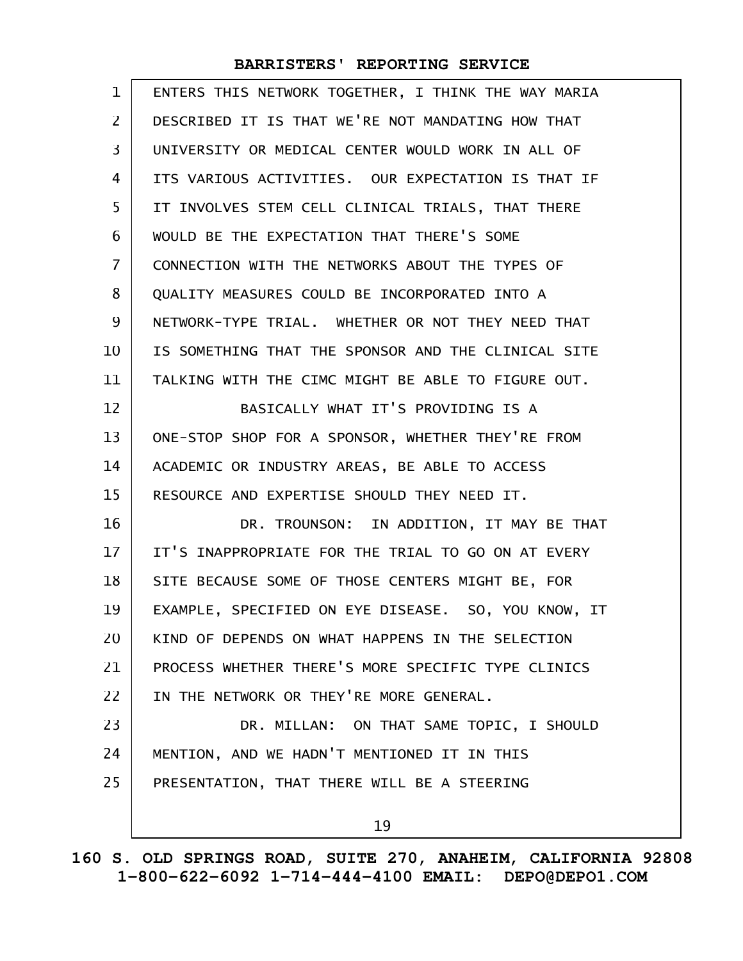| $\mathbf{1}$   | ENTERS THIS NETWORK TOGETHER, I THINK THE WAY MARIA |
|----------------|-----------------------------------------------------|
| $\overline{2}$ | DESCRIBED IT IS THAT WE'RE NOT MANDATING HOW THAT   |
| 3              | UNIVERSITY OR MEDICAL CENTER WOULD WORK IN ALL OF   |
| 4              | ITS VARIOUS ACTIVITIES. OUR EXPECTATION IS THAT IF  |
| 5              | IT INVOLVES STEM CELL CLINICAL TRIALS, THAT THERE   |
| 6              | WOULD BE THE EXPECTATION THAT THERE'S SOME          |
| $\overline{7}$ | CONNECTION WITH THE NETWORKS ABOUT THE TYPES OF     |
| 8              | QUALITY MEASURES COULD BE INCORPORATED INTO A       |
| 9              | NETWORK-TYPE TRIAL. WHETHER OR NOT THEY NEED THAT   |
| 10             | IS SOMETHING THAT THE SPONSOR AND THE CLINICAL SITE |
| 11             | TALKING WITH THE CIMC MIGHT BE ABLE TO FIGURE OUT.  |
| 12             | BASICALLY WHAT IT'S PROVIDING IS A                  |
| 13             | ONE-STOP SHOP FOR A SPONSOR, WHETHER THEY'RE FROM   |
| 14             | ACADEMIC OR INDUSTRY AREAS, BE ABLE TO ACCESS       |
| 15             | RESOURCE AND EXPERTISE SHOULD THEY NEED IT.         |
| 16             | DR. TROUNSON: IN ADDITION, IT MAY BE THAT           |
| 17             | IT'S INAPPROPRIATE FOR THE TRIAL TO GO ON AT EVERY  |
| 18             | SITE BECAUSE SOME OF THOSE CENTERS MIGHT BE, FOR    |
| 19             | EXAMPLE, SPECIFIED ON EYE DISEASE. SO, YOU KNOW, IT |
| 20             | KIND OF DEPENDS ON WHAT HAPPENS IN THE SELECTION    |
| 21             | PROCESS WHETHER THERE'S MORE SPECIFIC TYPE CLINICS  |
| 22             | IN THE NETWORK OR THEY'RE MORE GENERAL.             |
| 23             | DR. MILLAN: ON THAT SAME TOPIC, I SHOULD            |
| 24             | MENTION, AND WE HADN'T MENTIONED IT IN THIS         |
| 25             | PRESENTATION, THAT THERE WILL BE A STEERING         |
|                | 19                                                  |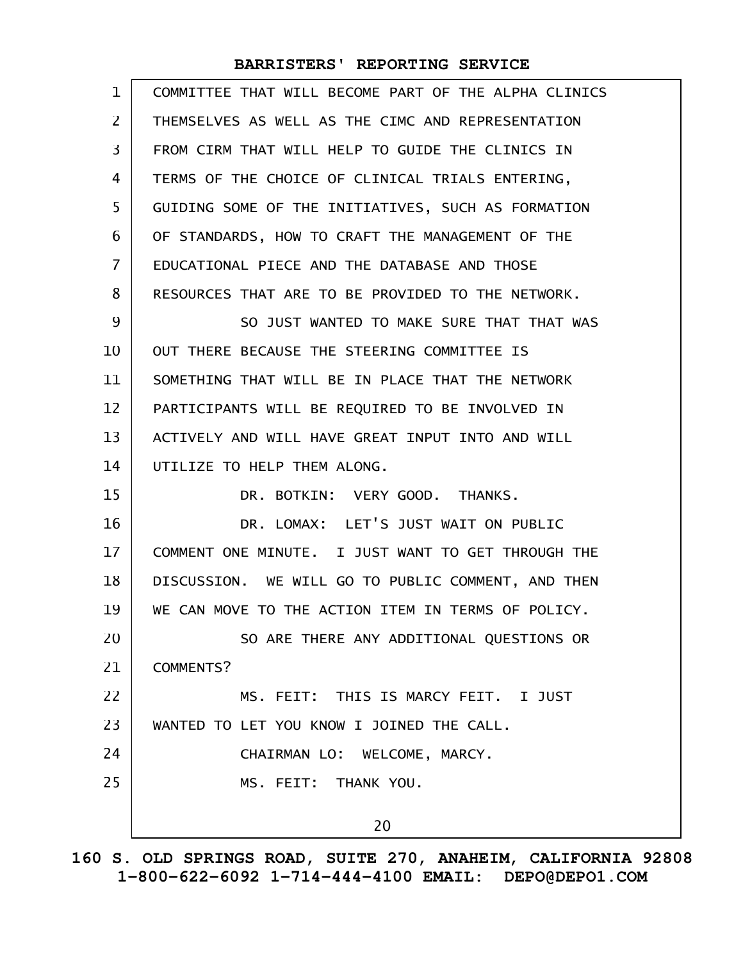| $\mathbf{1}$   | COMMITTEE THAT WILL BECOME PART OF THE ALPHA CLINICS |
|----------------|------------------------------------------------------|
| $\overline{2}$ | THEMSELVES AS WELL AS THE CIMC AND REPRESENTATION    |
| 3              | FROM CIRM THAT WILL HELP TO GUIDE THE CLINICS IN     |
| 4              | TERMS OF THE CHOICE OF CLINICAL TRIALS ENTERING,     |
| 5              | GUIDING SOME OF THE INITIATIVES, SUCH AS FORMATION   |
| 6              | OF STANDARDS, HOW TO CRAFT THE MANAGEMENT OF THE     |
| $\overline{7}$ | EDUCATIONAL PIECE AND THE DATABASE AND THOSE         |
| 8              | RESOURCES THAT ARE TO BE PROVIDED TO THE NETWORK.    |
| 9              | SO JUST WANTED TO MAKE SURE THAT THAT WAS            |
| 10             | OUT THERE BECAUSE THE STEERING COMMITTEE IS          |
| 11             | SOMETHING THAT WILL BE IN PLACE THAT THE NETWORK     |
| 12             | PARTICIPANTS WILL BE REQUIRED TO BE INVOLVED IN      |
| 13             | ACTIVELY AND WILL HAVE GREAT INPUT INTO AND WILL     |
| 14             | UTILIZE TO HELP THEM ALONG.                          |
| 15             | DR. BOTKIN: VERY GOOD. THANKS.                       |
| 16             | DR. LOMAX: LET'S JUST WAIT ON PUBLIC                 |
| 17             | COMMENT ONE MINUTE. I JUST WANT TO GET THROUGH THE   |
| 18             | DISCUSSION. WE WILL GO TO PUBLIC COMMENT, AND THEN   |
| 19             | WE CAN MOVE TO THE ACTION ITEM IN TERMS OF POLICY.   |
| 20             | SO ARE THERE ANY ADDITIONAL QUESTIONS OR             |
| 21             | COMMENTS?                                            |
| 22             | MS. FEIT: THIS IS MARCY FEIT. I JUST                 |
| 23             | WANTED TO LET YOU KNOW I JOINED THE CALL.            |
| 24             | CHAIRMAN LO: WELCOME, MARCY.                         |
| 25             | MS. FEIT: THANK YOU.                                 |
|                | 20                                                   |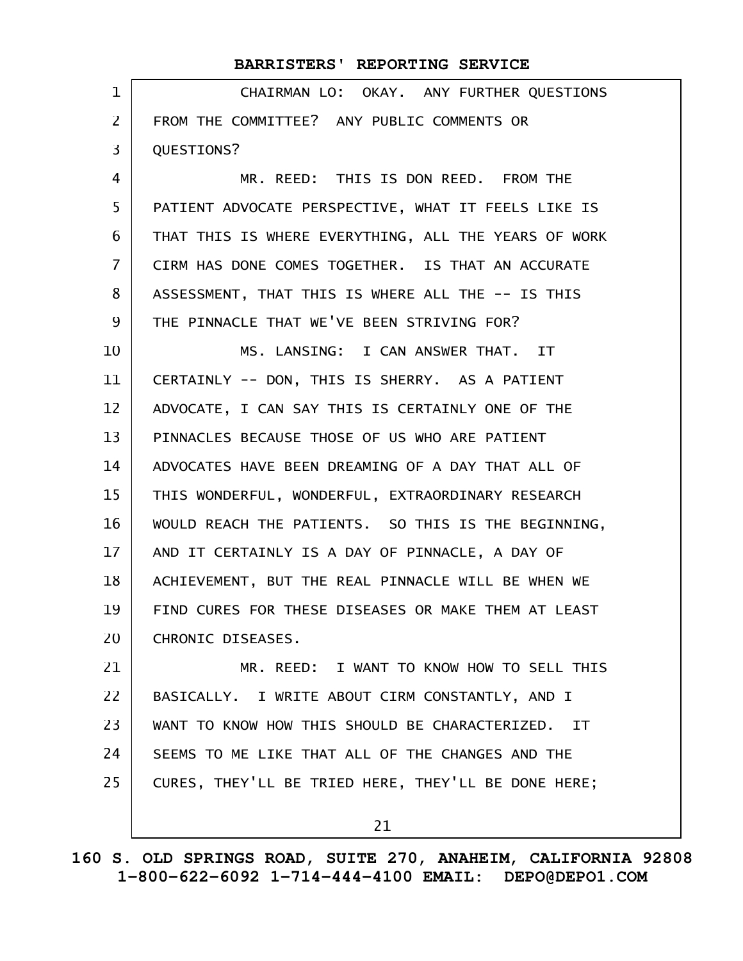| $\mathbf{1}$   | CHAIRMAN LO: OKAY. ANY FURTHER QUESTIONS             |
|----------------|------------------------------------------------------|
| $\mathsf{Z}$   | FROM THE COMMITTEE? ANY PUBLIC COMMENTS OR           |
| 3              | QUESTIONS?                                           |
| 4              | MR. REED: THIS IS DON REED. FROM THE                 |
| 5              | PATIENT ADVOCATE PERSPECTIVE, WHAT IT FEELS LIKE IS  |
| 6              | THAT THIS IS WHERE EVERYTHING, ALL THE YEARS OF WORK |
| $\overline{7}$ | CIRM HAS DONE COMES TOGETHER. IS THAT AN ACCURATE    |
| 8              | ASSESSMENT, THAT THIS IS WHERE ALL THE -- IS THIS    |
| 9              | THE PINNACLE THAT WE'VE BEEN STRIVING FOR?           |
| 10             | MS. LANSING: I CAN ANSWER THAT. IT                   |
| 11             | CERTAINLY -- DON, THIS IS SHERRY. AS A PATIENT       |
| 12             | ADVOCATE, I CAN SAY THIS IS CERTAINLY ONE OF THE     |
| 13             | PINNACLES BECAUSE THOSE OF US WHO ARE PATIENT        |
| 14             | ADVOCATES HAVE BEEN DREAMING OF A DAY THAT ALL OF    |
| 15             | THIS WONDERFUL, WONDERFUL, EXTRAORDINARY RESEARCH    |
| 16             | WOULD REACH THE PATIENTS. SO THIS IS THE BEGINNING,  |
| 17             | AND IT CERTAINLY IS A DAY OF PINNACLE, A DAY OF      |
| 18             | ACHIEVEMENT, BUT THE REAL PINNACLE WILL BE WHEN WE   |
| 19             | FIND CURES FOR THESE DISEASES OR MAKE THEM AT LEAST  |
| 20             | CHRONIC DISEASES.                                    |
| 21             | MR. REED: I WANT TO KNOW HOW TO SELL THIS            |
| 22             | BASICALLY. I WRITE ABOUT CIRM CONSTANTLY, AND I      |
| 23             | WANT TO KNOW HOW THIS SHOULD BE CHARACTERIZED. IT    |
| 24             | SEEMS TO ME LIKE THAT ALL OF THE CHANGES AND THE     |
| 25             | CURES, THEY'LL BE TRIED HERE, THEY'LL BE DONE HERE;  |
|                | 21                                                   |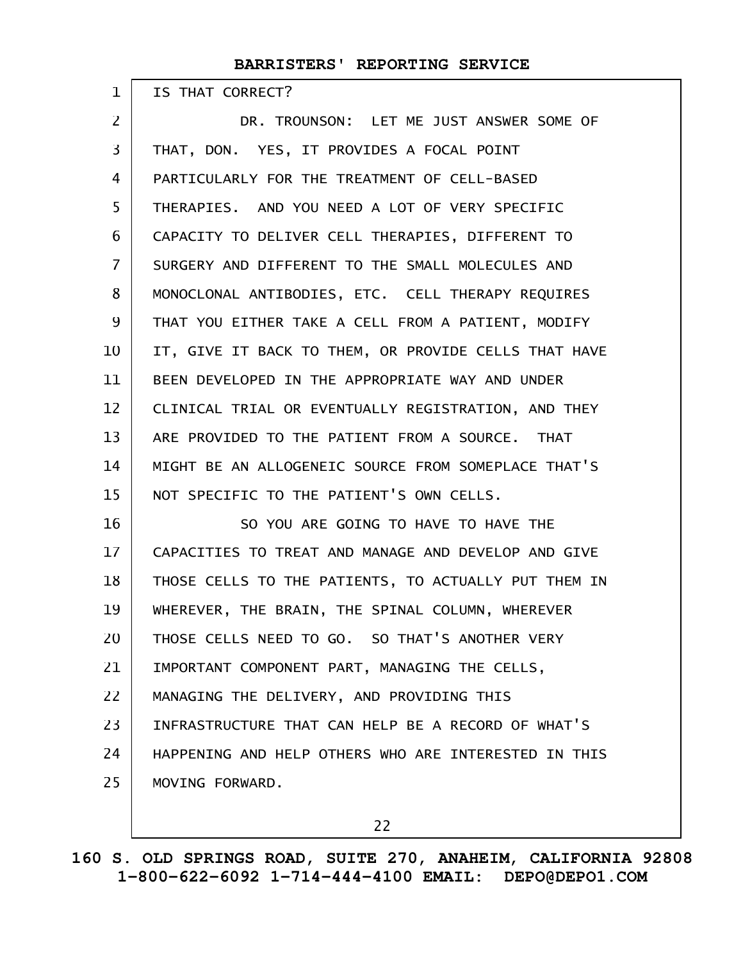IS THAT CORRECT?

1

DR. TROUNSON: LET ME JUST ANSWER SOME OF THAT, DON. YES, IT PROVIDES A FOCAL POINT PARTICULARLY FOR THE TREATMENT OF CELL-BASED THERAPIES. AND YOU NEED A LOT OF VERY SPECIFIC CAPACITY TO DELIVER CELL THERAPIES, DIFFERENT TO SURGERY AND DIFFERENT TO THE SMALL MOLECULES AND MONOCLONAL ANTIBODIES, ETC. CELL THERAPY REQUIRES THAT YOU EITHER TAKE A CELL FROM A PATIENT, MODIFY IT, GIVE IT BACK TO THEM, OR PROVIDE CELLS THAT HAVE BEEN DEVELOPED IN THE APPROPRIATE WAY AND UNDER CLINICAL TRIAL OR EVENTUALLY REGISTRATION, AND THEY ARE PROVIDED TO THE PATIENT FROM A SOURCE. THAT MIGHT BE AN ALLOGENEIC SOURCE FROM SOMEPLACE THAT'S NOT SPECIFIC TO THE PATIENT'S OWN CELLS. SO YOU ARE GOING TO HAVE TO HAVE THE CAPACITIES TO TREAT AND MANAGE AND DEVELOP AND GIVE THOSE CELLS TO THE PATIENTS, TO ACTUALLY PUT THEM IN WHEREVER, THE BRAIN, THE SPINAL COLUMN, WHEREVER THOSE CELLS NEED TO GO. SO THAT'S ANOTHER VERY IMPORTANT COMPONENT PART, MANAGING THE CELLS, MANAGING THE DELIVERY, AND PROVIDING THIS INFRASTRUCTURE THAT CAN HELP BE A RECORD OF WHAT'S HAPPENING AND HELP OTHERS WHO ARE INTERESTED IN THIS MOVING FORWARD. 2 3 4 5 6 7 8 9 10 11 12 13 14 15 16 17 18 19 20 21 22 23 24 25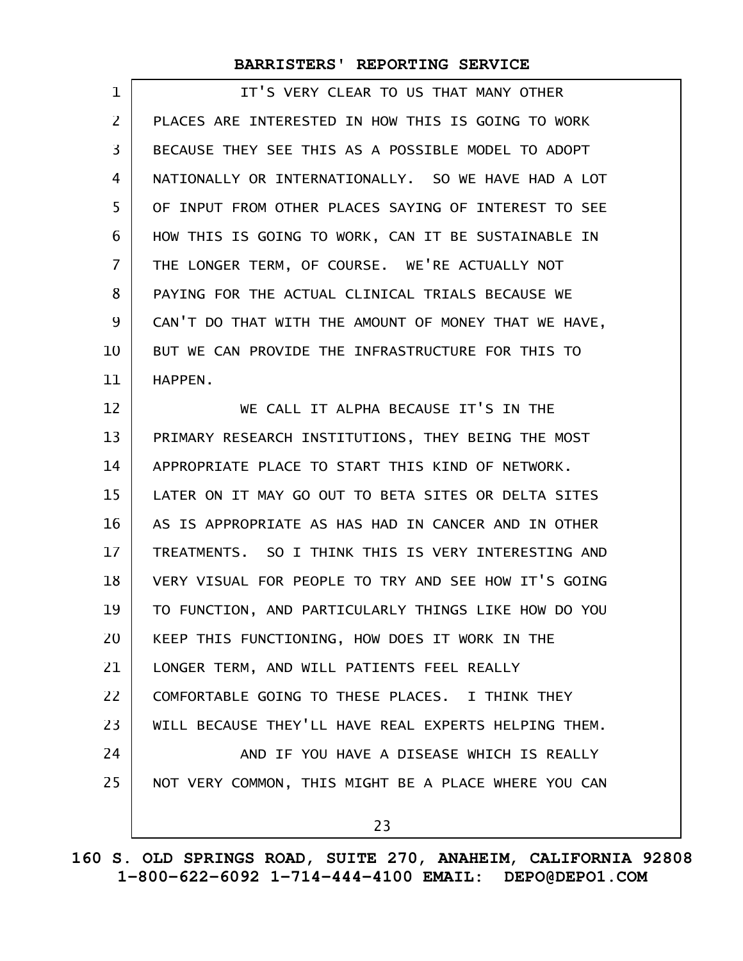| 1              | IT'S VERY CLEAR TO US THAT MANY OTHER                |
|----------------|------------------------------------------------------|
| $\overline{2}$ | PLACES ARE INTERESTED IN HOW THIS IS GOING TO WORK   |
| 3              | BECAUSE THEY SEE THIS AS A POSSIBLE MODEL TO ADOPT   |
| 4              | NATIONALLY OR INTERNATIONALLY. SO WE HAVE HAD A LOT  |
| 5              | OF INPUT FROM OTHER PLACES SAYING OF INTEREST TO SEE |
| 6              | HOW THIS IS GOING TO WORK, CAN IT BE SUSTAINABLE IN  |
| $\overline{7}$ | THE LONGER TERM, OF COURSE. WE'RE ACTUALLY NOT       |
| 8              | PAYING FOR THE ACTUAL CLINICAL TRIALS BECAUSE WE     |
| 9              | CAN'T DO THAT WITH THE AMOUNT OF MONEY THAT WE HAVE, |
| 10             | BUT WE CAN PROVIDE THE INFRASTRUCTURE FOR THIS TO    |
| 11             | HAPPEN.                                              |
| 12             | WE CALL IT ALPHA BECAUSE IT'S IN THE                 |
| 13             | PRIMARY RESEARCH INSTITUTIONS, THEY BEING THE MOST   |
| 14             | APPROPRIATE PLACE TO START THIS KIND OF NETWORK.     |
| 15             | LATER ON IT MAY GO OUT TO BETA SITES OR DELTA SITES  |
| 16             | AS IS APPROPRIATE AS HAS HAD IN CANCER AND IN OTHER  |
| 17             | TREATMENTS. SO I THINK THIS IS VERY INTERESTING AND  |
| 18             | VERY VISUAL FOR PEOPLE TO TRY AND SEE HOW IT'S GOING |
| 19             | TO FUNCTION, AND PARTICULARLY THINGS LIKE HOW DO YOU |
| 20             | KEEP THIS FUNCTIONING, HOW DOES IT WORK IN THE       |
| 21             | LONGER TERM, AND WILL PATIENTS FEEL REALLY           |
| 22             | COMFORTABLE GOING TO THESE PLACES. I THINK THEY      |
| 23             | WILL BECAUSE THEY'LL HAVE REAL EXPERTS HELPING THEM. |
| 24             | AND IF YOU HAVE A DISEASE WHICH IS REALLY            |
| 25             | NOT VERY COMMON, THIS MIGHT BE A PLACE WHERE YOU CAN |
|                | 23                                                   |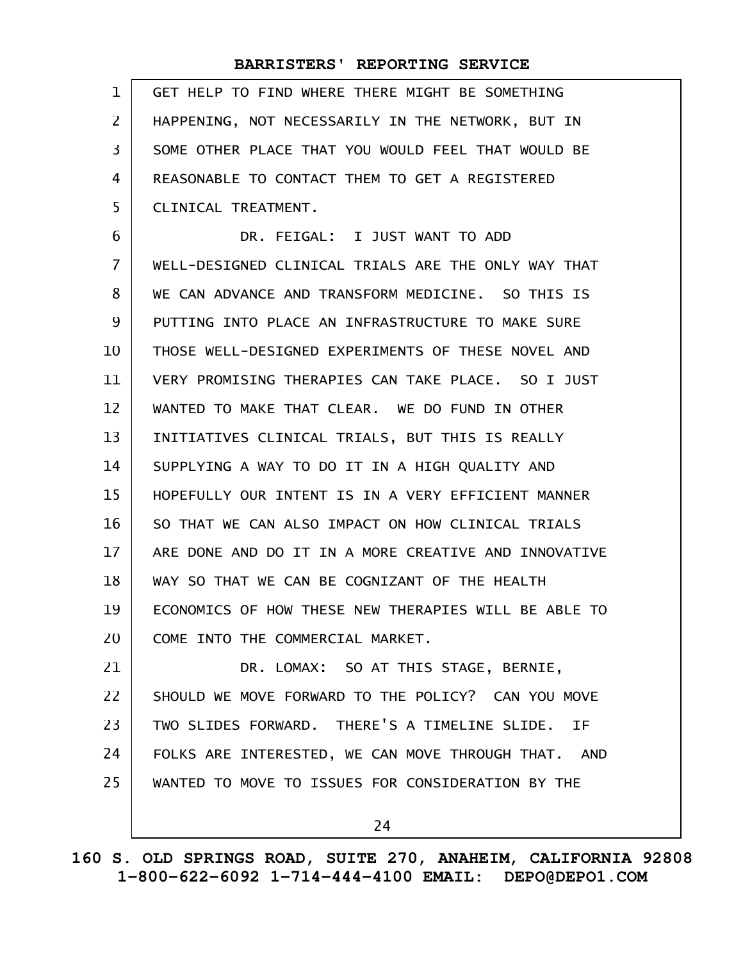| 1 GET HELP TO FIND WHERE THERE MIGHT BE SOMETHING     |
|-------------------------------------------------------|
| 2   HAPPENING, NOT NECESSARILY IN THE NETWORK, BUT IN |
| 3 SOME OTHER PLACE THAT YOU WOULD FEEL THAT WOULD BE  |
| 4   REASONABLE TO CONTACT THEM TO GET A REGISTERED    |
| 5   CLINICAL TREATMENT.                               |

DR. FEIGAL: I JUST WANT TO ADD WELL-DESIGNED CLINICAL TRIALS ARE THE ONLY WAY THAT WE CAN ADVANCE AND TRANSFORM MEDICINE. SO THIS IS PUTTING INTO PLACE AN INFRASTRUCTURE TO MAKE SURE THOSE WELL-DESIGNED EXPERIMENTS OF THESE NOVEL AND VERY PROMISING THERAPIES CAN TAKE PLACE. SO I JUST WANTED TO MAKE THAT CLEAR. WE DO FUND IN OTHER INITIATIVES CLINICAL TRIALS, BUT THIS IS REALLY SUPPLYING A WAY TO DO IT IN A HIGH QUALITY AND HOPEFULLY OUR INTENT IS IN A VERY EFFICIENT MANNER SO THAT WE CAN ALSO IMPACT ON HOW CLINICAL TRIALS ARE DONE AND DO IT IN A MORE CREATIVE AND INNOVATIVE WAY SO THAT WE CAN BE COGNIZANT OF THE HEALTH ECONOMICS OF HOW THESE NEW THERAPIES WILL BE ABLE TO COME INTO THE COMMERCIAL MARKET. DR. LOMAX: SO AT THIS STAGE, BERNIE, SHOULD WE MOVE FORWARD TO THE POLICY? CAN YOU MOVE 6 7 8 9 10 11 12 13 14 15 16 17 18 19 20 21 22

TWO SLIDES FORWARD. THERE'S A TIMELINE SLIDE. IF FOLKS ARE INTERESTED, WE CAN MOVE THROUGH THAT. AND WANTED TO MOVE TO ISSUES FOR CONSIDERATION BY THE 23 24 25

24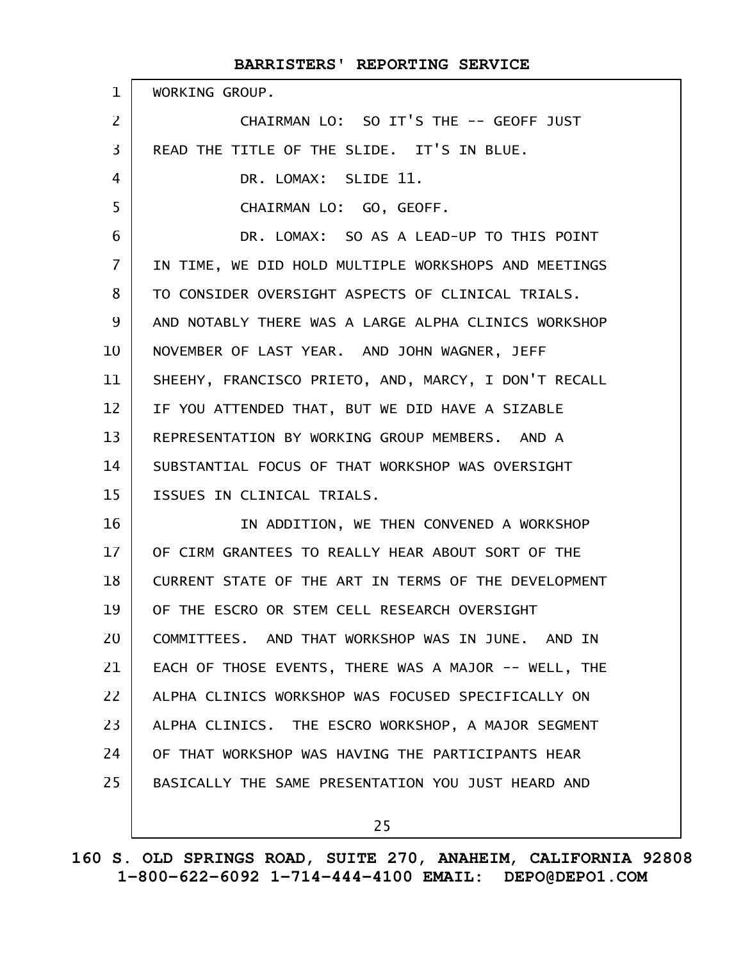| $\mathbf{1}$    | WORKING GROUP.                                       |
|-----------------|------------------------------------------------------|
| $\overline{2}$  | CHAIRMAN LO: SO IT'S THE -- GEOFF JUST               |
| $\overline{3}$  | READ THE TITLE OF THE SLIDE. IT'S IN BLUE.           |
| 4               | DR. LOMAX: SLIDE 11.                                 |
| 5               | CHAIRMAN LO: GO, GEOFF.                              |
| 6               | DR. LOMAX: SO AS A LEAD-UP TO THIS POINT             |
| $\overline{7}$  | IN TIME, WE DID HOLD MULTIPLE WORKSHOPS AND MEETINGS |
| 8               | TO CONSIDER OVERSIGHT ASPECTS OF CLINICAL TRIALS.    |
| 9               | AND NOTABLY THERE WAS A LARGE ALPHA CLINICS WORKSHOP |
| 10              | NOVEMBER OF LAST YEAR. AND JOHN WAGNER, JEFF         |
| 11              | SHEEHY, FRANCISCO PRIETO, AND, MARCY, I DON'T RECALL |
| 12 <sup>2</sup> | IF YOU ATTENDED THAT, BUT WE DID HAVE A SIZABLE      |
| 13              | REPRESENTATION BY WORKING GROUP MEMBERS. AND A       |
| 14              | SUBSTANTIAL FOCUS OF THAT WORKSHOP WAS OVERSIGHT     |
| 15              | ISSUES IN CLINICAL TRIALS.                           |
| 16              | IN ADDITION, WE THEN CONVENED A WORKSHOP             |
| 17 <sup>2</sup> | OF CIRM GRANTEES TO REALLY HEAR ABOUT SORT OF THE    |
| 18              | CURRENT STATE OF THE ART IN TERMS OF THE DEVELOPMENT |
| 19              | OF THE ESCRO OR STEM CELL RESEARCH OVERSIGHT         |
| 20              | COMMITTEES. AND THAT WORKSHOP WAS IN JUNE. AND IN    |
| 21              | EACH OF THOSE EVENTS, THERE WAS A MAJOR -- WELL, THE |
| 22              | ALPHA CLINICS WORKSHOP WAS FOCUSED SPECIFICALLY ON   |
| 23              | ALPHA CLINICS. THE ESCRO WORKSHOP, A MAJOR SEGMENT   |
| 24              | OF THAT WORKSHOP WAS HAVING THE PARTICIPANTS HEAR    |
| 25              | BASICALLY THE SAME PRESENTATION YOU JUST HEARD AND   |
|                 |                                                      |

25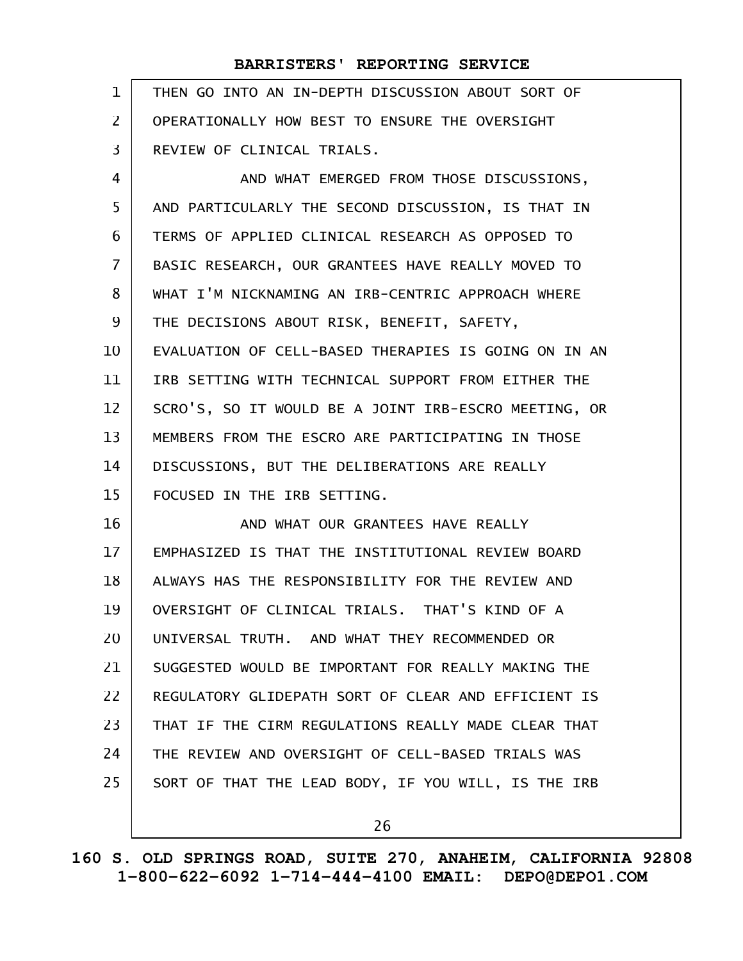| $\mathbf{1}$      | THEN GO INTO AN IN-DEPTH DISCUSSION ABOUT SORT OF    |
|-------------------|------------------------------------------------------|
| $\overline{2}$    | OPERATIONALLY HOW BEST TO ENSURE THE OVERSIGHT       |
| 3                 | REVIEW OF CLINICAL TRIALS.                           |
| 4                 | AND WHAT EMERGED FROM THOSE DISCUSSIONS,             |
| 5                 | AND PARTICULARLY THE SECOND DISCUSSION, IS THAT IN   |
| 6                 | TERMS OF APPLIED CLINICAL RESEARCH AS OPPOSED TO     |
| $\overline{7}$    | BASIC RESEARCH, OUR GRANTEES HAVE REALLY MOVED TO    |
| 8                 | WHAT I'M NICKNAMING AN IRB-CENTRIC APPROACH WHERE    |
| 9                 | THE DECISIONS ABOUT RISK, BENEFIT, SAFETY,           |
| 10                | EVALUATION OF CELL-BASED THERAPIES IS GOING ON IN AN |
| 11                | IRB SETTING WITH TECHNICAL SUPPORT FROM EITHER THE   |
| $12 \overline{ }$ | SCRO'S, SO IT WOULD BE A JOINT IRB-ESCRO MEETING, OR |
| 13                | MEMBERS FROM THE ESCRO ARE PARTICIPATING IN THOSE    |
| 14                | DISCUSSIONS, BUT THE DELIBERATIONS ARE REALLY        |
| 15                | FOCUSED IN THE IRB SETTING.                          |
| 16                | AND WHAT OUR GRANTEES HAVE REALLY                    |
| 17                | EMPHASIZED IS THAT THE INSTITUTIONAL REVIEW BOARD    |
| 18                | ALWAYS HAS THE RESPONSIBILITY FOR THE REVIEW AND     |
| 19                | OVERSIGHT OF CLINICAL TRIALS. THAT'S KIND OF A       |
| 20                | UNIVERSAL TRUTH. AND WHAT THEY RECOMMENDED OR        |
| 21                | SUGGESTED WOULD BE IMPORTANT FOR REALLY MAKING THE   |
| 22                | REGULATORY GLIDEPATH SORT OF CLEAR AND EFFICIENT IS  |
| 23                | THAT IF THE CIRM REGULATIONS REALLY MADE CLEAR THAT  |
| 24                | THE REVIEW AND OVERSIGHT OF CELL-BASED TRIALS WAS    |
| 25                | SORT OF THAT THE LEAD BODY, IF YOU WILL, IS THE IRB  |
|                   |                                                      |

26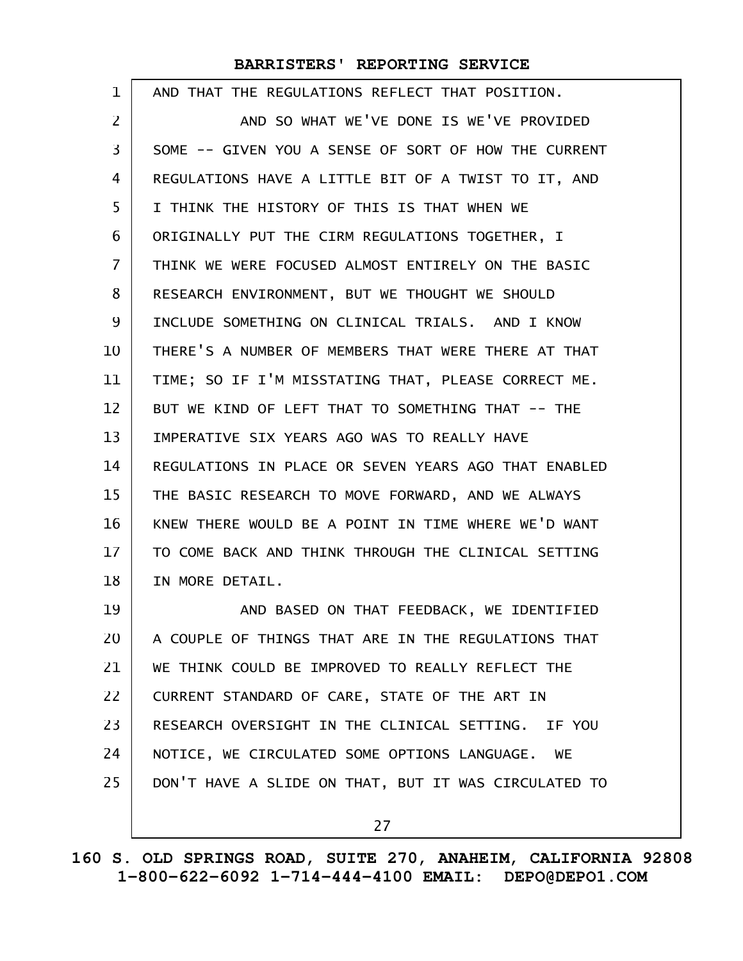| $\mathbf 1$       | AND THAT THE REGULATIONS REFLECT THAT POSITION.      |
|-------------------|------------------------------------------------------|
| $\overline{2}$    | AND SO WHAT WE'VE DONE IS WE'VE PROVIDED             |
| 3                 | SOME -- GIVEN YOU A SENSE OF SORT OF HOW THE CURRENT |
| 4                 | REGULATIONS HAVE A LITTLE BIT OF A TWIST TO IT, AND  |
| 5                 | I THINK THE HISTORY OF THIS IS THAT WHEN WE          |
| 6                 | ORIGINALLY PUT THE CIRM REGULATIONS TOGETHER, I      |
| 7                 | THINK WE WERE FOCUSED ALMOST ENTIRELY ON THE BASIC   |
| 8                 | RESEARCH ENVIRONMENT, BUT WE THOUGHT WE SHOULD       |
| 9                 | INCLUDE SOMETHING ON CLINICAL TRIALS. AND I KNOW     |
| 10                | THERE'S A NUMBER OF MEMBERS THAT WERE THERE AT THAT  |
| 11                | TIME; SO IF I'M MISSTATING THAT, PLEASE CORRECT ME.  |
| $12 \overline{ }$ | BUT WE KIND OF LEFT THAT TO SOMETHING THAT -- THE    |
| 13                | IMPERATIVE SIX YEARS AGO WAS TO REALLY HAVE          |
| 14                | REGULATIONS IN PLACE OR SEVEN YEARS AGO THAT ENABLED |
| 15                | THE BASIC RESEARCH TO MOVE FORWARD, AND WE ALWAYS    |
| 16                | KNEW THERE WOULD BE A POINT IN TIME WHERE WE'D WANT  |
| 17                | TO COME BACK AND THINK THROUGH THE CLINICAL SETTING  |
| 18                | IN MORE DETAIL.                                      |
| 19                | AND BASED ON THAT FEEDBACK, WE IDENTIFIED            |
| 20                | A COUPLE OF THINGS THAT ARE IN THE REGULATIONS THAT  |
| 21                | WE THINK COULD BE IMPROVED TO REALLY REFLECT THE     |
| 22                | CURRENT STANDARD OF CARE, STATE OF THE ART IN        |
| 23                | RESEARCH OVERSIGHT IN THE CLINICAL SETTING. IF YOU   |
| 24                | NOTICE, WE CIRCULATED SOME OPTIONS LANGUAGE. WE      |
| 25                | DON'T HAVE A SLIDE ON THAT, BUT IT WAS CIRCULATED TO |
|                   | 27                                                   |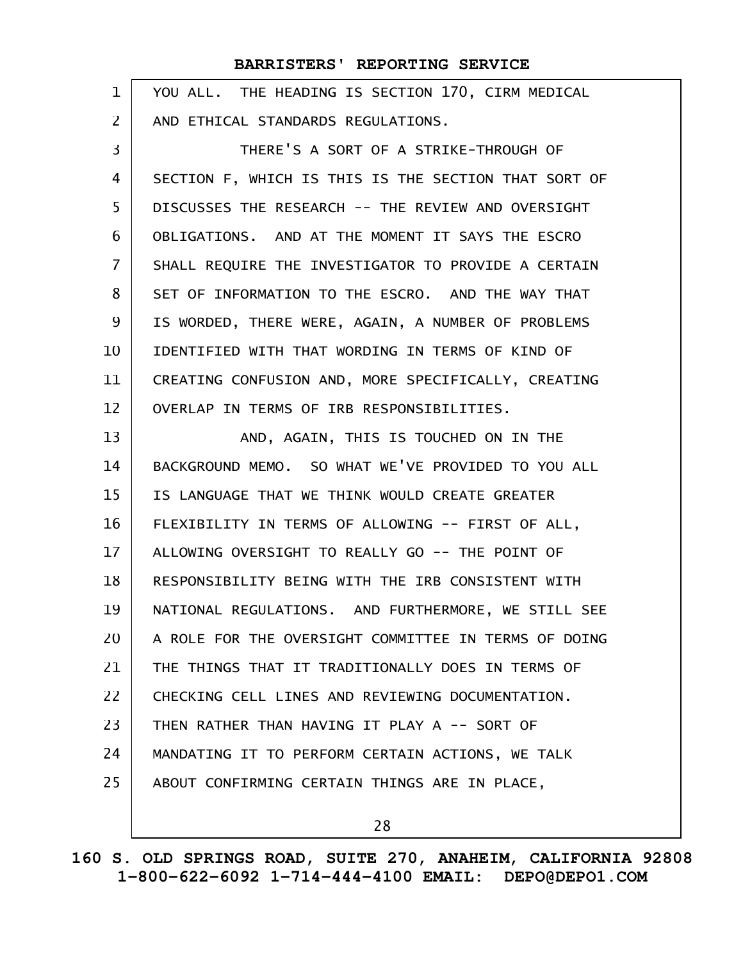| $\mathbf 1$    | YOU ALL. THE HEADING IS SECTION 170, CIRM MEDICAL    |
|----------------|------------------------------------------------------|
| $\overline{2}$ | AND ETHICAL STANDARDS REGULATIONS.                   |
| 3              | THERE'S A SORT OF A STRIKE-THROUGH OF                |
| 4              | SECTION F, WHICH IS THIS IS THE SECTION THAT SORT OF |
| 5              | DISCUSSES THE RESEARCH -- THE REVIEW AND OVERSIGHT   |
| 6              | OBLIGATIONS. AND AT THE MOMENT IT SAYS THE ESCRO     |
| $\overline{7}$ | SHALL REQUIRE THE INVESTIGATOR TO PROVIDE A CERTAIN  |
| 8              | SET OF INFORMATION TO THE ESCRO. AND THE WAY THAT    |
| 9              | IS WORDED, THERE WERE, AGAIN, A NUMBER OF PROBLEMS   |
| 10             | IDENTIFIED WITH THAT WORDING IN TERMS OF KIND OF     |
| 11             | CREATING CONFUSION AND, MORE SPECIFICALLY, CREATING  |
| 12             | OVERLAP IN TERMS OF IRB RESPONSIBILITIES.            |
| 13             | AND, AGAIN, THIS IS TOUCHED ON IN THE                |
| 14             | BACKGROUND MEMO. SO WHAT WE'VE PROVIDED TO YOU ALL   |
| 15             | IS LANGUAGE THAT WE THINK WOULD CREATE GREATER       |
| 16             | FLEXIBILITY IN TERMS OF ALLOWING -- FIRST OF ALL,    |
| 17             | ALLOWING OVERSIGHT TO REALLY GO -- THE POINT OF      |
| 18             | RESPONSIBILITY BEING WITH THE IRB CONSISTENT WITH    |
| 19             | NATIONAL REGULATIONS. AND FURTHERMORE, WE STILL SEE  |
| 20             | A ROLE FOR THE OVERSIGHT COMMITTEE IN TERMS OF DOING |
| 21             | THE THINGS THAT IT TRADITIONALLY DOES IN TERMS OF    |
| 22             | CHECKING CELL LINES AND REVIEWING DOCUMENTATION.     |
| 23             | THEN RATHER THAN HAVING IT PLAY A -- SORT OF         |
| 24             | MANDATING IT TO PERFORM CERTAIN ACTIONS, WE TALK     |
| 25             | ABOUT CONFIRMING CERTAIN THINGS ARE IN PLACE,        |
|                |                                                      |

28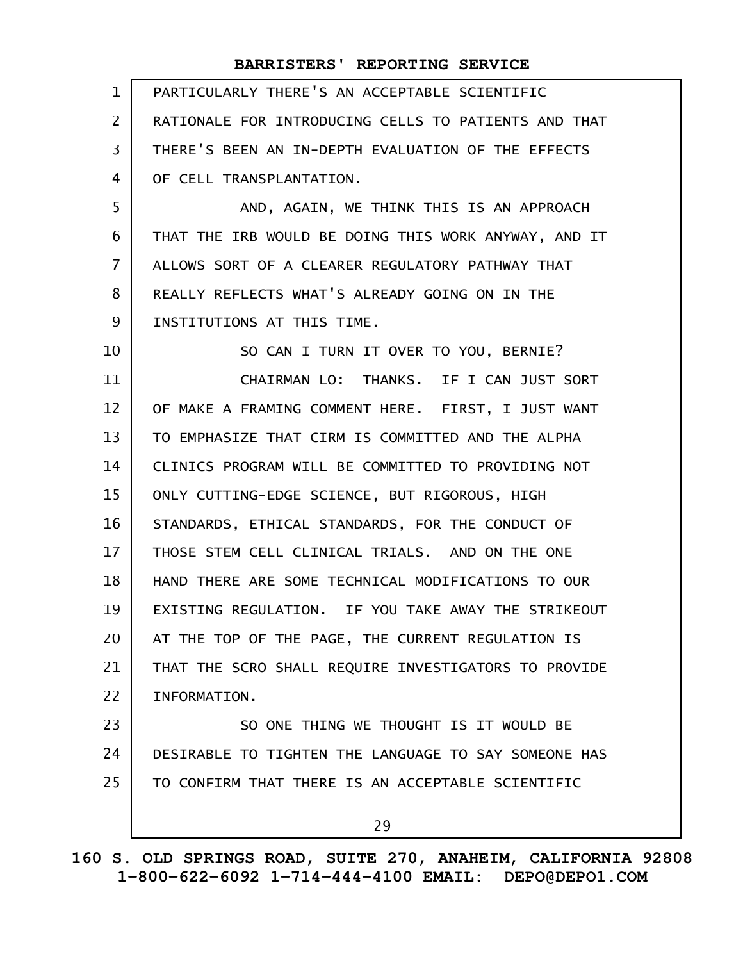| $\mathbf{1}$    | PARTICULARLY THERE'S AN ACCEPTABLE SCIENTIFIC        |
|-----------------|------------------------------------------------------|
| $\overline{2}$  | RATIONALE FOR INTRODUCING CELLS TO PATIENTS AND THAT |
| $\overline{3}$  | THERE'S BEEN AN IN-DEPTH EVALUATION OF THE EFFECTS   |
| $\overline{4}$  | OF CELL TRANSPLANTATION.                             |
| 5               | AND, AGAIN, WE THINK THIS IS AN APPROACH             |
| 6               | THAT THE IRB WOULD BE DOING THIS WORK ANYWAY, AND IT |
| $\overline{7}$  | ALLOWS SORT OF A CLEARER REGULATORY PATHWAY THAT     |
| 8               | REALLY REFLECTS WHAT'S ALREADY GOING ON IN THE       |
| 9               | INSTITUTIONS AT THIS TIME.                           |
| 10              | SO CAN I TURN IT OVER TO YOU, BERNIE?                |
| 11              | CHAIRMAN LO: THANKS. IF I CAN JUST SORT              |
| 12              | OF MAKE A FRAMING COMMENT HERE. FIRST, I JUST WANT   |
| 13              | TO EMPHASIZE THAT CIRM IS COMMITTED AND THE ALPHA    |
| 14              | CLINICS PROGRAM WILL BE COMMITTED TO PROVIDING NOT   |
| 15              | ONLY CUTTING-EDGE SCIENCE, BUT RIGOROUS, HIGH        |
| 16              | STANDARDS, ETHICAL STANDARDS, FOR THE CONDUCT OF     |
| 17 <sup>2</sup> | THOSE STEM CELL CLINICAL TRIALS. AND ON THE ONE      |
| 18              | HAND THERE ARE SOME TECHNICAL MODIFICATIONS TO OUR   |
| 19              | EXISTING REGULATION. IF YOU TAKE AWAY THE STRIKEOUT  |
| 20              | AT THE TOP OF THE PAGE, THE CURRENT REGULATION IS    |
| 21              | THAT THE SCRO SHALL REQUIRE INVESTIGATORS TO PROVIDE |
| 22              | INFORMATION.                                         |
| 23              | SO ONE THING WE THOUGHT IS IT WOULD BE               |
| 24              | DESIRABLE TO TIGHTEN THE LANGUAGE TO SAY SOMEONE HAS |
| 25              | TO CONFIRM THAT THERE IS AN ACCEPTABLE SCIENTIFIC    |
|                 | 29                                                   |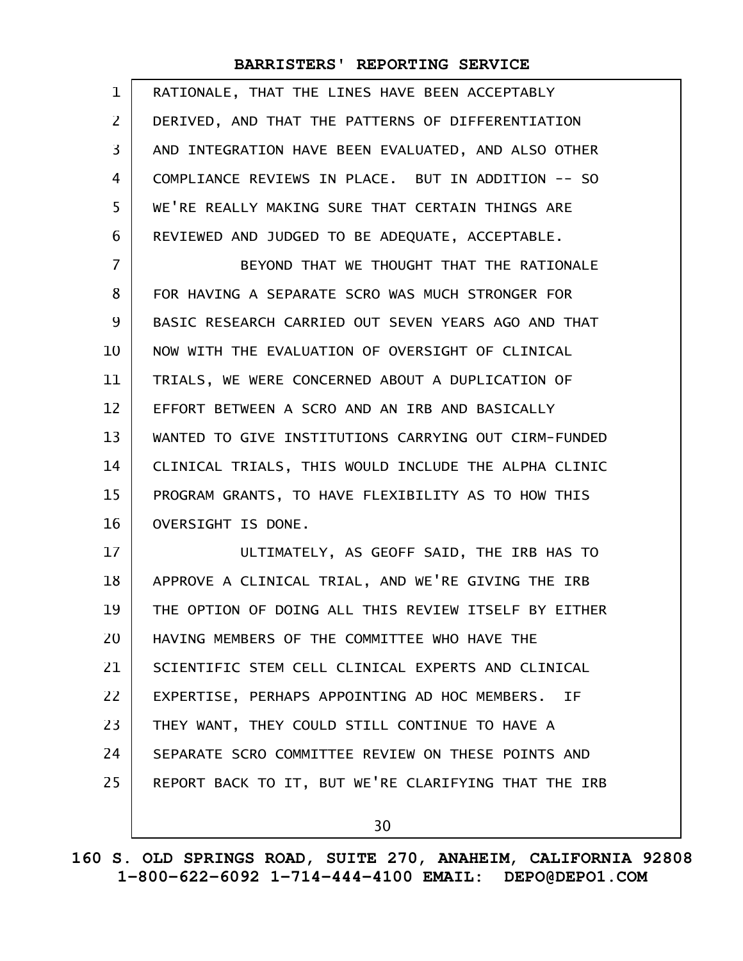| $\mathbf{1}$   | RATIONALE, THAT THE LINES HAVE BEEN ACCEPTABLY       |
|----------------|------------------------------------------------------|
| $\mathbf{Z}$   | DERIVED, AND THAT THE PATTERNS OF DIFFERENTIATION    |
| 3              | AND INTEGRATION HAVE BEEN EVALUATED, AND ALSO OTHER  |
| 4              | COMPLIANCE REVIEWS IN PLACE. BUT IN ADDITION -- SO   |
| 5              | WE'RE REALLY MAKING SURE THAT CERTAIN THINGS ARE     |
| 6              | REVIEWED AND JUDGED TO BE ADEQUATE, ACCEPTABLE.      |
| $\overline{7}$ | BEYOND THAT WE THOUGHT THAT THE RATIONALE            |
| 8              | FOR HAVING A SEPARATE SCRO WAS MUCH STRONGER FOR     |
| 9              | BASIC RESEARCH CARRIED OUT SEVEN YEARS AGO AND THAT  |
| 10             | NOW WITH THE EVALUATION OF OVERSIGHT OF CLINICAL     |
| 11             | TRIALS, WE WERE CONCERNED ABOUT A DUPLICATION OF     |
| 12             | EFFORT BETWEEN A SCRO AND AN IRB AND BASICALLY       |
| 13             | WANTED TO GIVE INSTITUTIONS CARRYING OUT CIRM-FUNDED |
| 14             | CLINICAL TRIALS, THIS WOULD INCLUDE THE ALPHA CLINIC |
| 15             | PROGRAM GRANTS, TO HAVE FLEXIBILITY AS TO HOW THIS   |
| 16             | OVERSIGHT IS DONE.                                   |
| 17             | ULTIMATELY, AS GEOFF SAID, THE IRB HAS TO            |
| 18             | APPROVE A CLINICAL TRIAL, AND WE'RE GIVING THE IRB   |
| 19             | THE OPTION OF DOING ALL THIS REVIEW ITSELF BY EITHER |
| 20             | HAVING MEMBERS OF THE COMMITTEE WHO HAVE THE         |
| 21             | SCIENTIFIC STEM CELL CLINICAL EXPERTS AND CLINICAL   |
| 22             | EXPERTISE, PERHAPS APPOINTING AD HOC MEMBERS. IF     |
| 23             | THEY WANT, THEY COULD STILL CONTINUE TO HAVE A       |
| 24             | SEPARATE SCRO COMMITTEE REVIEW ON THESE POINTS AND   |
| 25             | REPORT BACK TO IT, BUT WE'RE CLARIFYING THAT THE IRB |
|                |                                                      |

30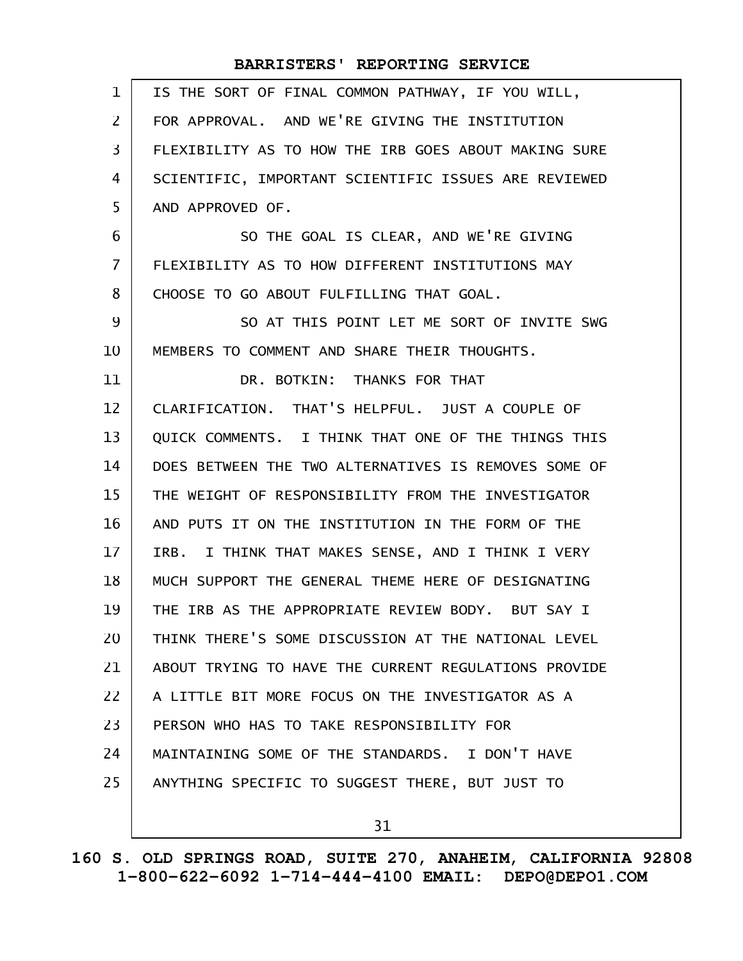| $\mathbf{1}$   | IS THE SORT OF FINAL COMMON PATHWAY, IF YOU WILL,    |
|----------------|------------------------------------------------------|
| 2              | FOR APPROVAL. AND WE'RE GIVING THE INSTITUTION       |
| $\overline{3}$ | FLEXIBILITY AS TO HOW THE IRB GOES ABOUT MAKING SURE |
| 4              | SCIENTIFIC, IMPORTANT SCIENTIFIC ISSUES ARE REVIEWED |
| 5              | AND APPROVED OF.                                     |
| 6              | SO THE GOAL IS CLEAR, AND WE'RE GIVING               |
| $\overline{7}$ | FLEXIBILITY AS TO HOW DIFFERENT INSTITUTIONS MAY     |
| 8              | CHOOSE TO GO ABOUT FULFILLING THAT GOAL.             |
| 9              | SO AT THIS POINT LET ME SORT OF INVITE SWG           |
| 10             | MEMBERS TO COMMENT AND SHARE THEIR THOUGHTS.         |
| 11             | DR. BOTKIN: THANKS FOR THAT                          |
| 12             | CLARIFICATION. THAT'S HELPFUL. JUST A COUPLE OF      |
| 13             | QUICK COMMENTS. I THINK THAT ONE OF THE THINGS THIS  |
| 14             | DOES BETWEEN THE TWO ALTERNATIVES IS REMOVES SOME OF |
| 15             | THE WEIGHT OF RESPONSIBILITY FROM THE INVESTIGATOR   |
| 16             | AND PUTS IT ON THE INSTITUTION IN THE FORM OF THE    |
| 17             | IRB. I THINK THAT MAKES SENSE, AND I THINK I VERY    |
| 18             | MUCH SUPPORT THE GENERAL THEME HERE OF DESIGNATING   |
| 19             | THE IRB AS THE APPROPRIATE REVIEW BODY. BUT SAY I    |
| 20             | THINK THERE'S SOME DISCUSSION AT THE NATIONAL LEVEL  |
| 21             | ABOUT TRYING TO HAVE THE CURRENT REGULATIONS PROVIDE |
| 22             | A LITTLE BIT MORE FOCUS ON THE INVESTIGATOR AS A     |
| 23             | PERSON WHO HAS TO TAKE RESPONSIBILITY FOR            |
| 24             | MAINTAINING SOME OF THE STANDARDS. I DON'T HAVE      |
| 25             | ANYTHING SPECIFIC TO SUGGEST THERE, BUT JUST TO      |
|                |                                                      |

31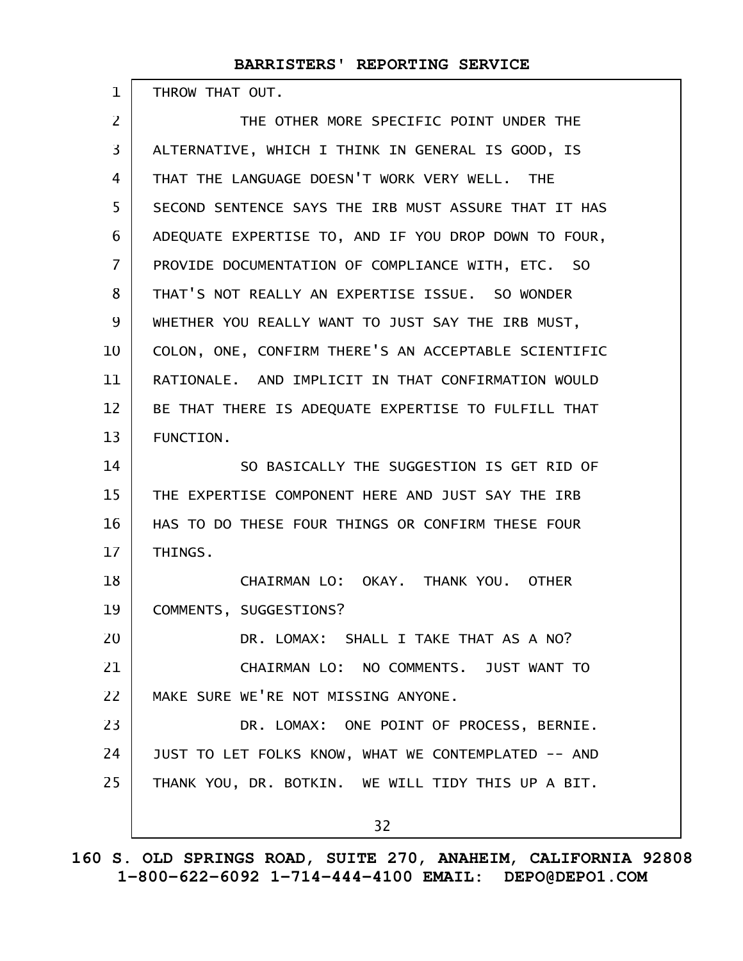THROW THAT OUT. THE OTHER MORE SPECIFIC POINT UNDER THE ALTERNATIVE, WHICH I THINK IN GENERAL IS GOOD, IS THAT THE LANGUAGE DOESN'T WORK VERY WELL. THE SECOND SENTENCE SAYS THE IRB MUST ASSURE THAT IT HAS ADEQUATE EXPERTISE TO, AND IF YOU DROP DOWN TO FOUR, PROVIDE DOCUMENTATION OF COMPLIANCE WITH, ETC. SO THAT'S NOT REALLY AN EXPERTISE ISSUE. SO WONDER WHETHER YOU REALLY WANT TO JUST SAY THE IRB MUST, COLON, ONE, CONFIRM THERE'S AN ACCEPTABLE SCIENTIFIC RATIONALE. AND IMPLICIT IN THAT CONFIRMATION WOULD BE THAT THERE IS ADEQUATE EXPERTISE TO FULFILL THAT FUNCTION. SO BASICALLY THE SUGGESTION IS GET RID OF THE EXPERTISE COMPONENT HERE AND JUST SAY THE IRB HAS TO DO THESE FOUR THINGS OR CONFIRM THESE FOUR THINGS. CHAIRMAN LO: OKAY. THANK YOU. OTHER COMMENTS, SUGGESTIONS? DR. LOMAX: SHALL I TAKE THAT AS A NO? CHAIRMAN LO: NO COMMENTS. JUST WANT TO MAKE SURE WE'RE NOT MISSING ANYONE. DR. LOMAX: ONE POINT OF PROCESS, BERNIE. JUST TO LET FOLKS KNOW, WHAT WE CONTEMPLATED -- AND THANK YOU, DR. BOTKIN. WE WILL TIDY THIS UP A BIT. 1 2 3 4 5 6 7 8 9 10 11 12 13 14 15 16 17 18 19 20 21 22 23 24 25

32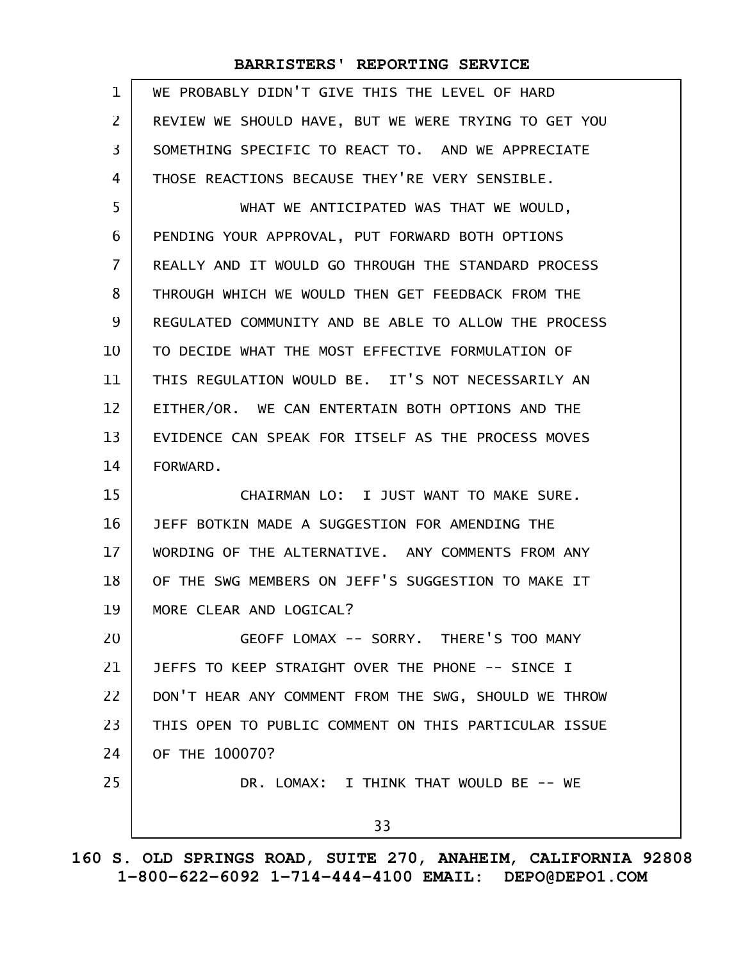| $\mathbf{1}$   | WE PROBABLY DIDN'T GIVE THIS THE LEVEL OF HARD       |
|----------------|------------------------------------------------------|
| 2              | REVIEW WE SHOULD HAVE, BUT WE WERE TRYING TO GET YOU |
| 3              | SOMETHING SPECIFIC TO REACT TO. AND WE APPRECIATE    |
| 4              | THOSE REACTIONS BECAUSE THEY'RE VERY SENSIBLE.       |
| 5              | WHAT WE ANTICIPATED WAS THAT WE WOULD,               |
| 6              | PENDING YOUR APPROVAL, PUT FORWARD BOTH OPTIONS      |
| $\overline{7}$ | REALLY AND IT WOULD GO THROUGH THE STANDARD PROCESS  |
| 8              | THROUGH WHICH WE WOULD THEN GET FEEDBACK FROM THE    |
| 9              | REGULATED COMMUNITY AND BE ABLE TO ALLOW THE PROCESS |
| 10             | TO DECIDE WHAT THE MOST EFFECTIVE FORMULATION OF     |
| 11             | THIS REGULATION WOULD BE. IT'S NOT NECESSARILY AN    |
| 12             | EITHER/OR. WE CAN ENTERTAIN BOTH OPTIONS AND THE     |
| 13             | EVIDENCE CAN SPEAK FOR ITSELF AS THE PROCESS MOVES   |
| 14             | FORWARD.                                             |
| 15             | CHAIRMAN LO: I JUST WANT TO MAKE SURE.               |
| 16             | JEFF BOTKIN MADE A SUGGESTION FOR AMENDING THE       |
| 17             | WORDING OF THE ALTERNATIVE. ANY COMMENTS FROM ANY    |
| 18             | OF THE SWG MEMBERS ON JEFF'S SUGGESTION TO MAKE IT   |
| 19             | MORE CLEAR AND LOGICAL?                              |
| 20             | GEOFF LOMAX -- SORRY. THERE'S TOO MANY               |
| 21             | JEFFS TO KEEP STRAIGHT OVER THE PHONE -- SINCE I     |
| 22             | DON'T HEAR ANY COMMENT FROM THE SWG, SHOULD WE THROW |
| 23             | THIS OPEN TO PUBLIC COMMENT ON THIS PARTICULAR ISSUE |
| 24             | OF THE 100070?                                       |
| 25             | DR. LOMAX: I THINK THAT WOULD BE -- WE               |
|                | 33                                                   |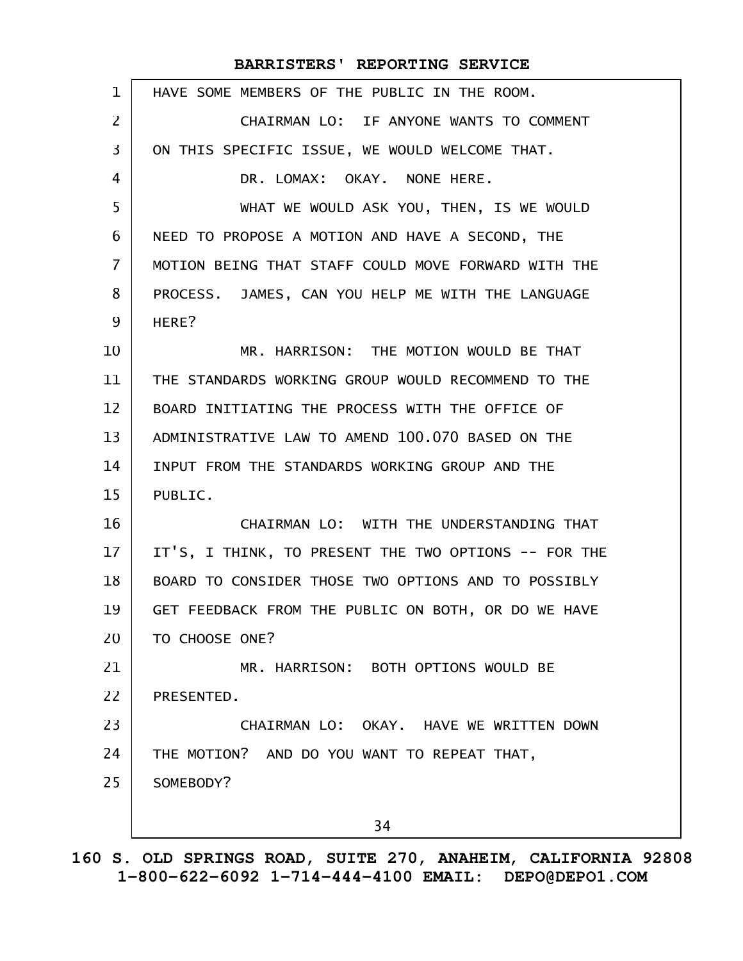| 1                 | HAVE SOME MEMBERS OF THE PUBLIC IN THE ROOM.         |
|-------------------|------------------------------------------------------|
| 2                 | CHAIRMAN LO: IF ANYONE WANTS TO COMMENT              |
| 3                 | ON THIS SPECIFIC ISSUE, WE WOULD WELCOME THAT.       |
| 4                 | DR. LOMAX: OKAY. NONE HERE.                          |
| 5                 | WHAT WE WOULD ASK YOU, THEN, IS WE WOULD             |
| 6                 | NEED TO PROPOSE A MOTION AND HAVE A SECOND, THE      |
| $\overline{7}$    | MOTION BEING THAT STAFF COULD MOVE FORWARD WITH THE  |
| 8                 | PROCESS. JAMES, CAN YOU HELP ME WITH THE LANGUAGE    |
| 9                 | HERE?                                                |
| 10                | MR. HARRISON: THE MOTION WOULD BE THAT               |
| 11                | THE STANDARDS WORKING GROUP WOULD RECOMMEND TO THE   |
| $12 \overline{ }$ | BOARD INITIATING THE PROCESS WITH THE OFFICE OF      |
| 13                | ADMINISTRATIVE LAW TO AMEND 100.070 BASED ON THE     |
| 14                | INPUT FROM THE STANDARDS WORKING GROUP AND THE       |
| 15                | PUBLIC.                                              |
| 16                | CHAIRMAN LO: WITH THE UNDERSTANDING THAT             |
| $17 \,$           | IT'S, I THINK, TO PRESENT THE TWO OPTIONS -- FOR THE |
| 18                | BOARD TO CONSIDER THOSE TWO OPTIONS AND TO POSSIBLY  |
| 19                | GET FEEDBACK FROM THE PUBLIC ON BOTH, OR DO WE HAVE  |
| 20                | TO CHOOSE ONE?                                       |
| 21                | MR. HARRISON: BOTH OPTIONS WOULD BE                  |
| 22                | PRESENTED.                                           |
| 23                | CHAIRMAN LO: OKAY. HAVE WE WRITTEN DOWN              |
| 24                | THE MOTION? AND DO YOU WANT TO REPEAT THAT,          |
| 25                | SOMEBODY?                                            |
|                   |                                                      |
|                   | 34                                                   |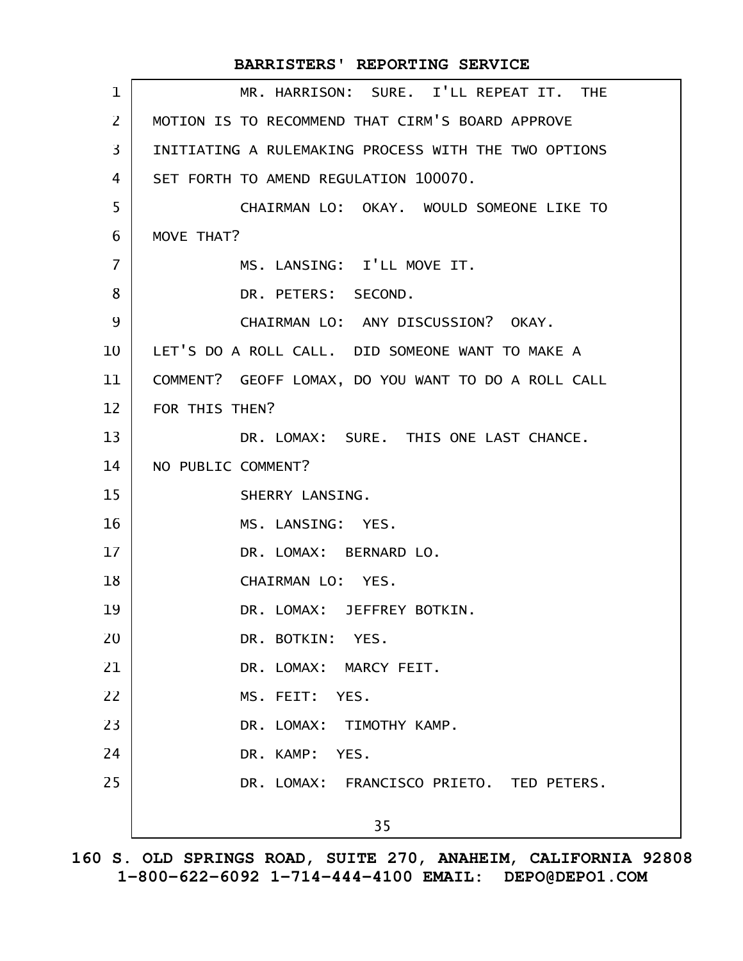MR. HARRISON: SURE. I'LL REPEAT IT. THE MOTION IS TO RECOMMEND THAT CIRM'S BOARD APPROVE INITIATING A RULEMAKING PROCESS WITH THE TWO OPTIONS SET FORTH TO AMEND REGULATION 100070. CHAIRMAN LO: OKAY. WOULD SOMEONE LIKE TO MOVE THAT? MS. LANSING: I'LL MOVE IT. DR. PETERS: SECOND. CHAIRMAN LO: ANY DISCUSSION? OKAY. LET'S DO A ROLL CALL. DID SOMEONE WANT TO MAKE A COMMENT? GEOFF LOMAX, DO YOU WANT TO DO A ROLL CALL FOR THIS THEN? DR. LOMAX: SURE. THIS ONE LAST CHANCE. NO PUBLIC COMMENT? SHERRY LANSING. MS. LANSING: YES. DR. LOMAX: BERNARD LO. CHAIRMAN LO: YES. DR. LOMAX: JEFFREY BOTKIN. DR. BOTKIN: YES. DR. LOMAX: MARCY FEIT. MS. FEIT: YES. DR. LOMAX: TIMOTHY KAMP. DR. KAMP: YES. DR. LOMAX: FRANCISCO PRIETO. TED PETERS. 35 **BARRISTERS' REPORTING SERVICE** 1 2 3 4 5 6 7 8 9 10 11 12 13 14 15 16 17 18 19 20 21 22 23 24 25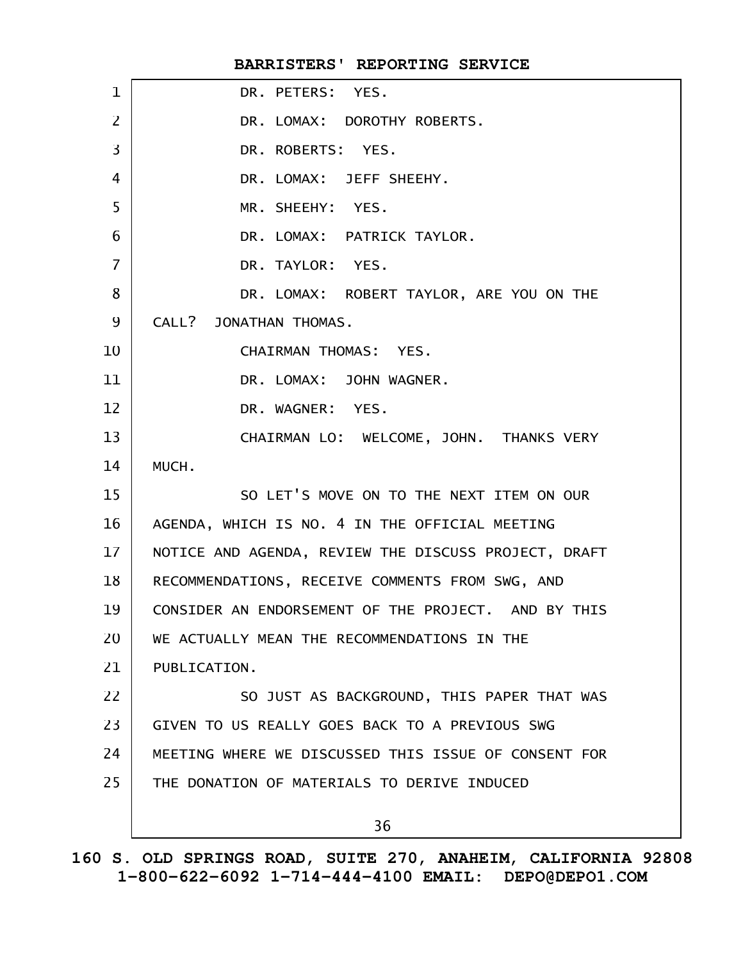| $\mathbf{1}$<br>$\overline{2}$<br>$\overline{3}$<br>4 | DR. PETERS: YES.<br>DR. LOMAX: DOROTHY ROBERTS.<br>DR. ROBERTS: YES.<br>DR. LOMAX: JEFF SHEEHY. |
|-------------------------------------------------------|-------------------------------------------------------------------------------------------------|
|                                                       |                                                                                                 |
|                                                       |                                                                                                 |
|                                                       |                                                                                                 |
|                                                       |                                                                                                 |
| 5                                                     | MR. SHEEHY: YES.                                                                                |
| 6                                                     | DR. LOMAX: PATRICK TAYLOR.                                                                      |
| $\overline{7}$                                        | DR. TAYLOR: YES.                                                                                |
| 8                                                     | DR. LOMAX: ROBERT TAYLOR, ARE YOU ON THE                                                        |
| 9                                                     | CALL? JONATHAN THOMAS.                                                                          |
| 10                                                    | CHAIRMAN THOMAS: YES.                                                                           |
| 11                                                    | DR. LOMAX: JOHN WAGNER.                                                                         |
| $12 \overline{ }$                                     | DR. WAGNER: YES.                                                                                |
| 13                                                    | CHAIRMAN LO: WELCOME, JOHN. THANKS VERY                                                         |
| 14                                                    | MUCH.                                                                                           |
| 15                                                    | SO LET'S MOVE ON TO THE NEXT ITEM ON OUR                                                        |
| 16                                                    | AGENDA, WHICH IS NO. 4 IN THE OFFICIAL MEETING                                                  |
| 17 <sup>2</sup>                                       | NOTICE AND AGENDA, REVIEW THE DISCUSS PROJECT, DRAFT                                            |
| 18                                                    | RECOMMENDATIONS, RECEIVE COMMENTS FROM SWG, AND                                                 |
| 19                                                    | CONSIDER AN ENDORSEMENT OF THE PROJECT. AND BY THIS                                             |
| 20                                                    | WE ACTUALLY MEAN THE RECOMMENDATIONS IN THE                                                     |
| 21                                                    | PUBLICATION.                                                                                    |
| 22                                                    | SO JUST AS BACKGROUND, THIS PAPER THAT WAS                                                      |
| 23                                                    | GIVEN TO US REALLY GOES BACK TO A PREVIOUS SWG                                                  |
| 24                                                    | MEETING WHERE WE DISCUSSED THIS ISSUE OF CONSENT FOR                                            |
| 25                                                    | THE DONATION OF MATERIALS TO DERIVE INDUCED                                                     |
|                                                       | 36                                                                                              |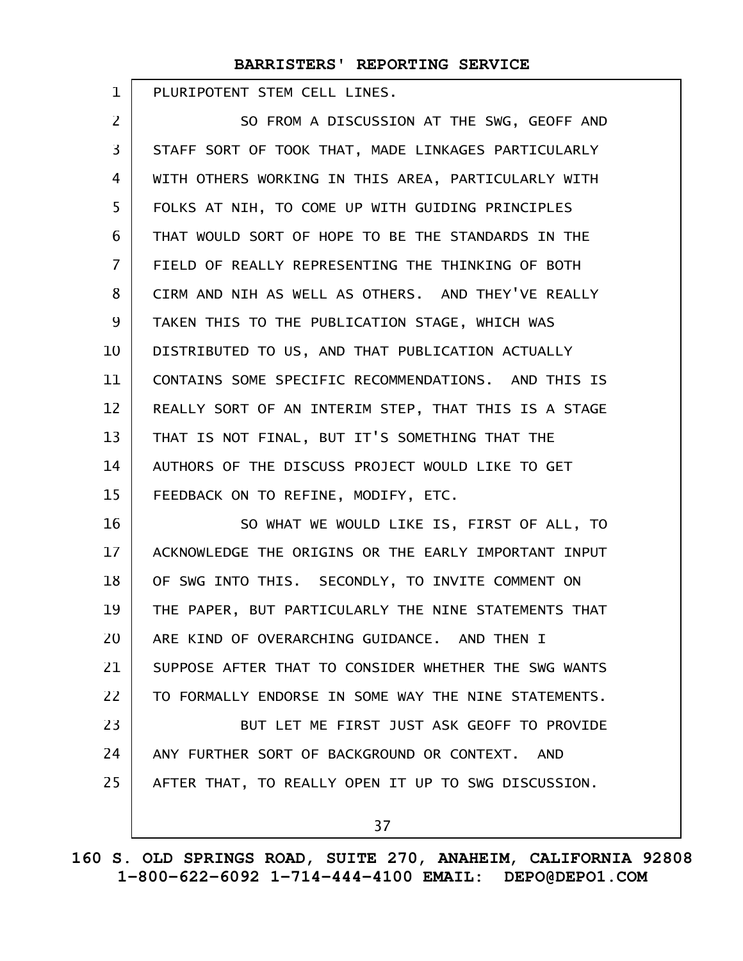PLURIPOTENT STEM CELL LINES. 1

SO FROM A DISCUSSION AT THE SWG, GEOFF AND STAFF SORT OF TOOK THAT, MADE LINKAGES PARTICULARLY WITH OTHERS WORKING IN THIS AREA, PARTICULARLY WITH FOLKS AT NIH, TO COME UP WITH GUIDING PRINCIPLES THAT WOULD SORT OF HOPE TO BE THE STANDARDS IN THE FIELD OF REALLY REPRESENTING THE THINKING OF BOTH CIRM AND NIH AS WELL AS OTHERS. AND THEY'VE REALLY TAKEN THIS TO THE PUBLICATION STAGE, WHICH WAS DISTRIBUTED TO US, AND THAT PUBLICATION ACTUALLY CONTAINS SOME SPECIFIC RECOMMENDATIONS. AND THIS IS REALLY SORT OF AN INTERIM STEP, THAT THIS IS A STAGE THAT IS NOT FINAL, BUT IT'S SOMETHING THAT THE AUTHORS OF THE DISCUSS PROJECT WOULD LIKE TO GET FEEDBACK ON TO REFINE, MODIFY, ETC. SO WHAT WE WOULD LIKE IS, FIRST OF ALL, TO ACKNOWLEDGE THE ORIGINS OR THE EARLY IMPORTANT INPUT OF SWG INTO THIS. SECONDLY, TO INVITE COMMENT ON THE PAPER, BUT PARTICULARLY THE NINE STATEMENTS THAT ARE KIND OF OVERARCHING GUIDANCE. AND THEN I SUPPOSE AFTER THAT TO CONSIDER WHETHER THE SWG WANTS 2 3 4 5 6 7 8 9 10 11 12 13 14 15 16 17 18 19 20 21

TO FORMALLY ENDORSE IN SOME WAY THE NINE STATEMENTS. 22

BUT LET ME FIRST JUST ASK GEOFF TO PROVIDE ANY FURTHER SORT OF BACKGROUND OR CONTEXT. AND AFTER THAT, TO REALLY OPEN IT UP TO SWG DISCUSSION. 23 24 25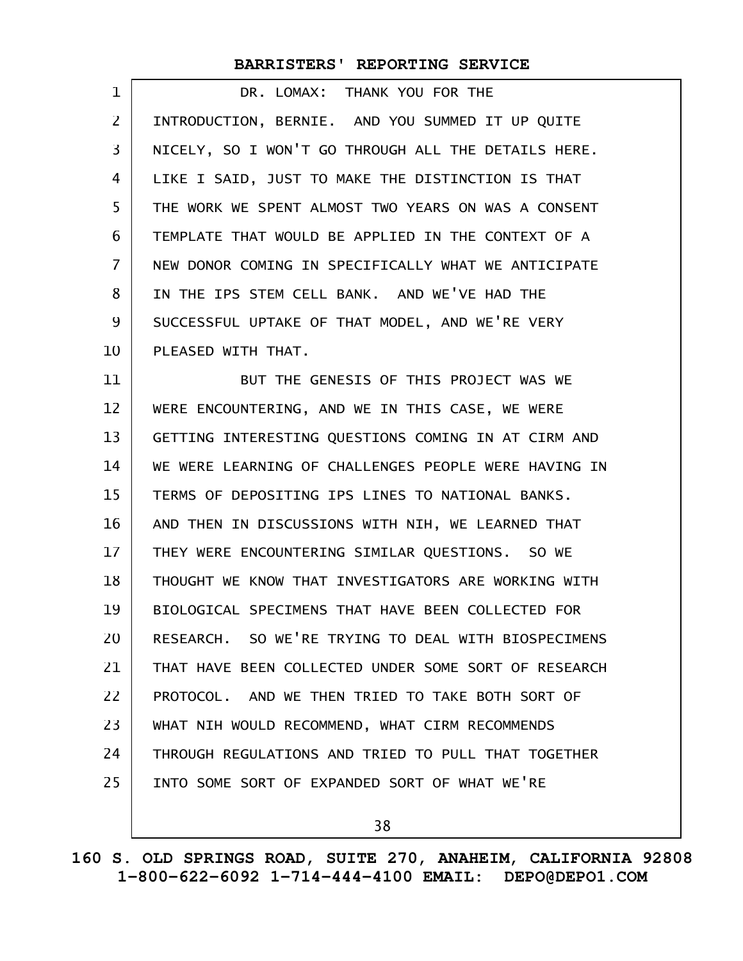| 1              | DR. LOMAX: THANK YOU FOR THE                         |
|----------------|------------------------------------------------------|
| $\overline{2}$ | INTRODUCTION, BERNIE. AND YOU SUMMED IT UP QUITE     |
| 3              | NICELY, SO I WON'T GO THROUGH ALL THE DETAILS HERE.  |
| 4              | LIKE I SAID, JUST TO MAKE THE DISTINCTION IS THAT    |
| 5              | THE WORK WE SPENT ALMOST TWO YEARS ON WAS A CONSENT  |
| 6              | TEMPLATE THAT WOULD BE APPLIED IN THE CONTEXT OF A   |
| $\overline{7}$ | NEW DONOR COMING IN SPECIFICALLY WHAT WE ANTICIPATE  |
| 8              | IN THE IPS STEM CELL BANK. AND WE'VE HAD THE         |
| 9              | SUCCESSFUL UPTAKE OF THAT MODEL, AND WE'RE VERY      |
| 10             | PLEASED WITH THAT.                                   |
| 11             | BUT THE GENESIS OF THIS PROJECT WAS WE               |
| 12             | WERE ENCOUNTERING, AND WE IN THIS CASE, WE WERE      |
| 13             | GETTING INTERESTING QUESTIONS COMING IN AT CIRM AND  |
| 14             | WE WERE LEARNING OF CHALLENGES PEOPLE WERE HAVING IN |
| 15             | TERMS OF DEPOSITING IPS LINES TO NATIONAL BANKS.     |
| 16             | AND THEN IN DISCUSSIONS WITH NIH, WE LEARNED THAT    |
| 17             | THEY WERE ENCOUNTERING SIMILAR QUESTIONS. SO WE      |
| 18             | THOUGHT WE KNOW THAT INVESTIGATORS ARE WORKING WITH  |
| 19             | BIOLOGICAL SPECIMENS THAT HAVE BEEN COLLECTED FOR    |
| 20             | RESEARCH. SO WE'RE TRYING TO DEAL WITH BIOSPECIMENS  |
| 21             | THAT HAVE BEEN COLLECTED UNDER SOME SORT OF RESEARCH |
| 22             | PROTOCOL. AND WE THEN TRIED TO TAKE BOTH SORT OF     |
| 23             | WHAT NIH WOULD RECOMMEND, WHAT CIRM RECOMMENDS       |
| 24             | THROUGH REGULATIONS AND TRIED TO PULL THAT TOGETHER  |
| 25             | INTO SOME SORT OF EXPANDED SORT OF WHAT WE'RE        |
|                |                                                      |

38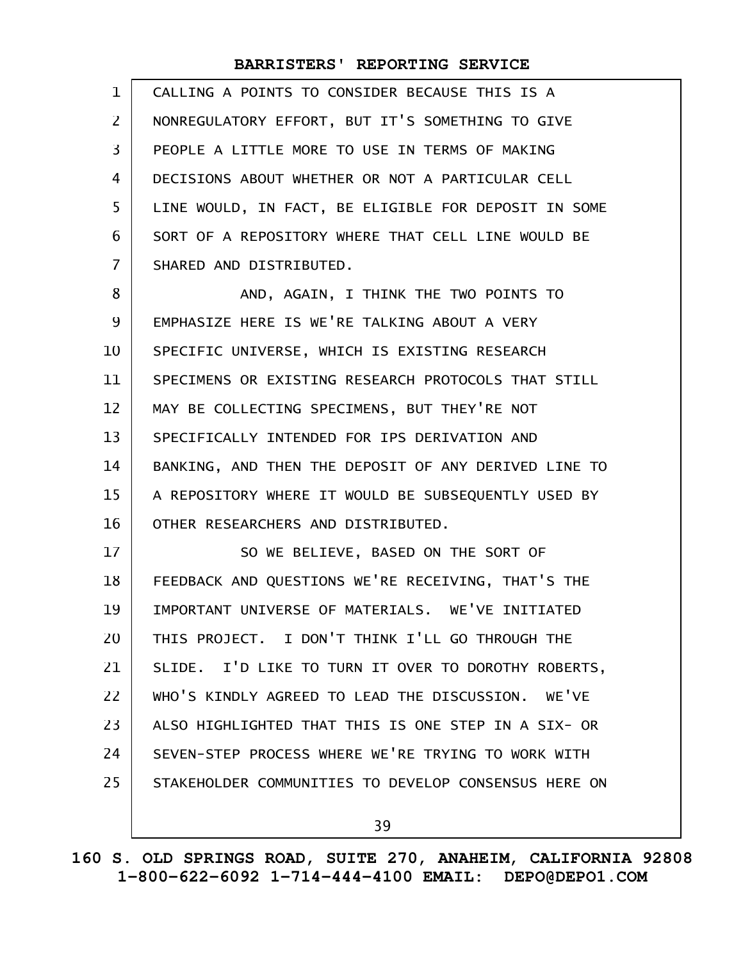| $\mathbf{1}$   | CALLING A POINTS TO CONSIDER BECAUSE THIS IS A       |
|----------------|------------------------------------------------------|
| $\overline{2}$ | NONREGULATORY EFFORT, BUT IT'S SOMETHING TO GIVE     |
| 3              | PEOPLE A LITTLE MORE TO USE IN TERMS OF MAKING       |
| 4              | DECISIONS ABOUT WHETHER OR NOT A PARTICULAR CELL     |
| 5              | LINE WOULD, IN FACT, BE ELIGIBLE FOR DEPOSIT IN SOME |
| 6              | SORT OF A REPOSITORY WHERE THAT CELL LINE WOULD BE   |
| $\overline{7}$ | SHARED AND DISTRIBUTED.                              |
| 8              | AND, AGAIN, I THINK THE TWO POINTS TO                |
| 9              | EMPHASIZE HERE IS WE'RE TALKING ABOUT A VERY         |
| 10             | SPECIFIC UNIVERSE, WHICH IS EXISTING RESEARCH        |
| 11             | SPECIMENS OR EXISTING RESEARCH PROTOCOLS THAT STILL  |
| 12             | MAY BE COLLECTING SPECIMENS, BUT THEY'RE NOT         |
| 13             | SPECIFICALLY INTENDED FOR IPS DERIVATION AND         |
| 14             | BANKING, AND THEN THE DEPOSIT OF ANY DERIVED LINE TO |
| 15             | A REPOSITORY WHERE IT WOULD BE SUBSEQUENTLY USED BY  |
| 16             | OTHER RESEARCHERS AND DISTRIBUTED.                   |
| 17             | SO WE BELIEVE, BASED ON THE SORT OF                  |
| 18             | FEEDBACK AND QUESTIONS WE'RE RECEIVING, THAT'S THE   |
| 19             | IMPORTANT UNIVERSE OF MATERIALS. WE'VE INITIATED     |
| 20             | THIS PROJECT. I DON'T THINK I'LL GO THROUGH THE      |
| 21             | SLIDE. I'D LIKE TO TURN IT OVER TO DOROTHY ROBERTS,  |
| 22             | WHO'S KINDLY AGREED TO LEAD THE DISCUSSION. WE'VE    |
| 23             | ALSO HIGHLIGHTED THAT THIS IS ONE STEP IN A SIX- OR  |
| 24             | SEVEN-STEP PROCESS WHERE WE'RE TRYING TO WORK WITH   |
| 25             | STAKEHOLDER COMMUNITIES TO DEVELOP CONSENSUS HERE ON |
|                | 39                                                   |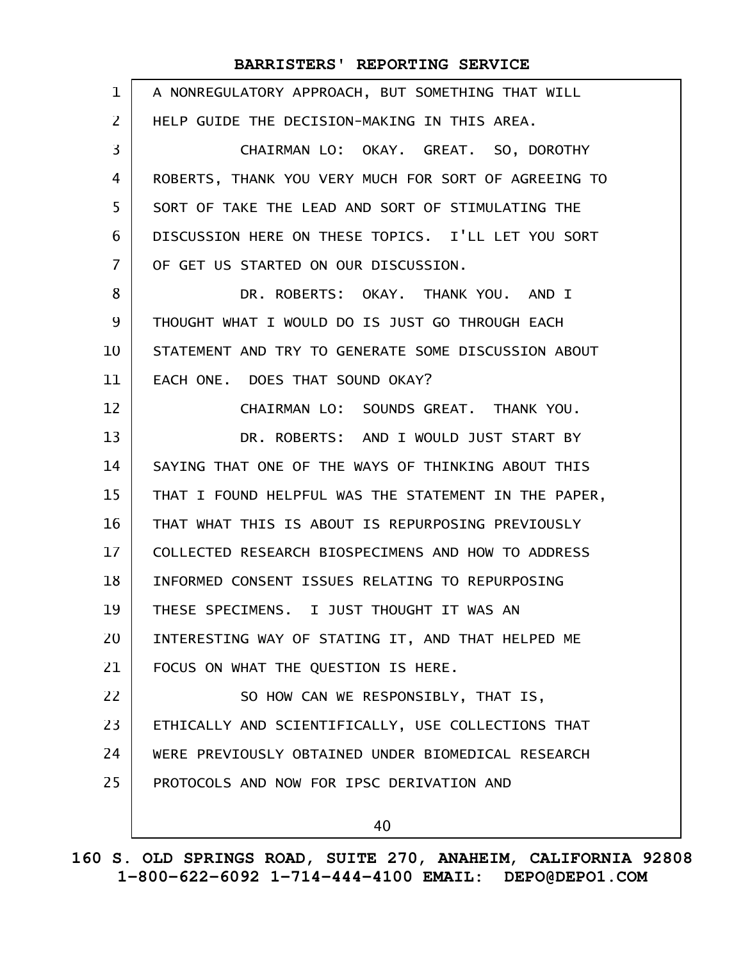| $\mathbf{1}$   | A NONREGULATORY APPROACH, BUT SOMETHING THAT WILL    |
|----------------|------------------------------------------------------|
| $\overline{2}$ | HELP GUIDE THE DECISION-MAKING IN THIS AREA.         |
| 3              | CHAIRMAN LO: OKAY. GREAT. SO, DOROTHY                |
| 4              | ROBERTS, THANK YOU VERY MUCH FOR SORT OF AGREEING TO |
| 5              | SORT OF TAKE THE LEAD AND SORT OF STIMULATING THE    |
| 6              | DISCUSSION HERE ON THESE TOPICS. I'LL LET YOU SORT   |
| 7              | OF GET US STARTED ON OUR DISCUSSION.                 |
| 8              | DR. ROBERTS: OKAY. THANK YOU. AND I                  |
| 9              | THOUGHT WHAT I WOULD DO IS JUST GO THROUGH EACH      |
| 10             | STATEMENT AND TRY TO GENERATE SOME DISCUSSION ABOUT  |
| 11             | EACH ONE. DOES THAT SOUND OKAY?                      |
| 12             | CHAIRMAN LO: SOUNDS GREAT. THANK YOU.                |
| 13             | DR. ROBERTS: AND I WOULD JUST START BY               |
| 14             | SAYING THAT ONE OF THE WAYS OF THINKING ABOUT THIS   |
| 15             | THAT I FOUND HELPFUL WAS THE STATEMENT IN THE PAPER, |
| 16             | THAT WHAT THIS IS ABOUT IS REPURPOSING PREVIOUSLY    |
| 17             | COLLECTED RESEARCH BIOSPECIMENS AND HOW TO ADDRESS   |
| 18             | INFORMED CONSENT ISSUES RELATING TO REPURPOSING      |
| 19             | THESE SPECIMENS. I JUST THOUGHT IT WAS AN            |
| 20             | INTERESTING WAY OF STATING IT, AND THAT HELPED ME    |
| 21             | FOCUS ON WHAT THE QUESTION IS HERE.                  |
| 22             | SO HOW CAN WE RESPONSIBLY, THAT IS,                  |
| 23             | ETHICALLY AND SCIENTIFICALLY, USE COLLECTIONS THAT   |
| 24             | WERE PREVIOUSLY OBTAINED UNDER BIOMEDICAL RESEARCH   |
| 25             | PROTOCOLS AND NOW FOR IPSC DERIVATION AND            |
|                | 40                                                   |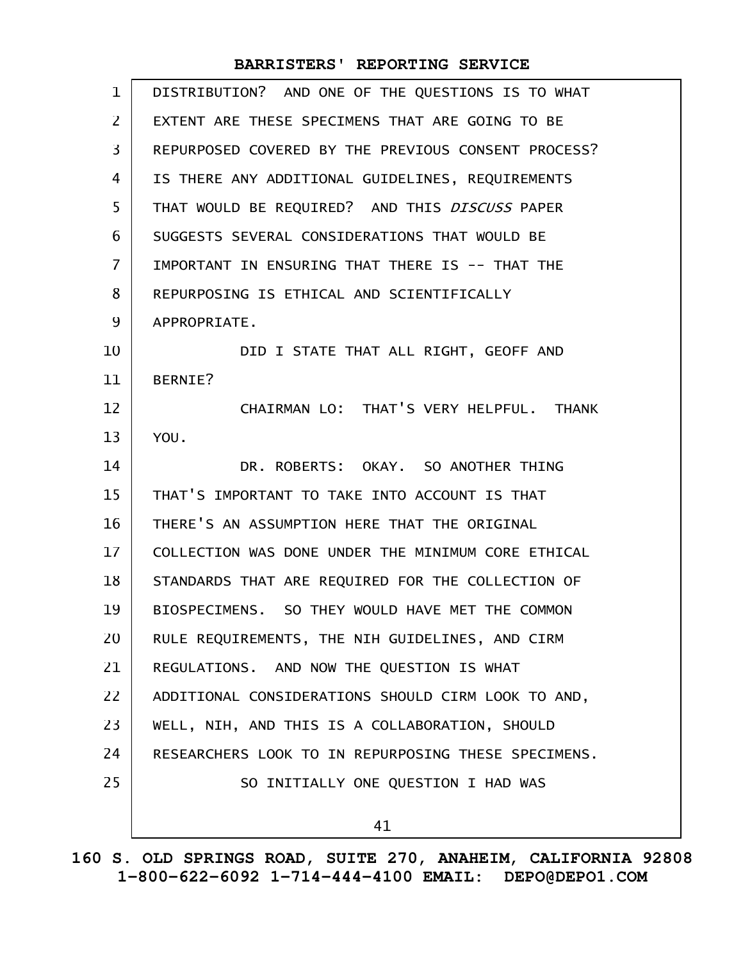| $\mathbf{1}$   | DISTRIBUTION? AND ONE OF THE QUESTIONS IS TO WHAT   |
|----------------|-----------------------------------------------------|
| $\overline{2}$ | EXTENT ARE THESE SPECIMENS THAT ARE GOING TO BE     |
| 3              | REPURPOSED COVERED BY THE PREVIOUS CONSENT PROCESS? |
| 4              | IS THERE ANY ADDITIONAL GUIDELINES, REQUIREMENTS    |
| 5              | THAT WOULD BE REQUIRED? AND THIS DISCUSS PAPER      |
| 6              | SUGGESTS SEVERAL CONSIDERATIONS THAT WOULD BE       |
| $\overline{7}$ | IMPORTANT IN ENSURING THAT THERE IS -- THAT THE     |
| 8              | REPURPOSING IS ETHICAL AND SCIENTIFICALLY           |
| 9              | APPROPRIATE.                                        |
| 10             | DID I STATE THAT ALL RIGHT, GEOFF AND               |
| 11             | <b>BERNIE?</b>                                      |
| 12             | CHAIRMAN LO: THAT'S VERY HELPFUL. THANK             |
| 13             | YOU.                                                |
| 14             | DR. ROBERTS: OKAY. SO ANOTHER THING                 |
| 15             | THAT'S IMPORTANT TO TAKE INTO ACCOUNT IS THAT       |
| 16             | THERE'S AN ASSUMPTION HERE THAT THE ORIGINAL        |
| 17             | COLLECTION WAS DONE UNDER THE MINIMUM CORE ETHICAL  |
| 18             | STANDARDS THAT ARE REQUIRED FOR THE COLLECTION OF   |
| 19             | BIOSPECIMENS. SO THEY WOULD HAVE MET THE COMMON     |
| 20             | RULE REQUIREMENTS, THE NIH GUIDELINES, AND CIRM     |
| 21             | REGULATIONS. AND NOW THE QUESTION IS WHAT           |
| 22             | ADDITIONAL CONSIDERATIONS SHOULD CIRM LOOK TO AND,  |
| 23             | WELL, NIH, AND THIS IS A COLLABORATION, SHOULD      |
| 24             | RESEARCHERS LOOK TO IN REPURPOSING THESE SPECIMENS. |
| 25             | SO INITIALLY ONE QUESTION I HAD WAS                 |
|                | 41                                                  |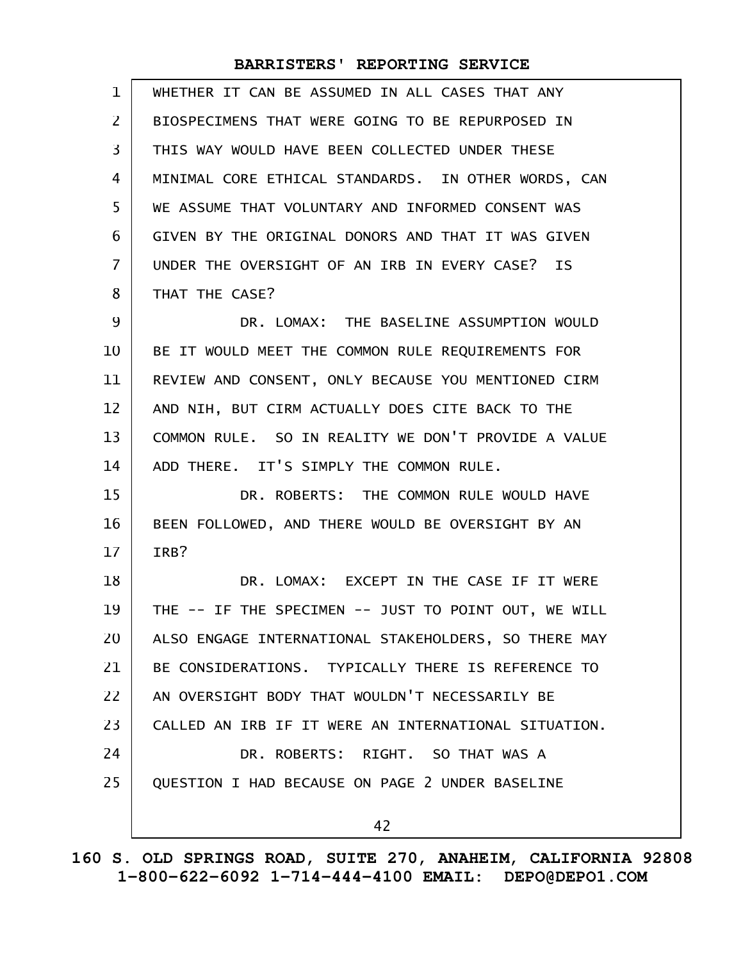| $\mathbf{1}$      | WHETHER IT CAN BE ASSUMED IN ALL CASES THAT ANY      |
|-------------------|------------------------------------------------------|
| 2                 | BIOSPECIMENS THAT WERE GOING TO BE REPURPOSED IN     |
| 3                 | THIS WAY WOULD HAVE BEEN COLLECTED UNDER THESE       |
| 4                 | MINIMAL CORE ETHICAL STANDARDS. IN OTHER WORDS, CAN  |
| 5                 | WE ASSUME THAT VOLUNTARY AND INFORMED CONSENT WAS    |
| 6                 | GIVEN BY THE ORIGINAL DONORS AND THAT IT WAS GIVEN   |
| $\overline{7}$    | UNDER THE OVERSIGHT OF AN IRB IN EVERY CASE? IS      |
| 8                 | THAT THE CASE?                                       |
| 9                 | DR. LOMAX: THE BASELINE ASSUMPTION WOULD             |
| 10                | BE IT WOULD MEET THE COMMON RULE REQUIREMENTS FOR    |
| 11                | REVIEW AND CONSENT, ONLY BECAUSE YOU MENTIONED CIRM  |
| $12 \overline{ }$ | AND NIH, BUT CIRM ACTUALLY DOES CITE BACK TO THE     |
| 13                | COMMON RULE. SO IN REALITY WE DON'T PROVIDE A VALUE  |
| 14                | ADD THERE. IT'S SIMPLY THE COMMON RULE.              |
| 15                | DR. ROBERTS: THE COMMON RULE WOULD HAVE              |
| 16                | BEEN FOLLOWED, AND THERE WOULD BE OVERSIGHT BY AN    |
| 17                | IRB?                                                 |
| 18                | DR. LOMAX: EXCEPT IN THE CASE IF IT WERE             |
| 19                | THE -- IF THE SPECIMEN -- JUST TO POINT OUT, WE WILL |
| 20                | ALSO ENGAGE INTERNATIONAL STAKEHOLDERS, SO THERE MAY |
| 21                | BE CONSIDERATIONS. TYPICALLY THERE IS REFERENCE TO   |
| 22                | AN OVERSIGHT BODY THAT WOULDN'T NECESSARILY BE       |
| 23                | CALLED AN IRB IF IT WERE AN INTERNATIONAL SITUATION. |
| 24                | DR. ROBERTS: RIGHT. SO THAT WAS A                    |
| 25                | QUESTION I HAD BECAUSE ON PAGE 2 UNDER BASELINE      |
|                   | 42                                                   |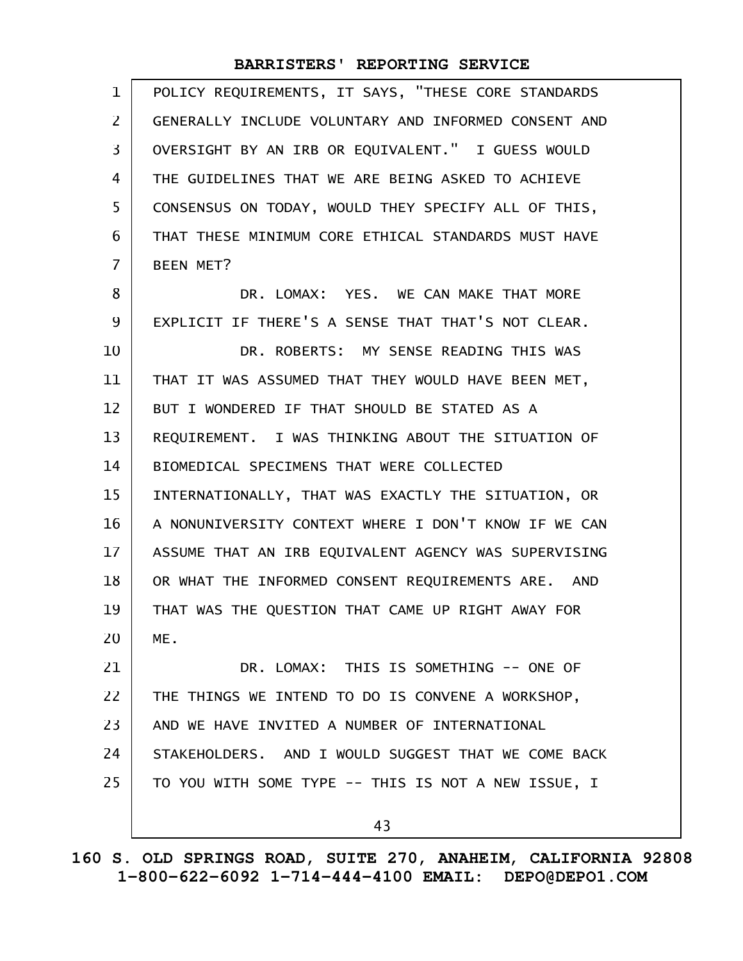| 1              | POLICY REQUIREMENTS, IT SAYS, "THESE CORE STANDARDS  |
|----------------|------------------------------------------------------|
| $\overline{2}$ | GENERALLY INCLUDE VOLUNTARY AND INFORMED CONSENT AND |
| 3              | OVERSIGHT BY AN IRB OR EQUIVALENT." I GUESS WOULD    |
| 4              | THE GUIDELINES THAT WE ARE BEING ASKED TO ACHIEVE    |
| 5              | CONSENSUS ON TODAY, WOULD THEY SPECIFY ALL OF THIS,  |
| 6              | THAT THESE MINIMUM CORE ETHICAL STANDARDS MUST HAVE  |
| $\overline{7}$ | <b>BEEN MET?</b>                                     |
| 8              | DR. LOMAX: YES. WE CAN MAKE THAT MORE                |
| 9              | EXPLICIT IF THERE'S A SENSE THAT THAT'S NOT CLEAR.   |
| 10             | DR. ROBERTS: MY SENSE READING THIS WAS               |
| 11             | THAT IT WAS ASSUMED THAT THEY WOULD HAVE BEEN MET,   |
| 12             | BUT I WONDERED IF THAT SHOULD BE STATED AS A         |
| 13             | REQUIREMENT. I WAS THINKING ABOUT THE SITUATION OF   |
| 14             | BIOMEDICAL SPECIMENS THAT WERE COLLECTED             |
| 15             | INTERNATIONALLY, THAT WAS EXACTLY THE SITUATION, OR  |
| 16             | A NONUNIVERSITY CONTEXT WHERE I DON'T KNOW IF WE CAN |
| 17             | ASSUME THAT AN IRB EQUIVALENT AGENCY WAS SUPERVISING |
| 18             | OR WHAT THE INFORMED CONSENT REQUIREMENTS ARE. AND   |
| 19             | THAT WAS THE QUESTION THAT CAME UP RIGHT AWAY FOR    |
| 20             | ME.                                                  |
| 21             | DR. LOMAX: THIS IS SOMETHING -- ONE OF               |
| 22             | THE THINGS WE INTEND TO DO IS CONVENE A WORKSHOP,    |
| 23             | AND WE HAVE INVITED A NUMBER OF INTERNATIONAL        |
| 24             | STAKEHOLDERS. AND I WOULD SUGGEST THAT WE COME BACK  |
| 25             | TO YOU WITH SOME TYPE -- THIS IS NOT A NEW ISSUE, I  |
|                | 43                                                   |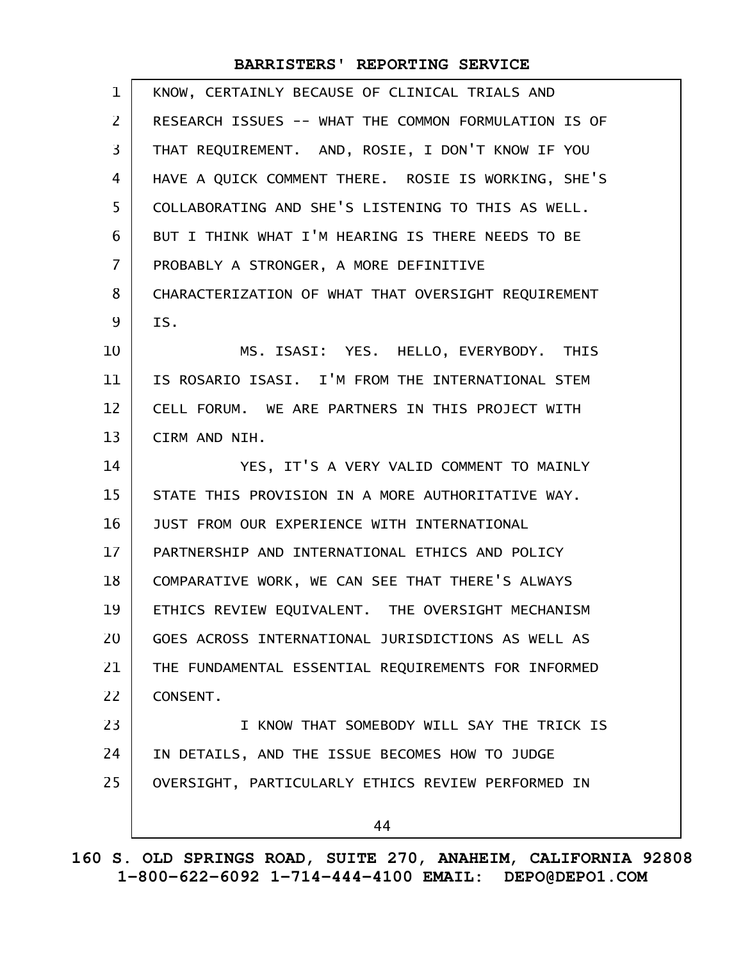| $\mathbf 1$    | KNOW, CERTAINLY BECAUSE OF CLINICAL TRIALS AND       |
|----------------|------------------------------------------------------|
| $\overline{2}$ | RESEARCH ISSUES -- WHAT THE COMMON FORMULATION IS OF |
| 3              | THAT REQUIREMENT. AND, ROSIE, I DON'T KNOW IF YOU    |
| 4              | HAVE A QUICK COMMENT THERE. ROSIE IS WORKING, SHE'S  |
| 5              | COLLABORATING AND SHE'S LISTENING TO THIS AS WELL.   |
| 6              | BUT I THINK WHAT I'M HEARING IS THERE NEEDS TO BE    |
| $\overline{7}$ | PROBABLY A STRONGER, A MORE DEFINITIVE               |
| 8              | CHARACTERIZATION OF WHAT THAT OVERSIGHT REQUIREMENT  |
| 9              | IS.                                                  |
| 10             | MS. ISASI: YES. HELLO, EVERYBODY. THIS               |
| 11             | IS ROSARIO ISASI. I'M FROM THE INTERNATIONAL STEM    |
| 12             | CELL FORUM. WE ARE PARTNERS IN THIS PROJECT WITH     |
| 13             | CIRM AND NIH.                                        |
| 14             | YES, IT'S A VERY VALID COMMENT TO MAINLY             |
| 15             | STATE THIS PROVISION IN A MORE AUTHORITATIVE WAY.    |
| 16             | JUST FROM OUR EXPERIENCE WITH INTERNATIONAL          |
| 17             | PARTNERSHIP AND INTERNATIONAL ETHICS AND POLICY      |
| 18             | COMPARATIVE WORK, WE CAN SEE THAT THERE'S ALWAYS     |
| 19             | ETHICS REVIEW EQUIVALENT. THE OVERSIGHT MECHANISM    |
| 20             | GOES ACROSS INTERNATIONAL JURISDICTIONS AS WELL AS   |
| 21             | THE FUNDAMENTAL ESSENTIAL REQUIREMENTS FOR INFORMED  |
| 22             | CONSENT.                                             |
| 23             | I KNOW THAT SOMEBODY WILL SAY THE TRICK IS           |
| 24             | IN DETAILS, AND THE ISSUE BECOMES HOW TO JUDGE       |
| 25             | OVERSIGHT, PARTICULARLY ETHICS REVIEW PERFORMED IN   |
|                | 44                                                   |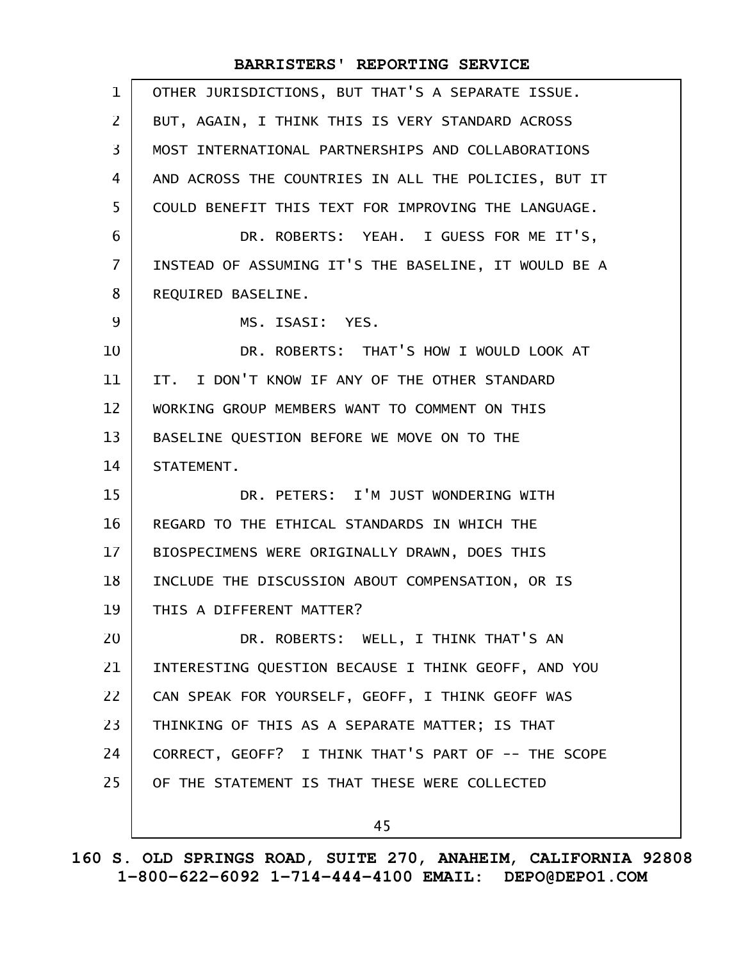| $\mathbf{1}$   | OTHER JURISDICTIONS, BUT THAT'S A SEPARATE ISSUE.    |
|----------------|------------------------------------------------------|
| $\overline{2}$ | BUT, AGAIN, I THINK THIS IS VERY STANDARD ACROSS     |
| 3              | MOST INTERNATIONAL PARTNERSHIPS AND COLLABORATIONS   |
| 4              | AND ACROSS THE COUNTRIES IN ALL THE POLICIES, BUT IT |
| 5              | COULD BENEFIT THIS TEXT FOR IMPROVING THE LANGUAGE.  |
| 6              | DR. ROBERTS: YEAH. I GUESS FOR ME IT'S,              |
| $\overline{7}$ | INSTEAD OF ASSUMING IT'S THE BASELINE, IT WOULD BE A |
| 8              | REQUIRED BASELINE.                                   |
| 9              | MS. ISASI: YES.                                      |
| 10             | DR. ROBERTS: THAT'S HOW I WOULD LOOK AT              |
| 11             | IT. I DON'T KNOW IF ANY OF THE OTHER STANDARD        |
| 12             | WORKING GROUP MEMBERS WANT TO COMMENT ON THIS        |
| 13             | BASELINE QUESTION BEFORE WE MOVE ON TO THE           |
| 14             | STATEMENT.                                           |
| 15             | DR. PETERS: I'M JUST WONDERING WITH                  |
| 16             | REGARD TO THE ETHICAL STANDARDS IN WHICH THE         |
| 17             | BIOSPECIMENS WERE ORIGINALLY DRAWN, DOES THIS        |
| 18             | INCLUDE THE DISCUSSION ABOUT COMPENSATION, OR IS     |
| 19             | THIS A DIFFERENT MATTER?                             |
| 20             | DR. ROBERTS: WELL, I THINK THAT'S AN                 |
| 21             | INTERESTING QUESTION BECAUSE I THINK GEOFF, AND YOU  |
| 22             | CAN SPEAK FOR YOURSELF, GEOFF, I THINK GEOFF WAS     |
| 23             | THINKING OF THIS AS A SEPARATE MATTER; IS THAT       |
| 24             | CORRECT, GEOFF? I THINK THAT'S PART OF -- THE SCOPE  |
| 25             | OF THE STATEMENT IS THAT THESE WERE COLLECTED        |
|                | 45                                                   |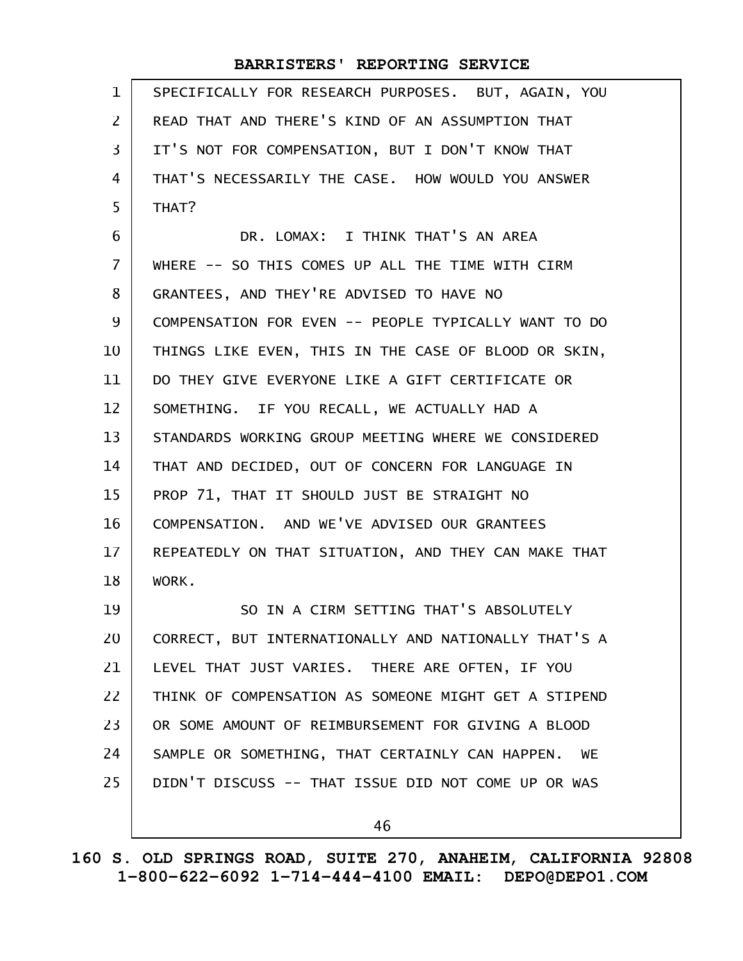| $\mathbf{1}$   | SPECIFICALLY FOR RESEARCH PURPOSES. BUT, AGAIN, YOU  |
|----------------|------------------------------------------------------|
| $\overline{2}$ | READ THAT AND THERE'S KIND OF AN ASSUMPTION THAT     |
| 3              | IT'S NOT FOR COMPENSATION, BUT I DON'T KNOW THAT     |
| 4              | THAT'S NECESSARILY THE CASE. HOW WOULD YOU ANSWER    |
| 5              | THAT?                                                |
| 6              | DR. LOMAX: I THINK THAT'S AN AREA                    |
| $\overline{7}$ | WHERE -- SO THIS COMES UP ALL THE TIME WITH CIRM     |
| 8              | GRANTEES, AND THEY'RE ADVISED TO HAVE NO             |
| 9              | COMPENSATION FOR EVEN -- PEOPLE TYPICALLY WANT TO DO |
| 10             | THINGS LIKE EVEN, THIS IN THE CASE OF BLOOD OR SKIN, |
| 11             | DO THEY GIVE EVERYONE LIKE A GIFT CERTIFICATE OR     |
| 12             | SOMETHING. IF YOU RECALL, WE ACTUALLY HAD A          |
| 13             | STANDARDS WORKING GROUP MEETING WHERE WE CONSIDERED  |
| 14             | THAT AND DECIDED, OUT OF CONCERN FOR LANGUAGE IN     |
| 15             | PROP 71, THAT IT SHOULD JUST BE STRAIGHT NO          |
| 16             | COMPENSATION. AND WE'VE ADVISED OUR GRANTEES         |
| 17             | REPEATEDLY ON THAT SITUATION, AND THEY CAN MAKE THAT |
| 18             | WORK.                                                |
| 19             | SO IN A CIRM SETTING THAT'S ABSOLUTELY               |
| 20             | CORRECT, BUT INTERNATIONALLY AND NATIONALLY THAT'S A |
| 21             | LEVEL THAT JUST VARIES. THERE ARE OFTEN, IF YOU      |
| 22             | THINK OF COMPENSATION AS SOMEONE MIGHT GET A STIPEND |
| 23             | OR SOME AMOUNT OF REIMBURSEMENT FOR GIVING A BLOOD   |
| 24             | SAMPLE OR SOMETHING, THAT CERTAINLY CAN HAPPEN. WE   |
| 25             | DIDN'T DISCUSS -- THAT ISSUE DID NOT COME UP OR WAS  |
|                |                                                      |
|                | 46                                                   |

**160 S. OLD SPRINGS ROAD, SUITE 270, ANAHEIM, CALIFORNIA 92808 1-800-622-6092 1-714-444-4100 EMAIL: DEPO@DEPO1.COM**

 $\mathsf{l}$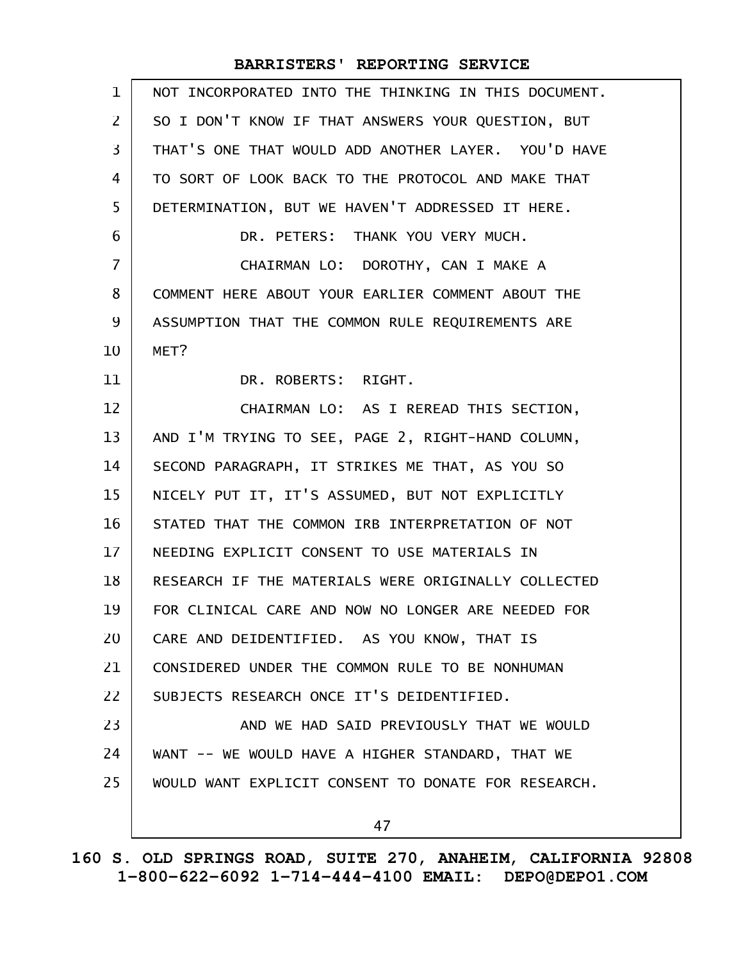| $\mathbf{1}$   | NOT INCORPORATED INTO THE THINKING IN THIS DOCUMENT. |
|----------------|------------------------------------------------------|
| $\overline{2}$ | SO I DON'T KNOW IF THAT ANSWERS YOUR QUESTION, BUT   |
| 3              | THAT'S ONE THAT WOULD ADD ANOTHER LAYER. YOU'D HAVE  |
| 4              | TO SORT OF LOOK BACK TO THE PROTOCOL AND MAKE THAT   |
| 5              | DETERMINATION, BUT WE HAVEN'T ADDRESSED IT HERE.     |
| 6              | DR. PETERS: THANK YOU VERY MUCH.                     |
| $\overline{7}$ | CHAIRMAN LO: DOROTHY, CAN I MAKE A                   |
| 8              | COMMENT HERE ABOUT YOUR EARLIER COMMENT ABOUT THE    |
| 9              | ASSUMPTION THAT THE COMMON RULE REQUIREMENTS ARE     |
| 10             | MET?                                                 |
| 11             | DR. ROBERTS: RIGHT.                                  |
| 12             | CHAIRMAN LO: AS I REREAD THIS SECTION,               |
| 13             | AND I'M TRYING TO SEE, PAGE 2, RIGHT-HAND COLUMN,    |
| 14             | SECOND PARAGRAPH, IT STRIKES ME THAT, AS YOU SO      |
| 15             | NICELY PUT IT, IT'S ASSUMED, BUT NOT EXPLICITLY      |
| 16             | STATED THAT THE COMMON IRB INTERPRETATION OF NOT     |
| $17 \,$        | NEEDING EXPLICIT CONSENT TO USE MATERIALS IN         |
| 18             | RESEARCH IF THE MATERIALS WERE ORIGINALLY COLLECTED  |
| 19             | FOR CLINICAL CARE AND NOW NO LONGER ARE NEEDED FOR   |
| 20             | CARE AND DEIDENTIFIED. AS YOU KNOW, THAT IS          |
| 21             | CONSIDERED UNDER THE COMMON RULE TO BE NONHUMAN      |
| 22             | SUBJECTS RESEARCH ONCE IT'S DEIDENTIFIED.            |
| 23             | AND WE HAD SAID PREVIOUSLY THAT WE WOULD             |
| 24             | WANT -- WE WOULD HAVE A HIGHER STANDARD, THAT WE     |
| 25             | WOULD WANT EXPLICIT CONSENT TO DONATE FOR RESEARCH.  |
|                | 47                                                   |
|                |                                                      |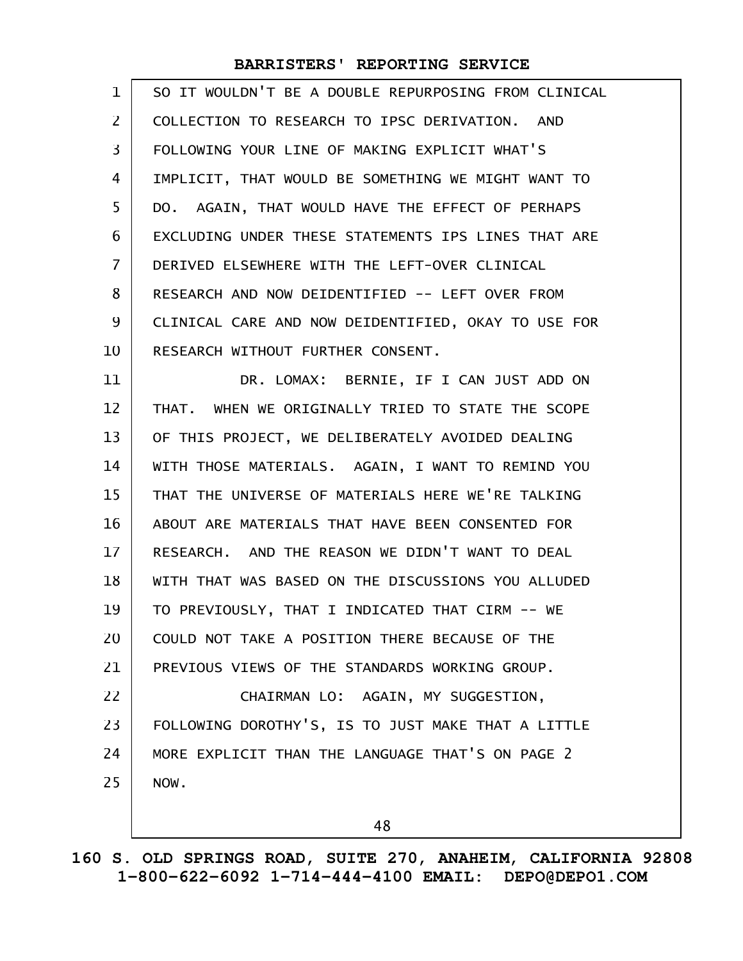| $\mathbf{1}$   | SO IT WOULDN'T BE A DOUBLE REPURPOSING FROM CLINICAL |
|----------------|------------------------------------------------------|
| $\overline{2}$ | COLLECTION TO RESEARCH TO IPSC DERIVATION. AND       |
| 3              | FOLLOWING YOUR LINE OF MAKING EXPLICIT WHAT'S        |
| 4              | IMPLICIT, THAT WOULD BE SOMETHING WE MIGHT WANT TO   |
| 5              | DO. AGAIN, THAT WOULD HAVE THE EFFECT OF PERHAPS     |
| 6              | EXCLUDING UNDER THESE STATEMENTS IPS LINES THAT ARE  |
| $\overline{7}$ | DERIVED ELSEWHERE WITH THE LEFT-OVER CLINICAL        |
| 8              | RESEARCH AND NOW DEIDENTIFIED -- LEFT OVER FROM      |
| 9              | CLINICAL CARE AND NOW DEIDENTIFIED, OKAY TO USE FOR  |
| 10             | RESEARCH WITHOUT FURTHER CONSENT.                    |
| 11             | DR. LOMAX: BERNIE, IF I CAN JUST ADD ON              |
| 12             | THAT. WHEN WE ORIGINALLY TRIED TO STATE THE SCOPE    |
| 13             | OF THIS PROJECT, WE DELIBERATELY AVOIDED DEALING     |
| 14             | WITH THOSE MATERIALS. AGAIN, I WANT TO REMIND YOU    |
| 15             | THAT THE UNIVERSE OF MATERIALS HERE WE'RE TALKING    |
| 16             | ABOUT ARE MATERIALS THAT HAVE BEEN CONSENTED FOR     |
| 17             | RESEARCH. AND THE REASON WE DIDN'T WANT TO DEAL      |
| 18             | WITH THAT WAS BASED ON THE DISCUSSIONS YOU ALLUDED   |
| 19             | TO PREVIOUSLY, THAT I INDICATED THAT CIRM -- WE      |
| 20             | COULD NOT TAKE A POSITION THERE BECAUSE OF THE       |
| 21             | PREVIOUS VIEWS OF THE STANDARDS WORKING GROUP.       |
| 22             | CHAIRMAN LO: AGAIN, MY SUGGESTION,                   |
| 23             | FOLLOWING DOROTHY'S, IS TO JUST MAKE THAT A LITTLE   |
| 24             | MORE EXPLICIT THAN THE LANGUAGE THAT'S ON PAGE 2     |
| 25             | NOW.                                                 |
|                | 48                                                   |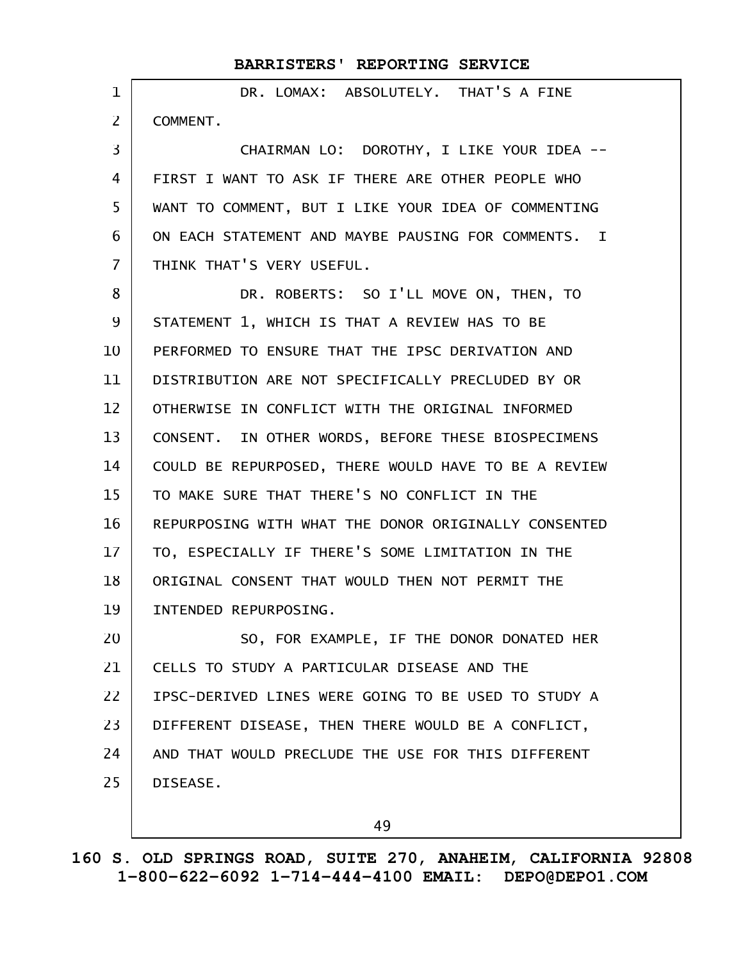| $\mathbf 1$    | DR. LOMAX: ABSOLUTELY. THAT'S A FINE                 |
|----------------|------------------------------------------------------|
| 2              | COMMENT.                                             |
| 3              | CHAIRMAN LO: DOROTHY, I LIKE YOUR IDEA --            |
| 4              | FIRST I WANT TO ASK IF THERE ARE OTHER PEOPLE WHO    |
| 5              | WANT TO COMMENT, BUT I LIKE YOUR IDEA OF COMMENTING  |
| 6              | ON EACH STATEMENT AND MAYBE PAUSING FOR COMMENTS. I  |
| $\overline{7}$ | THINK THAT'S VERY USEFUL.                            |
| 8              | DR. ROBERTS: SO I'LL MOVE ON, THEN, TO               |
| 9              | STATEMENT 1, WHICH IS THAT A REVIEW HAS TO BE        |
| 10             | PERFORMED TO ENSURE THAT THE IPSC DERIVATION AND     |
| 11             | DISTRIBUTION ARE NOT SPECIFICALLY PRECLUDED BY OR    |
| 12             | OTHERWISE IN CONFLICT WITH THE ORIGINAL INFORMED     |
| 13             | CONSENT. IN OTHER WORDS, BEFORE THESE BIOSPECIMENS   |
| 14             | COULD BE REPURPOSED, THERE WOULD HAVE TO BE A REVIEW |
| 15             | TO MAKE SURE THAT THERE'S NO CONFLICT IN THE         |
| 16             | REPURPOSING WITH WHAT THE DONOR ORIGINALLY CONSENTED |
| 17             | TO, ESPECIALLY IF THERE'S SOME LIMITATION IN THE     |
| 18             | ORIGINAL CONSENT THAT WOULD THEN NOT PERMIT THE      |
| 19             | INTENDED REPURPOSING.                                |
| 20             | SO, FOR EXAMPLE, IF THE DONOR DONATED HER            |
| 21             | CELLS TO STUDY A PARTICULAR DISEASE AND THE          |
| 22             | IPSC-DERIVED LINES WERE GOING TO BE USED TO STUDY A  |
| 23             | DIFFERENT DISEASE, THEN THERE WOULD BE A CONFLICT,   |
| 24             | AND THAT WOULD PRECLUDE THE USE FOR THIS DIFFERENT   |
| 25             | DISEASE.                                             |
|                |                                                      |

49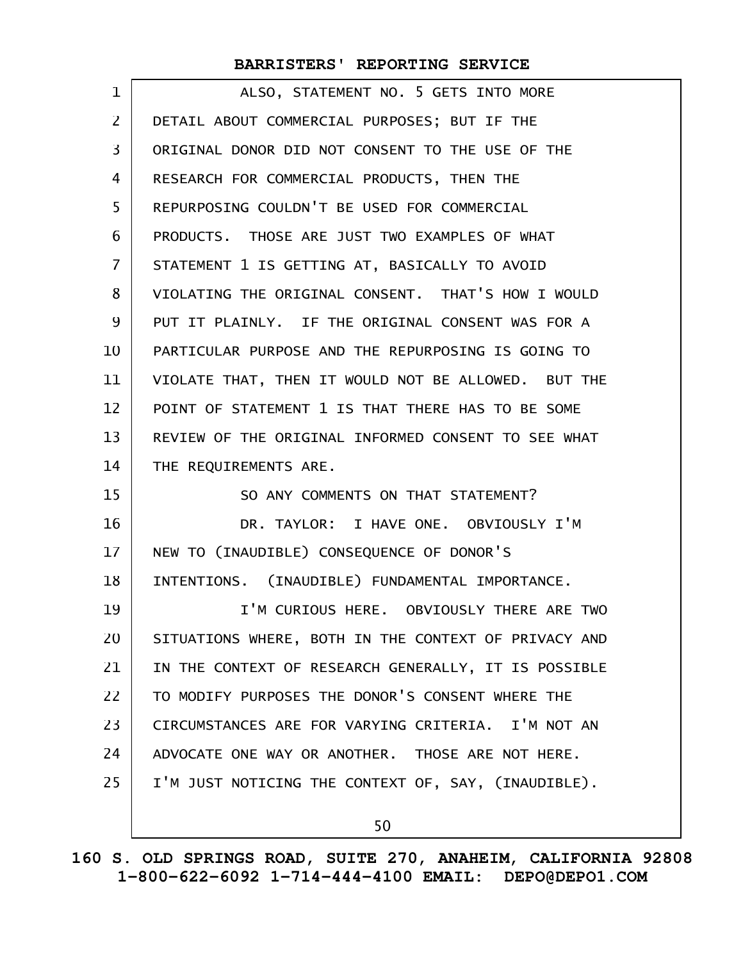| 1              | ALSO, STATEMENT NO. 5 GETS INTO MORE                 |
|----------------|------------------------------------------------------|
| 2              | DETAIL ABOUT COMMERCIAL PURPOSES; BUT IF THE         |
| 3              | ORIGINAL DONOR DID NOT CONSENT TO THE USE OF THE     |
| 4              | RESEARCH FOR COMMERCIAL PRODUCTS, THEN THE           |
| 5              | REPURPOSING COULDN'T BE USED FOR COMMERCIAL          |
| 6              | PRODUCTS. THOSE ARE JUST TWO EXAMPLES OF WHAT        |
| $\overline{7}$ | STATEMENT 1 IS GETTING AT, BASICALLY TO AVOID        |
| 8              | VIOLATING THE ORIGINAL CONSENT. THAT'S HOW I WOULD   |
| 9              | PUT IT PLAINLY. IF THE ORIGINAL CONSENT WAS FOR A    |
| 10             | PARTICULAR PURPOSE AND THE REPURPOSING IS GOING TO   |
| 11             | VIOLATE THAT, THEN IT WOULD NOT BE ALLOWED. BUT THE  |
| 12             | POINT OF STATEMENT 1 IS THAT THERE HAS TO BE SOME    |
| 13             | REVIEW OF THE ORIGINAL INFORMED CONSENT TO SEE WHAT  |
| 14             | THE REQUIREMENTS ARE.                                |
|                |                                                      |
| 15             | SO ANY COMMENTS ON THAT STATEMENT?                   |
| 16             | DR. TAYLOR: I HAVE ONE. OBVIOUSLY I'M                |
| 17             | NEW TO (INAUDIBLE) CONSEQUENCE OF DONOR'S            |
| 18             | INTENTIONS. (INAUDIBLE) FUNDAMENTAL IMPORTANCE.      |
| 19             | I'M CURIOUS HERE. OBVIOUSLY THERE ARE TWO            |
| 20             | SITUATIONS WHERE, BOTH IN THE CONTEXT OF PRIVACY AND |
| 21             | IN THE CONTEXT OF RESEARCH GENERALLY, IT IS POSSIBLE |
| 22             | TO MODIFY PURPOSES THE DONOR'S CONSENT WHERE THE     |
| 23             | CIRCUMSTANCES ARE FOR VARYING CRITERIA. I'M NOT AN   |
| 24             | ADVOCATE ONE WAY OR ANOTHER. THOSE ARE NOT HERE.     |
| 25             | I'M JUST NOTICING THE CONTEXT OF, SAY, (INAUDIBLE).  |

50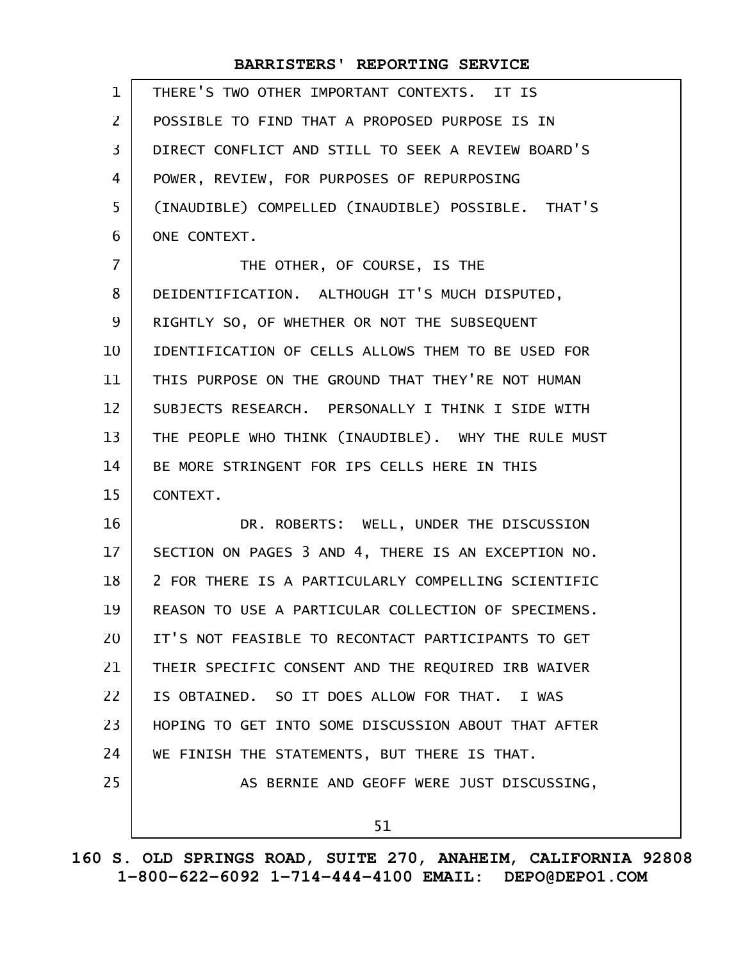| $\mathbf{1}$   | THERE'S TWO OTHER IMPORTANT CONTEXTS. IT IS         |
|----------------|-----------------------------------------------------|
| $\overline{2}$ | POSSIBLE TO FIND THAT A PROPOSED PURPOSE IS IN      |
| 3              | DIRECT CONFLICT AND STILL TO SEEK A REVIEW BOARD'S  |
| 4              | POWER, REVIEW, FOR PURPOSES OF REPURPOSING          |
| 5              | (INAUDIBLE) COMPELLED (INAUDIBLE) POSSIBLE. THAT'S  |
| 6              | ONE CONTEXT.                                        |
| $\overline{7}$ | THE OTHER, OF COURSE, IS THE                        |
| 8              | DEIDENTIFICATION. ALTHOUGH IT'S MUCH DISPUTED,      |
| 9              | RIGHTLY SO, OF WHETHER OR NOT THE SUBSEQUENT        |
| 10             | IDENTIFICATION OF CELLS ALLOWS THEM TO BE USED FOR  |
| 11             | THIS PURPOSE ON THE GROUND THAT THEY'RE NOT HUMAN   |
| 12             | SUBJECTS RESEARCH. PERSONALLY I THINK I SIDE WITH   |
| 13             | THE PEOPLE WHO THINK (INAUDIBLE). WHY THE RULE MUST |
| 14             | BE MORE STRINGENT FOR IPS CELLS HERE IN THIS        |
| 15             | CONTEXT.                                            |
| 16             | DR. ROBERTS: WELL, UNDER THE DISCUSSION             |
| 17             | SECTION ON PAGES 3 AND 4, THERE IS AN EXCEPTION NO. |
| 18             | 2 FOR THERE IS A PARTICULARLY COMPELLING SCIENTIFIC |
| 19             | REASON TO USE A PARTICULAR COLLECTION OF SPECIMENS. |
| 20             | IT'S NOT FEASIBLE TO RECONTACT PARTICIPANTS TO GET  |
| 21             | THEIR SPECIFIC CONSENT AND THE REQUIRED IRB WAIVER  |
| 22             | IS OBTAINED. SO IT DOES ALLOW FOR THAT. I WAS       |
| 23             | HOPING TO GET INTO SOME DISCUSSION ABOUT THAT AFTER |
| 24             | WE FINISH THE STATEMENTS, BUT THERE IS THAT.        |
| 25             | AS BERNIE AND GEOFF WERE JUST DISCUSSING,           |
|                | 51                                                  |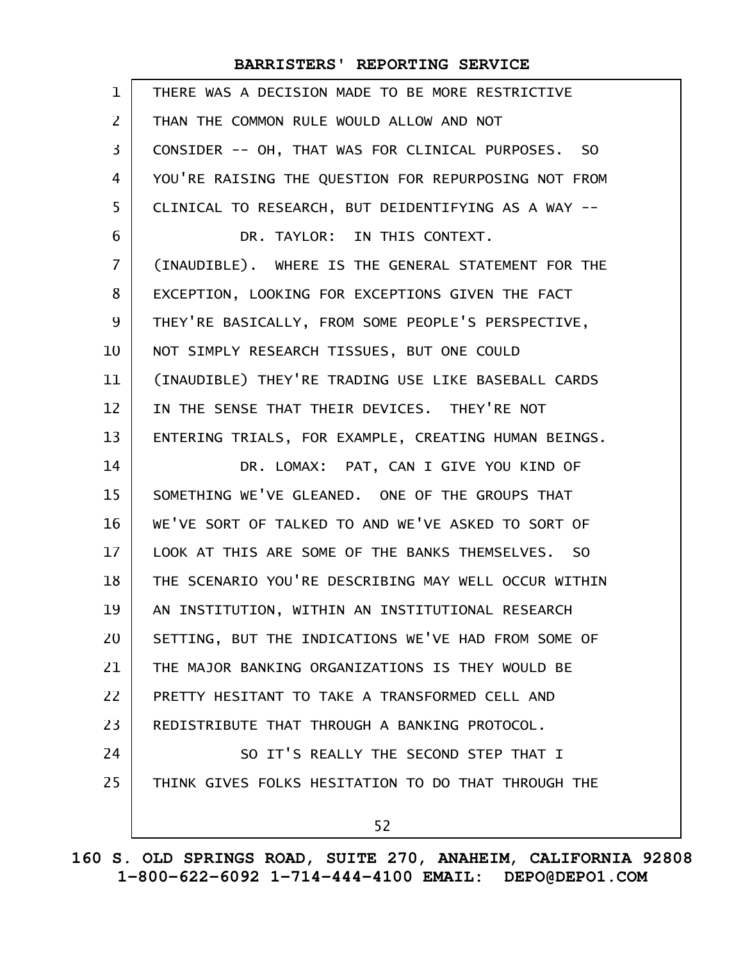| $\mathbf{1}$      | THERE WAS A DECISION MADE TO BE MORE RESTRICTIVE     |
|-------------------|------------------------------------------------------|
| $\overline{2}$    | THAN THE COMMON RULE WOULD ALLOW AND NOT             |
| $\overline{3}$    | CONSIDER -- OH, THAT WAS FOR CLINICAL PURPOSES. SO   |
| 4                 | YOU'RE RAISING THE QUESTION FOR REPURPOSING NOT FROM |
| 5                 | CLINICAL TO RESEARCH, BUT DEIDENTIFYING AS A WAY --  |
| 6                 | DR. TAYLOR: IN THIS CONTEXT.                         |
| $\overline{7}$    | (INAUDIBLE). WHERE IS THE GENERAL STATEMENT FOR THE  |
| 8                 | EXCEPTION, LOOKING FOR EXCEPTIONS GIVEN THE FACT     |
| 9                 | THEY'RE BASICALLY, FROM SOME PEOPLE'S PERSPECTIVE,   |
| 10                | NOT SIMPLY RESEARCH TISSUES, BUT ONE COULD           |
| 11                | (INAUDIBLE) THEY'RE TRADING USE LIKE BASEBALL CARDS  |
| $12 \overline{ }$ | IN THE SENSE THAT THEIR DEVICES. THEY'RE NOT         |
| 13                | ENTERING TRIALS, FOR EXAMPLE, CREATING HUMAN BEINGS. |
| 14                | DR. LOMAX: PAT, CAN I GIVE YOU KIND OF               |
| 15                | SOMETHING WE'VE GLEANED. ONE OF THE GROUPS THAT      |
| 16                | WE'VE SORT OF TALKED TO AND WE'VE ASKED TO SORT OF   |
| 17                | LOOK AT THIS ARE SOME OF THE BANKS THEMSELVES. SO    |
| 18                | THE SCENARIO YOU'RE DESCRIBING MAY WELL OCCUR WITHIN |
| 19                | AN INSTITUTION, WITHIN AN INSTITUTIONAL RESEARCH     |
| 20                | SETTING, BUT THE INDICATIONS WE'VE HAD FROM SOME OF  |
| 21                | THE MAJOR BANKING ORGANIZATIONS IS THEY WOULD BE     |
| 22                | PRETTY HESITANT TO TAKE A TRANSFORMED CELL AND       |
| 23                | REDISTRIBUTE THAT THROUGH A BANKING PROTOCOL.        |
| 24                | SO IT'S REALLY THE SECOND STEP THAT I                |
| 25                | THINK GIVES FOLKS HESITATION TO DO THAT THROUGH THE  |
|                   | 52                                                   |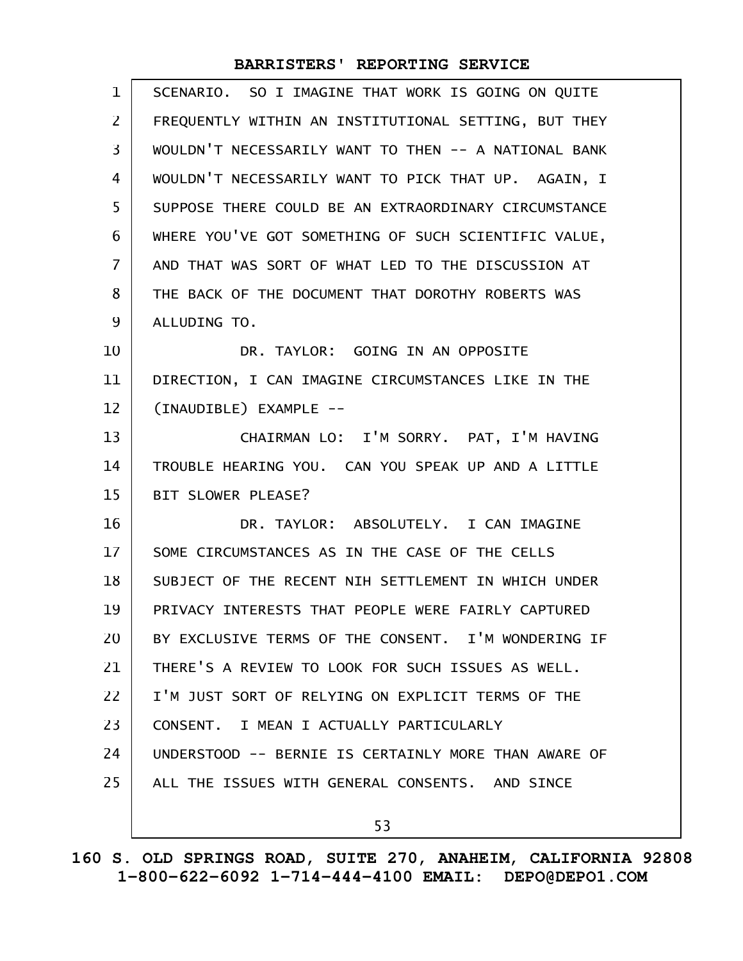| $\mathbf{1}$      | SCENARIO. SO I IMAGINE THAT WORK IS GOING ON QUITE   |
|-------------------|------------------------------------------------------|
| $\overline{2}$    | FREQUENTLY WITHIN AN INSTITUTIONAL SETTING, BUT THEY |
| $\overline{3}$    | WOULDN'T NECESSARILY WANT TO THEN -- A NATIONAL BANK |
| $\overline{4}$    | WOULDN'T NECESSARILY WANT TO PICK THAT UP. AGAIN, I  |
| 5                 | SUPPOSE THERE COULD BE AN EXTRAORDINARY CIRCUMSTANCE |
| 6                 | WHERE YOU'VE GOT SOMETHING OF SUCH SCIENTIFIC VALUE, |
| $\overline{7}$    | AND THAT WAS SORT OF WHAT LED TO THE DISCUSSION AT   |
| 8                 | THE BACK OF THE DOCUMENT THAT DOROTHY ROBERTS WAS    |
| 9                 | ALLUDING TO.                                         |
| 10                | DR. TAYLOR: GOING IN AN OPPOSITE                     |
| 11                | DIRECTION, I CAN IMAGINE CIRCUMSTANCES LIKE IN THE   |
| $12 \overline{ }$ | (INAUDIBLE) EXAMPLE --                               |
| 13                | CHAIRMAN LO: I'M SORRY. PAT, I'M HAVING              |
| 14                | TROUBLE HEARING YOU. CAN YOU SPEAK UP AND A LITTLE   |
| 15                | BIT SLOWER PLEASE?                                   |
| 16                | DR. TAYLOR: ABSOLUTELY. I CAN IMAGINE                |
| 17                | SOME CIRCUMSTANCES AS IN THE CASE OF THE CELLS       |
| 18                | SUBJECT OF THE RECENT NIH SETTLEMENT IN WHICH UNDER  |
| 19                | PRIVACY INTERESTS THAT PEOPLE WERE FAIRLY CAPTURED   |
| 20                | BY EXCLUSIVE TERMS OF THE CONSENT. I'M WONDERING IF  |
| 21                | THERE'S A REVIEW TO LOOK FOR SUCH ISSUES AS WELL.    |
| 22                | I'M JUST SORT OF RELYING ON EXPLICIT TERMS OF THE    |
| 23                | CONSENT. I MEAN I ACTUALLY PARTICULARLY              |
| 24                | UNDERSTOOD -- BERNIE IS CERTAINLY MORE THAN AWARE OF |
| 25                | ALL THE ISSUES WITH GENERAL CONSENTS. AND SINCE      |
|                   | 53                                                   |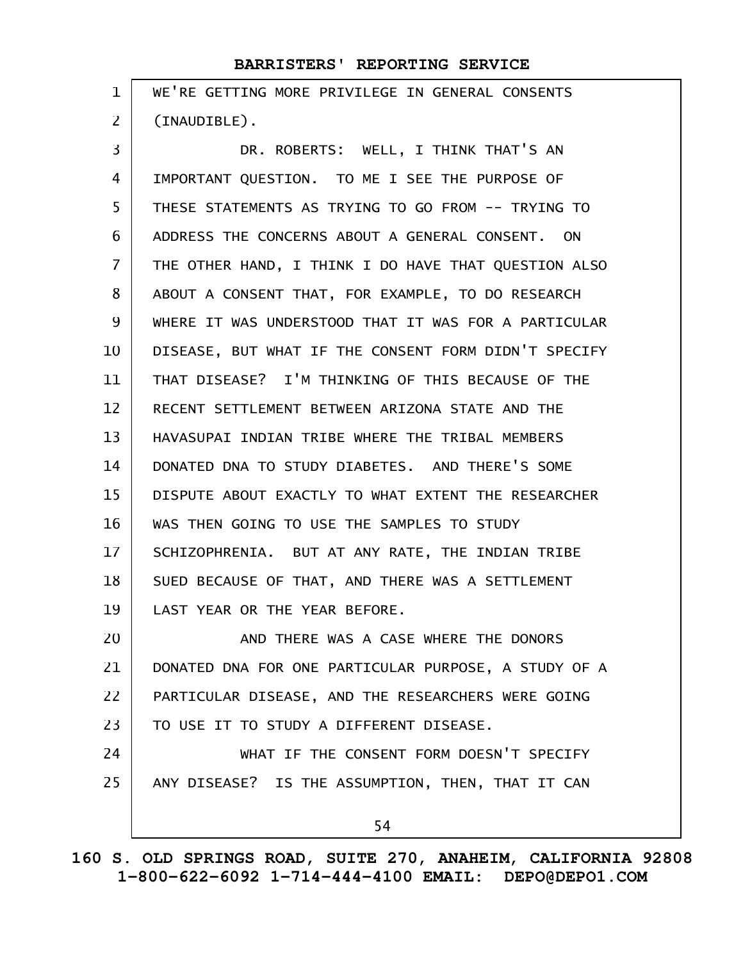| $\mathbf{1}$   | WE'RE GETTING MORE PRIVILEGE IN GENERAL CONSENTS     |
|----------------|------------------------------------------------------|
| $\overline{2}$ | (INAUDIBLE).                                         |
| 3              | DR. ROBERTS: WELL, I THINK THAT'S AN                 |
| 4              | IMPORTANT QUESTION. TO ME I SEE THE PURPOSE OF       |
| 5              | THESE STATEMENTS AS TRYING TO GO FROM -- TRYING TO   |
| 6              | ADDRESS THE CONCERNS ABOUT A GENERAL CONSENT. ON     |
| $\overline{7}$ | THE OTHER HAND, I THINK I DO HAVE THAT QUESTION ALSO |
| 8              | ABOUT A CONSENT THAT, FOR EXAMPLE, TO DO RESEARCH    |
| 9              | WHERE IT WAS UNDERSTOOD THAT IT WAS FOR A PARTICULAR |
| 10             | DISEASE, BUT WHAT IF THE CONSENT FORM DIDN'T SPECIFY |
| 11             | THAT DISEASE? I'M THINKING OF THIS BECAUSE OF THE    |
| 12             | RECENT SETTLEMENT BETWEEN ARIZONA STATE AND THE      |
| 13             | HAVASUPAI INDIAN TRIBE WHERE THE TRIBAL MEMBERS      |
| 14             | DONATED DNA TO STUDY DIABETES. AND THERE'S SOME      |
| 15             | DISPUTE ABOUT EXACTLY TO WHAT EXTENT THE RESEARCHER  |
| 16             | WAS THEN GOING TO USE THE SAMPLES TO STUDY           |
| 17             | SCHIZOPHRENIA. BUT AT ANY RATE, THE INDIAN TRIBE     |
| 18             | SUED BECAUSE OF THAT, AND THERE WAS A SETTLEMENT     |
| 19             | LAST YEAR OR THE YEAR BEFORE.                        |
| 20             | AND THERE WAS A CASE WHERE THE DONORS                |
| 21             | DONATED DNA FOR ONE PARTICULAR PURPOSE, A STUDY OF A |
| 22             | PARTICULAR DISEASE, AND THE RESEARCHERS WERE GOING   |
| 23             | TO USE IT TO STUDY A DIFFERENT DISEASE.              |
| 24             | WHAT IF THE CONSENT FORM DOESN'T SPECIFY             |
| 25             | ANY DISEASE? IS THE ASSUMPTION, THEN, THAT IT CAN    |
|                | 54                                                   |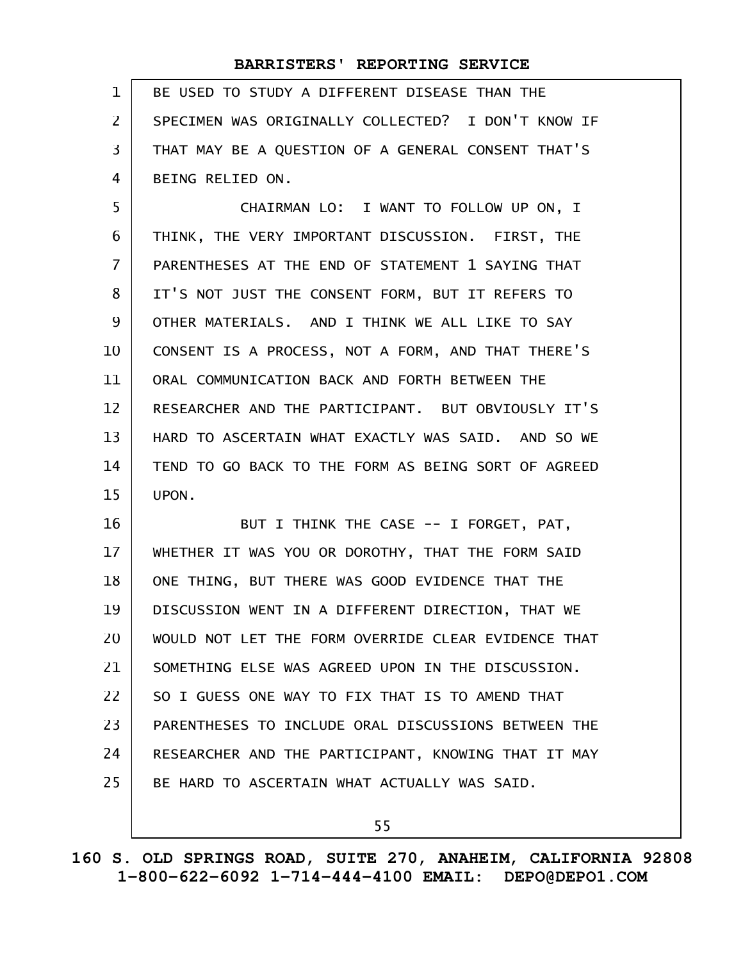BE USED TO STUDY A DIFFERENT DISEASE THAN THE SPECIMEN WAS ORIGINALLY COLLECTED? I DON'T KNOW IF THAT MAY BE A QUESTION OF A GENERAL CONSENT THAT'S BEING RELIED ON. 1 2 3 4

CHAIRMAN LO: I WANT TO FOLLOW UP ON, I THINK, THE VERY IMPORTANT DISCUSSION. FIRST, THE PARENTHESES AT THE END OF STATEMENT 1 SAYING THAT IT'S NOT JUST THE CONSENT FORM, BUT IT REFERS TO OTHER MATERIALS. AND I THINK WE ALL LIKE TO SAY CONSENT IS A PROCESS, NOT A FORM, AND THAT THERE'S ORAL COMMUNICATION BACK AND FORTH BETWEEN THE RESEARCHER AND THE PARTICIPANT. BUT OBVIOUSLY IT'S HARD TO ASCERTAIN WHAT EXACTLY WAS SAID. AND SO WE TEND TO GO BACK TO THE FORM AS BEING SORT OF AGREED UPON. 5 6 7 8 9 10 11 12 13 14 15

BUT I THINK THE CASE -- I FORGET, PAT, WHETHER IT WAS YOU OR DOROTHY, THAT THE FORM SAID ONE THING, BUT THERE WAS GOOD EVIDENCE THAT THE DISCUSSION WENT IN A DIFFERENT DIRECTION, THAT WE WOULD NOT LET THE FORM OVERRIDE CLEAR EVIDENCE THAT SOMETHING ELSE WAS AGREED UPON IN THE DISCUSSION. SO I GUESS ONE WAY TO FIX THAT IS TO AMEND THAT PARENTHESES TO INCLUDE ORAL DISCUSSIONS BETWEEN THE RESEARCHER AND THE PARTICIPANT, KNOWING THAT IT MAY BE HARD TO ASCERTAIN WHAT ACTUALLY WAS SAID. 16 17 18 19 20 21 22 23 24 25

55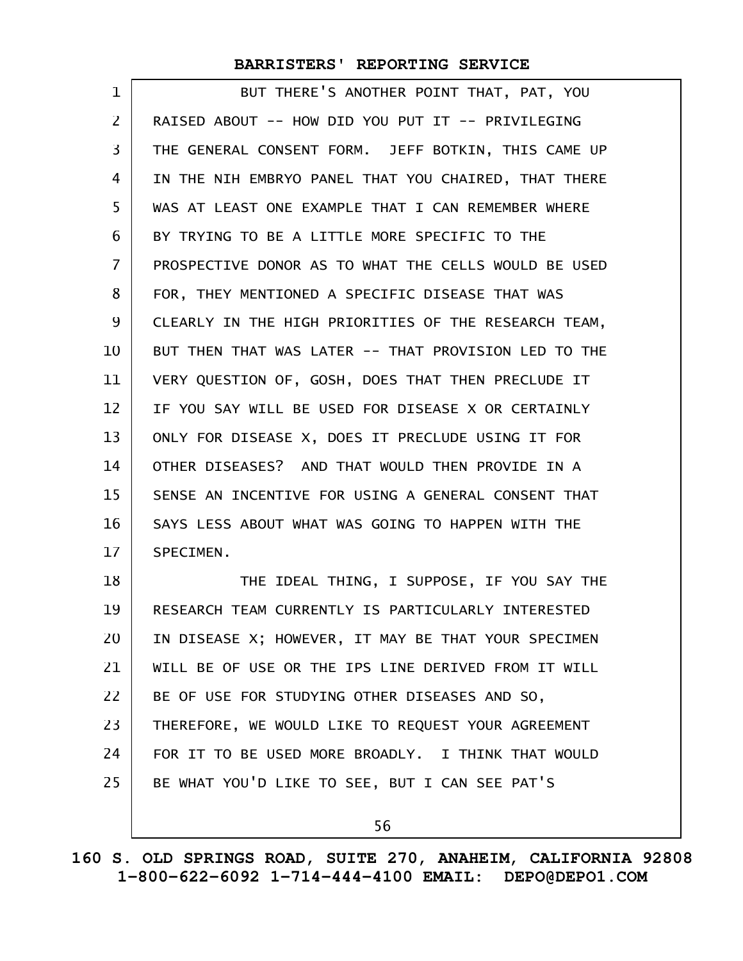| $\mathbf 1$ | BUT THERE'S ANOTHER POINT THAT, PAT, YOU             |
|-------------|------------------------------------------------------|
| 2           | RAISED ABOUT -- HOW DID YOU PUT IT -- PRIVILEGING    |
| 3           | THE GENERAL CONSENT FORM. JEFF BOTKIN, THIS CAME UP  |
| 4           | IN THE NIH EMBRYO PANEL THAT YOU CHAIRED, THAT THERE |
| 5           | WAS AT LEAST ONE EXAMPLE THAT I CAN REMEMBER WHERE   |
| 6           | BY TRYING TO BE A LITTLE MORE SPECIFIC TO THE        |
| 7           | PROSPECTIVE DONOR AS TO WHAT THE CELLS WOULD BE USED |
| 8           | FOR, THEY MENTIONED A SPECIFIC DISEASE THAT WAS      |
| 9           | CLEARLY IN THE HIGH PRIORITIES OF THE RESEARCH TEAM, |
| 10          | BUT THEN THAT WAS LATER -- THAT PROVISION LED TO THE |
| 11          | VERY QUESTION OF, GOSH, DOES THAT THEN PRECLUDE IT   |
| 12          | IF YOU SAY WILL BE USED FOR DISEASE X OR CERTAINLY   |
| 13          | ONLY FOR DISEASE X, DOES IT PRECLUDE USING IT FOR    |
| 14          | OTHER DISEASES? AND THAT WOULD THEN PROVIDE IN A     |
| 15          | SENSE AN INCENTIVE FOR USING A GENERAL CONSENT THAT  |
| 16          | SAYS LESS ABOUT WHAT WAS GOING TO HAPPEN WITH THE    |
| 17          | SPECIMEN.                                            |
| 18          | THE IDEAL THING, I SUPPOSE, IF YOU SAY THE           |
| 19          | RESEARCH TEAM CURRENTLY IS PARTICULARLY INTERESTED   |
| 20          | IN DISEASE X; HOWEVER, IT MAY BE THAT YOUR SPECIMEN  |
| 21          | WILL BE OF USE OR THE IPS LINE DERIVED FROM IT WILL  |
| 22          | BE OF USE FOR STUDYING OTHER DISEASES AND SO,        |
| 23          | THEREFORE, WE WOULD LIKE TO REQUEST YOUR AGREEMENT   |
| 24          | FOR IT TO BE USED MORE BROADLY. I THINK THAT WOULD   |
| 25          | BE WHAT YOU'D LIKE TO SEE, BUT I CAN SEE PAT'S       |
|             |                                                      |

56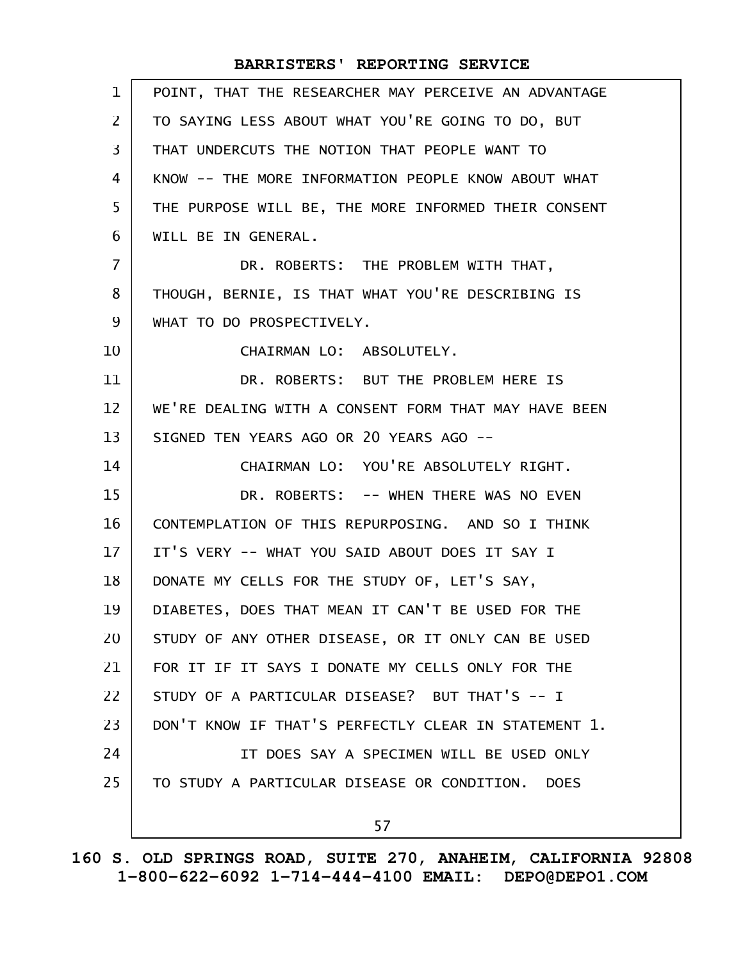| $\mathbf{1}$   | POINT, THAT THE RESEARCHER MAY PERCEIVE AN ADVANTAGE |
|----------------|------------------------------------------------------|
| $\mathsf{Z}$   | TO SAYING LESS ABOUT WHAT YOU'RE GOING TO DO, BUT    |
| 3              | THAT UNDERCUTS THE NOTION THAT PEOPLE WANT TO        |
| 4              | KNOW -- THE MORE INFORMATION PEOPLE KNOW ABOUT WHAT  |
| 5              | THE PURPOSE WILL BE, THE MORE INFORMED THEIR CONSENT |
| 6              | WILL BE IN GENERAL.                                  |
| $\overline{7}$ | DR. ROBERTS: THE PROBLEM WITH THAT,                  |
| 8              | THOUGH, BERNIE, IS THAT WHAT YOU'RE DESCRIBING IS    |
| 9              | WHAT TO DO PROSPECTIVELY.                            |
| 10             | CHAIRMAN LO: ABSOLUTELY.                             |
| 11             | DR. ROBERTS: BUT THE PROBLEM HERE IS                 |
| 12             | WE'RE DEALING WITH A CONSENT FORM THAT MAY HAVE BEEN |
| 13             | SIGNED TEN YEARS AGO OR 20 YEARS AGO --              |
| 14             | CHAIRMAN LO: YOU'RE ABSOLUTELY RIGHT.                |
| 15             | DR. ROBERTS: -- WHEN THERE WAS NO EVEN               |
| 16             | CONTEMPLATION OF THIS REPURPOSING. AND SO I THINK    |
| 17             | IT'S VERY -- WHAT YOU SAID ABOUT DOES IT SAY I       |
| 18             | DONATE MY CELLS FOR THE STUDY OF, LET'S SAY,         |
| 19             | DIABETES, DOES THAT MEAN IT CAN'T BE USED FOR THE    |
| 20             | STUDY OF ANY OTHER DISEASE, OR IT ONLY CAN BE USED   |
| 21             | FOR IT IF IT SAYS I DONATE MY CELLS ONLY FOR THE     |
| 22             | STUDY OF A PARTICULAR DISEASE? BUT THAT'S -- I       |
| 23             | DON'T KNOW IF THAT'S PERFECTLY CLEAR IN STATEMENT 1. |
| 24             | IT DOES SAY A SPECIMEN WILL BE USED ONLY             |
| 25             | TO STUDY A PARTICULAR DISEASE OR CONDITION. DOES     |
|                | 57                                                   |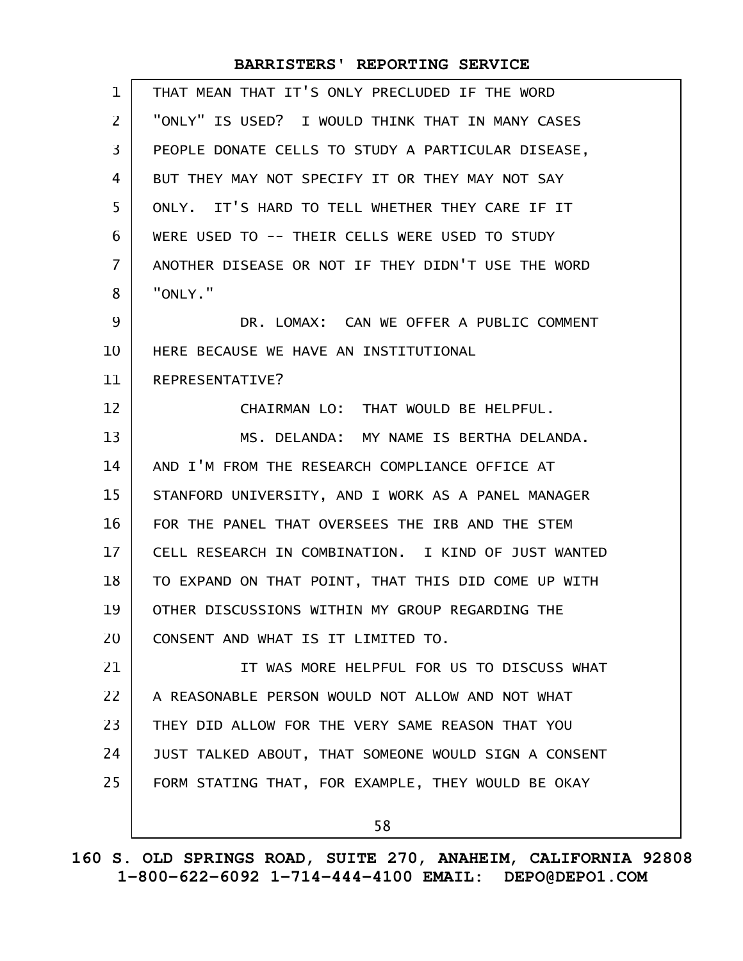| $\mathbf 1$    | THAT MEAN THAT IT'S ONLY PRECLUDED IF THE WORD       |
|----------------|------------------------------------------------------|
| $\overline{2}$ | "ONLY" IS USED? I WOULD THINK THAT IN MANY CASES     |
| 3              | PEOPLE DONATE CELLS TO STUDY A PARTICULAR DISEASE,   |
| 4              | BUT THEY MAY NOT SPECIFY IT OR THEY MAY NOT SAY      |
| 5              | ONLY. IT'S HARD TO TELL WHETHER THEY CARE IF IT      |
| 6              | WERE USED TO -- THEIR CELLS WERE USED TO STUDY       |
| $\overline{7}$ | ANOTHER DISEASE OR NOT IF THEY DIDN'T USE THE WORD   |
| 8              | "ONLY."                                              |
| 9              | DR. LOMAX: CAN WE OFFER A PUBLIC COMMENT             |
| 10             | HERE BECAUSE WE HAVE AN INSTITUTIONAL                |
| 11             | REPRESENTATIVE?                                      |
| 12             | CHAIRMAN LO: THAT WOULD BE HELPFUL.                  |
| 13             | MS. DELANDA: MY NAME IS BERTHA DELANDA.              |
| 14             | AND I'M FROM THE RESEARCH COMPLIANCE OFFICE AT       |
| 15             | STANFORD UNIVERSITY, AND I WORK AS A PANEL MANAGER   |
| 16             | FOR THE PANEL THAT OVERSEES THE IRB AND THE STEM     |
| 17             | CELL RESEARCH IN COMBINATION. I KIND OF JUST WANTED  |
| 18             | TO EXPAND ON THAT POINT, THAT THIS DID COME UP WITH  |
| 19             | OTHER DISCUSSIONS WITHIN MY GROUP REGARDING THE      |
| 20             | CONSENT AND WHAT IS IT LIMITED TO.                   |
| 21             | IT WAS MORE HELPFUL FOR US TO DISCUSS WHAT           |
| 22             | A REASONABLE PERSON WOULD NOT ALLOW AND NOT WHAT     |
| 23             | THEY DID ALLOW FOR THE VERY SAME REASON THAT YOU     |
| 24             | JUST TALKED ABOUT, THAT SOMEONE WOULD SIGN A CONSENT |
| 25             | FORM STATING THAT, FOR EXAMPLE, THEY WOULD BE OKAY   |
|                | 58                                                   |

# **160 S. OLD SPRINGS ROAD, SUITE 270, ANAHEIM, CALIFORNIA 92808 1-800-622-6092 1-714-444-4100 EMAIL: DEPO@DEPO1.COM**

 $\mathsf{l}$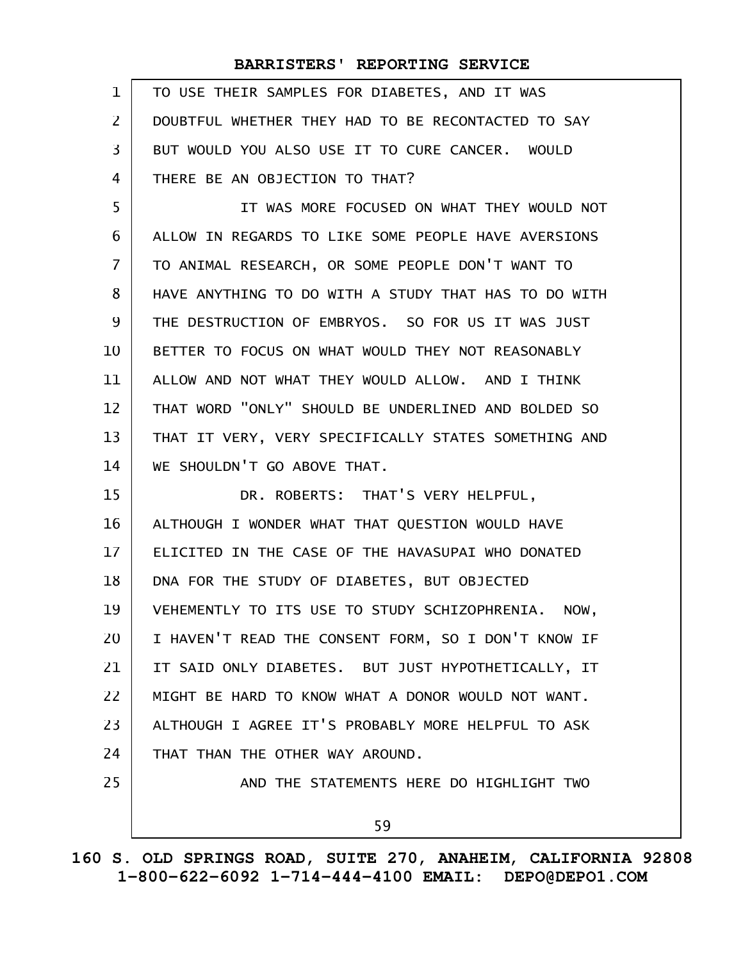| $\mathbf{1}$   | TO USE THEIR SAMPLES FOR DIABETES, AND IT WAS        |
|----------------|------------------------------------------------------|
| $\overline{2}$ | DOUBTFUL WHETHER THEY HAD TO BE RECONTACTED TO SAY   |
| 3              | BUT WOULD YOU ALSO USE IT TO CURE CANCER. WOULD      |
| 4              | THERE BE AN OBJECTION TO THAT?                       |
| 5              | IT WAS MORE FOCUSED ON WHAT THEY WOULD NOT           |
| 6              | ALLOW IN REGARDS TO LIKE SOME PEOPLE HAVE AVERSIONS  |
| 7              | TO ANIMAL RESEARCH, OR SOME PEOPLE DON'T WANT TO     |
| 8              | HAVE ANYTHING TO DO WITH A STUDY THAT HAS TO DO WITH |
| 9              | THE DESTRUCTION OF EMBRYOS. SO FOR US IT WAS JUST    |
| 10             | BETTER TO FOCUS ON WHAT WOULD THEY NOT REASONABLY    |
| 11             | ALLOW AND NOT WHAT THEY WOULD ALLOW. AND I THINK     |
| 12             | THAT WORD "ONLY" SHOULD BE UNDERLINED AND BOLDED SO  |
| 13             | THAT IT VERY, VERY SPECIFICALLY STATES SOMETHING AND |
| 14             | WE SHOULDN'T GO ABOVE THAT.                          |
| 15             | DR. ROBERTS: THAT'S VERY HELPFUL,                    |
| 16             | ALTHOUGH I WONDER WHAT THAT QUESTION WOULD HAVE      |
| 17             | ELICITED IN THE CASE OF THE HAVASUPAI WHO DONATED    |
| 18             | DNA FOR THE STUDY OF DIABETES, BUT OBJECTED          |
| 19             | VEHEMENTLY TO ITS USE TO STUDY SCHIZOPHRENIA. NOW,   |
| 20             | I HAVEN'T READ THE CONSENT FORM, SO I DON'T KNOW IF  |
| 21             | IT SAID ONLY DIABETES. BUT JUST HYPOTHETICALLY, IT   |
| 22             | MIGHT BE HARD TO KNOW WHAT A DONOR WOULD NOT WANT.   |
| 23             | ALTHOUGH I AGREE IT'S PROBABLY MORE HELPFUL TO ASK   |
| 24             | THAT THAN THE OTHER WAY AROUND.                      |
| 25             | AND THE STATEMENTS HERE DO HIGHLIGHT TWO             |
|                | 59                                                   |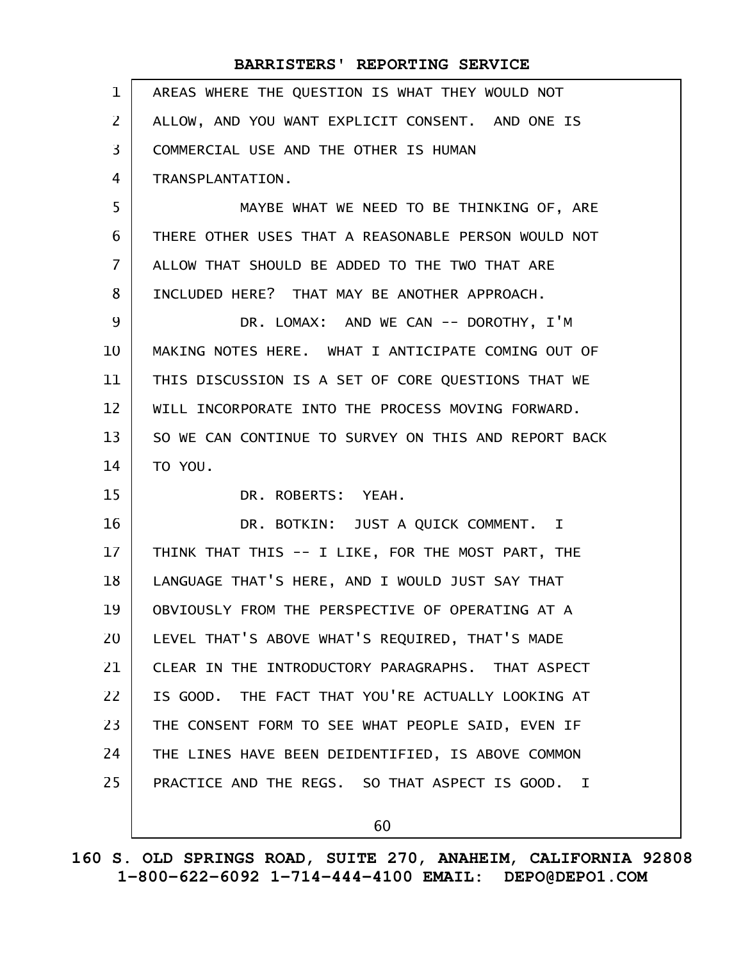| BARRISTERS' REPORTING SERVICE |  |  |
|-------------------------------|--|--|
|-------------------------------|--|--|

| $\mathbf{1}$   | AREAS WHERE THE QUESTION IS WHAT THEY WOULD NOT      |
|----------------|------------------------------------------------------|
| 2              | ALLOW, AND YOU WANT EXPLICIT CONSENT. AND ONE IS     |
| 3              | COMMERCIAL USE AND THE OTHER IS HUMAN                |
| 4              | TRANSPLANTATION.                                     |
| 5              | MAYBE WHAT WE NEED TO BE THINKING OF, ARE            |
| 6              | THERE OTHER USES THAT A REASONABLE PERSON WOULD NOT  |
| $\overline{7}$ | ALLOW THAT SHOULD BE ADDED TO THE TWO THAT ARE       |
| 8              | INCLUDED HERE? THAT MAY BE ANOTHER APPROACH.         |
| 9              | DR. LOMAX: AND WE CAN -- DOROTHY, I'M                |
| 10             | MAKING NOTES HERE. WHAT I ANTICIPATE COMING OUT OF   |
| 11             | THIS DISCUSSION IS A SET OF CORE QUESTIONS THAT WE   |
| 12             | WILL INCORPORATE INTO THE PROCESS MOVING FORWARD.    |
| 13             | SO WE CAN CONTINUE TO SURVEY ON THIS AND REPORT BACK |
|                |                                                      |
| 14             | TO YOU.                                              |
| 15             | DR. ROBERTS: YEAH.                                   |
| 16             | DR. BOTKIN: JUST A QUICK COMMENT. I                  |
| 17             | THINK THAT THIS -- I LIKE, FOR THE MOST PART, THE    |
| 18             | LANGUAGE THAT'S HERE, AND I WOULD JUST SAY THAT      |
| 19             | OBVIOUSLY FROM THE PERSPECTIVE OF OPERATING AT A     |
| 20             | LEVEL THAT'S ABOVE WHAT'S REQUIRED, THAT'S MADE      |
| 21             | CLEAR IN THE INTRODUCTORY PARAGRAPHS. THAT ASPECT    |
| 22             | IS GOOD. THE FACT THAT YOU'RE ACTUALLY LOOKING AT    |
| 23             | THE CONSENT FORM TO SEE WHAT PEOPLE SAID, EVEN IF    |
| 24             | THE LINES HAVE BEEN DEIDENTIFIED, IS ABOVE COMMON    |
| 25             | PRACTICE AND THE REGS. SO THAT ASPECT IS GOOD. I     |

60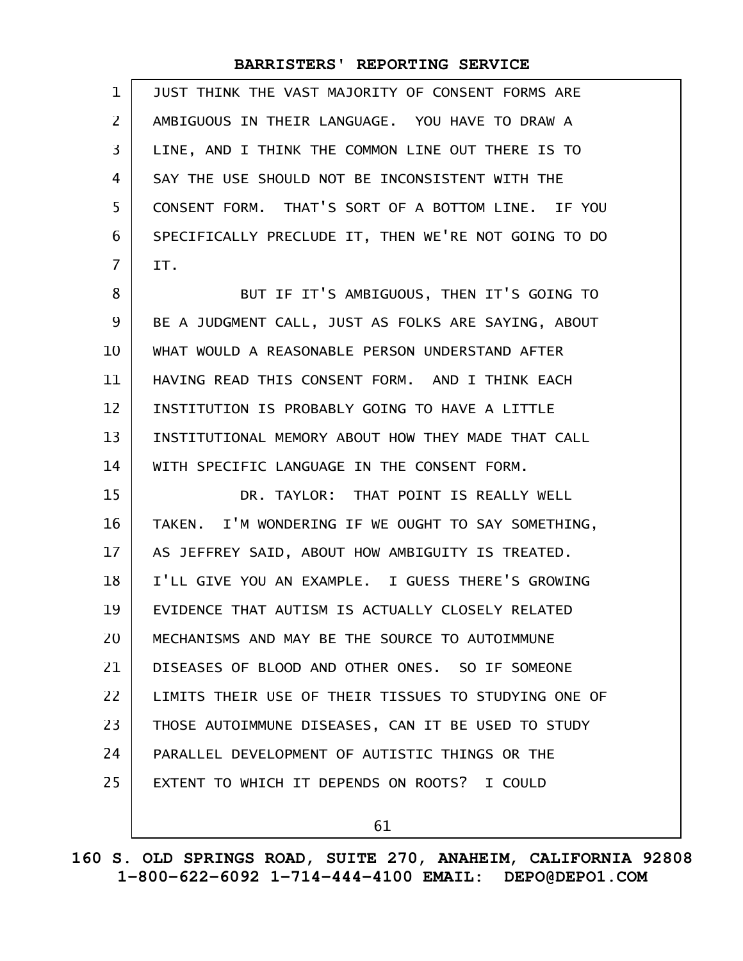| 1              | JUST THINK THE VAST MAJORITY OF CONSENT FORMS ARE    |  |  |  |
|----------------|------------------------------------------------------|--|--|--|
| $\overline{2}$ | AMBIGUOUS IN THEIR LANGUAGE. YOU HAVE TO DRAW A      |  |  |  |
| 3              | LINE, AND I THINK THE COMMON LINE OUT THERE IS TO    |  |  |  |
| 4              | SAY THE USE SHOULD NOT BE INCONSISTENT WITH THE      |  |  |  |
| 5              | CONSENT FORM. THAT'S SORT OF A BOTTOM LINE. IF YOU   |  |  |  |
| 6              | SPECIFICALLY PRECLUDE IT, THEN WE'RE NOT GOING TO DO |  |  |  |
| $\overline{7}$ | IT.                                                  |  |  |  |
| 8              | BUT IF IT'S AMBIGUOUS, THEN IT'S GOING TO            |  |  |  |
| 9              | BE A JUDGMENT CALL, JUST AS FOLKS ARE SAYING, ABOUT  |  |  |  |
| 10             | WHAT WOULD A REASONABLE PERSON UNDERSTAND AFTER      |  |  |  |
| 11             | HAVING READ THIS CONSENT FORM. AND I THINK EACH      |  |  |  |
| 12             | INSTITUTION IS PROBABLY GOING TO HAVE A LITTLE       |  |  |  |
| 13             | INSTITUTIONAL MEMORY ABOUT HOW THEY MADE THAT CALL   |  |  |  |
| 14             | WITH SPECIFIC LANGUAGE IN THE CONSENT FORM.          |  |  |  |
| 15             | DR. TAYLOR: THAT POINT IS REALLY WELL                |  |  |  |
| 16             | TAKEN. I'M WONDERING IF WE OUGHT TO SAY SOMETHING,   |  |  |  |
| 17             | AS JEFFREY SAID, ABOUT HOW AMBIGUITY IS TREATED.     |  |  |  |
| 18             | I'LL GIVE YOU AN EXAMPLE. I GUESS THERE'S GROWING    |  |  |  |
| 19             | EVIDENCE THAT AUTISM IS ACTUALLY CLOSELY RELATED     |  |  |  |
| 20             | MECHANISMS AND MAY BE THE SOURCE TO AUTOIMMUNE       |  |  |  |
| 21             | DISEASES OF BLOOD AND OTHER ONES. SO IF SOMEONE      |  |  |  |
| 22             | LIMITS THEIR USE OF THEIR TISSUES TO STUDYING ONE OF |  |  |  |
| 23             | THOSE AUTOIMMUNE DISEASES, CAN IT BE USED TO STUDY   |  |  |  |
| 24             | PARALLEL DEVELOPMENT OF AUTISTIC THINGS OR THE       |  |  |  |
| 25             | EXTENT TO WHICH IT DEPENDS ON ROOTS? I COULD         |  |  |  |
|                |                                                      |  |  |  |

61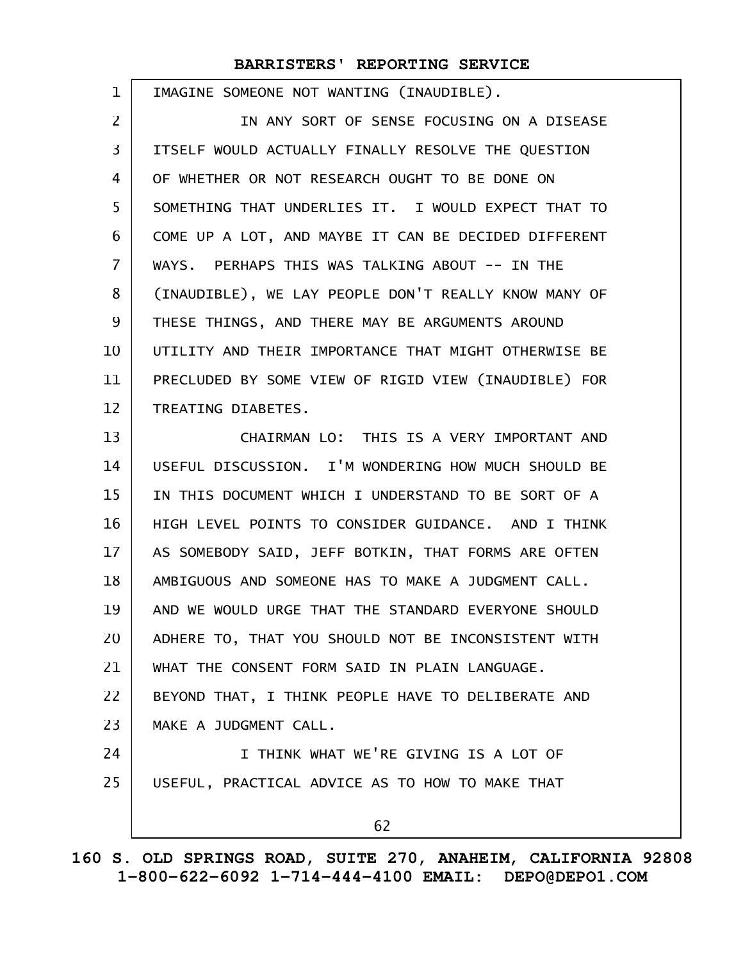| 1                 | IMAGINE SOMEONE NOT WANTING (INAUDIBLE).             |
|-------------------|------------------------------------------------------|
| $\overline{2}$    | IN ANY SORT OF SENSE FOCUSING ON A DISEASE           |
| 3                 | ITSELF WOULD ACTUALLY FINALLY RESOLVE THE QUESTION   |
| $\overline{4}$    | OF WHETHER OR NOT RESEARCH OUGHT TO BE DONE ON       |
| 5                 | SOMETHING THAT UNDERLIES IT. I WOULD EXPECT THAT TO  |
| 6                 | COME UP A LOT, AND MAYBE IT CAN BE DECIDED DIFFERENT |
| $\overline{7}$    | WAYS. PERHAPS THIS WAS TALKING ABOUT -- IN THE       |
| 8                 | (INAUDIBLE), WE LAY PEOPLE DON'T REALLY KNOW MANY OF |
| 9                 | THESE THINGS, AND THERE MAY BE ARGUMENTS AROUND      |
| 10                | UTILITY AND THEIR IMPORTANCE THAT MIGHT OTHERWISE BE |
| 11                | PRECLUDED BY SOME VIEW OF RIGID VIEW (INAUDIBLE) FOR |
| $12 \overline{ }$ | TREATING DIABETES.                                   |
| 13                | CHAIRMAN LO: THIS IS A VERY IMPORTANT AND            |
| 14                | USEFUL DISCUSSION. I'M WONDERING HOW MUCH SHOULD BE  |
| 15                | IN THIS DOCUMENT WHICH I UNDERSTAND TO BE SORT OF A  |
| 16                | HIGH LEVEL POINTS TO CONSIDER GUIDANCE. AND I THINK  |
| 17                | AS SOMEBODY SAID, JEFF BOTKIN, THAT FORMS ARE OFTEN  |
| 18                | AMBIGUOUS AND SOMEONE HAS TO MAKE A JUDGMENT CALL.   |
| 19                | AND WE WOULD URGE THAT THE STANDARD EVERYONE SHOULD  |
| 20                | ADHERE TO, THAT YOU SHOULD NOT BE INCONSISTENT WITH  |
| 21                | WHAT THE CONSENT FORM SAID IN PLAIN LANGUAGE.        |
| 22                | BEYOND THAT, I THINK PEOPLE HAVE TO DELIBERATE AND   |
| 23                | MAKE A JUDGMENT CALL.                                |
| 24                | I THINK WHAT WE'RE GIVING IS A LOT OF                |
| 25                | USEFUL, PRACTICAL ADVICE AS TO HOW TO MAKE THAT      |
|                   | 62                                                   |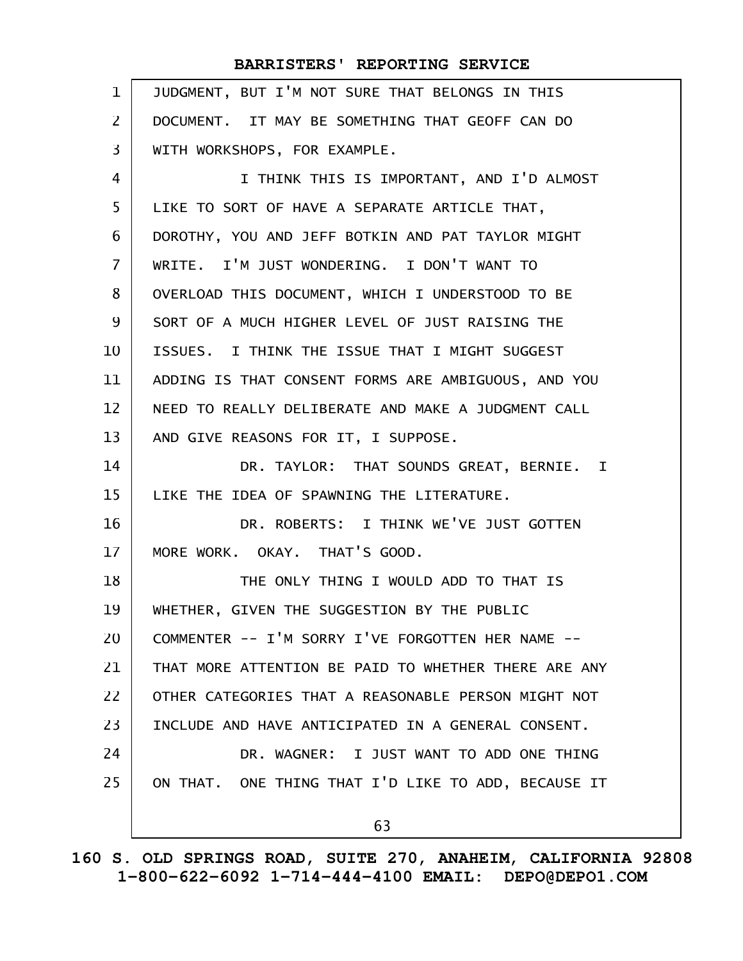| $\mathbf{1}$   | JUDGMENT, BUT I'M NOT SURE THAT BELONGS IN THIS      |
|----------------|------------------------------------------------------|
| $\overline{2}$ | DOCUMENT. IT MAY BE SOMETHING THAT GEOFF CAN DO      |
| 3              | WITH WORKSHOPS, FOR EXAMPLE.                         |
| 4              | I THINK THIS IS IMPORTANT, AND I'D ALMOST            |
| 5              | LIKE TO SORT OF HAVE A SEPARATE ARTICLE THAT,        |
| 6              | DOROTHY, YOU AND JEFF BOTKIN AND PAT TAYLOR MIGHT    |
| $\overline{7}$ | WRITE. I'M JUST WONDERING. I DON'T WANT TO           |
| 8              | OVERLOAD THIS DOCUMENT, WHICH I UNDERSTOOD TO BE     |
| 9              | SORT OF A MUCH HIGHER LEVEL OF JUST RAISING THE      |
| 10             | ISSUES. I THINK THE ISSUE THAT I MIGHT SUGGEST       |
| 11             | ADDING IS THAT CONSENT FORMS ARE AMBIGUOUS, AND YOU  |
| 12             | NEED TO REALLY DELIBERATE AND MAKE A JUDGMENT CALL   |
| 13             | AND GIVE REASONS FOR IT, I SUPPOSE.                  |
| 14             | DR. TAYLOR: THAT SOUNDS GREAT, BERNIE. I             |
| 15             | LIKE THE IDEA OF SPAWNING THE LITERATURE.            |
| 16             | DR. ROBERTS: I THINK WE'VE JUST GOTTEN               |
| 17             | MORE WORK. OKAY. THAT'S GOOD.                        |
| 18             | THE ONLY THING I WOULD ADD TO THAT IS                |
| 19             | WHETHER, GIVEN THE SUGGESTION BY THE PUBLIC          |
| 20             | COMMENTER -- I'M SORRY I'VE FORGOTTEN HER NAME --    |
| 21             | THAT MORE ATTENTION BE PAID TO WHETHER THERE ARE ANY |
| 22             | OTHER CATEGORIES THAT A REASONABLE PERSON MIGHT NOT  |
| 23             | INCLUDE AND HAVE ANTICIPATED IN A GENERAL CONSENT.   |
| 24             | DR. WAGNER: I JUST WANT TO ADD ONE THING             |
| 25             | ON THAT. ONE THING THAT I'D LIKE TO ADD, BECAUSE IT  |
|                | 63                                                   |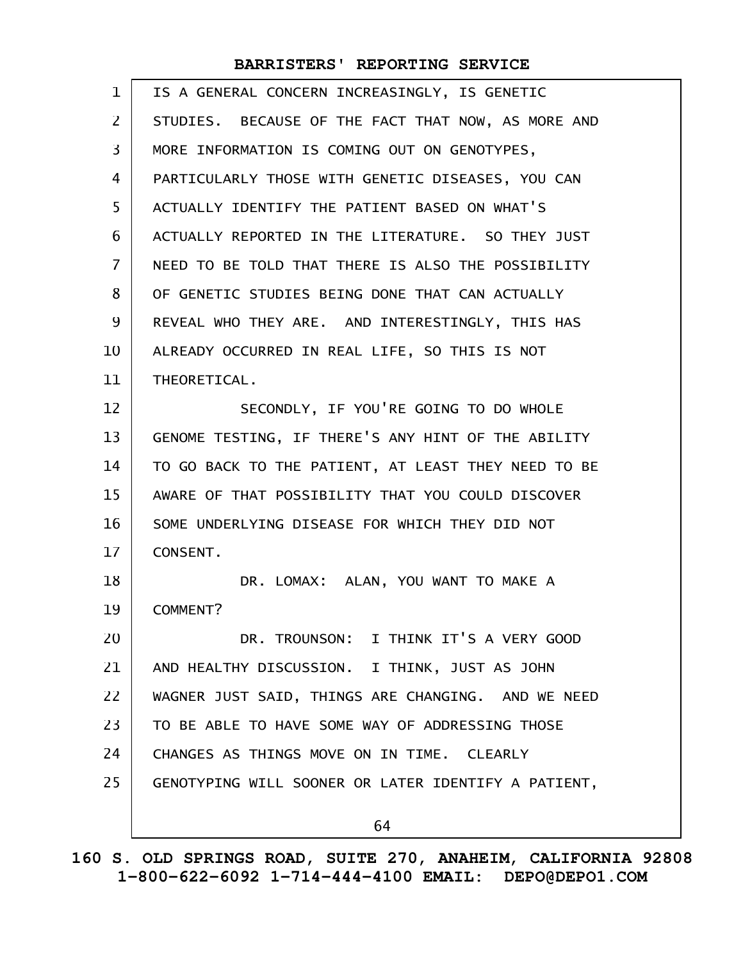| $\mathbf 1$    | IS A GENERAL CONCERN INCREASINGLY, IS GENETIC       |
|----------------|-----------------------------------------------------|
| 2              | STUDIES. BECAUSE OF THE FACT THAT NOW, AS MORE AND  |
| 3              | MORE INFORMATION IS COMING OUT ON GENOTYPES,        |
| 4              | PARTICULARLY THOSE WITH GENETIC DISEASES, YOU CAN   |
| 5              | ACTUALLY IDENTIFY THE PATIENT BASED ON WHAT'S       |
| 6              | ACTUALLY REPORTED IN THE LITERATURE. SO THEY JUST   |
| $\overline{7}$ | NEED TO BE TOLD THAT THERE IS ALSO THE POSSIBILITY  |
| 8              | OF GENETIC STUDIES BEING DONE THAT CAN ACTUALLY     |
| 9              | REVEAL WHO THEY ARE. AND INTERESTINGLY, THIS HAS    |
| 10             | ALREADY OCCURRED IN REAL LIFE, SO THIS IS NOT       |
| 11             | THEORETICAL.                                        |
| 12             | SECONDLY, IF YOU'RE GOING TO DO WHOLE               |
| 13             | GENOME TESTING, IF THERE'S ANY HINT OF THE ABILITY  |
| 14             | TO GO BACK TO THE PATIENT, AT LEAST THEY NEED TO BE |
| 15             | AWARE OF THAT POSSIBILITY THAT YOU COULD DISCOVER   |
| 16             | SOME UNDERLYING DISEASE FOR WHICH THEY DID NOT      |
| 17             | CONSENT.                                            |
| 18             | DR. LOMAX: ALAN, YOU WANT TO MAKE A                 |
| 19             | COMMENT?                                            |
| 20             | DR. TROUNSON: I THINK IT'S A VERY GOOD              |
| 21             | AND HEALTHY DISCUSSION. I THINK, JUST AS JOHN       |
| 22             | WAGNER JUST SAID, THINGS ARE CHANGING. AND WE NEED  |
| 23             | TO BE ABLE TO HAVE SOME WAY OF ADDRESSING THOSE     |
| 24             | CHANGES AS THINGS MOVE ON IN TIME. CLEARLY          |
| 25             | GENOTYPING WILL SOONER OR LATER IDENTIFY A PATIENT, |
|                | 64                                                  |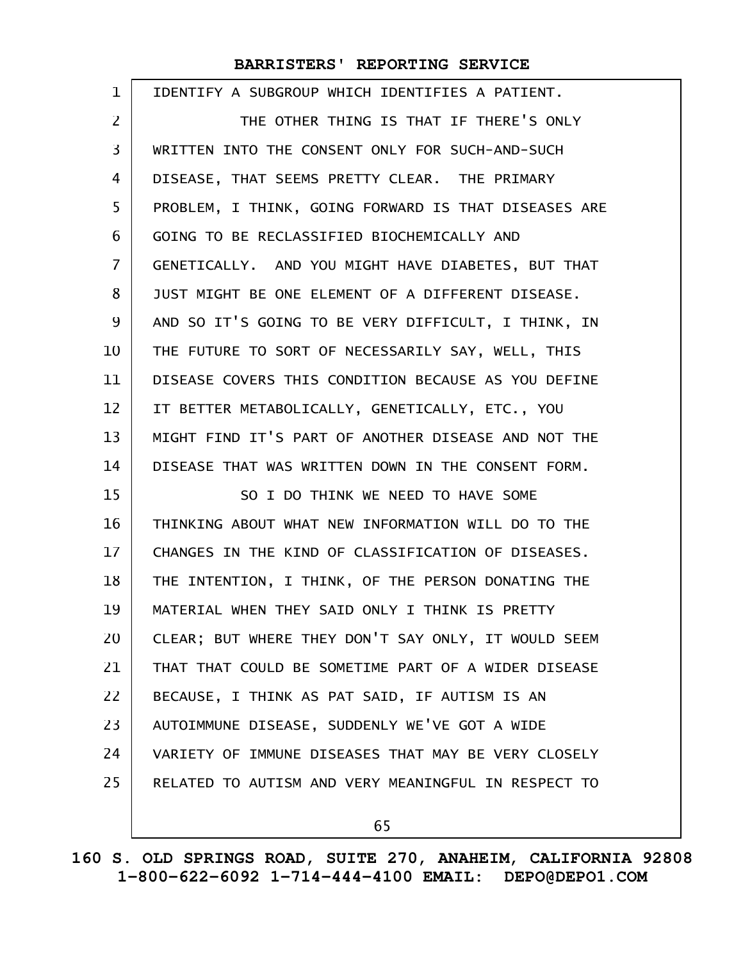| 1              | IDENTIFY A SUBGROUP WHICH IDENTIFIES A PATIENT.      |
|----------------|------------------------------------------------------|
| $\overline{2}$ | THE OTHER THING IS THAT IF THERE'S ONLY              |
| 3              | WRITTEN INTO THE CONSENT ONLY FOR SUCH-AND-SUCH      |
| 4              | DISEASE, THAT SEEMS PRETTY CLEAR. THE PRIMARY        |
| 5              | PROBLEM, I THINK, GOING FORWARD IS THAT DISEASES ARE |
| 6              | GOING TO BE RECLASSIFIED BIOCHEMICALLY AND           |
| $\overline{7}$ | GENETICALLY. AND YOU MIGHT HAVE DIABETES, BUT THAT   |
| 8              | JUST MIGHT BE ONE ELEMENT OF A DIFFERENT DISEASE.    |
| 9              | AND SO IT'S GOING TO BE VERY DIFFICULT, I THINK, IN  |
| 10             | THE FUTURE TO SORT OF NECESSARILY SAY, WELL, THIS    |
| 11             | DISEASE COVERS THIS CONDITION BECAUSE AS YOU DEFINE  |
| 12             | IT BETTER METABOLICALLY, GENETICALLY, ETC., YOU      |
| 13             | MIGHT FIND IT'S PART OF ANOTHER DISEASE AND NOT THE  |
| 14             | DISEASE THAT WAS WRITTEN DOWN IN THE CONSENT FORM.   |
| 15             | SO I DO THINK WE NEED TO HAVE SOME                   |
| 16             | THINKING ABOUT WHAT NEW INFORMATION WILL DO TO THE   |
| 17             | CHANGES IN THE KIND OF CLASSIFICATION OF DISEASES.   |
| 18             | THE INTENTION, I THINK, OF THE PERSON DONATING THE   |
| 19             | MATERIAL WHEN THEY SAID ONLY I THINK IS PRETTY       |
| 20             | CLEAR; BUT WHERE THEY DON'T SAY ONLY, IT WOULD SEEM  |
| 21             | THAT THAT COULD BE SOMETIME PART OF A WIDER DISEASE  |
| 22             | BECAUSE, I THINK AS PAT SAID, IF AUTISM IS AN        |
| 23             | AUTOIMMUNE DISEASE, SUDDENLY WE'VE GOT A WIDE        |
| 24             | VARIETY OF IMMUNE DISEASES THAT MAY BE VERY CLOSELY  |
| 25             | RELATED TO AUTISM AND VERY MEANINGFUL IN RESPECT TO  |
|                |                                                      |

65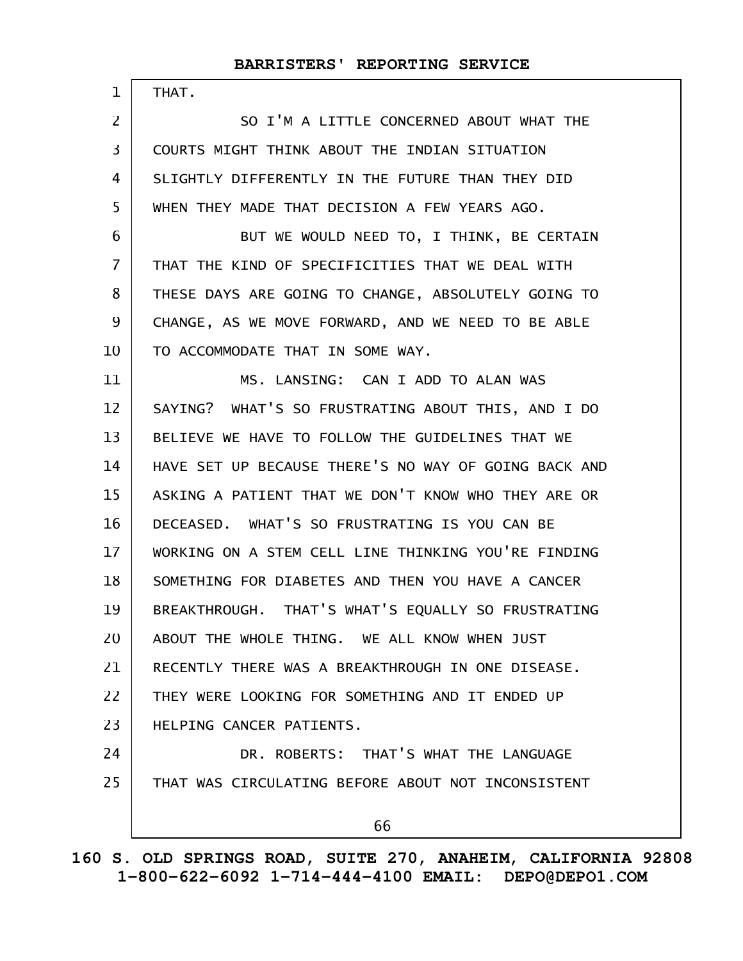| 1  | THAT.                                                |
|----|------------------------------------------------------|
| 2  | SO I'M A LITTLE CONCERNED ABOUT WHAT THE             |
| 3  | COURTS MIGHT THINK ABOUT THE INDIAN SITUATION        |
| 4  | SLIGHTLY DIFFERENTLY IN THE FUTURE THAN THEY DID     |
| 5  | WHEN THEY MADE THAT DECISION A FEW YEARS AGO.        |
| 6  | BUT WE WOULD NEED TO, I THINK, BE CERTAIN            |
| 7  | THAT THE KIND OF SPECIFICITIES THAT WE DEAL WITH     |
| 8  | THESE DAYS ARE GOING TO CHANGE, ABSOLUTELY GOING TO  |
| 9  | CHANGE, AS WE MOVE FORWARD, AND WE NEED TO BE ABLE   |
| 10 | TO ACCOMMODATE THAT IN SOME WAY.                     |
| 11 | MS. LANSING: CAN I ADD TO ALAN WAS                   |
| 12 | SAYING? WHAT'S SO FRUSTRATING ABOUT THIS, AND I DO   |
| 13 | BELIEVE WE HAVE TO FOLLOW THE GUIDELINES THAT WE     |
| 14 | HAVE SET UP BECAUSE THERE'S NO WAY OF GOING BACK AND |
| 15 | ASKING A PATIENT THAT WE DON'T KNOW WHO THEY ARE OR  |
| 16 | DECEASED. WHAT'S SO FRUSTRATING IS YOU CAN BE        |
| 17 | WORKING ON A STEM CELL LINE THINKING YOU'RE FINDING  |
| 18 | SOMETHING FOR DIABETES AND THEN YOU HAVE A CANCER    |
| 19 | BREAKTHROUGH. THAT'S WHAT'S EQUALLY SO FRUSTRATING   |
| 20 | ABOUT THE WHOLE THING. WE ALL KNOW WHEN JUST         |
| 21 | RECENTLY THERE WAS A BREAKTHROUGH IN ONE DISEASE.    |
| 22 | THEY WERE LOOKING FOR SOMETHING AND IT ENDED UP      |
| 23 | HELPING CANCER PATIENTS.                             |
| 24 | DR. ROBERTS: THAT'S WHAT THE LANGUAGE                |
| 25 | THAT WAS CIRCULATING BEFORE ABOUT NOT INCONSISTENT   |
|    | 66                                                   |

**160 S. OLD SPRINGS ROAD, SUITE 270, ANAHEIM, CALIFORNIA 92808 1-800-622-6092 1-714-444-4100 EMAIL: DEPO@DEPO1.COM**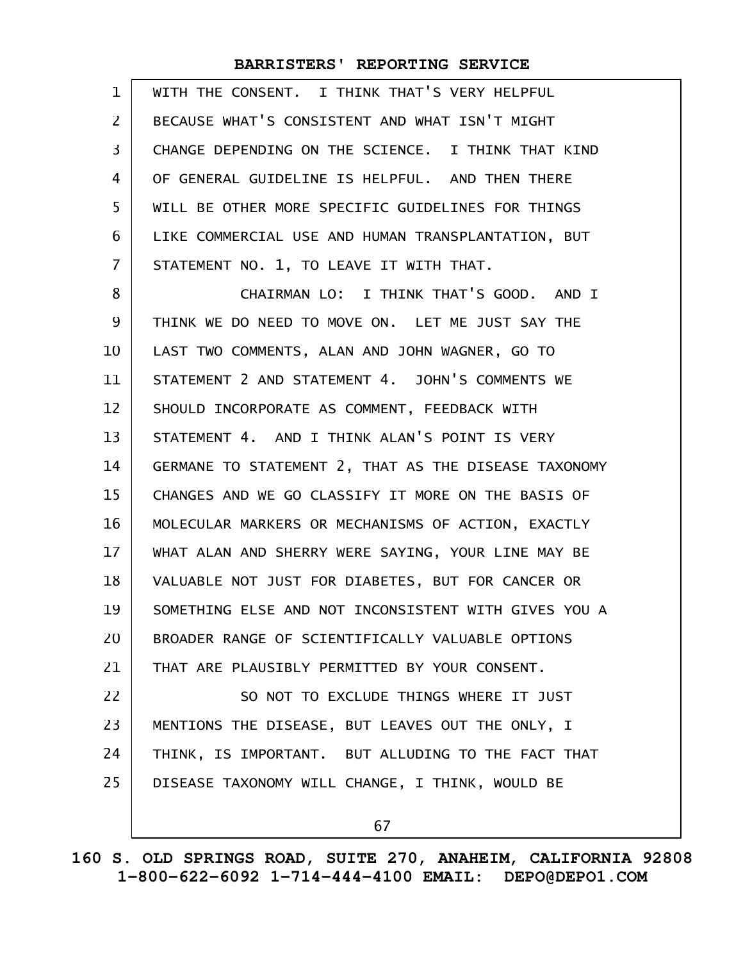| 1  | WITH THE CONSENT. I THINK THAT'S VERY HELPFUL        |
|----|------------------------------------------------------|
| 2  | BECAUSE WHAT'S CONSISTENT AND WHAT ISN'T MIGHT       |
| 3  | CHANGE DEPENDING ON THE SCIENCE. I THINK THAT KIND   |
| 4  | OF GENERAL GUIDELINE IS HELPFUL. AND THEN THERE      |
| 5  | WILL BE OTHER MORE SPECIFIC GUIDELINES FOR THINGS    |
| 6  | LIKE COMMERCIAL USE AND HUMAN TRANSPLANTATION, BUT   |
| 7  | STATEMENT NO. 1, TO LEAVE IT WITH THAT.              |
| 8  | CHAIRMAN LO: I THINK THAT'S GOOD. AND I              |
| 9  | THINK WE DO NEED TO MOVE ON. LET ME JUST SAY THE     |
| 10 | LAST TWO COMMENTS, ALAN AND JOHN WAGNER, GO TO       |
| 11 | STATEMENT 2 AND STATEMENT 4. JOHN'S COMMENTS WE      |
| 12 | SHOULD INCORPORATE AS COMMENT, FEEDBACK WITH         |
| 13 | STATEMENT 4. AND I THINK ALAN'S POINT IS VERY        |
| 14 | GERMANE TO STATEMENT 2, THAT AS THE DISEASE TAXONOMY |
| 15 | CHANGES AND WE GO CLASSIFY IT MORE ON THE BASIS OF   |
| 16 | MOLECULAR MARKERS OR MECHANISMS OF ACTION, EXACTLY   |
| 17 | WHAT ALAN AND SHERRY WERE SAYING, YOUR LINE MAY BE   |
| 18 | VALUABLE NOT JUST FOR DIABETES, BUT FOR CANCER OR    |
| 19 | SOMETHING ELSE AND NOT INCONSISTENT WITH GIVES YOU A |
| 20 | BROADER RANGE OF SCIENTIFICALLY VALUABLE OPTIONS     |
| 21 | THAT ARE PLAUSIBLY PERMITTED BY YOUR CONSENT.        |
| 22 | SO NOT TO EXCLUDE THINGS WHERE IT JUST               |
| 23 | MENTIONS THE DISEASE, BUT LEAVES OUT THE ONLY, I     |
| 24 | THINK, IS IMPORTANT. BUT ALLUDING TO THE FACT THAT   |
| 25 | DISEASE TAXONOMY WILL CHANGE, I THINK, WOULD BE      |
|    | 67                                                   |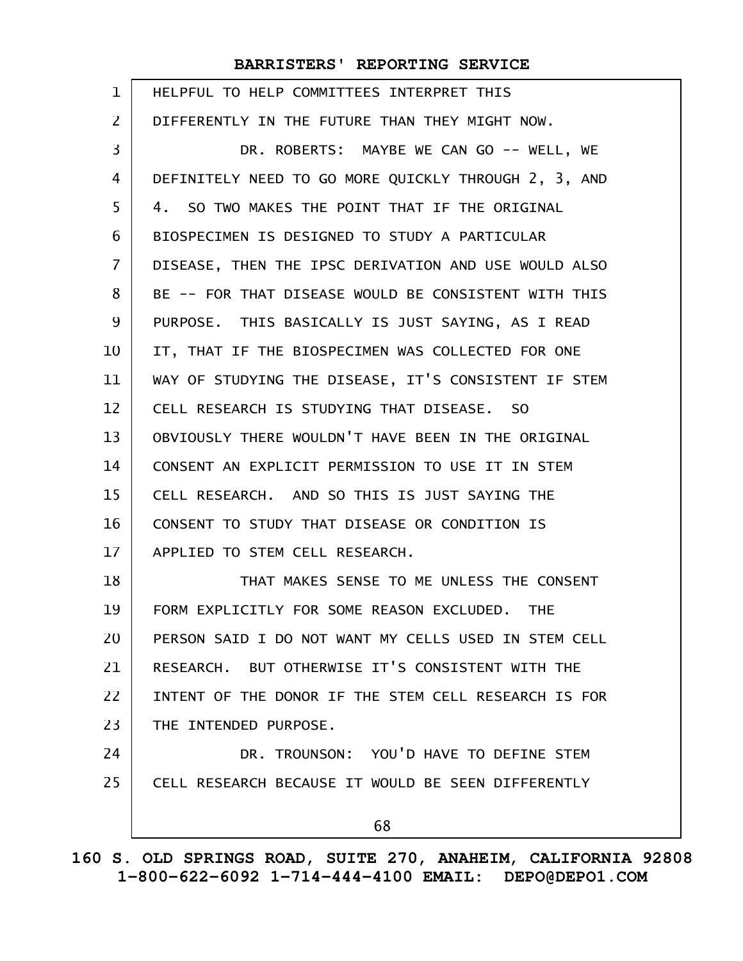| $\mathbf 1$    | HELPFUL TO HELP COMMITTEES INTERPRET THIS            |
|----------------|------------------------------------------------------|
| 2              | DIFFERENTLY IN THE FUTURE THAN THEY MIGHT NOW.       |
| 3              | DR. ROBERTS: MAYBE WE CAN GO -- WELL, WE             |
| 4              | DEFINITELY NEED TO GO MORE QUICKLY THROUGH 2, 3, AND |
| 5              | SO TWO MAKES THE POINT THAT IF THE ORIGINAL<br>4.    |
| 6              | BIOSPECIMEN IS DESIGNED TO STUDY A PARTICULAR        |
| $\overline{7}$ | DISEASE, THEN THE IPSC DERIVATION AND USE WOULD ALSO |
| 8              | BE -- FOR THAT DISEASE WOULD BE CONSISTENT WITH THIS |
| 9              | PURPOSE. THIS BASICALLY IS JUST SAYING, AS I READ    |
| 10             | IT, THAT IF THE BIOSPECIMEN WAS COLLECTED FOR ONE    |
| 11             | WAY OF STUDYING THE DISEASE, IT'S CONSISTENT IF STEM |
| 12             | CELL RESEARCH IS STUDYING THAT DISEASE. SO           |
| 13             | OBVIOUSLY THERE WOULDN'T HAVE BEEN IN THE ORIGINAL   |
| 14             | CONSENT AN EXPLICIT PERMISSION TO USE IT IN STEM     |
| 15             | CELL RESEARCH. AND SO THIS IS JUST SAYING THE        |
| 16             | CONSENT TO STUDY THAT DISEASE OR CONDITION IS        |
| 17             | APPLIED TO STEM CELL RESEARCH.                       |
| 18             | THAT MAKES SENSE TO ME UNLESS THE CONSENT            |
| 19             | FORM EXPLICITLY FOR SOME REASON EXCLUDED. THE        |
| 20             | PERSON SAID I DO NOT WANT MY CELLS USED IN STEM CELL |
| 21             | RESEARCH. BUT OTHERWISE IT'S CONSISTENT WITH THE     |
| 22             | INTENT OF THE DONOR IF THE STEM CELL RESEARCH IS FOR |
| 23             | THE INTENDED PURPOSE.                                |
| 24             | DR. TROUNSON: YOU'D HAVE TO DEFINE STEM              |
| 25             | CELL RESEARCH BECAUSE IT WOULD BE SEEN DIFFERENTLY   |
|                | 68                                                   |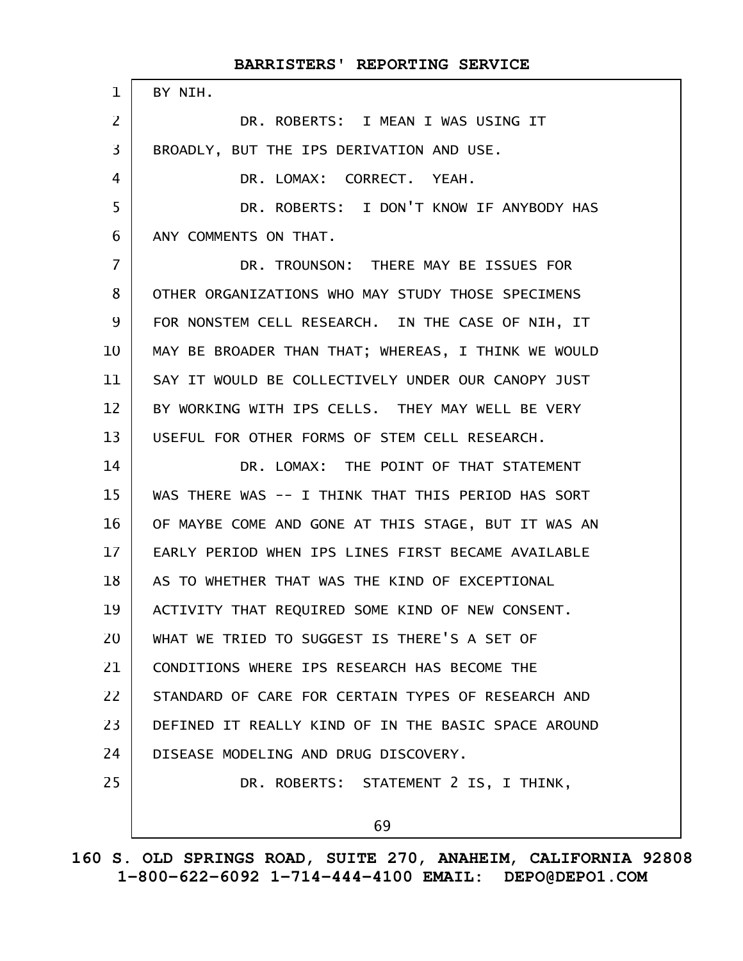BY NIH. DR. ROBERTS: I MEAN I WAS USING IT BROADLY, BUT THE IPS DERIVATION AND USE. DR. LOMAX: CORRECT. YEAH. DR. ROBERTS: I DON'T KNOW IF ANYBODY HAS ANY COMMENTS ON THAT. DR. TROUNSON: THERE MAY BE ISSUES FOR OTHER ORGANIZATIONS WHO MAY STUDY THOSE SPECIMENS FOR NONSTEM CELL RESEARCH. IN THE CASE OF NIH, IT MAY BE BROADER THAN THAT; WHEREAS, I THINK WE WOULD SAY IT WOULD BE COLLECTIVELY UNDER OUR CANOPY JUST BY WORKING WITH IPS CELLS. THEY MAY WELL BE VERY USEFUL FOR OTHER FORMS OF STEM CELL RESEARCH. DR. LOMAX: THE POINT OF THAT STATEMENT WAS THERE WAS -- I THINK THAT THIS PERIOD HAS SORT OF MAYBE COME AND GONE AT THIS STAGE, BUT IT WAS AN EARLY PERIOD WHEN IPS LINES FIRST BECAME AVAILABLE AS TO WHETHER THAT WAS THE KIND OF EXCEPTIONAL ACTIVITY THAT REQUIRED SOME KIND OF NEW CONSENT. WHAT WE TRIED TO SUGGEST IS THERE'S A SET OF CONDITIONS WHERE IPS RESEARCH HAS BECOME THE STANDARD OF CARE FOR CERTAIN TYPES OF RESEARCH AND DEFINED IT REALLY KIND OF IN THE BASIC SPACE AROUND DISEASE MODELING AND DRUG DISCOVERY. DR. ROBERTS: STATEMENT 2 IS, I THINK, 69 1 2 3 4 5 6 7 8 9 10 11 12 13 14 15 16 17 18 19 20 21 22 23 24 25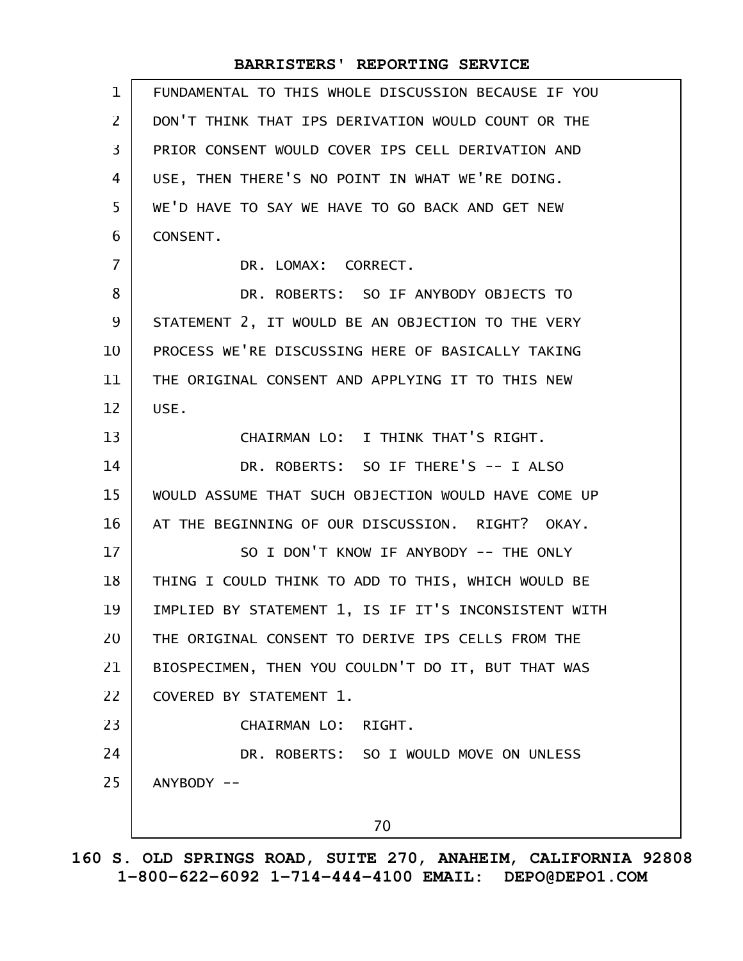| $\mathbf{1}$   | FUNDAMENTAL TO THIS WHOLE DISCUSSION BECAUSE IF YOU  |
|----------------|------------------------------------------------------|
| $\overline{2}$ | DON'T THINK THAT IPS DERIVATION WOULD COUNT OR THE   |
| 3              | PRIOR CONSENT WOULD COVER IPS CELL DERIVATION AND    |
| 4              | USE, THEN THERE'S NO POINT IN WHAT WE'RE DOING.      |
| 5              | WE'D HAVE TO SAY WE HAVE TO GO BACK AND GET NEW      |
| 6              | CONSENT.                                             |
| $\overline{7}$ | DR. LOMAX: CORRECT.                                  |
| 8              | DR. ROBERTS: SO IF ANYBODY OBJECTS TO                |
| 9              | STATEMENT 2, IT WOULD BE AN OBJECTION TO THE VERY    |
| 10             | PROCESS WE'RE DISCUSSING HERE OF BASICALLY TAKING    |
| 11             | THE ORIGINAL CONSENT AND APPLYING IT TO THIS NEW     |
| 12             | USE.                                                 |
| 13             | CHAIRMAN LO: I THINK THAT'S RIGHT.                   |
| 14             | DR. ROBERTS: SO IF THERE'S -- I ALSO                 |
| 15             | WOULD ASSUME THAT SUCH OBJECTION WOULD HAVE COME UP  |
| 16             | AT THE BEGINNING OF OUR DISCUSSION. RIGHT? OKAY.     |
| 17             | SO I DON'T KNOW IF ANYBODY -- THE ONLY               |
| 18             | THING I COULD THINK TO ADD TO THIS, WHICH WOULD BE   |
| 19             | IMPLIED BY STATEMENT 1, IS IF IT'S INCONSISTENT WITH |
| 20             | THE ORIGINAL CONSENT TO DERIVE IPS CELLS FROM THE    |
| 21             | BIOSPECIMEN, THEN YOU COULDN'T DO IT, BUT THAT WAS   |
| 22             | COVERED BY STATEMENT 1.                              |
| 23             | CHAIRMAN LO: RIGHT.                                  |
| 24             | DR. ROBERTS: SO I WOULD MOVE ON UNLESS               |
| 25             | ANYBODY --                                           |
|                | 70                                                   |
|                |                                                      |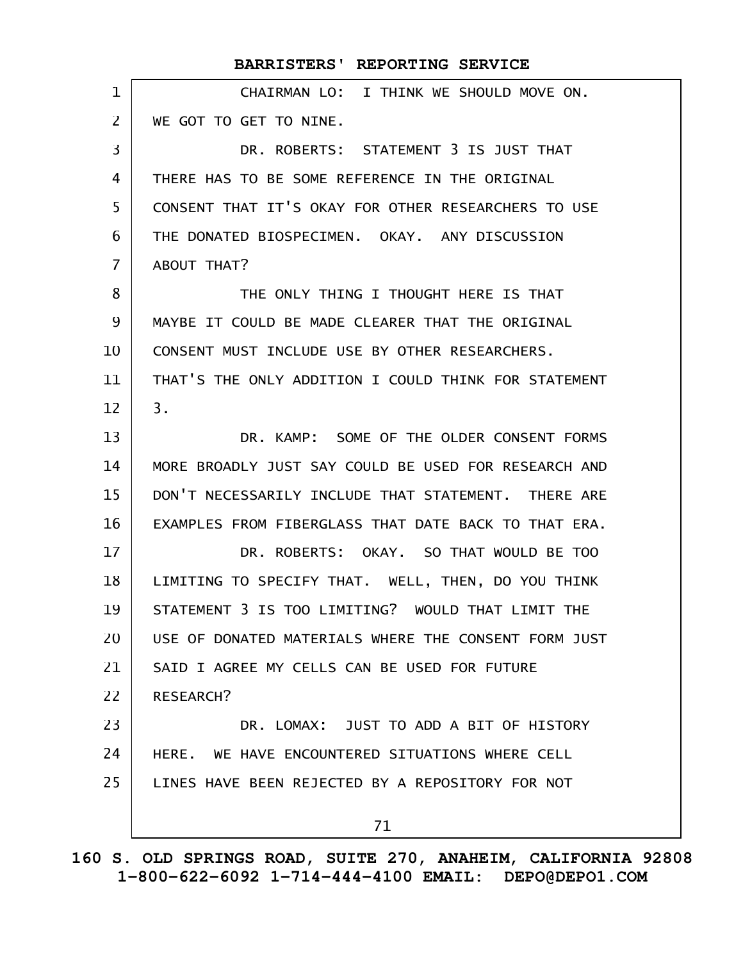|                | BARRISTERS' REPORTING SERVICE                        |
|----------------|------------------------------------------------------|
| 1              | CHAIRMAN LO: I THINK WE SHOULD MOVE ON.              |
| $\overline{2}$ | WE GOT TO GET TO NINE.                               |
| 3              | DR. ROBERTS: STATEMENT 3 IS JUST THAT                |
| 4              | THERE HAS TO BE SOME REFERENCE IN THE ORIGINAL       |
| 5              | CONSENT THAT IT'S OKAY FOR OTHER RESEARCHERS TO USE  |
| 6              | THE DONATED BIOSPECIMEN. OKAY. ANY DISCUSSION        |
| $\overline{7}$ | ABOUT THAT?                                          |
| 8              | THE ONLY THING I THOUGHT HERE IS THAT                |
| 9              | MAYBE IT COULD BE MADE CLEARER THAT THE ORIGINAL     |
| 10             | CONSENT MUST INCLUDE USE BY OTHER RESEARCHERS.       |
| 11             | THAT'S THE ONLY ADDITION I COULD THINK FOR STATEMENT |
| 12             | 3.                                                   |
| 13             | DR. KAMP: SOME OF THE OLDER CONSENT FORMS            |
| 14             | MORE BROADLY JUST SAY COULD BE USED FOR RESEARCH AND |
| 15             | DON'T NECESSARILY INCLUDE THAT STATEMENT. THERE ARE  |
| 16             | EXAMPLES FROM FIBERGLASS THAT DATE BACK TO THAT ERA. |
| 17             | DR. ROBERTS: OKAY. SO THAT WOULD BE TOO              |
| 18             | LIMITING TO SPECIFY THAT. WELL, THEN, DO YOU THINK   |
| 19             | STATEMENT 3 IS TOO LIMITING? WOULD THAT LIMIT THE    |
| 20             | USE OF DONATED MATERIALS WHERE THE CONSENT FORM JUST |
| 21             | SAID I AGREE MY CELLS CAN BE USED FOR FUTURE         |
| 22             | <b>RESEARCH?</b>                                     |
| 23             | DR. LOMAX: JUST TO ADD A BIT OF HISTORY              |
| 24             | HERE. WE HAVE ENCOUNTERED SITUATIONS WHERE CELL      |
| 25             | LINES HAVE BEEN REJECTED BY A REPOSITORY FOR NOT     |
|                | 71                                                   |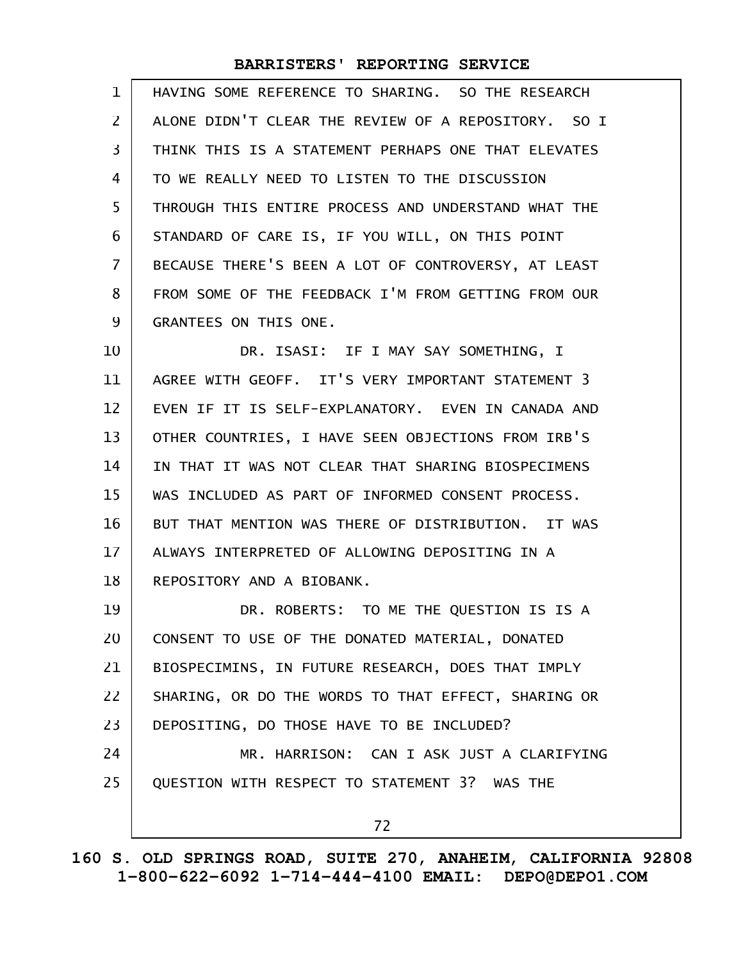| $\mathbf{1}$   | HAVING SOME REFERENCE TO SHARING, SO THE RESEARCH   |
|----------------|-----------------------------------------------------|
| $\overline{2}$ | ALONE DIDN'T CLEAR THE REVIEW OF A REPOSITORY. SO I |
| $\overline{3}$ | THINK THIS IS A STATEMENT PERHAPS ONE THAT ELEVATES |
| 4              | TO WE REALLY NEED TO LISTEN TO THE DISCUSSION       |
| 5              | THROUGH THIS ENTIRE PROCESS AND UNDERSTAND WHAT THE |
| 6              | STANDARD OF CARE IS, IF YOU WILL, ON THIS POINT     |
| $\overline{7}$ | BECAUSE THERE'S BEEN A LOT OF CONTROVERSY, AT LEAST |
| 8              | FROM SOME OF THE FEEDBACK I'M FROM GETTING FROM OUR |
| 9              | GRANTEES ON THIS ONE.                               |
| 10             | DR. ISASI: IF I MAY SAY SOMETHING, I                |
| 11             | AGREE WITH GEOFF. IT'S VERY IMPORTANT STATEMENT 3   |
| 12             | EVEN IF IT IS SELF-EXPLANATORY. EVEN IN CANADA AND  |
| 13             | OTHER COUNTRIES, I HAVE SEEN OBJECTIONS FROM IRB'S  |
| 14             | IN THAT IT WAS NOT CLEAR THAT SHARING BIOSPECIMENS  |
| 15             | WAS INCLUDED AS PART OF INFORMED CONSENT PROCESS.   |
| 16             | BUT THAT MENTION WAS THERE OF DISTRIBUTION. IT WAS  |

ALWAYS INTERPRETED OF ALLOWING DEPOSITING IN A REPOSITORY AND A BIOBANK. 17 18

DR. ROBERTS: TO ME THE QUESTION IS IS A CONSENT TO USE OF THE DONATED MATERIAL, DONATED BIOSPECIMINS, IN FUTURE RESEARCH, DOES THAT IMPLY SHARING, OR DO THE WORDS TO THAT EFFECT, SHARING OR DEPOSITING, DO THOSE HAVE TO BE INCLUDED? MR. HARRISON: CAN I ASK JUST A CLARIFYING QUESTION WITH RESPECT TO STATEMENT 3? WAS THE 19 20 21 22 23 24 25

72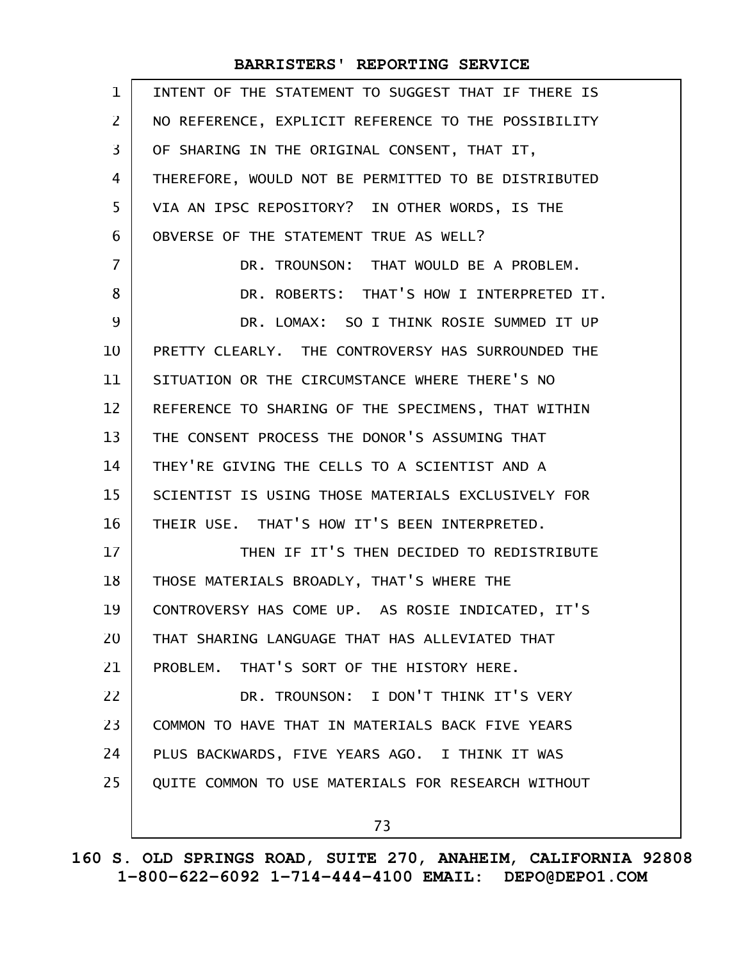| $\mathbf{1}$   | INTENT OF THE STATEMENT TO SUGGEST THAT IF THERE IS |
|----------------|-----------------------------------------------------|
| $\overline{2}$ | NO REFERENCE, EXPLICIT REFERENCE TO THE POSSIBILITY |
| 3              | OF SHARING IN THE ORIGINAL CONSENT, THAT IT,        |
| 4              | THEREFORE, WOULD NOT BE PERMITTED TO BE DISTRIBUTED |
| 5              | VIA AN IPSC REPOSITORY? IN OTHER WORDS, IS THE      |
| 6              | OBVERSE OF THE STATEMENT TRUE AS WELL?              |
| 7              | DR. TROUNSON: THAT WOULD BE A PROBLEM.              |
| 8              | DR. ROBERTS: THAT'S HOW I INTERPRETED IT.           |
| 9              | DR. LOMAX: SO I THINK ROSIE SUMMED IT UP            |
| 10             | PRETTY CLEARLY. THE CONTROVERSY HAS SURROUNDED THE  |
| 11             | SITUATION OR THE CIRCUMSTANCE WHERE THERE'S NO      |
| 12             | REFERENCE TO SHARING OF THE SPECIMENS, THAT WITHIN  |
| 13             | THE CONSENT PROCESS THE DONOR'S ASSUMING THAT       |
| 14             | THEY'RE GIVING THE CELLS TO A SCIENTIST AND A       |
| 15             | SCIENTIST IS USING THOSE MATERIALS EXCLUSIVELY FOR  |
| 16             | THEIR USE. THAT'S HOW IT'S BEEN INTERPRETED.        |
| 17             | THEN IF IT'S THEN DECIDED TO REDISTRIBUTE           |
| 18             | THOSE MATERIALS BROADLY, THAT'S WHERE THE           |
| 19             | CONTROVERSY HAS COME UP. AS ROSIE INDICATED, IT'S   |
| 20             | THAT SHARING LANGUAGE THAT HAS ALLEVIATED THAT      |
| 21             | PROBLEM. THAT'S SORT OF THE HISTORY HERE.           |
| 22             | DR. TROUNSON: I DON'T THINK IT'S VERY               |
| 23             | COMMON TO HAVE THAT IN MATERIALS BACK FIVE YEARS    |
| 24             | PLUS BACKWARDS, FIVE YEARS AGO. I THINK IT WAS      |
| 25             | QUITE COMMON TO USE MATERIALS FOR RESEARCH WITHOUT  |
|                | 73                                                  |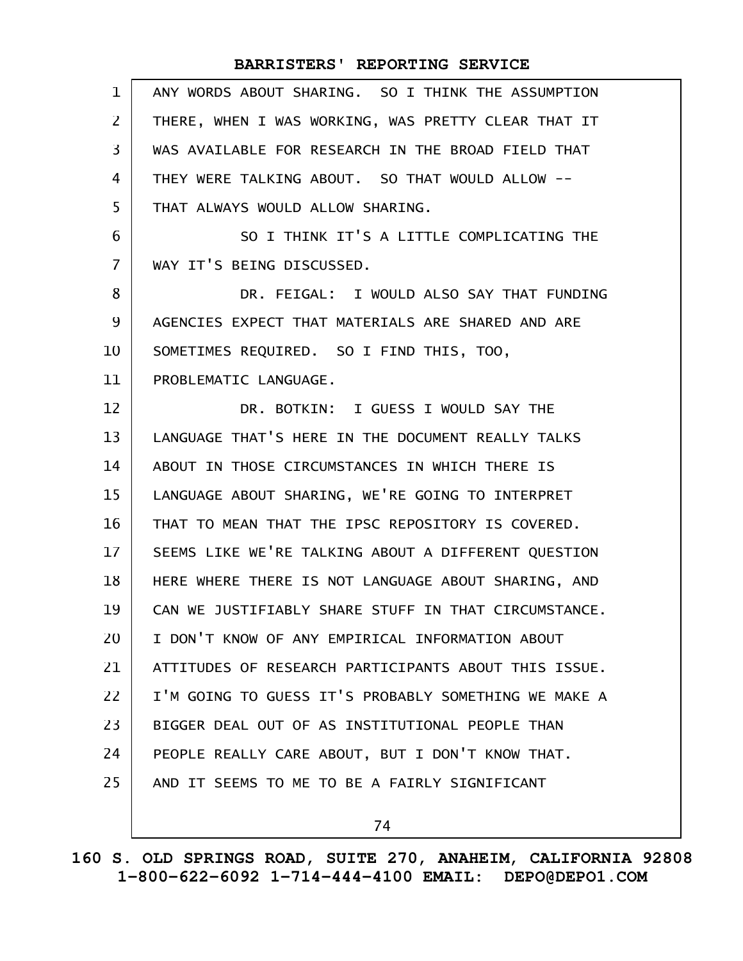| $\mathbf 1$    | ANY WORDS ABOUT SHARING. SO I THINK THE ASSUMPTION   |
|----------------|------------------------------------------------------|
| $\mathsf{Z}$   | THERE, WHEN I WAS WORKING, WAS PRETTY CLEAR THAT IT  |
| 3              | WAS AVAILABLE FOR RESEARCH IN THE BROAD FIELD THAT   |
| 4              | THEY WERE TALKING ABOUT. SO THAT WOULD ALLOW --      |
| 5              | THAT ALWAYS WOULD ALLOW SHARING.                     |
| 6              | SO I THINK IT'S A LITTLE COMPLICATING THE            |
| $\overline{7}$ | WAY IT'S BEING DISCUSSED.                            |
| 8              | DR. FEIGAL: I WOULD ALSO SAY THAT FUNDING            |
| 9              | AGENCIES EXPECT THAT MATERIALS ARE SHARED AND ARE    |
| 10             | SOMETIMES REQUIRED. SO I FIND THIS, TOO,             |
| 11             | PROBLEMATIC LANGUAGE.                                |
| 12             | DR. BOTKIN: I GUESS I WOULD SAY THE                  |
| 13             | LANGUAGE THAT'S HERE IN THE DOCUMENT REALLY TALKS    |
| 14             | ABOUT IN THOSE CIRCUMSTANCES IN WHICH THERE IS       |
| 15             | LANGUAGE ABOUT SHARING, WE'RE GOING TO INTERPRET     |
| 16             | THAT TO MEAN THAT THE IPSC REPOSITORY IS COVERED.    |
| $17 \,$        | SEEMS LIKE WE'RE TALKING ABOUT A DIFFERENT QUESTION  |
| 18             | HERE WHERE THERE IS NOT LANGUAGE ABOUT SHARING, AND  |
| 19             | CAN WE JUSTIFIABLY SHARE STUFF IN THAT CIRCUMSTANCE. |
| 20             | I DON'T KNOW OF ANY EMPIRICAL INFORMATION ABOUT      |
| 21             | ATTITUDES OF RESEARCH PARTICIPANTS ABOUT THIS ISSUE. |
| 22             | I'M GOING TO GUESS IT'S PROBABLY SOMETHING WE MAKE A |
| 23             | BIGGER DEAL OUT OF AS INSTITUTIONAL PEOPLE THAN      |
| 24             | PEOPLE REALLY CARE ABOUT, BUT I DON'T KNOW THAT.     |
| 25             | AND IT SEEMS TO ME TO BE A FAIRLY SIGNIFICANT        |
|                | 74                                                   |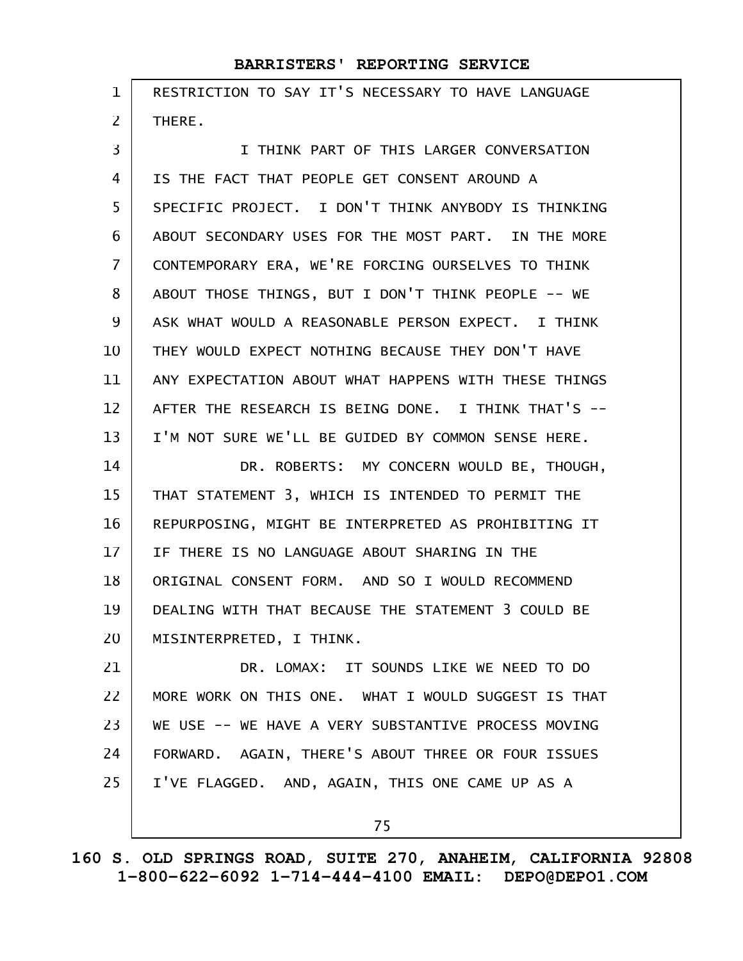| 1              | RESTRICTION TO SAY IT'S NECESSARY TO HAVE LANGUAGE   |
|----------------|------------------------------------------------------|
| $\overline{2}$ | THERE.                                               |
| 3              | I THINK PART OF THIS LARGER CONVERSATION             |
| 4              | IS THE FACT THAT PEOPLE GET CONSENT AROUND A         |
| 5              | SPECIFIC PROJECT. I DON'T THINK ANYBODY IS THINKING  |
| 6              | ABOUT SECONDARY USES FOR THE MOST PART. IN THE MORE  |
| 7              | CONTEMPORARY ERA, WE'RE FORCING OURSELVES TO THINK   |
| 8              | ABOUT THOSE THINGS, BUT I DON'T THINK PEOPLE -- WE   |
| 9              | ASK WHAT WOULD A REASONABLE PERSON EXPECT. I THINK   |
| 10             | THEY WOULD EXPECT NOTHING BECAUSE THEY DON'T HAVE    |
| 11             | ANY EXPECTATION ABOUT WHAT HAPPENS WITH THESE THINGS |
| 12             | AFTER THE RESEARCH IS BEING DONE. I THINK THAT'S --  |
| 13             | I'M NOT SURE WE'LL BE GUIDED BY COMMON SENSE HERE.   |
| 14             | DR. ROBERTS: MY CONCERN WOULD BE, THOUGH,            |
| 15             | THAT STATEMENT 3, WHICH IS INTENDED TO PERMIT THE    |
| 16             | REPURPOSING, MIGHT BE INTERPRETED AS PROHIBITING IT  |
| 17             | IF THERE IS NO LANGUAGE ABOUT SHARING IN THE         |
| 18             | ORIGINAL CONSENT FORM. AND SO I WOULD RECOMMEND      |
| 19             | DEALING WITH THAT BECAUSE THE STATEMENT 3 COULD BE   |
| 20             | MISINTERPRETED, I THINK.                             |
| 21             | DR. LOMAX: IT SOUNDS LIKE WE NEED TO DO              |
| 22             | MORE WORK ON THIS ONE. WHAT I WOULD SUGGEST IS THAT  |
| 23             | WE USE -- WE HAVE A VERY SUBSTANTIVE PROCESS MOVING  |
| 24             | FORWARD. AGAIN, THERE'S ABOUT THREE OR FOUR ISSUES   |
| 25             | I'VE FLAGGED. AND, AGAIN, THIS ONE CAME UP AS A      |
|                | 75                                                   |

**160 S. OLD SPRINGS ROAD, SUITE 270, ANAHEIM, CALIFORNIA 92808 1-800-622-6092 1-714-444-4100 EMAIL: DEPO@DEPO1.COM**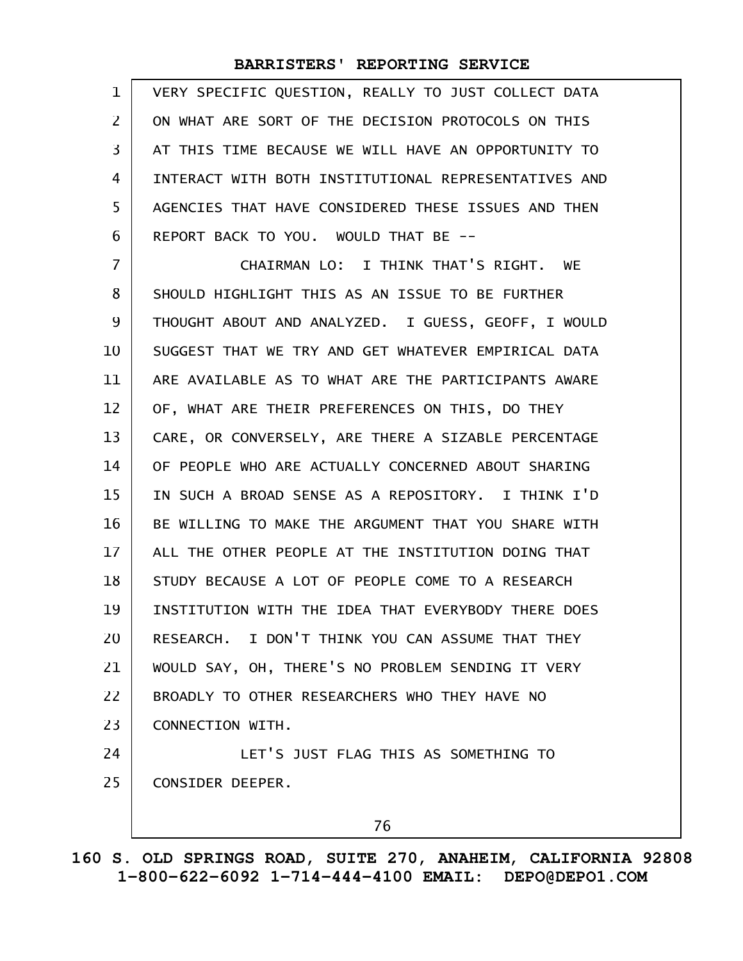| $\mathbf{1}$   | VERY SPECIFIC QUESTION, REALLY TO JUST COLLECT DATA  |
|----------------|------------------------------------------------------|
| <sup>2</sup>   | ON WHAT ARE SORT OF THE DECISION PROTOCOLS ON THIS   |
| $\overline{3}$ | AT THIS TIME BECAUSE WE WILL HAVE AN OPPORTUNITY TO  |
| $\overline{4}$ | INTERACT WITH BOTH INSTITUTIONAL REPRESENTATIVES AND |
| -5             | AGENCIES THAT HAVE CONSIDERED THESE ISSUES AND THEN  |
| 6              | REPORT BACK TO YOU. WOULD THAT BE --                 |
|                |                                                      |

CHAIRMAN LO: I THINK THAT'S RIGHT. WE SHOULD HIGHLIGHT THIS AS AN ISSUE TO BE FURTHER THOUGHT ABOUT AND ANALYZED. I GUESS, GEOFF, I WOULD SUGGEST THAT WE TRY AND GET WHATEVER EMPIRICAL DATA ARE AVAILABLE AS TO WHAT ARE THE PARTICIPANTS AWARE OF, WHAT ARE THEIR PREFERENCES ON THIS, DO THEY CARE, OR CONVERSELY, ARE THERE A SIZABLE PERCENTAGE OF PEOPLE WHO ARE ACTUALLY CONCERNED ABOUT SHARING IN SUCH A BROAD SENSE AS A REPOSITORY. I THINK I'D BE WILLING TO MAKE THE ARGUMENT THAT YOU SHARE WITH ALL THE OTHER PEOPLE AT THE INSTITUTION DOING THAT STUDY BECAUSE A LOT OF PEOPLE COME TO A RESEARCH INSTITUTION WITH THE IDEA THAT EVERYBODY THERE DOES RESEARCH. I DON'T THINK YOU CAN ASSUME THAT THEY WOULD SAY, OH, THERE'S NO PROBLEM SENDING IT VERY BROADLY TO OTHER RESEARCHERS WHO THEY HAVE NO CONNECTION WITH. LET'S JUST FLAG THIS AS SOMETHING TO 7 8 9 10 11 12 13 14 15 16 17 18 19 20 21 22 23 24

CONSIDER DEEPER. 25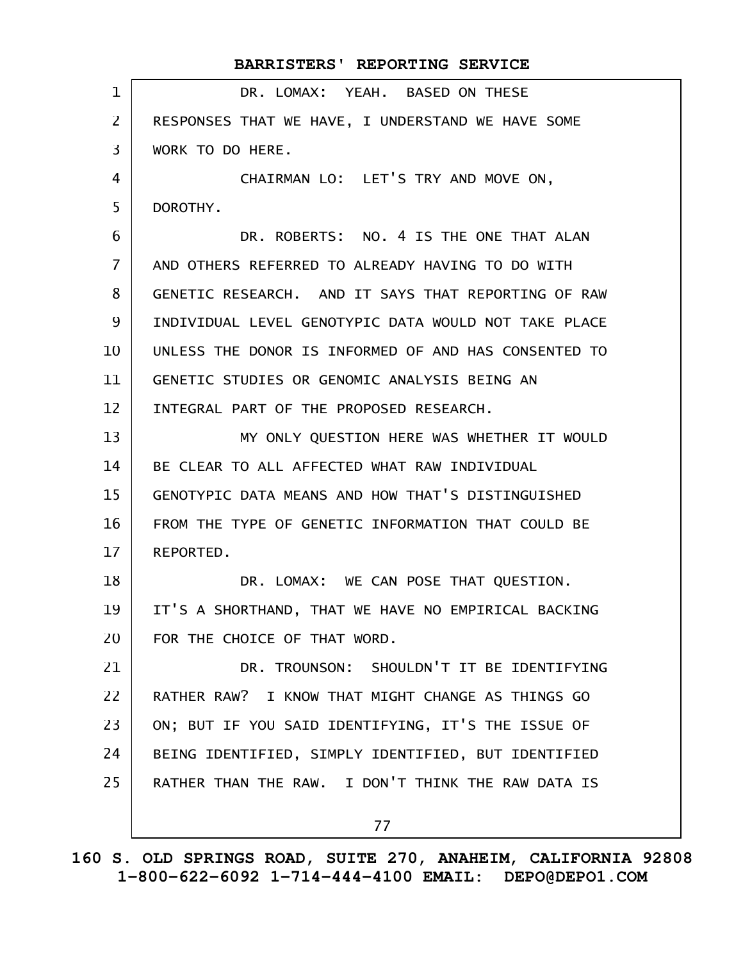DR. LOMAX: YEAH. BASED ON THESE RESPONSES THAT WE HAVE, I UNDERSTAND WE HAVE SOME WORK TO DO HERE. CHAIRMAN LO: LET'S TRY AND MOVE ON, DOROTHY. DR. ROBERTS: NO. 4 IS THE ONE THAT ALAN AND OTHERS REFERRED TO ALREADY HAVING TO DO WITH GENETIC RESEARCH. AND IT SAYS THAT REPORTING OF RAW INDIVIDUAL LEVEL GENOTYPIC DATA WOULD NOT TAKE PLACE UNLESS THE DONOR IS INFORMED OF AND HAS CONSENTED TO GENETIC STUDIES OR GENOMIC ANALYSIS BEING AN INTEGRAL PART OF THE PROPOSED RESEARCH. MY ONLY QUESTION HERE WAS WHETHER IT WOULD BE CLEAR TO ALL AFFECTED WHAT RAW INDIVIDUAL GENOTYPIC DATA MEANS AND HOW THAT'S DISTINGUISHED FROM THE TYPE OF GENETIC INFORMATION THAT COULD BE REPORTED. DR. LOMAX: WE CAN POSE THAT QUESTION. IT'S A SHORTHAND, THAT WE HAVE NO EMPIRICAL BACKING FOR THE CHOICE OF THAT WORD. DR. TROUNSON: SHOULDN'T IT BE IDENTIFYING RATHER RAW? I KNOW THAT MIGHT CHANGE AS THINGS GO ON; BUT IF YOU SAID IDENTIFYING, IT'S THE ISSUE OF BEING IDENTIFIED, SIMPLY IDENTIFIED, BUT IDENTIFIED RATHER THAN THE RAW. I DON'T THINK THE RAW DATA IS 77 **BARRISTERS' REPORTING SERVICE** 1 2 3 4 5 6 7 8 9 10 11 12 13 14 15 16 17 18 19 20 21 22 23 24 25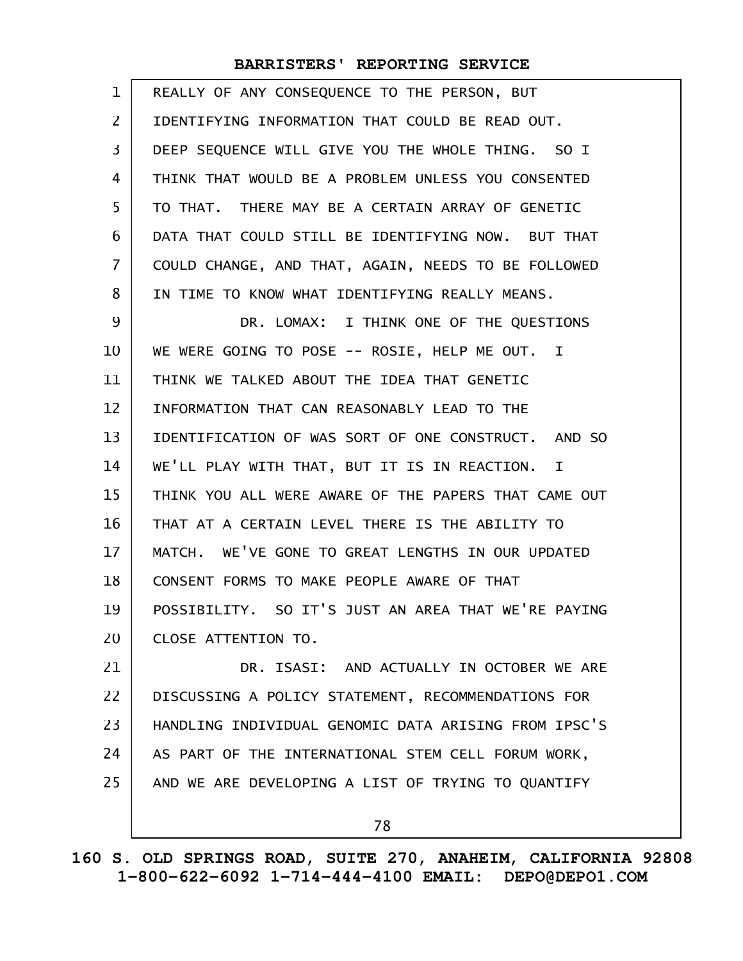| $\mathbf{1}$   | REALLY OF ANY CONSEQUENCE TO THE PERSON, BUT         |
|----------------|------------------------------------------------------|
| $\overline{2}$ | IDENTIFYING INFORMATION THAT COULD BE READ OUT.      |
| 3              | DEEP SEQUENCE WILL GIVE YOU THE WHOLE THING. SO I    |
| 4              | THINK THAT WOULD BE A PROBLEM UNLESS YOU CONSENTED   |
| 5              | TO THAT. THERE MAY BE A CERTAIN ARRAY OF GENETIC     |
| 6              | DATA THAT COULD STILL BE IDENTIFYING NOW. BUT THAT   |
| 7              | COULD CHANGE, AND THAT, AGAIN, NEEDS TO BE FOLLOWED  |
| 8              | IN TIME TO KNOW WHAT IDENTIFYING REALLY MEANS.       |
| 9              | DR. LOMAX: I THINK ONE OF THE QUESTIONS              |
| 10             | WE WERE GOING TO POSE -- ROSIE, HELP ME OUT. I       |
| 11             | THINK WE TALKED ABOUT THE IDEA THAT GENETIC          |
| 12             | INFORMATION THAT CAN REASONABLY LEAD TO THE          |
| 13             | IDENTIFICATION OF WAS SORT OF ONE CONSTRUCT. AND SO  |
| 14             | WE'LL PLAY WITH THAT, BUT IT IS IN REACTION. I       |
| 15             | THINK YOU ALL WERE AWARE OF THE PAPERS THAT CAME OUT |
| 16             | THAT AT A CERTAIN LEVEL THERE IS THE ABILITY TO      |
| 17             | MATCH. WE'VE GONE TO GREAT LENGTHS IN OUR UPDATED    |
| 18             | CONSENT FORMS TO MAKE PEOPLE AWARE OF THAT           |
| 19             | POSSIBILITY. SO IT'S JUST AN AREA THAT WE'RE PAYING  |
| 20             | CLOSE ATTENTION TO.                                  |
| 21             | DR. ISASI: AND ACTUALLY IN OCTOBER WE ARE            |
| 22             | DISCUSSING A POLICY STATEMENT, RECOMMENDATIONS FOR   |
| 23             | HANDLING INDIVIDUAL GENOMIC DATA ARISING FROM IPSC'S |
| 24             | AS PART OF THE INTERNATIONAL STEM CELL FORUM WORK,   |
| 25             | AND WE ARE DEVELOPING A LIST OF TRYING TO QUANTIFY   |
|                | 78                                                   |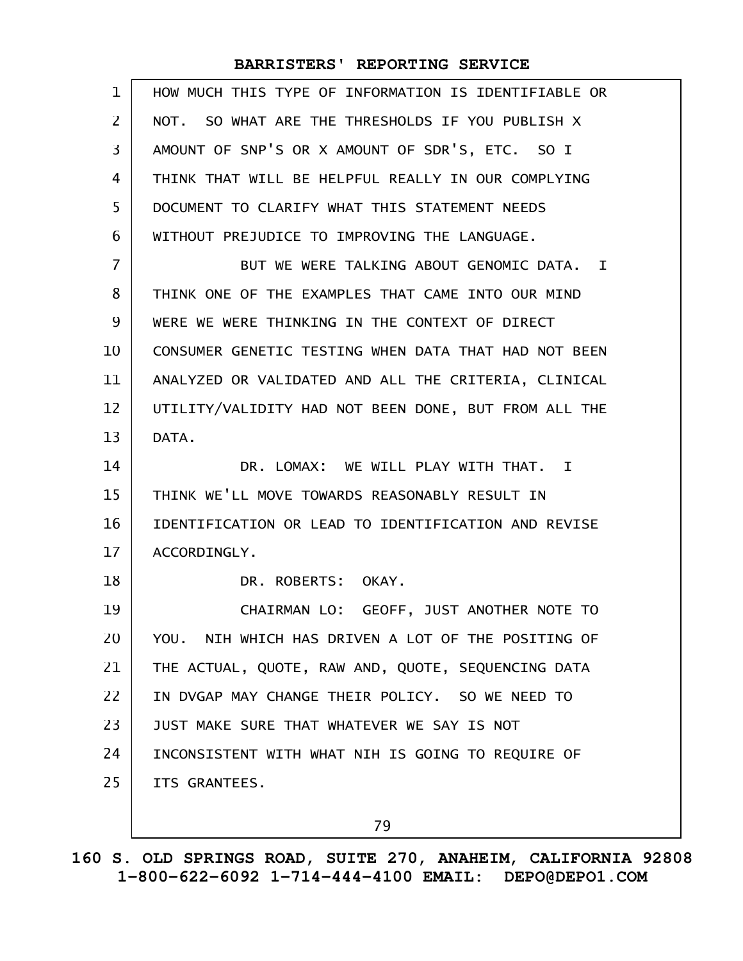| $\mathbf{1}$      | HOW MUCH THIS TYPE OF INFORMATION IS IDENTIFIABLE OR |
|-------------------|------------------------------------------------------|
| $\overline{2}$    | NOT. SO WHAT ARE THE THRESHOLDS IF YOU PUBLISH X     |
| 3                 | AMOUNT OF SNP'S OR X AMOUNT OF SDR'S, ETC. SO I      |
| 4                 | THINK THAT WILL BE HELPFUL REALLY IN OUR COMPLYING   |
| 5                 | DOCUMENT TO CLARIFY WHAT THIS STATEMENT NEEDS        |
| 6                 | WITHOUT PREJUDICE TO IMPROVING THE LANGUAGE.         |
| $\overline{7}$    | BUT WE WERE TALKING ABOUT GENOMIC DATA. I            |
| 8                 | THINK ONE OF THE EXAMPLES THAT CAME INTO OUR MIND    |
| 9                 | WERE WE WERE THINKING IN THE CONTEXT OF DIRECT       |
| 10                | CONSUMER GENETIC TESTING WHEN DATA THAT HAD NOT BEEN |
| 11                | ANALYZED OR VALIDATED AND ALL THE CRITERIA, CLINICAL |
| $12 \overline{ }$ | UTILITY/VALIDITY HAD NOT BEEN DONE, BUT FROM ALL THE |
| 13                | DATA.                                                |
|                   |                                                      |
| 14                | DR. LOMAX: WE WILL PLAY WITH THAT. I                 |
| 15                | THINK WE'LL MOVE TOWARDS REASONABLY RESULT IN        |
| 16                | IDENTIFICATION OR LEAD TO IDENTIFICATION AND REVISE  |
| 17                | ACCORDINGLY.                                         |
| 18                | DR. ROBERTS: OKAY.                                   |
| 19                | CHAIRMAN LO: GEOFF, JUST ANOTHER NOTE TO             |
| 20                | YOU. NIH WHICH HAS DRIVEN A LOT OF THE POSITING OF   |
| 21                | THE ACTUAL, QUOTE, RAW AND, QUOTE, SEQUENCING DATA   |
| 22                | IN DVGAP MAY CHANGE THEIR POLICY. SO WE NEED TO      |
| 23                | JUST MAKE SURE THAT WHATEVER WE SAY IS NOT           |
| 24                | INCONSISTENT WITH WHAT NIH IS GOING TO REQUIRE OF    |
| 25                | ITS GRANTEES.                                        |

**160 S. OLD SPRINGS ROAD, SUITE 270, ANAHEIM, CALIFORNIA 92808 1-800-622-6092 1-714-444-4100 EMAIL: DEPO@DEPO1.COM**

79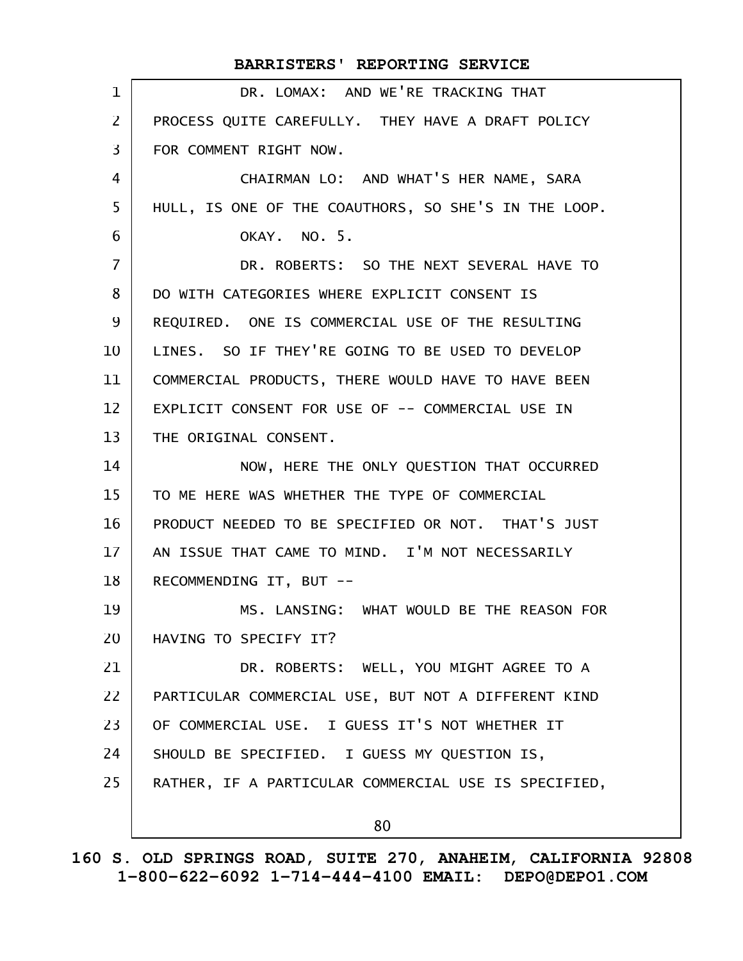|                | BARRISTERS' REPORTING SERVICE                        |
|----------------|------------------------------------------------------|
| $\mathbf 1$    | DR. LOMAX: AND WE'RE TRACKING THAT                   |
| $\overline{2}$ | PROCESS QUITE CAREFULLY. THEY HAVE A DRAFT POLICY    |
| $\overline{3}$ | FOR COMMENT RIGHT NOW.                               |
| 4              | CHAIRMAN LO: AND WHAT'S HER NAME, SARA               |
| 5              | HULL, IS ONE OF THE COAUTHORS, SO SHE'S IN THE LOOP. |
| 6              | OKAY. NO. 5.                                         |
| $\overline{7}$ | DR. ROBERTS: SO THE NEXT SEVERAL HAVE TO             |
| 8              | DO WITH CATEGORIES WHERE EXPLICIT CONSENT IS         |
| 9              | REQUIRED. ONE IS COMMERCIAL USE OF THE RESULTING     |
| 10             | LINES. SO IF THEY'RE GOING TO BE USED TO DEVELOP     |
| 11             | COMMERCIAL PRODUCTS, THERE WOULD HAVE TO HAVE BEEN   |
| 12             | EXPLICIT CONSENT FOR USE OF -- COMMERCIAL USE IN     |
| 13             | THE ORIGINAL CONSENT.                                |
| 14             | NOW, HERE THE ONLY QUESTION THAT OCCURRED            |
| 15             | TO ME HERE WAS WHETHER THE TYPE OF COMMERCIAL        |
| 16             | PRODUCT NEEDED TO BE SPECIFIED OR NOT. THAT'S JUST   |
| 17             | AN ISSUE THAT CAME TO MIND. I'M NOT NECESSARILY      |
| 18             | RECOMMENDING IT, BUT --                              |
| 19             | MS. LANSING: WHAT WOULD BE THE REASON FOR            |
| 20             | HAVING TO SPECIFY IT?                                |
| 21             | DR. ROBERTS: WELL, YOU MIGHT AGREE TO A              |
| 22             | PARTICULAR COMMERCIAL USE, BUT NOT A DIFFERENT KIND  |
| 23             | OF COMMERCIAL USE. I GUESS IT'S NOT WHETHER IT       |
| 24             | SHOULD BE SPECIFIED. I GUESS MY QUESTION IS,         |
| 25             | RATHER, IF A PARTICULAR COMMERCIAL USE IS SPECIFIED, |
|                | 80                                                   |
|                |                                                      |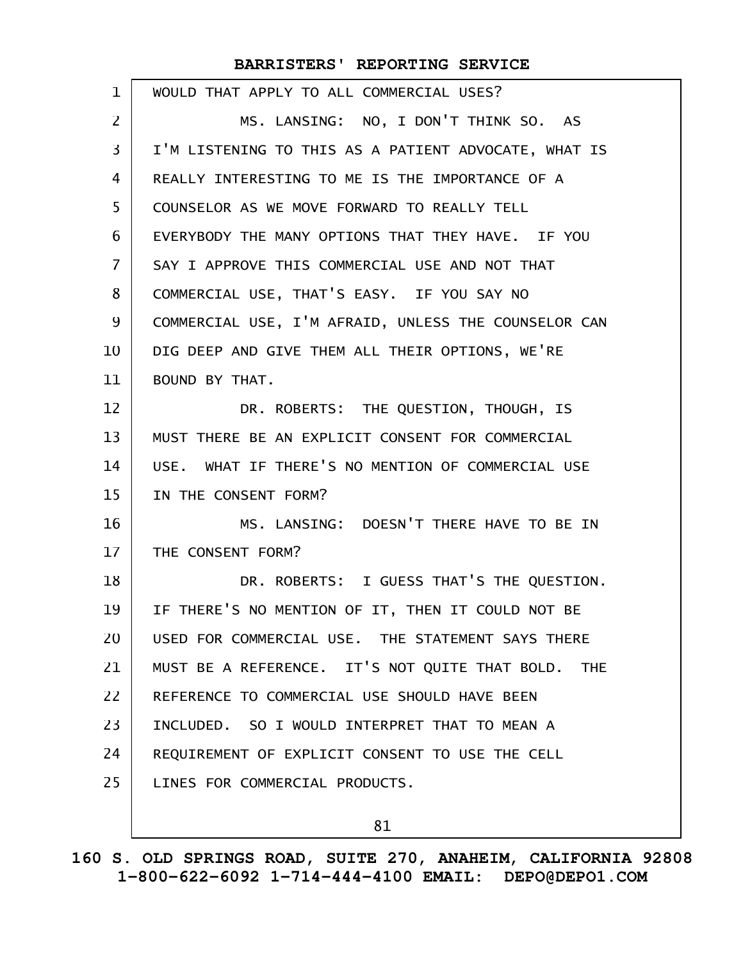| $\mathbf 1$    | WOULD THAT APPLY TO ALL COMMERCIAL USES?             |
|----------------|------------------------------------------------------|
| $\overline{2}$ | MS. LANSING: NO, I DON'T THINK SO. AS                |
| 3              | I'M LISTENING TO THIS AS A PATIENT ADVOCATE, WHAT IS |
| 4              | REALLY INTERESTING TO ME IS THE IMPORTANCE OF A      |
| 5              | COUNSELOR AS WE MOVE FORWARD TO REALLY TELL          |
| 6              | EVERYBODY THE MANY OPTIONS THAT THEY HAVE. IF YOU    |
| $\overline{7}$ | SAY I APPROVE THIS COMMERCIAL USE AND NOT THAT       |
| 8              | COMMERCIAL USE, THAT'S EASY. IF YOU SAY NO           |
| 9              | COMMERCIAL USE, I'M AFRAID, UNLESS THE COUNSELOR CAN |
| 10             | DIG DEEP AND GIVE THEM ALL THEIR OPTIONS, WE'RE      |
| 11             | BOUND BY THAT.                                       |
| 12             | DR. ROBERTS: THE QUESTION, THOUGH, IS                |
| 13             | MUST THERE BE AN EXPLICIT CONSENT FOR COMMERCIAL     |
| 14             | USE. WHAT IF THERE'S NO MENTION OF COMMERCIAL USE    |
| 15             | IN THE CONSENT FORM?                                 |
| 16             | MS. LANSING: DOESN'T THERE HAVE TO BE IN             |
| 17             | THE CONSENT FORM?                                    |
| 18             | DR. ROBERTS: I GUESS THAT'S THE QUESTION.            |
| 19             | IF THERE'S NO MENTION OF IT, THEN IT COULD NOT BE    |
| 20             | USED FOR COMMERCIAL USE. THE STATEMENT SAYS THERE    |
| 21             | MUST BE A REFERENCE. IT'S NOT QUITE THAT BOLD. THE   |
| 22             | REFERENCE TO COMMERCIAL USE SHOULD HAVE BEEN         |
| 23             | INCLUDED. SO I WOULD INTERPRET THAT TO MEAN A        |
| 24             | REQUIREMENT OF EXPLICIT CONSENT TO USE THE CELL      |
| 25             | LINES FOR COMMERCIAL PRODUCTS.                       |
|                |                                                      |

81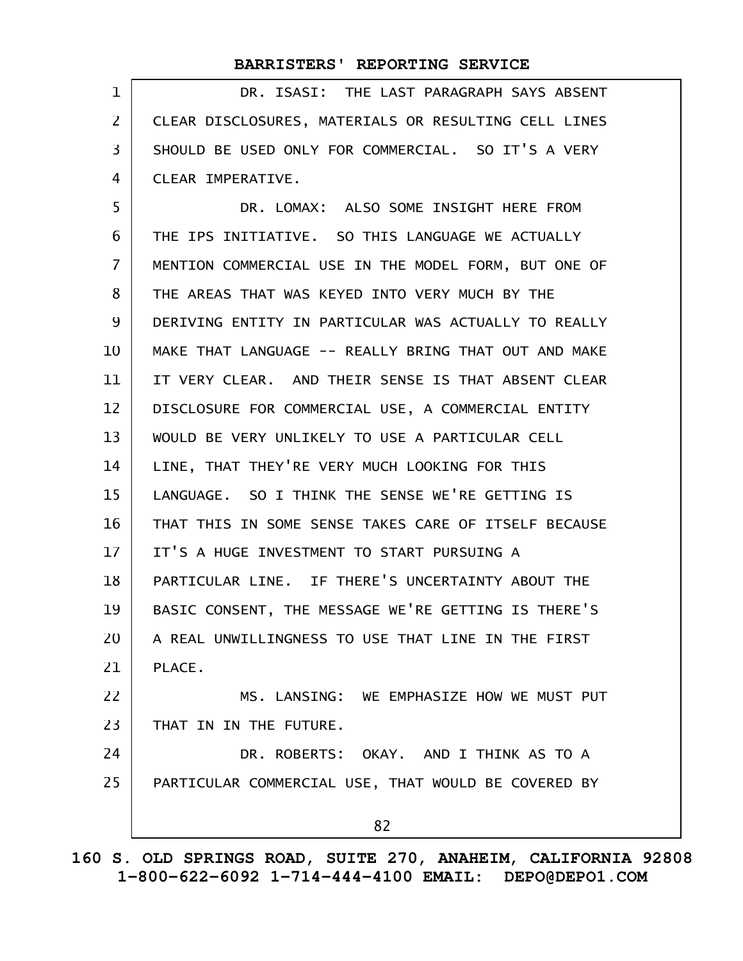DR. ISASI: THE LAST PARAGRAPH SAYS ABSENT CLEAR DISCLOSURES, MATERIALS OR RESULTING CELL LINES SHOULD BE USED ONLY FOR COMMERCIAL. SO IT'S A VERY CLEAR IMPERATIVE. 1 2 3 4

DR. LOMAX: ALSO SOME INSIGHT HERE FROM THE IPS INITIATIVE. SO THIS LANGUAGE WE ACTUALLY MENTION COMMERCIAL USE IN THE MODEL FORM, BUT ONE OF THE AREAS THAT WAS KEYED INTO VERY MUCH BY THE DERIVING ENTITY IN PARTICULAR WAS ACTUALLY TO REALLY MAKE THAT LANGUAGE -- REALLY BRING THAT OUT AND MAKE IT VERY CLEAR. AND THEIR SENSE IS THAT ABSENT CLEAR DISCLOSURE FOR COMMERCIAL USE, A COMMERCIAL ENTITY WOULD BE VERY UNLIKELY TO USE A PARTICULAR CELL LINE, THAT THEY'RE VERY MUCH LOOKING FOR THIS LANGUAGE. SO I THINK THE SENSE WE'RE GETTING IS THAT THIS IN SOME SENSE TAKES CARE OF ITSELF BECAUSE IT'S A HUGE INVESTMENT TO START PURSUING A PARTICULAR LINE. IF THERE'S UNCERTAINTY ABOUT THE BASIC CONSENT, THE MESSAGE WE'RE GETTING IS THERE'S A REAL UNWILLINGNESS TO USE THAT LINE IN THE FIRST PLACE. MS. LANSING: WE EMPHASIZE HOW WE MUST PUT THAT IN IN THE FUTURE. DR. ROBERTS: OKAY. AND I THINK AS TO A PARTICULAR COMMERCIAL USE, THAT WOULD BE COVERED BY 82 5 6 7 8 9 10 11 12 13 14 15 16 17 18 19 20 21 22 23 24 25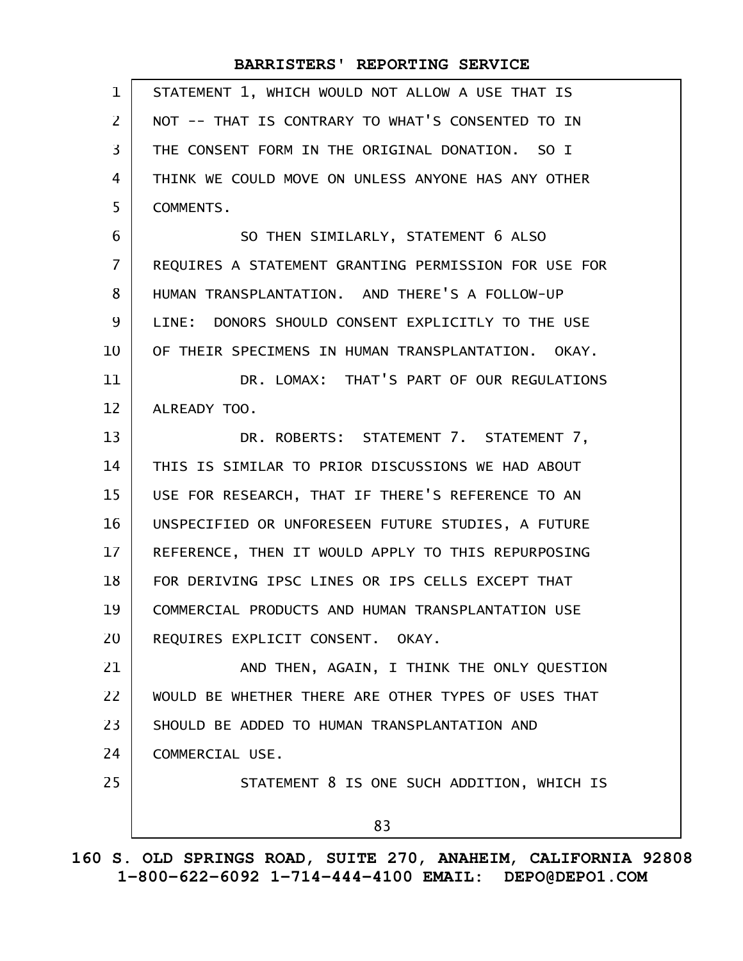| $\mathbf 1$    | STATEMENT 1, WHICH WOULD NOT ALLOW A USE THAT IS     |
|----------------|------------------------------------------------------|
| $\overline{2}$ | NOT -- THAT IS CONTRARY TO WHAT'S CONSENTED TO IN    |
| 3              | THE CONSENT FORM IN THE ORIGINAL DONATION. SO I      |
| 4              | THINK WE COULD MOVE ON UNLESS ANYONE HAS ANY OTHER   |
| 5              | COMMENTS.                                            |
| 6              | SO THEN SIMILARLY, STATEMENT 6 ALSO                  |
| $\overline{7}$ | REQUIRES A STATEMENT GRANTING PERMISSION FOR USE FOR |
| 8              | HUMAN TRANSPLANTATION. AND THERE'S A FOLLOW-UP       |
| 9              | LINE: DONORS SHOULD CONSENT EXPLICITLY TO THE USE    |
| 10             | OF THEIR SPECIMENS IN HUMAN TRANSPLANTATION. OKAY.   |
| 11             | DR. LOMAX: THAT'S PART OF OUR REGULATIONS            |
| 12             | ALREADY TOO.                                         |
| 13             | DR. ROBERTS: STATEMENT 7. STATEMENT 7.               |
| 14             | THIS IS SIMILAR TO PRIOR DISCUSSIONS WE HAD ABOUT    |
| 15             | USE FOR RESEARCH, THAT IF THERE'S REFERENCE TO AN    |
| 16             | UNSPECIFIED OR UNFORESEEN FUTURE STUDIES, A FUTURE   |
| 17             | REFERENCE, THEN IT WOULD APPLY TO THIS REPURPOSING   |
| 18             | FOR DERIVING IPSC LINES OR IPS CELLS EXCEPT THAT     |
| 19             | COMMERCIAL PRODUCTS AND HUMAN TRANSPLANTATION USE    |
| 20             | REQUIRES EXPLICIT CONSENT. OKAY.                     |
| 21             | AND THEN, AGAIN, I THINK THE ONLY QUESTION           |
| 22             | WOULD BE WHETHER THERE ARE OTHER TYPES OF USES THAT  |
| 23             | SHOULD BE ADDED TO HUMAN TRANSPLANTATION AND         |
| 24             | COMMERCIAL USE.                                      |
| 25             | STATEMENT 8 IS ONE SUCH ADDITION, WHICH IS           |
|                | 83                                                   |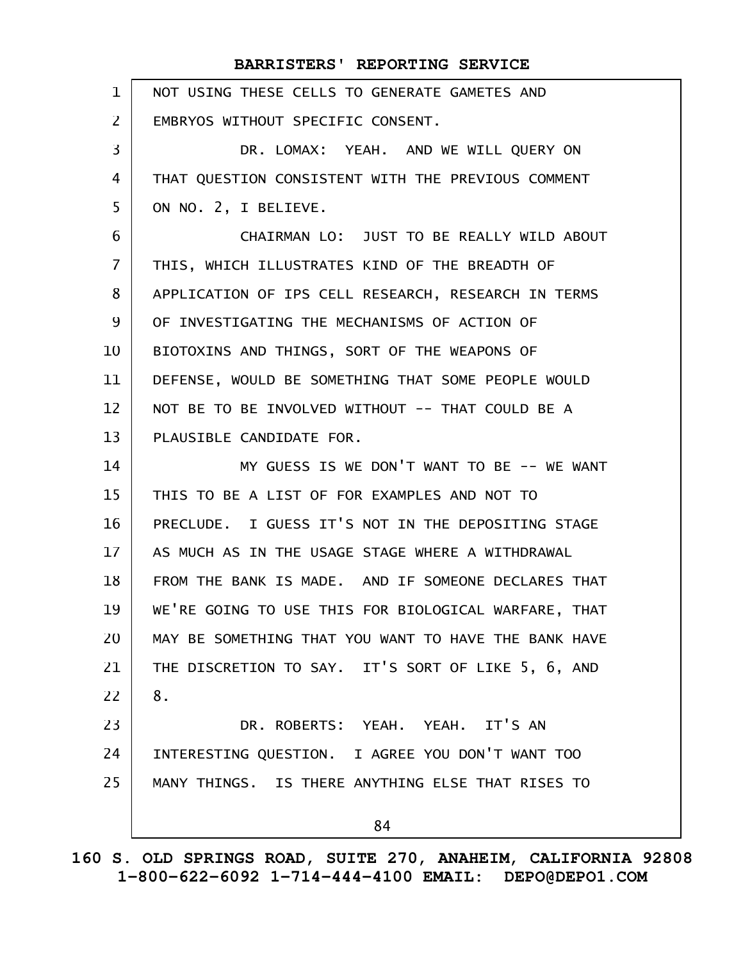|                   | BARRISTERS' REPORTING SERVICE                        |
|-------------------|------------------------------------------------------|
| $\mathbf 1$       | NOT USING THESE CELLS TO GENERATE GAMETES AND        |
| $\overline{2}$    | EMBRYOS WITHOUT SPECIFIC CONSENT.                    |
| 3                 | DR. LOMAX: YEAH. AND WE WILL QUERY ON                |
| 4                 | THAT QUESTION CONSISTENT WITH THE PREVIOUS COMMENT   |
| 5                 | ON NO. 2, I BELIEVE.                                 |
| 6                 | CHAIRMAN LO: JUST TO BE REALLY WILD ABOUT            |
| $\overline{7}$    | THIS, WHICH ILLUSTRATES KIND OF THE BREADTH OF       |
| 8                 | APPLICATION OF IPS CELL RESEARCH, RESEARCH IN TERMS  |
| 9                 | OF INVESTIGATING THE MECHANISMS OF ACTION OF         |
| 10                | BIOTOXINS AND THINGS, SORT OF THE WEAPONS OF         |
| 11                | DEFENSE, WOULD BE SOMETHING THAT SOME PEOPLE WOULD   |
| $12 \overline{ }$ | NOT BE TO BE INVOLVED WITHOUT -- THAT COULD BE A     |
| 13                | PLAUSIBLE CANDIDATE FOR.                             |
| 14                | MY GUESS IS WE DON'T WANT TO BE -- WE WANT           |
| 15                | THIS TO BE A LIST OF FOR EXAMPLES AND NOT TO         |
| 16                | PRECLUDE. I GUESS IT'S NOT IN THE DEPOSITING STAGE   |
| 17                | AS MUCH AS IN THE USAGE STAGE WHERE A WITHDRAWAL     |
| 18                | FROM THE BANK IS MADE. AND IF SOMEONE DECLARES THAT  |
| 19                | WE'RE GOING TO USE THIS FOR BIOLOGICAL WARFARE, THAT |
| 20                | MAY BE SOMETHING THAT YOU WANT TO HAVE THE BANK HAVE |
| 21                | THE DISCRETION TO SAY. IT'S SORT OF LIKE 5, 6, AND   |
| 22                | 8.                                                   |
| 23                | DR. ROBERTS: YEAH. YEAH. IT'S AN                     |
| 24                | INTERESTING QUESTION. I AGREE YOU DON'T WANT TOO     |
| 25                | MANY THINGS. IS THERE ANYTHING ELSE THAT RISES TO    |
|                   | 84                                                   |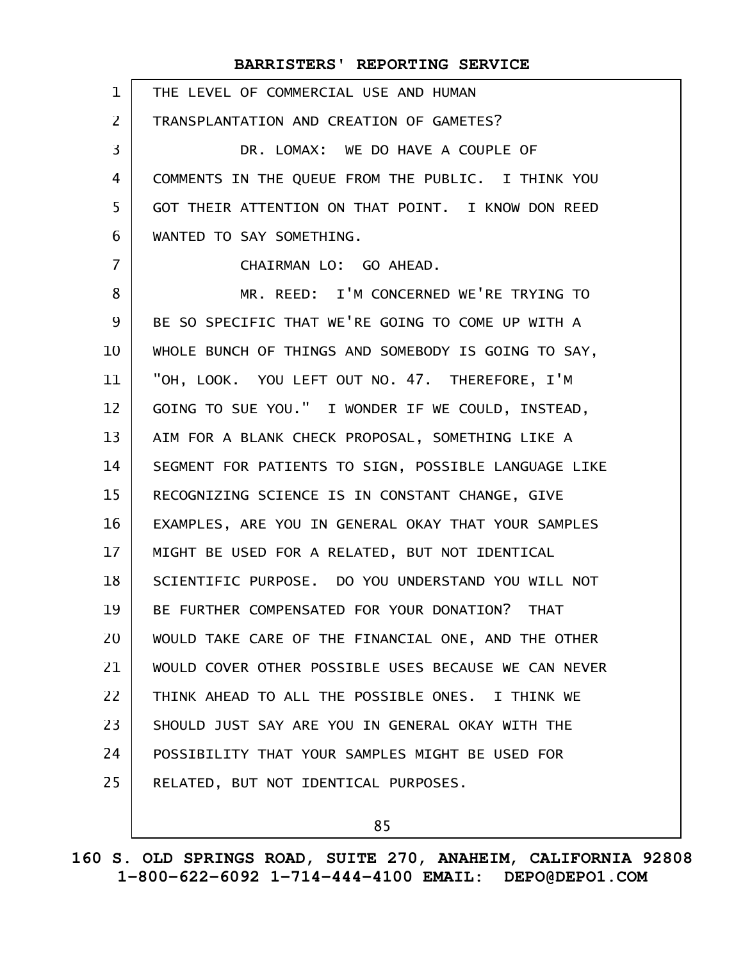| $\mathbf{1}$   | THE LEVEL OF COMMERCIAL USE AND HUMAN                |
|----------------|------------------------------------------------------|
| $\overline{2}$ | TRANSPLANTATION AND CREATION OF GAMETES?             |
| 3              | DR. LOMAX: WE DO HAVE A COUPLE OF                    |
| 4              | COMMENTS IN THE QUEUE FROM THE PUBLIC. I THINK YOU   |
| 5              | GOT THEIR ATTENTION ON THAT POINT. I KNOW DON REED   |
| 6              | WANTED TO SAY SOMETHING.                             |
| $\overline{7}$ | CHAIRMAN LO: GO AHEAD.                               |
| 8              | MR. REED: I'M CONCERNED WE'RE TRYING TO              |
| 9              | BE SO SPECIFIC THAT WE'RE GOING TO COME UP WITH A    |
| 10             | WHOLE BUNCH OF THINGS AND SOMEBODY IS GOING TO SAY,  |
| 11             | "OH, LOOK. YOU LEFT OUT NO. 47. THEREFORE, I'M       |
| 12             | GOING TO SUE YOU." I WONDER IF WE COULD, INSTEAD,    |
| 13             | AIM FOR A BLANK CHECK PROPOSAL, SOMETHING LIKE A     |
| 14             | SEGMENT FOR PATIENTS TO SIGN, POSSIBLE LANGUAGE LIKE |
| 15             | RECOGNIZING SCIENCE IS IN CONSTANT CHANGE, GIVE      |
| 16             | EXAMPLES, ARE YOU IN GENERAL OKAY THAT YOUR SAMPLES  |
| 17             | MIGHT BE USED FOR A RELATED, BUT NOT IDENTICAL       |
| 18             | SCIENTIFIC PURPOSE. DO YOU UNDERSTAND YOU WILL NOT   |
| 19             | BE FURTHER COMPENSATED FOR YOUR DONATION? THAT       |
| 20             | WOULD TAKE CARE OF THE FINANCIAL ONE, AND THE OTHER  |
| 21             | WOULD COVER OTHER POSSIBLE USES BECAUSE WE CAN NEVER |
| 22             | THINK AHEAD TO ALL THE POSSIBLE ONES. I THINK WE     |
| 23             | SHOULD JUST SAY ARE YOU IN GENERAL OKAY WITH THE     |
| 24             | POSSIBILITY THAT YOUR SAMPLES MIGHT BE USED FOR      |
| 25             | RELATED, BUT NOT IDENTICAL PURPOSES.                 |
|                |                                                      |

85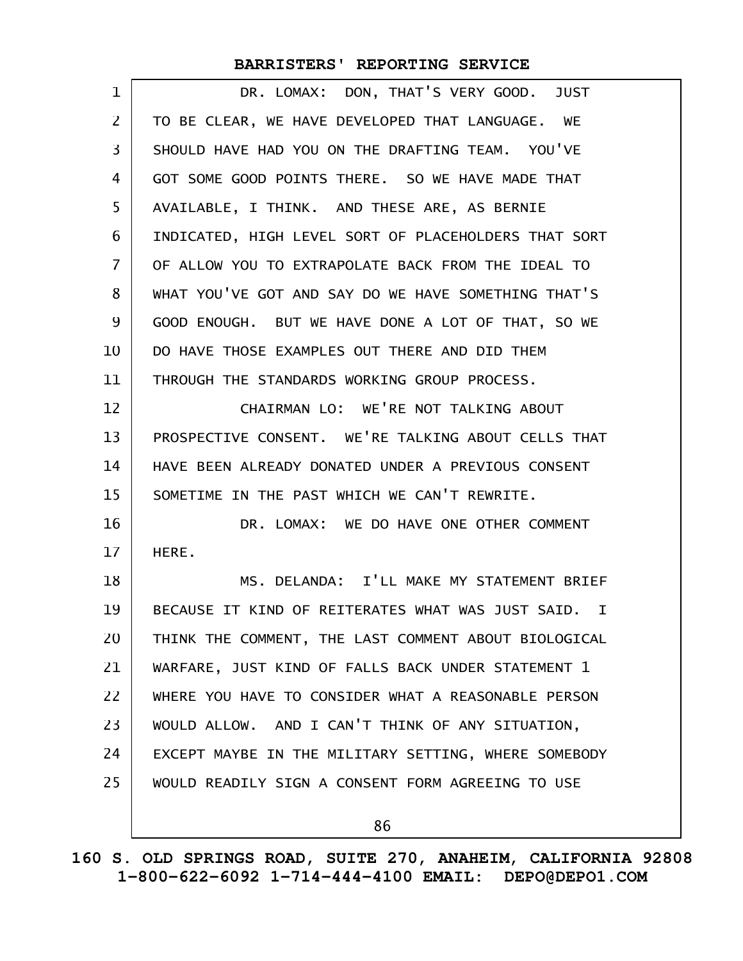| 1              | DR. LOMAX: DON, THAT'S VERY GOOD. JUST               |
|----------------|------------------------------------------------------|
| $\overline{2}$ | TO BE CLEAR, WE HAVE DEVELOPED THAT LANGUAGE. WE     |
| 3              | SHOULD HAVE HAD YOU ON THE DRAFTING TEAM. YOU'VE     |
| 4              | GOT SOME GOOD POINTS THERE. SO WE HAVE MADE THAT     |
| 5              | AVAILABLE, I THINK. AND THESE ARE, AS BERNIE         |
| 6              | INDICATED, HIGH LEVEL SORT OF PLACEHOLDERS THAT SORT |
| $\overline{7}$ | OF ALLOW YOU TO EXTRAPOLATE BACK FROM THE IDEAL TO   |
| 8              | WHAT YOU'VE GOT AND SAY DO WE HAVE SOMETHING THAT'S  |
| 9              | GOOD ENOUGH. BUT WE HAVE DONE A LOT OF THAT, SO WE   |
| 10             | DO HAVE THOSE EXAMPLES OUT THERE AND DID THEM        |
| 11             | THROUGH THE STANDARDS WORKING GROUP PROCESS.         |
| 12             | CHAIRMAN LO: WE'RE NOT TALKING ABOUT                 |
| 13             | PROSPECTIVE CONSENT. WE'RE TALKING ABOUT CELLS THAT  |
| 14             | HAVE BEEN ALREADY DONATED UNDER A PREVIOUS CONSENT   |
| 15             | SOMETIME IN THE PAST WHICH WE CAN'T REWRITE.         |
| 16             | DR. LOMAX: WE DO HAVE ONE OTHER COMMENT              |
| 17             | HERE.                                                |
| 18             | MS. DELANDA: I'LL MAKE MY STATEMENT BRIEF            |
| 19             | BECAUSE IT KIND OF REITERATES WHAT WAS JUST SAID. I  |
| 20             | THINK THE COMMENT, THE LAST COMMENT ABOUT BIOLOGICAL |
| 21             | WARFARE, JUST KIND OF FALLS BACK UNDER STATEMENT 1   |
| 22             | WHERE YOU HAVE TO CONSIDER WHAT A REASONABLE PERSON  |
| 23             | WOULD ALLOW. AND I CAN'T THINK OF ANY SITUATION,     |
| 24             | EXCEPT MAYBE IN THE MILITARY SETTING, WHERE SOMEBODY |
| 25             | WOULD READILY SIGN A CONSENT FORM AGREEING TO USE    |
|                | 86                                                   |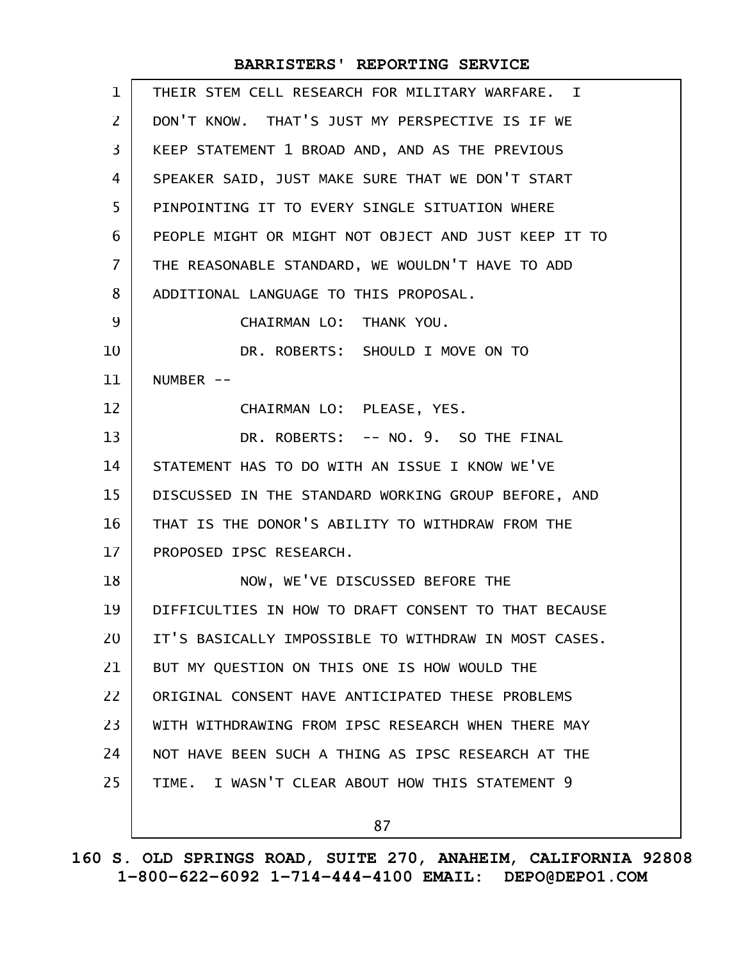| $\mathbf{1}$   | THEIR STEM CELL RESEARCH FOR MILITARY WARFARE. I     |
|----------------|------------------------------------------------------|
| $\overline{2}$ | DON'T KNOW. THAT'S JUST MY PERSPECTIVE IS IF WE      |
| 3              | KEEP STATEMENT 1 BROAD AND, AND AS THE PREVIOUS      |
| 4              | SPEAKER SAID, JUST MAKE SURE THAT WE DON'T START     |
| 5              | PINPOINTING IT TO EVERY SINGLE SITUATION WHERE       |
| 6              | PEOPLE MIGHT OR MIGHT NOT OBJECT AND JUST KEEP IT TO |
| $\overline{7}$ | THE REASONABLE STANDARD, WE WOULDN'T HAVE TO ADD     |
| 8              | ADDITIONAL LANGUAGE TO THIS PROPOSAL.                |
| 9              | CHAIRMAN LO: THANK YOU.                              |
| 10             | DR. ROBERTS: SHOULD I MOVE ON TO                     |
| 11             | NUMBER --                                            |
| 12             | CHAIRMAN LO: PLEASE, YES.                            |
| 13             | DR. ROBERTS: -- NO. 9. SO THE FINAL                  |
| 14             | STATEMENT HAS TO DO WITH AN ISSUE I KNOW WE'VE       |
| 15             | DISCUSSED IN THE STANDARD WORKING GROUP BEFORE, AND  |
| 16             | THAT IS THE DONOR'S ABILITY TO WITHDRAW FROM THE     |
| 17             | PROPOSED IPSC RESEARCH.                              |
| 18             | NOW, WE'VE DISCUSSED BEFORE THE                      |
| 19             | DIFFICULTIES IN HOW TO DRAFT CONSENT TO THAT BECAUSE |
| 20             | IT'S BASICALLY IMPOSSIBLE TO WITHDRAW IN MOST CASES. |
| 21             | BUT MY QUESTION ON THIS ONE IS HOW WOULD THE         |
| 22             | ORIGINAL CONSENT HAVE ANTICIPATED THESE PROBLEMS     |
| 23             | WITH WITHDRAWING FROM IPSC RESEARCH WHEN THERE MAY   |
| 24             | NOT HAVE BEEN SUCH A THING AS IPSC RESEARCH AT THE   |
| 25             | TIME. I WASN'T CLEAR ABOUT HOW THIS STATEMENT 9      |
|                | 87                                                   |
|                |                                                      |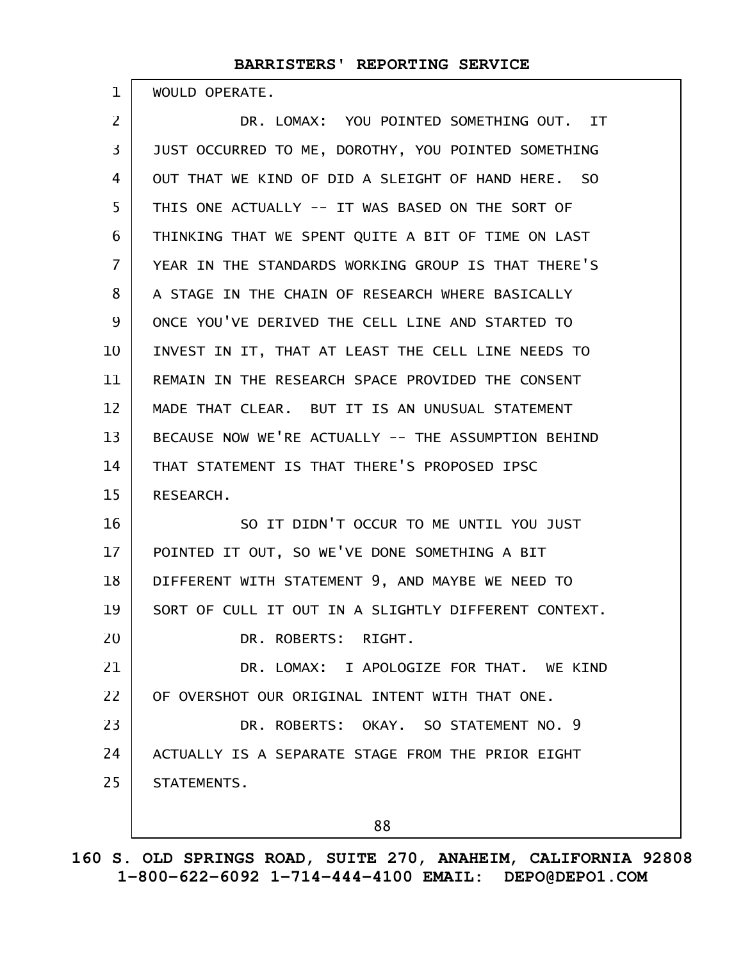WOULD OPERATE.

1

DR. LOMAX: YOU POINTED SOMETHING OUT. IT JUST OCCURRED TO ME, DOROTHY, YOU POINTED SOMETHING OUT THAT WE KIND OF DID A SLEIGHT OF HAND HERE. SO THIS ONE ACTUALLY -- IT WAS BASED ON THE SORT OF THINKING THAT WE SPENT QUITE A BIT OF TIME ON LAST YEAR IN THE STANDARDS WORKING GROUP IS THAT THERE'S A STAGE IN THE CHAIN OF RESEARCH WHERE BASICALLY ONCE YOU'VE DERIVED THE CELL LINE AND STARTED TO INVEST IN IT, THAT AT LEAST THE CELL LINE NEEDS TO REMAIN IN THE RESEARCH SPACE PROVIDED THE CONSENT MADE THAT CLEAR. BUT IT IS AN UNUSUAL STATEMENT BECAUSE NOW WE'RE ACTUALLY -- THE ASSUMPTION BEHIND THAT STATEMENT IS THAT THERE'S PROPOSED IPSC RESEARCH. SO IT DIDN'T OCCUR TO ME UNTIL YOU JUST POINTED IT OUT, SO WE'VE DONE SOMETHING A BIT DIFFERENT WITH STATEMENT 9, AND MAYBE WE NEED TO SORT OF CULL IT OUT IN A SLIGHTLY DIFFERENT CONTEXT. DR. ROBERTS: RIGHT. DR. LOMAX: I APOLOGIZE FOR THAT. WE KIND OF OVERSHOT OUR ORIGINAL INTENT WITH THAT ONE. DR. ROBERTS: OKAY. SO STATEMENT NO. 9 ACTUALLY IS A SEPARATE STAGE FROM THE PRIOR EIGHT STATEMENTS. 2 3 4 5 6 7 8 9 10 11 12 13 14 15 16 17 18 19 20 21 22 23 24 25

**160 S. OLD SPRINGS ROAD, SUITE 270, ANAHEIM, CALIFORNIA 92808 1-800-622-6092 1-714-444-4100 EMAIL: DEPO@DEPO1.COM**

88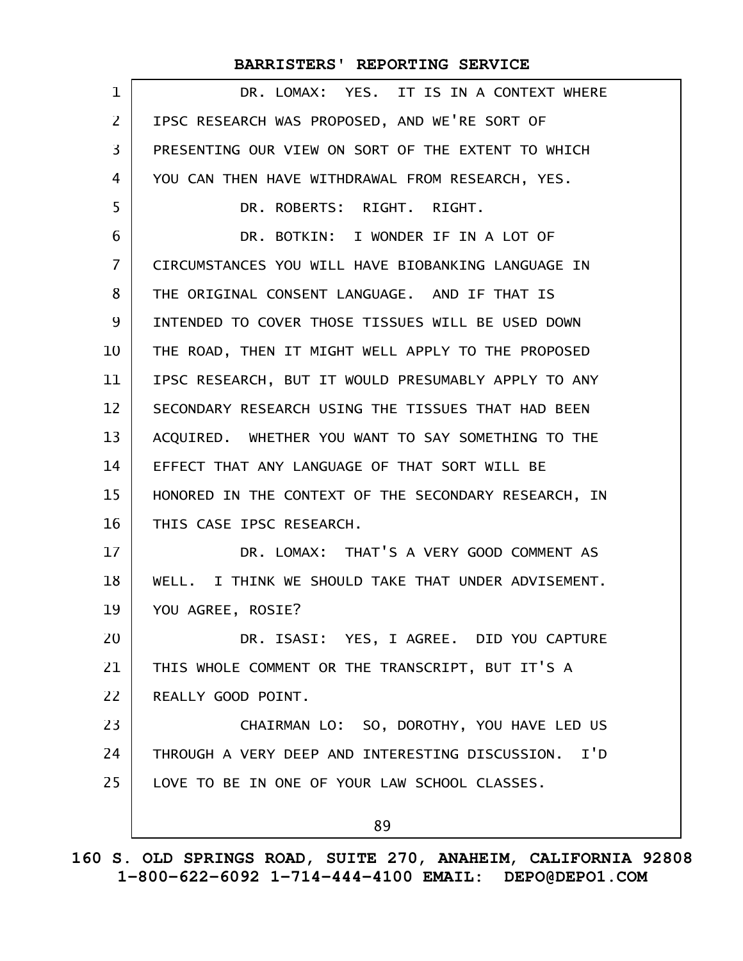|    | BARRISTERS' REPORTING SERVICE                             |
|----|-----------------------------------------------------------|
| 1  | DR. LOMAX: YES. IT IS IN A CONTEXT WHERE                  |
| 2  | IPSC RESEARCH WAS PROPOSED, AND WE'RE SORT OF             |
| 3  | PRESENTING OUR VIEW ON SORT OF THE EXTENT TO WHICH        |
| 4  | YOU CAN THEN HAVE WITHDRAWAL FROM RESEARCH, YES.          |
| 5  | DR. ROBERTS: RIGHT. RIGHT.                                |
| 6  | DR. BOTKIN: I WONDER IF IN A LOT OF                       |
| 7  | CIRCUMSTANCES YOU WILL HAVE BIOBANKING LANGUAGE IN        |
| 8  | THE ORIGINAL CONSENT LANGUAGE. AND IF THAT IS             |
| 9  | INTENDED TO COVER THOSE TISSUES WILL BE USED DOWN         |
| 10 | THE ROAD, THEN IT MIGHT WELL APPLY TO THE PROPOSED        |
| 11 | IPSC RESEARCH, BUT IT WOULD PRESUMABLY APPLY TO ANY       |
| 12 | SECONDARY RESEARCH USING THE TISSUES THAT HAD BEEN        |
| 13 | ACQUIRED. WHETHER YOU WANT TO SAY SOMETHING TO THE        |
| 14 | EFFECT THAT ANY LANGUAGE OF THAT SORT WILL BE             |
| 15 | HONORED IN THE CONTEXT OF THE SECONDARY RESEARCH, IN      |
| 16 | THIS CASE IPSC RESEARCH.                                  |
| 17 | DR. LOMAX: THAT'S A VERY GOOD COMMENT AS                  |
| 18 | WELL. I THINK WE SHOULD TAKE THAT UNDER ADVISEMENT.       |
| 19 | YOU AGREE, ROSIE?                                         |
| 20 | DR. ISASI: YES, I AGREE. DID YOU CAPTURE                  |
| 21 | THIS WHOLE COMMENT OR THE TRANSCRIPT, BUT IT'S A          |
| 22 | REALLY GOOD POINT.                                        |
| 23 | CHAIRMAN LO: SO, DOROTHY, YOU HAVE LED US                 |
| 24 | $I'$ D<br>THROUGH A VERY DEEP AND INTERESTING DISCUSSION. |
| 25 | LOVE TO BE IN ONE OF YOUR LAW SCHOOL CLASSES.             |
|    | 89                                                        |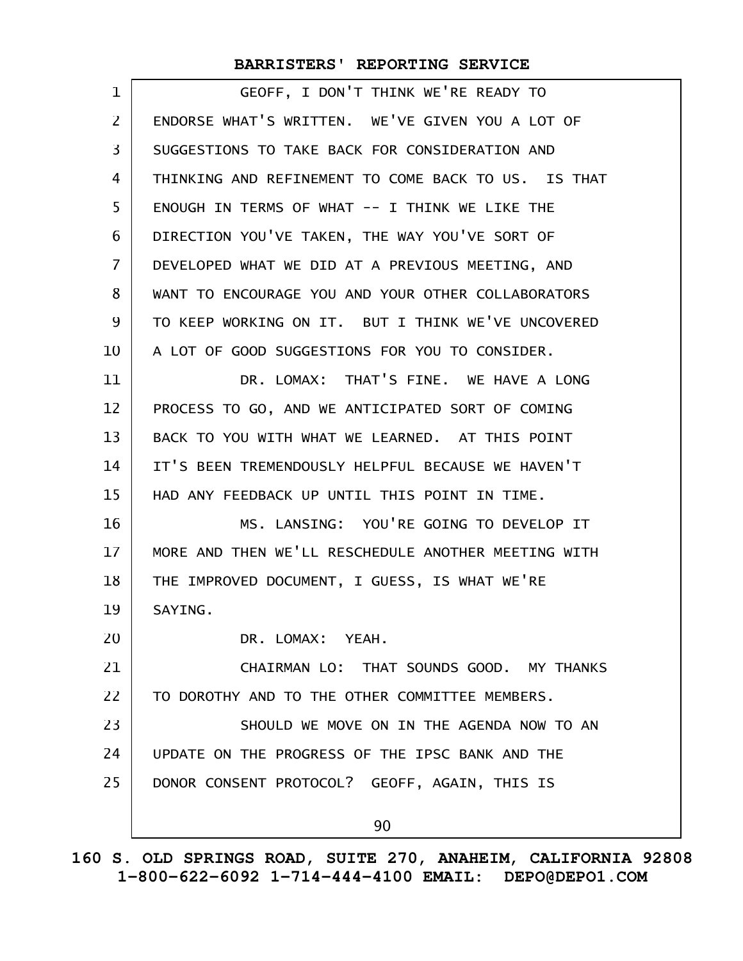| 1              | GEOFF, I DON'T THINK WE'RE READY TO                 |
|----------------|-----------------------------------------------------|
| $\overline{2}$ | ENDORSE WHAT'S WRITTEN. WE'VE GIVEN YOU A LOT OF    |
| 3              | SUGGESTIONS TO TAKE BACK FOR CONSIDERATION AND      |
| 4              | THINKING AND REFINEMENT TO COME BACK TO US. IS THAT |
| 5              | ENOUGH IN TERMS OF WHAT -- I THINK WE LIKE THE      |
| 6              | DIRECTION YOU'VE TAKEN, THE WAY YOU'VE SORT OF      |
| $\overline{7}$ | DEVELOPED WHAT WE DID AT A PREVIOUS MEETING, AND    |
| 8              | WANT TO ENCOURAGE YOU AND YOUR OTHER COLLABORATORS  |
| 9              | TO KEEP WORKING ON IT. BUT I THINK WE'VE UNCOVERED  |
| 10             | A LOT OF GOOD SUGGESTIONS FOR YOU TO CONSIDER.      |
| 11             | DR. LOMAX: THAT'S FINE. WE HAVE A LONG              |
| 12             | PROCESS TO GO, AND WE ANTICIPATED SORT OF COMING    |
| 13             | BACK TO YOU WITH WHAT WE LEARNED. AT THIS POINT     |
| 14             | IT'S BEEN TREMENDOUSLY HELPFUL BECAUSE WE HAVEN'T   |
| 15             | HAD ANY FEEDBACK UP UNTIL THIS POINT IN TIME.       |
| 16             | MS. LANSING: YOU'RE GOING TO DEVELOP IT             |
| 17             | MORE AND THEN WE'LL RESCHEDULE ANOTHER MEETING WITH |
| 18             | THE IMPROVED DOCUMENT, I GUESS, IS WHAT WE'RE       |
| 19             | SAYING.                                             |
| 20             | DR. LOMAX: YEAH.                                    |
| 21             | CHAIRMAN LO: THAT SOUNDS GOOD. MY THANKS            |
| 22             | TO DOROTHY AND TO THE OTHER COMMITTEE MEMBERS.      |
| 23             | SHOULD WE MOVE ON IN THE AGENDA NOW TO AN           |
| 24             | UPDATE ON THE PROGRESS OF THE IPSC BANK AND THE     |
| 25             | DONOR CONSENT PROTOCOL? GEOFF, AGAIN, THIS IS       |
|                | 90                                                  |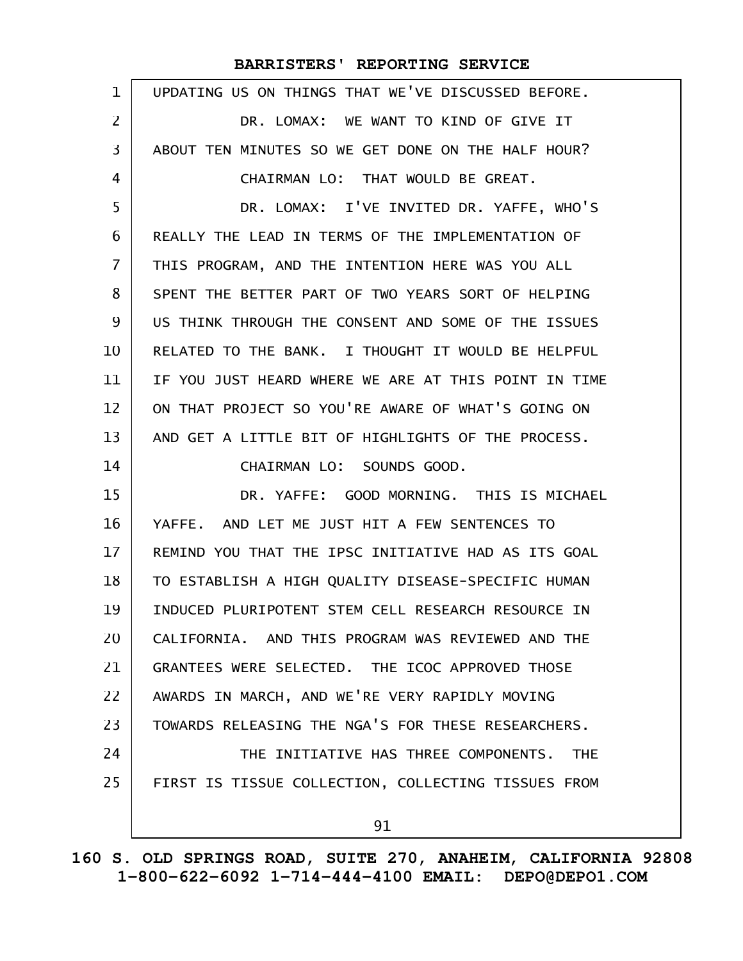| $\mathbf{1}$ | UPDATING US ON THINGS THAT WE'VE DISCUSSED BEFORE.   |
|--------------|------------------------------------------------------|
| 2            | DR. LOMAX: WE WANT TO KIND OF GIVE IT                |
| 3            | ABOUT TEN MINUTES SO WE GET DONE ON THE HALF HOUR?   |
| 4            | CHAIRMAN LO: THAT WOULD BE GREAT.                    |
| 5            | DR. LOMAX: I'VE INVITED DR. YAFFE, WHO'S             |
| 6            | REALLY THE LEAD IN TERMS OF THE IMPLEMENTATION OF    |
| 7            | THIS PROGRAM, AND THE INTENTION HERE WAS YOU ALL     |
| 8            | SPENT THE BETTER PART OF TWO YEARS SORT OF HELPING   |
| 9            | US THINK THROUGH THE CONSENT AND SOME OF THE ISSUES  |
| 10           | RELATED TO THE BANK. I THOUGHT IT WOULD BE HELPFUL   |
| 11           | IF YOU JUST HEARD WHERE WE ARE AT THIS POINT IN TIME |
| 12           | ON THAT PROJECT SO YOU'RE AWARE OF WHAT'S GOING ON   |
| 13           | AND GET A LITTLE BIT OF HIGHLIGHTS OF THE PROCESS.   |
| 14           | CHAIRMAN LO: SOUNDS GOOD.                            |
| 15           | DR. YAFFE: GOOD MORNING. THIS IS MICHAEL             |
| 16           | YAFFE. AND LET ME JUST HIT A FEW SENTENCES TO        |
| 17           | REMIND YOU THAT THE IPSC INITIATIVE HAD AS ITS GOAL  |
| 18           | TO ESTABLISH A HIGH QUALITY DISEASE-SPECIFIC HUMAN   |
| 19           | INDUCED PLURIPOTENT STEM CELL RESEARCH RESOURCE IN   |
| 20           | CALIFORNIA. AND THIS PROGRAM WAS REVIEWED AND THE    |
| 21           | GRANTEES WERE SELECTED. THE ICOC APPROVED THOSE      |
| 22           | AWARDS IN MARCH, AND WE'RE VERY RAPIDLY MOVING       |
| 23           | TOWARDS RELEASING THE NGA'S FOR THESE RESEARCHERS.   |
| 24           | THE INITIATIVE HAS THREE COMPONENTS. THE             |
| 25           | FIRST IS TISSUE COLLECTION, COLLECTING TISSUES FROM  |
|              |                                                      |
|              | 91                                                   |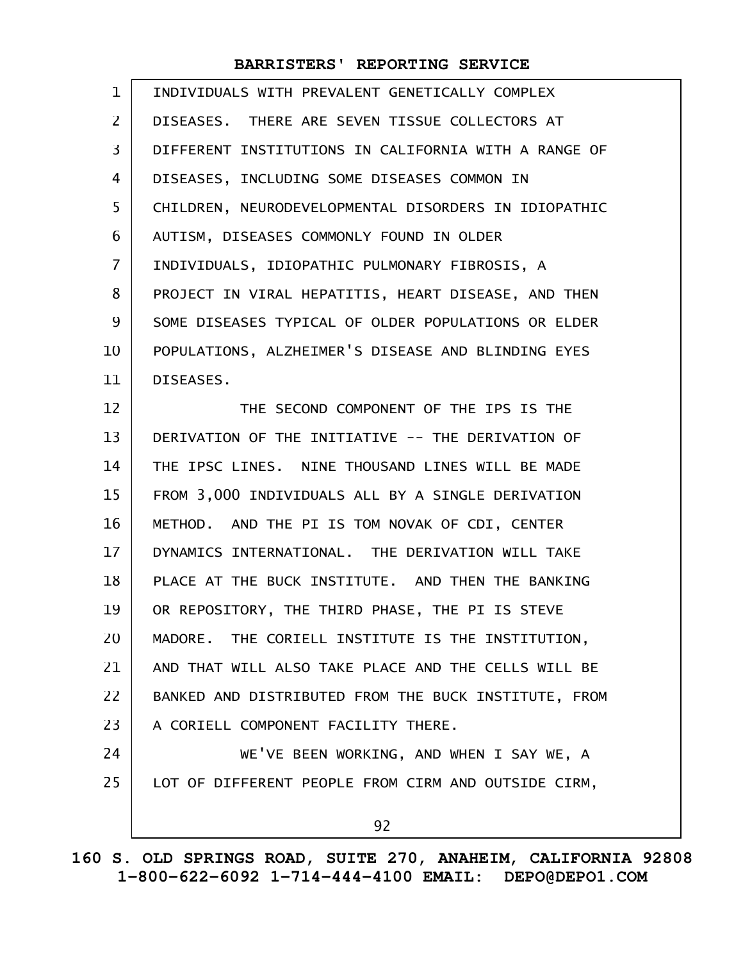| $\mathbf{1}$   | INDIVIDUALS WITH PREVALENT GENETICALLY COMPLEX       |
|----------------|------------------------------------------------------|
| $\mathsf{Z}$   | DISEASES. THERE ARE SEVEN TISSUE COLLECTORS AT       |
| 3              | DIFFERENT INSTITUTIONS IN CALIFORNIA WITH A RANGE OF |
| 4              | DISEASES, INCLUDING SOME DISEASES COMMON IN          |
| 5              | CHILDREN, NEURODEVELOPMENTAL DISORDERS IN IDIOPATHIC |
| 6              | AUTISM, DISEASES COMMONLY FOUND IN OLDER             |
| $\overline{7}$ | INDIVIDUALS, IDIOPATHIC PULMONARY FIBROSIS, A        |
| 8              | PROJECT IN VIRAL HEPATITIS, HEART DISEASE, AND THEN  |
| 9              | SOME DISEASES TYPICAL OF OLDER POPULATIONS OR ELDER  |
| 10             | POPULATIONS, ALZHEIMER'S DISEASE AND BLINDING EYES   |
| 11             | DISEASES.                                            |
| 12             | THE SECOND COMPONENT OF THE IPS IS THE               |
| 13             | DERIVATION OF THE INITIATIVE -- THE DERIVATION OF    |
| 14             | THE IPSC LINES. NINE THOUSAND LINES WILL BE MADE     |
| 15             | FROM 3,000 INDIVIDUALS ALL BY A SINGLE DERIVATION    |
| 16             | METHOD. AND THE PI IS TOM NOVAK OF CDI, CENTER       |
| 17             | DYNAMICS INTERNATIONAL. THE DERIVATION WILL TAKE     |
| 18             | PLACE AT THE BUCK INSTITUTE. AND THEN THE BANKING    |
| 19             | OR REPOSITORY, THE THIRD PHASE, THE PI IS STEVE      |
| 20             | MADORE. THE CORIELL INSTITUTE IS THE INSTITUTION,    |
| 21             | AND THAT WILL ALSO TAKE PLACE AND THE CELLS WILL BE  |
| 22             | BANKED AND DISTRIBUTED FROM THE BUCK INSTITUTE, FROM |
| 23             | A CORIELL COMPONENT FACILITY THERE.                  |
| 24             | WE'VE BEEN WORKING, AND WHEN I SAY WE, A             |
| 25             | LOT OF DIFFERENT PEOPLE FROM CIRM AND OUTSIDE CIRM,  |
|                | 92                                                   |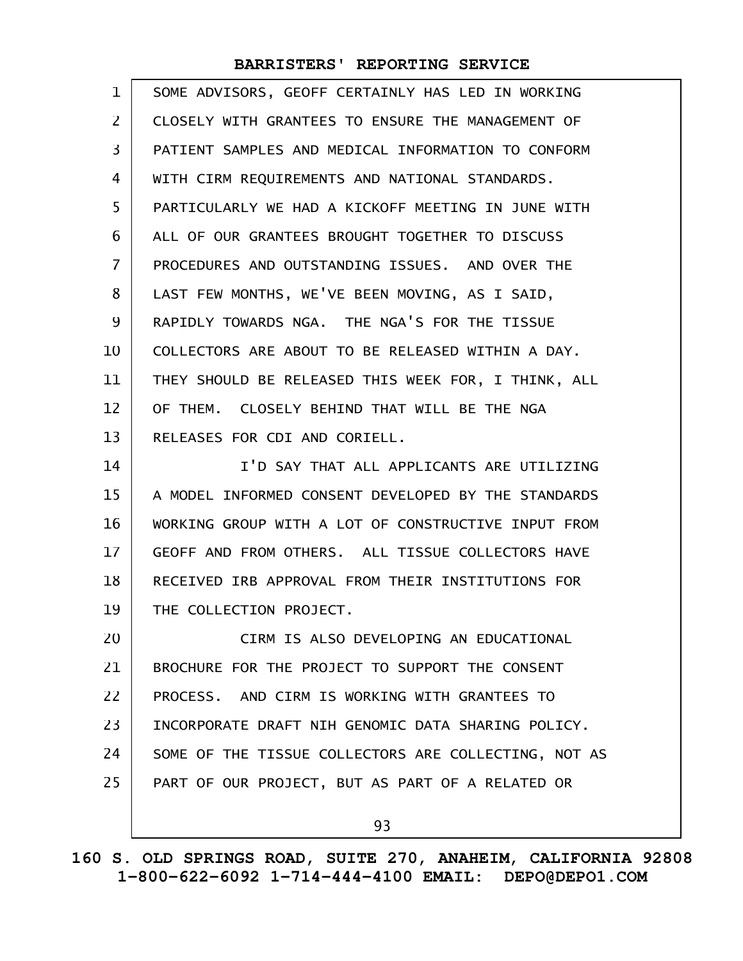| $\mathbf{1}$   | SOME ADVISORS, GEOFF CERTAINLY HAS LED IN WORKING    |
|----------------|------------------------------------------------------|
| 2              | CLOSELY WITH GRANTEES TO ENSURE THE MANAGEMENT OF    |
| 3              | PATIENT SAMPLES AND MEDICAL INFORMATION TO CONFORM   |
| 4              | WITH CIRM REQUIREMENTS AND NATIONAL STANDARDS.       |
| 5              | PARTICULARLY WE HAD A KICKOFF MEETING IN JUNE WITH   |
| 6              | ALL OF OUR GRANTEES BROUGHT TOGETHER TO DISCUSS      |
| $\overline{7}$ | PROCEDURES AND OUTSTANDING ISSUES. AND OVER THE      |
| 8              | LAST FEW MONTHS, WE'VE BEEN MOVING, AS I SAID,       |
| 9              | RAPIDLY TOWARDS NGA. THE NGA'S FOR THE TISSUE        |
| 10             | COLLECTORS ARE ABOUT TO BE RELEASED WITHIN A DAY.    |
| 11             | THEY SHOULD BE RELEASED THIS WEEK FOR, I THINK, ALL  |
| 12             | OF THEM. CLOSELY BEHIND THAT WILL BE THE NGA         |
| 13             | RELEASES FOR CDI AND CORIELL.                        |
| 14             | I'D SAY THAT ALL APPLICANTS ARE UTILIZING            |
| 15             | A MODEL INFORMED CONSENT DEVELOPED BY THE STANDARDS  |
| 16             | WORKING GROUP WITH A LOT OF CONSTRUCTIVE INPUT FROM  |
| 17             | GEOFF AND FROM OTHERS. ALL TISSUE COLLECTORS HAVE    |
| 18             | RECEIVED IRB APPROVAL FROM THEIR INSTITUTIONS FOR    |
| 19             | THE COLLECTION PROJECT.                              |
| 20             | CIRM IS ALSO DEVELOPING AN EDUCATIONAL               |
| 21             | BROCHURE FOR THE PROJECT TO SUPPORT THE CONSENT      |
| 22             | PROCESS. AND CIRM IS WORKING WITH GRANTEES TO        |
| 23             | INCORPORATE DRAFT NIH GENOMIC DATA SHARING POLICY.   |
| 24             | SOME OF THE TISSUE COLLECTORS ARE COLLECTING, NOT AS |
| 25             | PART OF OUR PROJECT, BUT AS PART OF A RELATED OR     |
|                | 93                                                   |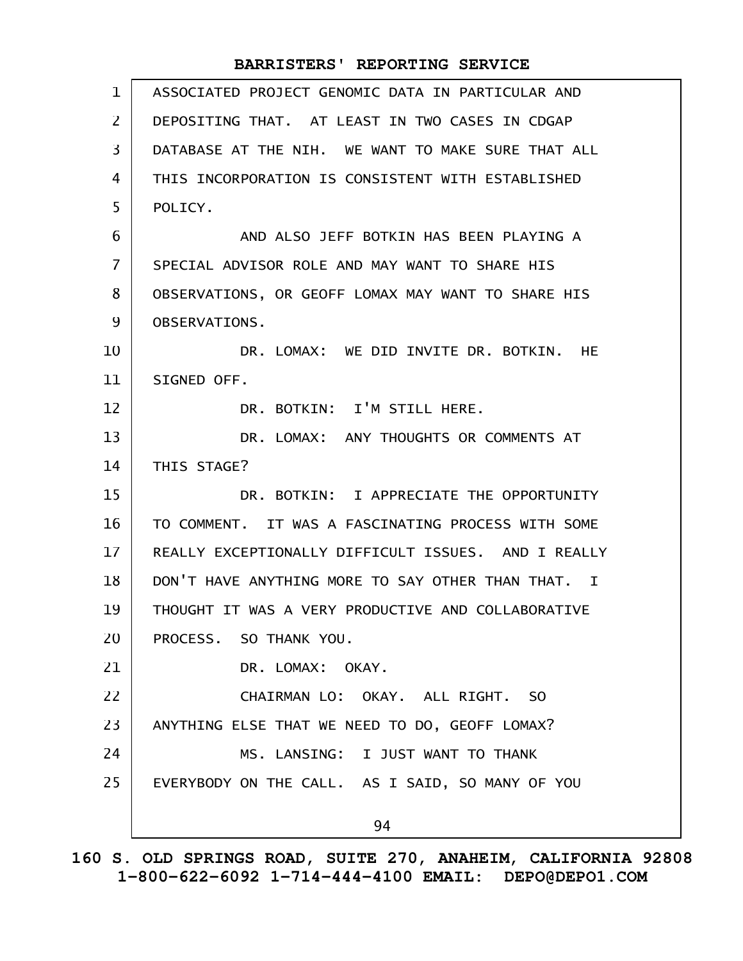| $\mathbf{1}$   | ASSOCIATED PROJECT GENOMIC DATA IN PARTICULAR AND   |
|----------------|-----------------------------------------------------|
| $\overline{2}$ | DEPOSITING THAT. AT LEAST IN TWO CASES IN CDGAP     |
| 3              | DATABASE AT THE NIH. WE WANT TO MAKE SURE THAT ALL  |
| 4              | THIS INCORPORATION IS CONSISTENT WITH ESTABLISHED   |
| 5              | POLICY.                                             |
| 6              | AND ALSO JEFF BOTKIN HAS BEEN PLAYING A             |
| $\overline{7}$ | SPECIAL ADVISOR ROLE AND MAY WANT TO SHARE HIS      |
| 8              | OBSERVATIONS, OR GEOFF LOMAX MAY WANT TO SHARE HIS  |
| 9              | OBSERVATIONS.                                       |
| 10             | DR. LOMAX: WE DID INVITE DR. BOTKIN. HE             |
| 11             | SIGNED OFF.                                         |
| 12             | DR. BOTKIN: I'M STILL HERE.                         |
| 13             | DR. LOMAX: ANY THOUGHTS OR COMMENTS AT              |
| 14             | THIS STAGE?                                         |
| 15             | DR. BOTKIN: I APPRECIATE THE OPPORTUNITY            |
| 16             | TO COMMENT. IT WAS A FASCINATING PROCESS WITH SOME  |
| 17             | REALLY EXCEPTIONALLY DIFFICULT ISSUES. AND I REALLY |
| 18             | DON'T HAVE ANYTHING MORE TO SAY OTHER THAN THAT. I  |
| 19             | THOUGHT IT WAS A VERY PRODUCTIVE AND COLLABORATIVE  |
| 20             | PROCESS. SO THANK YOU.                              |
| 21             | DR. LOMAX: OKAY.                                    |
| 22             | CHAIRMAN LO: OKAY. ALL RIGHT. SO                    |
| 23             | ANYTHING ELSE THAT WE NEED TO DO, GEOFF LOMAX?      |
| 24             | MS. LANSING: I JUST WANT TO THANK                   |
| 25             | EVERYBODY ON THE CALL. AS I SAID, SO MANY OF YOU    |
|                | 94                                                  |
|                |                                                     |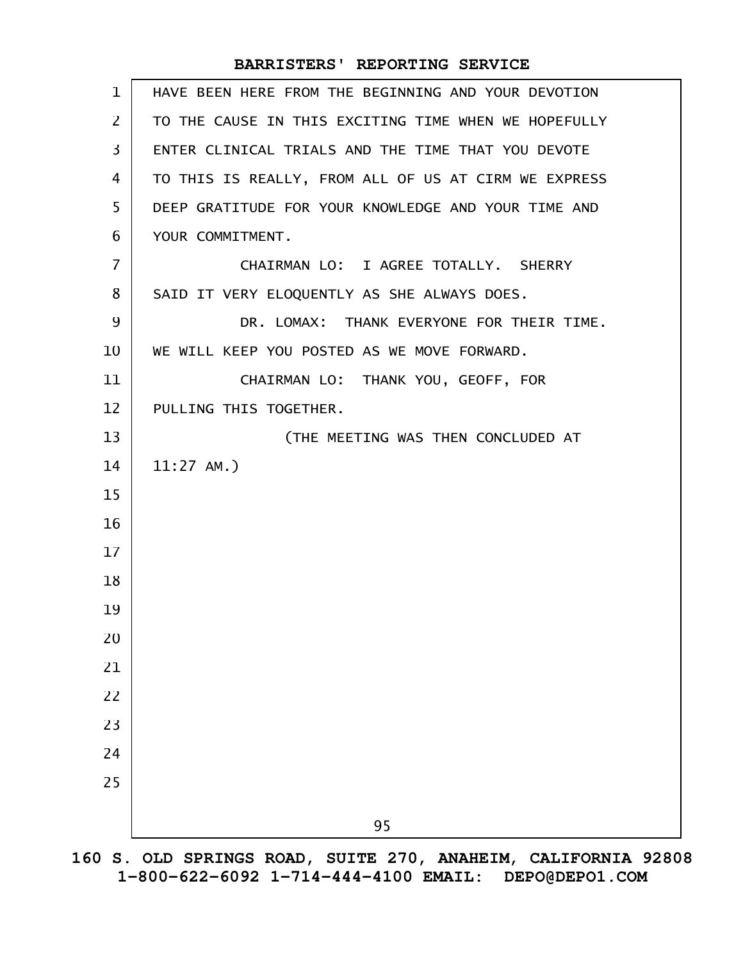| $\mathbf 1$     | HAVE BEEN HERE FROM THE BEGINNING AND YOUR DEVOTION  |
|-----------------|------------------------------------------------------|
| $\overline{2}$  | TO THE CAUSE IN THIS EXCITING TIME WHEN WE HOPEFULLY |
| $\overline{3}$  | ENTER CLINICAL TRIALS AND THE TIME THAT YOU DEVOTE   |
| 4               | TO THIS IS REALLY, FROM ALL OF US AT CIRM WE EXPRESS |
| 5               | DEEP GRATITUDE FOR YOUR KNOWLEDGE AND YOUR TIME AND  |
| 6               | YOUR COMMITMENT.                                     |
| $\overline{7}$  | CHAIRMAN LO: I AGREE TOTALLY. SHERRY                 |
| 8               | SAID IT VERY ELOQUENTLY AS SHE ALWAYS DOES.          |
| 9               | DR. LOMAX: THANK EVERYONE FOR THEIR TIME.            |
| 10              | WE WILL KEEP YOU POSTED AS WE MOVE FORWARD.          |
| 11              | CHAIRMAN LO: THANK YOU, GEOFF, FOR                   |
| 12 <sup>2</sup> | PULLING THIS TOGETHER.                               |
| 13              | (THE MEETING WAS THEN CONCLUDED AT                   |
| 14              | $11:27$ AM.)                                         |
| 15              |                                                      |
| 16              |                                                      |
| $17 \,$         |                                                      |
| 18              |                                                      |
| 19              |                                                      |
| 20              |                                                      |
| 21              |                                                      |
| 22              |                                                      |
| 23              |                                                      |
| 24              |                                                      |
| 25              |                                                      |
|                 | 95                                                   |
|                 |                                                      |